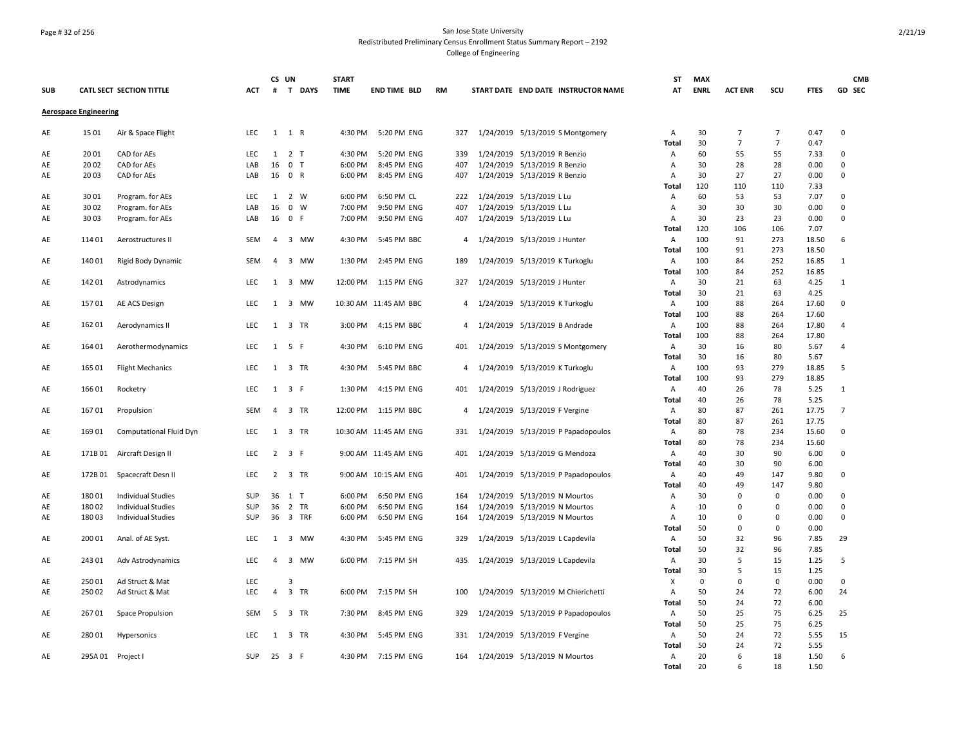### Page # 32 of 256 San Jose State University Redistributed Preliminary Census Enrollment Status Summary Report – 2192 College of Engineering

|            |                              |                            |             | CS UN          |                                       | <b>START</b>       |                            |           |                |                                 |                                                              |                                      | <b>ST</b>  | <b>MAX</b>  |                |                |              | <b>CMB</b>       |
|------------|------------------------------|----------------------------|-------------|----------------|---------------------------------------|--------------------|----------------------------|-----------|----------------|---------------------------------|--------------------------------------------------------------|--------------------------------------|------------|-------------|----------------|----------------|--------------|------------------|
| <b>SUB</b> |                              | CATL SECT SECTION TITTLE   | <b>ACT</b>  | #              | T DAYS                                | <b>TIME</b>        | <b>END TIME BLD</b>        | <b>RM</b> |                |                                 |                                                              | START DATE END DATE INSTRUCTOR NAME  | AT         | <b>ENRL</b> | <b>ACT ENR</b> | scu            | <b>FTES</b>  | GD SEC           |
|            | <b>Aerospace Engineering</b> |                            |             |                |                                       |                    |                            |           |                |                                 |                                                              |                                      |            |             |                |                |              |                  |
| AE         | 1501                         | Air & Space Flight         | LEC.        | 1              | 1 R                                   | 4:30 PM            | 5:20 PM ENG                |           | 327            |                                 |                                                              | 1/24/2019 5/13/2019 S Montgomery     | Α          | 30          | $\overline{7}$ | $\overline{7}$ | 0.47         | $\Omega$         |
|            |                              |                            |             |                |                                       |                    |                            |           |                |                                 |                                                              |                                      | Total      | 30          | $\overline{7}$ | $\overline{7}$ | 0.47         |                  |
| AE<br>AE   | 2001<br>2002                 | CAD for AEs<br>CAD for AEs | LEC.<br>LAB | 16             | $1 \quad 2 \quad T$<br>0 <sub>T</sub> | 4:30 PM<br>6:00 PM | 5:20 PM ENG<br>8:45 PM ENG |           | 339<br>407     |                                 | 1/24/2019 5/13/2019 R Benzio<br>1/24/2019 5/13/2019 R Benzio |                                      | Α          | 60<br>30    | 55<br>28       | 55<br>28       | 7.33<br>0.00 | $\mathbf 0$<br>0 |
|            | 2003                         |                            |             |                | 16 0 R                                |                    |                            |           | 407            | 1/24/2019 5/13/2019 R Benzio    |                                                              |                                      | Α          | 30          | 27             | 27             | 0.00         | $\mathbf 0$      |
| AE         |                              | CAD for AEs                | LAB         |                |                                       | 6:00 PM            | 8:45 PM ENG                |           |                |                                 |                                                              |                                      | Α<br>Total | 120         | 110            | 110            | 7.33         |                  |
| AE         | 3001                         | Program. for AEs           | <b>LEC</b>  | 1              | 2 W                                   | 6:00 PM            | 6:50 PM CL                 |           | 222            |                                 | 1/24/2019 5/13/2019 L Lu                                     |                                      | Α          | 60          | 53             | 53             | 7.07         | 0                |
| AE         | 3002                         | Program. for AEs           | LAB         | 16             | $0 \quad W$                           | 7:00 PM            | 9:50 PM ENG                |           | 407            | 1/24/2019 5/13/2019 L Lu        |                                                              |                                      | Α          | 30          | 30             | 30             | 0.00         | 0                |
| AE         | 3003                         | Program. for AEs           | LAB         | 16             | 0 F                                   | 7:00 PM            | 9:50 PM ENG                |           | 407            | 1/24/2019 5/13/2019 L Lu        |                                                              |                                      | Α          | 30          | 23             | 23             | 0.00         | 0                |
|            |                              |                            |             |                |                                       |                    |                            |           |                |                                 |                                                              |                                      | Total      | 120         | 106            | 106            | 7.07         |                  |
| AE         | 11401                        | Aerostructures II          | SEM         | $\overline{4}$ | 3 MW                                  | 4:30 PM            | 5:45 PM BBC                |           | $\overline{4}$ | 1/24/2019 5/13/2019 J Hunter    |                                                              |                                      | Α          | 100         | 91             | 273            | 18.50        | 6                |
|            |                              |                            |             |                |                                       |                    |                            |           |                |                                 |                                                              |                                      | Total      | 100         | 91             | 273            | 18.50        |                  |
| AE         | 14001                        | Rigid Body Dynamic         | SEM         | 4              | 3 MW                                  | 1:30 PM            | 2:45 PM ENG                |           | 189            |                                 | 1/24/2019 5/13/2019 K Turkoglu                               |                                      | Α          | 100         | 84             | 252            | 16.85        | $\mathbf{1}$     |
|            |                              |                            |             |                |                                       |                    |                            |           |                |                                 |                                                              |                                      | Total      | 100         | 84             | 252            | 16.85        |                  |
| AE         | 14201                        | Astrodynamics              | LEC         |                | 1 3 MW                                |                    | 12:00 PM 1:15 PM ENG       |           | 327            | 1/24/2019 5/13/2019 J Hunter    |                                                              |                                      | Α          | 30          | 21             | 63             | 4.25         | 1                |
|            |                              |                            |             |                |                                       |                    |                            |           |                |                                 |                                                              |                                      | Total      | 30          | 21             | 63             | 4.25         |                  |
| AE         | 15701                        | AE ACS Design              | LEC         | 1              | 3 MW                                  |                    | 10:30 AM 11:45 AM BBC      |           | $\overline{4}$ | 1/24/2019 5/13/2019 K Turkoglu  |                                                              |                                      | Α          | 100         | 88             | 264            | 17.60        | $\Omega$         |
|            |                              |                            |             |                |                                       |                    |                            |           |                |                                 |                                                              |                                      | Total      | 100         | 88             | 264            | 17.60        |                  |
| AE         | 162 01                       | Aerodynamics II            | LEC         | 1              | 3 TR                                  | 3:00 PM            | 4:15 PM BBC                |           | 4              | 1/24/2019 5/13/2019 B Andrade   |                                                              |                                      | Α          | 100         | 88             | 264            | 17.80        | 4                |
|            |                              |                            |             |                |                                       |                    |                            |           |                |                                 |                                                              |                                      | Total      | 100         | 88             | 264            | 17.80        |                  |
| AE         | 164 01                       | Aerothermodynamics         | <b>LEC</b>  |                | $1 \quad 5 \quad F$                   | 4:30 PM            | 6:10 PM ENG                |           |                |                                 |                                                              | 401 1/24/2019 5/13/2019 S Montgomery | Α          | 30          | 16             | 80             | 5.67         | $\overline{4}$   |
|            |                              |                            |             |                |                                       |                    |                            |           |                |                                 |                                                              |                                      | Total      | 30          | 16             | 80             | 5.67         |                  |
| AE         | 165 01                       | <b>Flight Mechanics</b>    | <b>LEC</b>  | 1              | 3 TR                                  | 4:30 PM            | 5:45 PM BBC                |           | 4              | 1/24/2019 5/13/2019 K Turkoglu  |                                                              |                                      | Α          | 100         | 93             | 279            | 18.85        | 5                |
|            |                              |                            |             |                |                                       |                    |                            |           |                |                                 |                                                              |                                      | Total      | 100         | 93             | 279            | 18.85        |                  |
| AE         | 16601                        | Rocketry                   | LEC         | 1              | 3 F                                   | 1:30 PM            | 4:15 PM ENG                |           | 401            | 1/24/2019 5/13/2019 J Rodriguez |                                                              |                                      | Α          | 40          | 26             | 78             | 5.25         | $\mathbf{1}$     |
|            |                              |                            |             |                |                                       |                    |                            |           |                |                                 |                                                              |                                      | Total      | 40          | 26             | 78             | 5.25         |                  |
| AE         | 16701                        | Propulsion                 | SEM         |                | 4 3 TR                                |                    | 12:00 PM   1:15 PM   BBC   |           | 4              | 1/24/2019 5/13/2019 F Vergine   |                                                              |                                      | Α          | 80          | 87             | 261            | 17.75        | $\overline{7}$   |
|            |                              |                            |             |                |                                       |                    |                            |           |                |                                 |                                                              |                                      | Total      | 80          | 87             | 261            | 17.75        |                  |
| AE         | 169 01                       | Computational Fluid Dyn    | <b>LEC</b>  |                | 1 3 TR                                |                    | 10:30 AM 11:45 AM ENG      |           | 331            |                                 |                                                              | 1/24/2019 5/13/2019 P Papadopoulos   | Α          | 80          | 78             | 234            | 15.60        | 0                |
|            |                              |                            |             |                |                                       |                    |                            |           |                |                                 |                                                              |                                      | Total      | 80          | 78             | 234            | 15.60        |                  |
| AE         | 171B01                       | Aircraft Design II         | LEC         |                | $2 \quad 3 \quad F$                   |                    | 9:00 AM 11:45 AM ENG       |           | 401            | 1/24/2019 5/13/2019 G Mendoza   |                                                              |                                      | Α          | 40          | 30             | 90             | 6.00         | 0                |
|            |                              |                            |             |                |                                       |                    |                            |           |                |                                 |                                                              |                                      | Total      | 40          | 30             | 90             | 6.00         |                  |
| AE         | 172B01                       | Spacecraft Desn II         | LEC         |                | 2 3 TR                                |                    | 9:00 AM 10:15 AM ENG       |           | 401            |                                 |                                                              | 1/24/2019 5/13/2019 P Papadopoulos   | Α          | 40          | 49             | 147            | 9.80         | $\Omega$         |
|            |                              |                            |             |                |                                       |                    |                            |           |                |                                 |                                                              |                                      | Total      | 40          | 49             | 147            | 9.80         |                  |
| AE         | 18001                        | Individual Studies         | SUP         |                | 36 1 T                                | 6:00 PM            | 6:50 PM ENG                |           | 164            | 1/24/2019 5/13/2019 N Mourtos   |                                                              |                                      | Α          | 30          | 0              | 0              | 0.00         | 0                |
| AE         | 18002                        | <b>Individual Studies</b>  | <b>SUP</b>  | 36             | 2 TR                                  | 6:00 PM            | 6:50 PM ENG                |           | 164            |                                 | 1/24/2019 5/13/2019 N Mourtos                                |                                      | Α          | 10          | 0              | 0              | 0.00         | 0                |
| AE         | 18003                        | <b>Individual Studies</b>  | <b>SUP</b>  |                | 36 3 TRF                              | 6:00 PM            | 6:50 PM ENG                |           | 164            | 1/24/2019 5/13/2019 N Mourtos   |                                                              |                                      | Α          | 10          | 0<br>$\Omega$  | 0              | 0.00         | 0                |
|            |                              |                            |             |                |                                       |                    |                            |           |                |                                 |                                                              |                                      | Total      | 50<br>50    |                | 0              | 0.00         | 29               |
| AE         | 200 01                       | Anal. of AE Syst.          | <b>LEC</b>  | 1              | 3 MW                                  | 4:30 PM            | 5:45 PM ENG                |           | 329            |                                 | 1/24/2019 5/13/2019 L Capdevila                              |                                      | Α<br>Total | 50          | 32<br>32       | 96<br>96       | 7.85<br>7.85 |                  |
|            | 24301                        |                            | <b>LEC</b>  | $\overline{4}$ | 3 MW                                  |                    | 7:15 PM SH                 |           | 435            |                                 |                                                              |                                      |            | 30          | 5              | 15             | 1.25         | 5                |
| AE         |                              | Adv Astrodynamics          |             |                |                                       | 6:00 PM            |                            |           |                | 1/24/2019 5/13/2019 L Capdevila |                                                              |                                      | Α<br>Total | 30          | 5              | 15             | 1.25         |                  |
| AE         | 25001                        | Ad Struct & Mat            | <b>LEC</b>  |                | 3                                     |                    |                            |           |                |                                 |                                                              |                                      | Χ          | $\mathbf 0$ | $\mathbf 0$    | 0              | 0.00         | 0                |
| AE         | 25002                        | Ad Struct & Mat            | LEC         | $\overline{4}$ | 3 TR                                  | 6:00 PM            | 7:15 PM SH                 |           | 100            |                                 |                                                              | 1/24/2019 5/13/2019 M Chierichetti   | Α          | 50          | 24             | 72             | 6.00         | 24               |
|            |                              |                            |             |                |                                       |                    |                            |           |                |                                 |                                                              |                                      | Total      | 50          | 24             | 72             | 6.00         |                  |
| AE         | 26701                        | Space Propulsion           | <b>SEM</b>  | 5              | 3 TR                                  | 7:30 PM            | 8:45 PM ENG                |           | 329            |                                 |                                                              | 1/24/2019 5/13/2019 P Papadopoulos   | Α          | 50          | 25             | 75             | 6.25         | 25               |
|            |                              |                            |             |                |                                       |                    |                            |           |                |                                 |                                                              |                                      | Total      | 50          | 25             | 75             | 6.25         |                  |
| AE         | 28001                        | Hypersonics                | LEC         | 1              | 3 TR                                  | 4:30 PM            | 5:45 PM ENG                |           | 331            | 1/24/2019 5/13/2019 F Vergine   |                                                              |                                      | Α          | 50          | 24             | 72             | 5.55         | 15               |
|            |                              |                            |             |                |                                       |                    |                            |           |                |                                 |                                                              |                                      | Total      | 50          | 24             | 72             | 5.55         |                  |
| AE         | 295A 01 Project I            |                            | <b>SUP</b>  |                | 25 3 F                                |                    | 4:30 PM 7:15 PM ENG        |           | 164            | 1/24/2019 5/13/2019 N Mourtos   |                                                              |                                      | A          | 20          | 6              | 18             | 1.50         | 6                |
|            |                              |                            |             |                |                                       |                    |                            |           |                |                                 |                                                              |                                      | Total      | 20          | $\mathsf{f}$   | 18             | 1.50         |                  |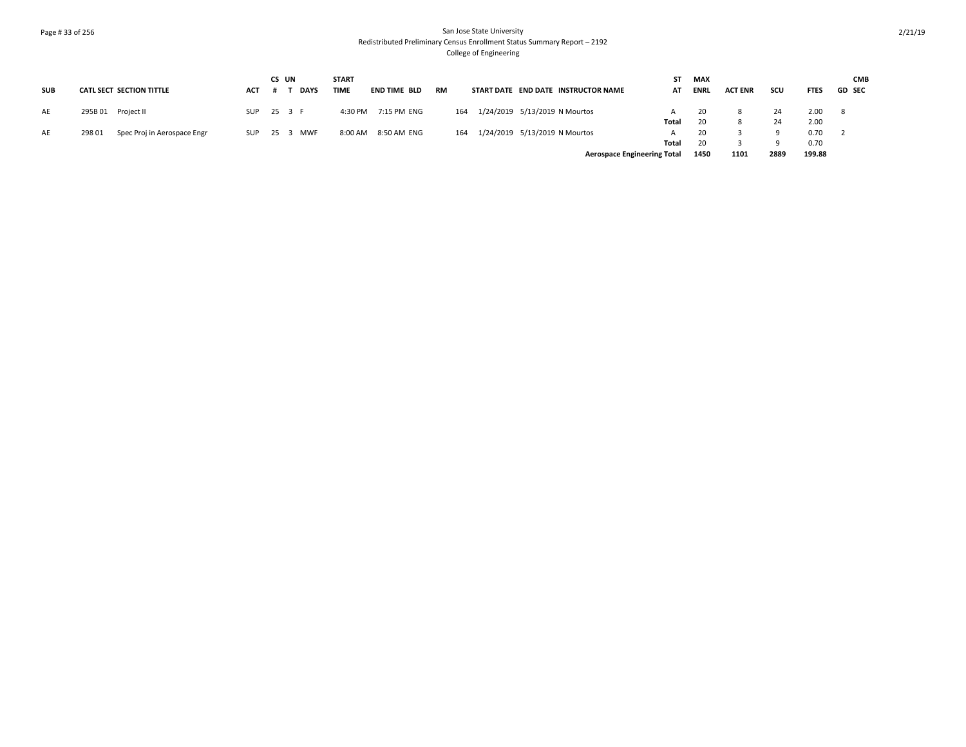## Page # 33 of 256 San Jose State University Redistributed Preliminary Census Enrollment Status Summary Report – 2192 College of Engineering

|            |                                      |            | CS UN |             | <b>START</b> |                     |           |     |                               |                                     | SΤ    | <b>MAX</b>  |                |      |             | <b>CMB</b>    |
|------------|--------------------------------------|------------|-------|-------------|--------------|---------------------|-----------|-----|-------------------------------|-------------------------------------|-------|-------------|----------------|------|-------------|---------------|
| <b>SUB</b> | CATL SECT SECTION TITTLE             | ACT        |       | <b>DAYS</b> | <b>TIME</b>  | <b>END TIME BLD</b> | <b>RM</b> |     |                               | START DATE END DATE INSTRUCTOR NAME | AT    | <b>ENRL</b> | <b>ACT ENR</b> | scu  | <b>FTES</b> | <b>GD SEC</b> |
| AE         | 295B 01 Project II                   | SUP        |       | 25 3 F      | 4:30 PM      | 7:15 PM ENG         |           | 164 |                               | 1/24/2019 5/13/2019 N Mourtos       |       | 20          |                | 24   | 2.00        | - 8           |
|            |                                      |            |       |             |              |                     |           |     |                               |                                     | Total | 20          |                | 24   | 2.00        |               |
| AE         | 29801<br>Spec Proj in Aerospace Engr | <b>SUP</b> |       | 25 3 MWF    | 8:00 AM      | 8:50 AM ENG         |           | 164 | 1/24/2019 5/13/2019 N Mourtos |                                     |       | 20          |                |      | 0.70        |               |
|            |                                      |            |       |             |              |                     |           |     |                               |                                     | Total | 20          |                |      | 0.70        |               |
|            |                                      |            |       |             |              |                     |           |     |                               | <b>Aerospace Engineering Total</b>  |       | 1450        | 1101           | 2889 | 199.88      |               |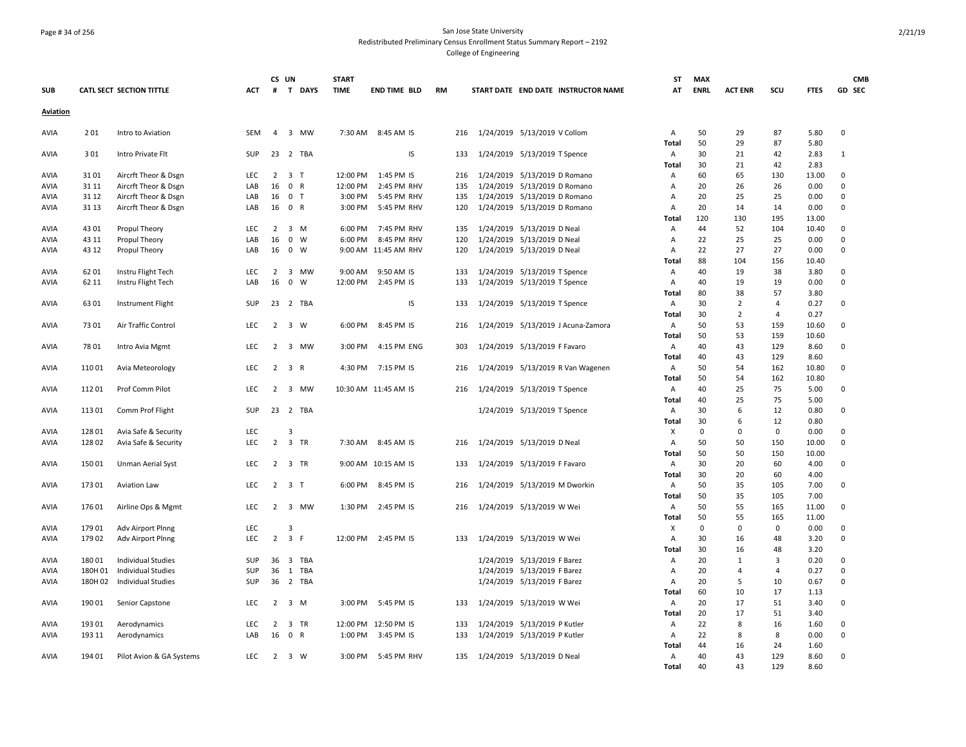### Page # 34 of 256 San Jose State University Redistributed Preliminary Census Enrollment Status Summary Report – 2192 College of Engineering

|                 |         |                           |            | CS UN          |                     |          | <b>START</b> |                      |           |     |                               |                                     | <b>ST</b>         | <b>MAX</b>        |                  |                   |               | <b>CMB</b>    |
|-----------------|---------|---------------------------|------------|----------------|---------------------|----------|--------------|----------------------|-----------|-----|-------------------------------|-------------------------------------|-------------------|-------------------|------------------|-------------------|---------------|---------------|
| <b>SUB</b>      |         | CATL SECT SECTION TITTLE  | <b>ACT</b> | #              |                     | T DAYS   | <b>TIME</b>  | <b>END TIME BLD</b>  | <b>RM</b> |     |                               | START DATE END DATE INSTRUCTOR NAME | AT                | <b>ENRL</b>       | <b>ACT ENR</b>   | SCU               | <b>FTES</b>   | <b>GD SEC</b> |
| <b>Aviation</b> |         |                           |            |                |                     |          |              |                      |           |     |                               |                                     |                   |                   |                  |                   |               |               |
| <b>AVIA</b>     | 201     | Intro to Aviation         | SEM        | 4              |                     | 3 MW     | 7:30 AM      | 8:45 AM IS           |           | 216 | 1/24/2019 5/13/2019 V Collom  |                                     | Α                 | 50                | 29               | 87                | 5.80          | 0             |
| <b>AVIA</b>     | 301     | Intro Private Flt         | <b>SUP</b> |                |                     | 23 2 TBA |              | IS                   |           | 133 | 1/24/2019 5/13/2019 T Spence  |                                     | <b>Total</b><br>Α | 50<br>30          | 29<br>21         | 87<br>42          | 5.80<br>2.83  | 1             |
|                 |         |                           |            |                |                     |          |              |                      |           |     |                               |                                     | <b>Total</b>      | 30                | 21               | 42                | 2.83          |               |
| <b>AVIA</b>     | 3101    | Aircrft Theor & Dsgn      | <b>LEC</b> | $\overline{2}$ | 3 <sub>1</sub>      |          | 12:00 PM     | 1:45 PM IS           |           | 216 | 1/24/2019 5/13/2019 D Romano  |                                     | А                 | 60                | 65               | 130               | 13.00         | 0             |
| <b>AVIA</b>     | 31 11   | Aircrft Theor & Dsgn      | LAB        | 16             | 0 R                 |          | 12:00 PM     | 2:45 PM RHV          |           | 135 | 1/24/2019 5/13/2019 D Romano  |                                     | А                 | 20                | 26               | 26                | 0.00          | 0             |
| <b>AVIA</b>     | 31 12   | Aircrft Theor & Dsgn      | LAB        | 16             | 0 <sub>T</sub>      |          | 3:00 PM      | 5:45 PM RHV          |           | 135 | 1/24/2019 5/13/2019 D Romano  |                                     | Α                 | 20                | 25               | 25                | 0.00          | 0             |
| <b>AVIA</b>     | 31 13   | Aircrft Theor & Dsgn      | LAB        | 16 0 R         |                     |          | 3:00 PM      | 5:45 PM RHV          |           | 120 | 1/24/2019 5/13/2019 D Romano  |                                     | A                 | 20                | 14               | 14                | 0.00          | $\Omega$      |
|                 |         |                           |            |                |                     |          |              |                      |           |     |                               |                                     | Total             | 120               | 130              | 195               | 13.00         |               |
| AVIA            | 4301    | Propul Theory             | <b>LEC</b> | $\overline{2}$ | 3 M                 |          | 6:00 PM      | 7:45 PM RHV          |           | 135 | 1/24/2019 5/13/2019 D Neal    |                                     | Α                 | 44                | 52               | 104               | 10.40         | 0             |
| AVIA            | 43 11   | Propul Theory             | LAB        | 16             | $0 \quad W$         |          | 6:00 PM      | 8:45 PM RHV          |           | 120 | 1/24/2019 5/13/2019 D Neal    |                                     | Α                 | 22                | 25               | 25                | 0.00          | $\mathbf 0$   |
| AVIA            | 43 12   | Propul Theory             | LAB        | 16             | $0 \quad W$         |          |              | 9:00 AM 11:45 AM RHV |           | 120 | 1/24/2019 5/13/2019 D Neal    |                                     | А                 | 22                | 27               | 27                | 0.00          | 0             |
|                 |         |                           |            |                |                     |          |              |                      |           |     |                               |                                     | Total             | 88                | 104              | 156               | 10.40         |               |
| <b>AVIA</b>     | 62 01   | Instru Flight Tech        | LEC        | 2              |                     | 3 MW     | 9:00 AM      | 9:50 AM IS           |           | 133 | 1/24/2019 5/13/2019 T Spence  |                                     | Α                 | 40                | 19               | 38                | 3.80          | 0             |
| <b>AVIA</b>     | 62 11   | Instru Flight Tech        | LAB        | 16             | $\mathbf 0$         | W        | 12:00 PM     | 2:45 PM IS           |           | 133 | 1/24/2019 5/13/2019 T Spence  |                                     | А                 | 40                | 19               | 19                | 0.00          | $\Omega$      |
|                 |         |                           |            |                |                     |          |              |                      |           |     |                               |                                     | Total             | 80                | 38               | 57                | 3.80          |               |
| AVIA            | 63 01   | <b>Instrument Flight</b>  | <b>SUP</b> |                |                     | 23 2 TBA |              | IS                   |           | 133 | 1/24/2019 5/13/2019 T Spence  |                                     | Α                 | 30                | $\overline{2}$   | 4                 | 0.27          | 0             |
|                 |         |                           |            |                |                     |          |              |                      |           |     |                               |                                     | Total             | 30                | $\overline{2}$   | 4                 | 0.27          |               |
| AVIA            | 7301    | Air Traffic Control       | <b>LEC</b> | $\overline{2}$ | 3 W                 |          | 6:00 PM      | 8:45 PM IS           |           | 216 |                               | 1/24/2019 5/13/2019 J Acuna-Zamora  | Α                 | 50                | 53               | 159               | 10.60         | 0             |
|                 |         |                           |            |                |                     |          |              |                      |           |     |                               |                                     | Total             | 50                | 53               | 159               | 10.60         |               |
| <b>AVIA</b>     | 7801    | Intro Avia Mgmt           | <b>LEC</b> | $\overline{2}$ |                     | 3 MW     | 3:00 PM      | 4:15 PM ENG          |           | 303 | 1/24/2019 5/13/2019 F Favaro  |                                     | Α                 | 40                | 43               | 129               | 8.60          | 0             |
|                 |         |                           |            |                |                     |          |              |                      |           |     |                               |                                     | <b>Total</b>      | 40                | 43               | 129               | 8.60          |               |
| AVIA            | 11001   | Avia Meteorology          | LEC        | $\overline{2}$ | 3 R                 |          | 4:30 PM      | 7:15 PM IS           |           | 216 |                               | 1/24/2019 5/13/2019 R Van Wagenen   | Α                 | 50                | 54               | 162               | 10.80         | 0             |
|                 |         |                           |            |                |                     |          |              |                      |           |     |                               |                                     | Total             | 50                | 54               | 162               | 10.80         |               |
| AVIA            | 11201   | Prof Comm Pilot           | <b>LEC</b> | $\overline{2}$ |                     | 3 MW     |              | 10:30 AM 11:45 AM IS |           | 216 | 1/24/2019 5/13/2019 T Spence  |                                     | Α                 | 40                | 25               | 75                | 5.00          | 0             |
|                 |         |                           |            |                |                     |          |              |                      |           |     |                               |                                     | Total             | 40                | 25               | 75                | 5.00          |               |
| <b>AVIA</b>     | 11301   | Comm Prof Flight          | <b>SUP</b> |                |                     | 23 2 TBA |              |                      |           |     | 1/24/2019 5/13/2019 T Spence  |                                     | А                 | 30                | 6                | 12                | 0.80          | 0             |
|                 | 12801   |                           | LEC        |                |                     |          |              |                      |           |     |                               |                                     | Total             | 30<br>$\mathbf 0$ | 6<br>$\mathbf 0$ | 12<br>$\mathbf 0$ | 0.80          | $\mathbf 0$   |
| AVIA            |         | Avia Safe & Security      | LEC        | $\overline{2}$ | 3<br>3 TR           |          |              | 8:45 AM IS           |           |     |                               |                                     | x                 | 50                |                  | 150               | 0.00<br>10.00 | $\mathbf 0$   |
| <b>AVIA</b>     | 12802   | Avia Safe & Security      |            |                |                     |          | 7:30 AM      |                      |           | 216 | 1/24/2019 5/13/2019 D Neal    |                                     | А<br>Total        | 50                | 50<br>50         | 150               | 10.00         |               |
| AVIA            | 15001   | Unman Aerial Syst         | LEC.       | 2              | 3 TR                |          |              | 9:00 AM 10:15 AM IS  |           | 133 | 1/24/2019 5/13/2019 F Favaro  |                                     | А                 | 30                | 20               | 60                | 4.00          | 0             |
|                 |         |                           |            |                |                     |          |              |                      |           |     |                               |                                     | Total             | 30                | 20               | 60                | 4.00          |               |
| <b>AVIA</b>     | 17301   | Aviation Law              | <b>LEC</b> |                | $2 \quad 3 \quad T$ |          | 6:00 PM      | 8:45 PM IS           |           | 216 | 1/24/2019 5/13/2019 M Dworkin |                                     | Α                 | 50                | 35               | 105               | 7.00          | 0             |
|                 |         |                           |            |                |                     |          |              |                      |           |     |                               |                                     | Total             | 50                | 35               | 105               | 7.00          |               |
| AVIA            | 17601   | Airline Ops & Mgmt        | LEC        |                |                     | 2 3 MW   | 1:30 PM      | 2:45 PM IS           |           | 216 | 1/24/2019 5/13/2019 W Wei     |                                     | Α                 | 50                | 55               | 165               | 11.00         | $\Omega$      |
|                 |         |                           |            |                |                     |          |              |                      |           |     |                               |                                     | Total             | 50                | 55               | 165               | 11.00         |               |
| AVIA            | 17901   | Adv Airport Plnng         | LEC        |                | 3                   |          |              |                      |           |     |                               |                                     | Χ                 | $\mathbf 0$       | 0                | 0                 | 0.00          | 0             |
| AVIA            | 17902   | Adv Airport Plnng         | LEC        | $\overline{2}$ | 3 F                 |          | 12:00 PM     | 2:45 PM IS           |           | 133 | 1/24/2019 5/13/2019 W Wei     |                                     | Α                 | 30                | 16               | 48                | 3.20          | 0             |
|                 |         |                           |            |                |                     |          |              |                      |           |     |                               |                                     | Total             | 30                | 16               | 48                | 3.20          |               |
| <b>AVIA</b>     | 18001   | <b>Individual Studies</b> | <b>SUP</b> | 36             |                     | 3 TBA    |              |                      |           |     | 1/24/2019 5/13/2019 F Barez   |                                     | A                 | 20                | 1                | 3                 | 0.20          | $\Omega$      |
| AVIA            | 180H 01 | <b>Individual Studies</b> | SUP        | 36             |                     | 1 TBA    |              |                      |           |     | 1/24/2019 5/13/2019 F Barez   |                                     | Α                 | 20                | 4                | $\overline{4}$    | 0.27          | $\mathbf 0$   |
| AVIA            | 180H 02 | <b>Individual Studies</b> | SUP        | 36             |                     | 2 TBA    |              |                      |           |     | 1/24/2019 5/13/2019 F Barez   |                                     | Α                 | 20                | 5                | 10                | 0.67          | 0             |
|                 |         |                           |            |                |                     |          |              |                      |           |     |                               |                                     | Total             | 60                | 10               | 17                | 1.13          |               |
| AVIA            | 19001   | Senior Capstone           | LEC.       | $\overline{2}$ | 3 M                 |          | 3:00 PM      | 5:45 PM IS           |           | 133 | 1/24/2019 5/13/2019 W Wei     |                                     | А                 | 20                | 17               | 51                | 3.40          | 0             |
|                 |         |                           |            |                |                     |          |              |                      |           |     |                               |                                     | Total             | 20                | 17               | 51                | 3.40          |               |
| <b>AVIA</b>     | 19301   | Aerodynamics              | LEC        | 2              | 3 TR                |          |              | 12:00 PM 12:50 PM IS |           | 133 | 1/24/2019 5/13/2019 P Kutler  |                                     | А                 | 22                | 8                | 16                | 1.60          | 0             |
| <b>AVIA</b>     | 193 11  | Aerodynamics              | LAB        | 16             | 0 R                 |          | 1:00 PM      | 3:45 PM IS           |           | 133 | 1/24/2019 5/13/2019 P Kutler  |                                     | A                 | 22                | 8                | 8                 | 0.00          | $\Omega$      |
|                 |         |                           |            |                |                     |          |              |                      |           |     |                               |                                     | Total             | 44                | 16               | 24                | 1.60          |               |
| AVIA            | 194 01  | Pilot Avion & GA Systems  | <b>LEC</b> | 2              | 3 W                 |          | 3:00 PM      | 5:45 PM RHV          |           | 135 | 1/24/2019 5/13/2019 D Neal    |                                     | А                 | 40                | 43               | 129               | 8.60          | 0             |
|                 |         |                           |            |                |                     |          |              |                      |           |     |                               |                                     | Total             | 40                | 43               | 129               | 8.60          |               |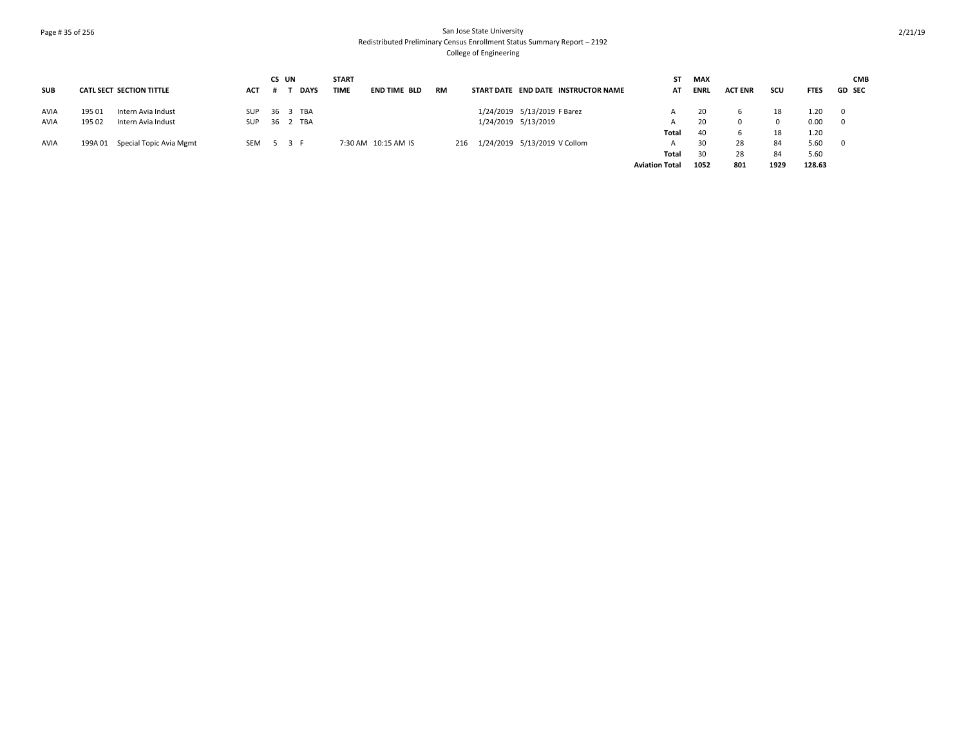# Page # 35 of 256 San Jose State University Redistributed Preliminary Census Enrollment Status Summary Report – 2192 College of Engineering

|             |        |                                 |            | CS UN |          |             | <b>START</b> |                     |           |     |                                     | SΤ                    | <b>MAX</b>  |                |      |             | <b>CMB</b>    |
|-------------|--------|---------------------------------|------------|-------|----------|-------------|--------------|---------------------|-----------|-----|-------------------------------------|-----------------------|-------------|----------------|------|-------------|---------------|
| <b>SUB</b>  |        | <b>CATL SECT SECTION TITTLE</b> | ACT        |       |          | <b>DAYS</b> | <b>TIME</b>  | END TIME BLD        | <b>RM</b> |     | START DATE END DATE INSTRUCTOR NAME | АТ                    | <b>ENRL</b> | <b>ACT ENR</b> | scu  | <b>FTES</b> | <b>GD SEC</b> |
| <b>AVIA</b> | 195 01 | Intern Avia Indust              | <b>SUP</b> |       | 36 3 TBA |             |              |                     |           |     | 1/24/2019 5/13/2019 F Barez         |                       | 20          |                | 18   | 1.20        | $\mathbf 0$   |
| AVIA        | 195 02 | Intern Avia Indust              | <b>SUP</b> |       | 36 2 TBA |             |              |                     |           |     | 1/24/2019 5/13/2019                 |                       | 20          |                |      | 0.00        | $\mathbf 0$   |
|             |        |                                 |            |       |          |             |              |                     |           |     |                                     | Total                 | 40          |                | 18   | 1.20        |               |
| <b>AVIA</b> |        | 199A 01 Special Topic Avia Mgmt | SEM 5 3 F  |       |          |             |              | 7:30 AM 10:15 AM IS |           | 216 | 1/24/2019 5/13/2019 V Collom        |                       | 30          | 28             | 84   | 5.60        | $\mathbf{0}$  |
|             |        |                                 |            |       |          |             |              |                     |           |     |                                     | Total                 | 30          | 28             | 84   | 5.60        |               |
|             |        |                                 |            |       |          |             |              |                     |           |     |                                     | <b>Aviation Total</b> | 1052        | 801            | 1929 | 128.63      |               |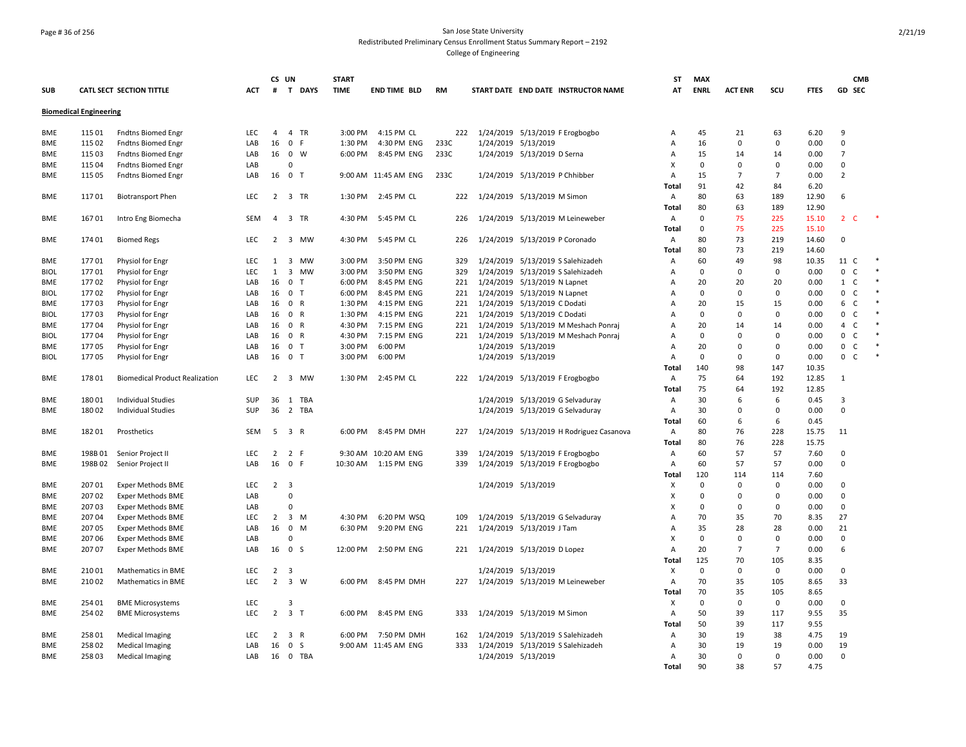### Page # 36 of 256 San Jose State University Redistributed Preliminary Census Enrollment Status Summary Report – 2192 College of Engineering

|             |                               |                                       |            | CS UN          |                                      | <b>START</b> |                      |           |                     |                                          | ST    | <b>MAX</b>  |                |                |             | <b>CMB</b>                     |  |
|-------------|-------------------------------|---------------------------------------|------------|----------------|--------------------------------------|--------------|----------------------|-----------|---------------------|------------------------------------------|-------|-------------|----------------|----------------|-------------|--------------------------------|--|
| <b>SUB</b>  |                               | CATL SECT SECTION TITTLE              | <b>ACT</b> | #              | T DAYS                               | <b>TIME</b>  | <b>END TIME BLD</b>  | <b>RM</b> |                     | START DATE END DATE INSTRUCTOR NAME      | АТ    | <b>ENRL</b> | <b>ACT ENR</b> | SCU            | <b>FTES</b> | GD SEC                         |  |
|             | <b>Biomedical Engineering</b> |                                       |            |                |                                      |              |                      |           |                     |                                          |       |             |                |                |             |                                |  |
| <b>BME</b>  | 115 01                        | <b>Fndtns Biomed Engr</b>             | <b>LEC</b> | $\overline{4}$ | 4 TR                                 | 3:00 PM      | 4:15 PM CL           | 222       |                     | 1/24/2019 5/13/2019 F Erogbogbo          | A     | 45          | 21             | 63             | 6.20        | 9                              |  |
| <b>BME</b>  | 115 02                        | <b>Fndtns Biomed Engr</b>             | LAB        | 16             | $\mathbf 0$<br>-F                    | 1:30 PM      | 4:30 PM ENG          | 233C      | 1/24/2019 5/13/2019 |                                          | Α     | 16          | 0              | $\mathbf 0$    | 0.00        | $\Omega$                       |  |
| <b>BME</b>  | 115 03                        | <b>Fndtns Biomed Engr</b>             | LAB        | 16             | $\mathbf 0$<br>W                     | 6:00 PM      | 8:45 PM ENG          | 233C      |                     | 1/24/2019 5/13/2019 D Serna              | A     | 15          | 14             | 14             | 0.00        | $\overline{7}$                 |  |
| <b>BME</b>  | 115 04                        | <b>Fndtns Biomed Engr</b>             | LAB        |                | $\Omega$                             |              |                      |           |                     |                                          | X     | $\mathbf 0$ | $\Omega$       | $\Omega$       | 0.00        | $\Omega$                       |  |
| BME         | 115 05                        | <b>Fndtns Biomed Engr</b>             | LAB        |                | 16 0 T                               |              | 9:00 AM 11:45 AM ENG | 233C      |                     | 1/24/2019 5/13/2019 P Chhibber           | Α     | 15          | $\overline{7}$ | $\overline{7}$ | 0.00        | $\overline{2}$                 |  |
|             |                               |                                       |            |                |                                      |              |                      |           |                     |                                          | Total | 91          | 42             | 84             | 6.20        |                                |  |
| BME         | 11701                         | <b>Biotransport Phen</b>              | <b>LEC</b> | 2              | 3 TR                                 | 1:30 PM      | 2:45 PM CL           | 222       |                     | 1/24/2019 5/13/2019 M Simon              | A     | 80          | 63             | 189            | 12.90       | 6                              |  |
|             |                               |                                       |            |                |                                      |              |                      |           |                     |                                          | Total | 80          | 63             | 189            | 12.90       |                                |  |
| <b>BME</b>  | 16701                         | Intro Eng Biomecha                    | SEM        |                | 4 3 TR                               | 4:30 PM      | 5:45 PM CL           | 226       |                     | 1/24/2019 5/13/2019 M Leineweber         | Α     | $\mathbf 0$ | 75             | 225            | 15.10       | 2 <sub>c</sub>                 |  |
|             |                               |                                       |            |                |                                      |              |                      |           |                     |                                          | Total | $\mathbf 0$ | 75             | 225            | 15.10       |                                |  |
| <b>BME</b>  | 174 01                        | <b>Biomed Regs</b>                    | <b>LEC</b> | $2^{\circ}$    | 3 MW                                 | 4:30 PM      | 5:45 PM CL           | 226       |                     | 1/24/2019 5/13/2019 P Coronado           | Α     | 80          | 73             | 219            | 14.60       | $\Omega$                       |  |
|             |                               |                                       |            |                |                                      |              |                      |           |                     |                                          | Total | 80          | 73             | 219            | 14.60       |                                |  |
| BME         | 17701                         | Physiol for Engr                      | LEC        | 1              | 3<br>MW                              | 3:00 PM      | 3:50 PM ENG          | 329       |                     | 1/24/2019 5/13/2019 S Salehizadeh        | Α     | 60          | 49             | 98             | 10.35       | 11<br>C                        |  |
| <b>BIOL</b> | 17701                         | Physiol for Engr                      | LEC        | 1              | $\overline{\mathbf{3}}$<br><b>MW</b> | 3:00 PM      | 3:50 PM ENG          | 329       |                     | 1/24/2019 5/13/2019 S Salehizadeh        | A     | 0           | $\Omega$       | 0              | 0.00        | $\mathbf{0}$<br>C              |  |
| <b>BME</b>  | 17702                         | Physiol for Engr                      | LAB        | 16             | $\mathbf 0$<br>$\top$                | 6:00 PM      | 8:45 PM ENG          | 221       |                     | 1/24/2019 5/13/2019 N Lapnet             | A     | 20          | 20             | 20             | 0.00        | $1\quad C$                     |  |
| <b>BIOL</b> | 17702                         |                                       | LAB        | 16             | $\mathbf{0}$<br>$\top$               | 6:00 PM      | 8:45 PM ENG          | 221       |                     | 1/24/2019 5/13/2019 N Lapnet             | A     | $\Omega$    | $\Omega$       | $\Omega$       | 0.00        | $\mathbf 0$<br>C               |  |
| <b>BME</b>  | 17703                         | Physiol for Engr                      | LAB        | 16             | $\mathbf 0$<br>$\mathsf{R}$          | 1:30 PM      | 4:15 PM ENG          | 221       |                     | 1/24/2019 5/13/2019 C Dodati             | A     | 20          | 15             | 15             | 0.00        | 6<br>C                         |  |
| <b>BIOL</b> |                               | Physiol for Engr                      | LAB        |                | 16 0 R                               | 1:30 PM      | 4:15 PM ENG          | 221       |                     |                                          | A     | $\Omega$    | $\Omega$       | $\Omega$       | 0.00        | $\mathbf{0}$<br>C              |  |
|             | 17703                         | Physiol for Engr                      |            |                |                                      |              |                      |           |                     | 1/24/2019 5/13/2019 C Dodati             |       |             |                |                |             |                                |  |
| BME         | 17704                         | <b>Physiol for Engr</b>               | LAB        | 16             | $\mathbf 0$<br>$\mathsf{R}$          | 4:30 PM      | 7:15 PM ENG          | 221       |                     | 1/24/2019 5/13/2019 M Meshach Ponraj     | A     | 20          | 14             | 14             | 0.00        | $\mathsf{C}$<br>$\overline{4}$ |  |
| <b>BIOL</b> | 17704                         | Physiol for Engr                      | LAB        | 16             | $\mathbf 0$<br>R                     | 4:30 PM      | 7:15 PM ENG          | 221       |                     | 1/24/2019 5/13/2019 M Meshach Ponraj     | Α     | 0           | $\Omega$       | $\Omega$       | 0.00        | $\mathbf 0$<br>$\mathsf{C}$    |  |
| BME         | 17705                         | Physiol for Engr                      | LAB        | 16             | 0 <sub>T</sub>                       | 3:00 PM      | 6:00 PM              |           | 1/24/2019 5/13/2019 |                                          | A     | 20          | $\Omega$       | $\Omega$       | 0.00        | $\mathbf{0}$<br>$\mathsf{C}$   |  |
| <b>BIOL</b> | 17705                         | Physiol for Engr                      | LAB        | 16             | $\mathbf 0$<br>$\mathsf{T}$          | 3:00 PM      | 6:00 PM              |           | 1/24/2019 5/13/2019 |                                          | A     | $\mathbf 0$ | 0              | $\Omega$       | 0.00        | $\mathbf{0}$<br>C              |  |
|             |                               |                                       |            |                |                                      |              |                      |           |                     |                                          | Total | 140         | 98             | 147            | 10.35       |                                |  |
| <b>BME</b>  | 17801                         | <b>Biomedical Product Realization</b> | <b>LEC</b> | $\mathbf{2}$   | 3 MW                                 | 1:30 PM      | 2:45 PM CL           | 222       |                     | 1/24/2019 5/13/2019 F Erogbogbo          | Α     | 75          | 64             | 192            | 12.85       | 1                              |  |
|             |                               |                                       |            |                |                                      |              |                      |           |                     |                                          | Total | 75          | 64             | 192            | 12.85       |                                |  |
| BME         | 18001                         | <b>Individual Studies</b>             | SUP        | 36             | 1 TBA                                |              |                      |           |                     | 1/24/2019 5/13/2019 G Selvaduray         | Α     | 30          | 6              | 6              | 0.45        | 3                              |  |
| BME         | 18002                         | <b>Individual Studies</b>             | <b>SUP</b> |                | 36 2 TBA                             |              |                      |           |                     | 1/24/2019 5/13/2019 G Selvaduray         | Α     | 30          | $\Omega$       | $\Omega$       | 0.00        | $\mathbf 0$                    |  |
|             |                               |                                       |            |                |                                      |              |                      |           |                     |                                          | Total | 60          | 6              | 6              | 0.45        |                                |  |
| BME         | 18201                         | Prosthetics                           | SEM        | - 5            | 3 R                                  | 6:00 PM      | 8:45 PM DMH          | 227       |                     | 1/24/2019 5/13/2019 H Rodriguez Casanova | Α     | 80          | 76             | 228            | 15.75       | 11                             |  |
|             |                               |                                       |            |                |                                      |              |                      |           |                     |                                          | Total | 80          | 76             | 228            | 15.75       |                                |  |
| BME         | 198B01                        | Senior Project II                     | LEC        | $\overline{2}$ | 2<br>-F                              |              | 9:30 AM 10:20 AM ENG | 339       |                     | 1/24/2019 5/13/2019 F Erogbogbo          | Α     | 60          | 57             | 57             | 7.60        | $\Omega$                       |  |
| <b>BME</b>  | 198B02                        | Senior Project II                     | LAB        |                | 16 0 F                               | 10:30 AM     | 1:15 PM ENG          | 339       |                     | 1/24/2019 5/13/2019 F Erogbogbo          | А     | 60          | 57             | 57             | 0.00        | $\Omega$                       |  |
|             |                               |                                       |            |                |                                      |              |                      |           |                     |                                          | Total | 120         | 114            | 114            | 7.60        |                                |  |
| <b>BME</b>  | 20701                         | <b>Exper Methods BME</b>              | LEC        | $2^{\circ}$    | $\overline{\mathbf{3}}$              |              |                      |           | 1/24/2019 5/13/2019 |                                          | X     | $\mathbf 0$ | $\Omega$       | $\mathbf 0$    | 0.00        | $\Omega$                       |  |
| BME         | 20702                         | Exper Methods BME                     | LAB        |                | $\mathbf 0$                          |              |                      |           |                     |                                          | X     | $\mathbf 0$ | $\Omega$       | $\Omega$       | 0.00        | $\mathbf 0$                    |  |
| BME         | 20703                         | <b>Exper Methods BME</b>              | LAB        |                | $\Omega$                             |              |                      |           |                     |                                          | x     | $\Omega$    | $\Omega$       | $\Omega$       | 0.00        | $\mathbf 0$                    |  |
| <b>BME</b>  | 207 04                        | <b>Exper Methods BME</b>              | <b>LEC</b> | $\overline{2}$ | $\overline{3}$<br>M                  | 4:30 PM      | 6:20 PM WSQ          | 109       |                     | 1/24/2019 5/13/2019 G Selvaduray         | A     | 70          | 35             | 70             | 8.35        | 27                             |  |
| <b>BME</b>  | 207 05                        | <b>Exper Methods BME</b>              | LAB        | 16 0           | M                                    | 6:30 PM      | 9:20 PM ENG          | 221       |                     | 1/24/2019 5/13/2019 J Tam                | A     | 35          | 28             | 28             | 0.00        | 21                             |  |
| <b>BME</b>  | 207 06                        | <b>Exper Methods BME</b>              | LAB        |                | $\Omega$                             |              |                      |           |                     |                                          | X     | $\mathbf 0$ | $\Omega$       | $\Omega$       | 0.00        | $\mathbf 0$                    |  |
| BME         | 207 07                        | <b>Exper Methods BME</b>              | LAB        | 16             | $\mathbf 0$<br>S                     | 12:00 PM     | 2:50 PM ENG          | 221       |                     | 1/24/2019 5/13/2019 D Lopez              | A     | 20          | $\overline{7}$ | $\overline{7}$ | 0.00        | 6                              |  |
|             |                               |                                       |            |                |                                      |              |                      |           |                     |                                          | Total | 125         | 70             | 105            | 8.35        |                                |  |
| BME         | 21001                         | Mathematics in BME                    | <b>LEC</b> | 2              | 3                                    |              |                      |           | 1/24/2019 5/13/2019 |                                          | Х     | $\mathbf 0$ | 0              | $\mathbf 0$    | 0.00        | 0                              |  |
| BME         | 21002                         | Mathematics in BME                    | LEC        | $\overline{2}$ | $\overline{3}$<br>W                  | 6:00 PM      | 8:45 PM DMH          | 227       |                     | 1/24/2019 5/13/2019 M Leineweber         | Α     | 70          | 35             | 105            | 8.65        | 33                             |  |
|             |                               |                                       |            |                |                                      |              |                      |           |                     |                                          | Total | 70          | 35             | 105            | 8.65        |                                |  |
| <b>BME</b>  | 254 01                        | <b>BME Microsystems</b>               | LEC        |                | $\overline{3}$                       |              |                      |           |                     |                                          | X     | $\mathbf 0$ | 0              | $\mathbf 0$    | 0.00        | $\Omega$                       |  |
| <b>BME</b>  | 254 02                        | <b>BME Microsystems</b>               | <b>LEC</b> | $\overline{2}$ | 3 <sub>1</sub>                       | 6:00 PM      | 8:45 PM ENG          | 333       |                     | 1/24/2019 5/13/2019 M Simon              | A     | 50          | 39             | 117            | 9.55        | 35                             |  |
|             |                               |                                       |            |                |                                      |              |                      |           |                     |                                          | Total | 50          | 39             | 117            | 9.55        |                                |  |
| BME         | 25801                         | <b>Medical Imaging</b>                | LEC        | 2              | 3 R                                  | 6:00 PM      | 7:50 PM DMH          | 162       |                     | 1/24/2019 5/13/2019 S Salehizadeh        | Α     | 30          | 19             | 38             | 4.75        | 19                             |  |
| BME         | 25802                         | <b>Medical Imaging</b>                | LAB        | 16             | $\mathbf 0$<br>S                     |              | 9:00 AM 11:45 AM ENG | 333       |                     | 1/24/2019 5/13/2019 S Salehizadeh        | A     | 30          | 19             | 19             | 0.00        | 19                             |  |
| <b>BME</b>  | 25803                         | <b>Medical Imaging</b>                | LAB        |                | 16 0 TBA                             |              |                      |           | 1/24/2019 5/13/2019 |                                          | A     | 30          | $\Omega$       | $\Omega$       | 0.00        | $\Omega$                       |  |
|             |                               |                                       |            |                |                                      |              |                      |           |                     |                                          | Total | 90          | 38             | 57             | 4.75        |                                |  |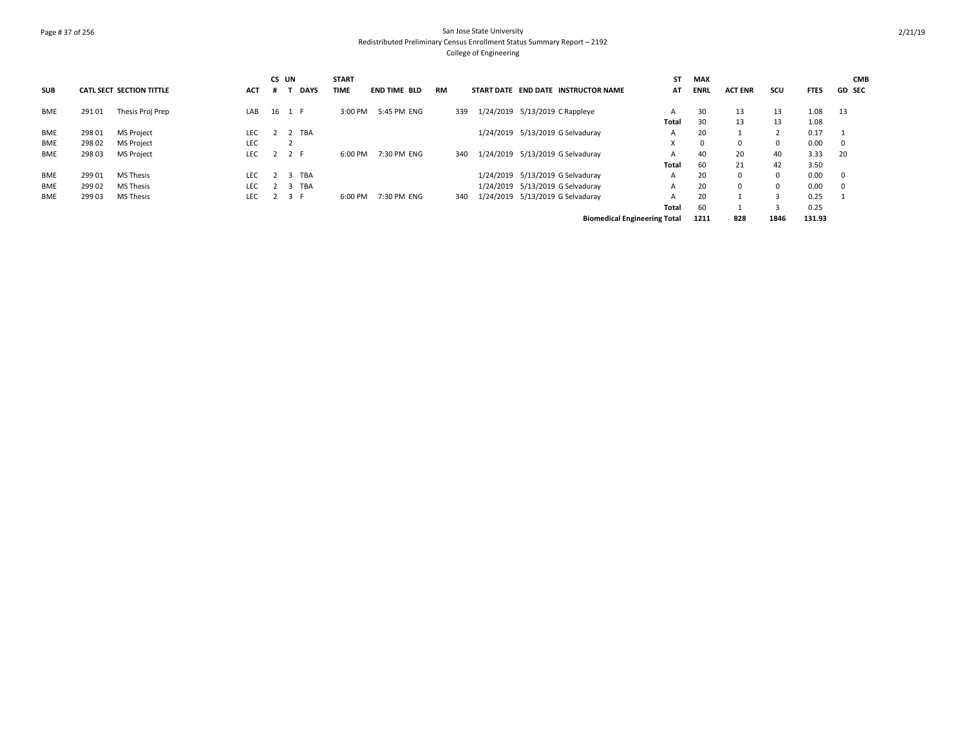# Page # 37 of 256 San Jose State University Redistributed Preliminary Census Enrollment Status Summary Report – 2192 College of Engineering

|            |        |                                 |            | CS UN |                       | <b>START</b> |                     |           |     |                   |                                     | ST    | <b>MAX</b>  |                |            |             | <b>CMB</b>    |
|------------|--------|---------------------------------|------------|-------|-----------------------|--------------|---------------------|-----------|-----|-------------------|-------------------------------------|-------|-------------|----------------|------------|-------------|---------------|
| <b>SUB</b> |        | <b>CATL SECT SECTION TITTLE</b> | <b>ACT</b> |       | <b>DAYS</b>           | TIME         | <b>END TIME BLD</b> | <b>RM</b> |     | <b>START DATE</b> | <b>END DATE INSTRUCTOR NAME</b>     | AT    | <b>ENRL</b> | <b>ACT ENR</b> | scu        | <b>FTES</b> | <b>GD SEC</b> |
| <b>BME</b> | 29101  | Thesis Proj Prep                | LAB        | 16    | 1 F                   | 3:00 PM      | 5:45 PM ENG         |           | 339 |                   | 1/24/2019 5/13/2019 C Rappleye      | A     | 30          | 13             | 13         | 1.08        | 13            |
|            |        |                                 |            |       |                       |              |                     |           |     |                   |                                     | Total | 30          | 13             | 13         | 1.08        |               |
| <b>BME</b> | 298 01 | <b>MS Project</b>               | <b>LEC</b> |       | TBA                   |              |                     |           |     |                   | 1/24/2019 5/13/2019 G Selvaduray    | A     | 20          |                |            | 0.17        |               |
| <b>BME</b> | 298 02 | <b>MS Project</b>               | LEC        |       |                       |              |                     |           |     |                   |                                     |       | $\Omega$    | $\Omega$       | $^{\circ}$ | 0.00        | 0             |
| <b>BME</b> | 29803  | <b>MS Project</b>               | <b>LEC</b> |       | 2 F                   | 6:00 PM      | 7:30 PM ENG         |           | 340 |                   | 1/24/2019 5/13/2019 G Selvaduray    | A     | 40          | 20             | 40         | 3.33        | 20            |
|            |        |                                 |            |       |                       |              |                     |           |     |                   |                                     | Total | 60          | 21             | 42         | 3.50        |               |
| <b>BME</b> | 29901  | <b>MS Thesis</b>                | LEC.       |       | TBA<br>$\overline{3}$ |              |                     |           |     |                   | 1/24/2019 5/13/2019 G Selvaduray    | A     | 20          | $\Omega$       | 0          | 0.00        | $^{\circ}$    |
| <b>BME</b> | 29902  | <b>MS Thesis</b>                | <b>LEC</b> |       | TBA<br>$\overline{3}$ |              |                     |           |     |                   | 1/24/2019 5/13/2019 G Selvaduray    | A     | 20          | $\Omega$       | 0          | 0.00        | $\mathbf 0$   |
| <b>BME</b> | 29903  | <b>MS Thesis</b>                | <b>LEC</b> |       | 3 F                   | 6:00 PM      | 7:30 PM ENG         |           | 340 |                   | 1/24/2019 5/13/2019 G Selvaduray    | А     | 20          |                |            | 0.25        |               |
|            |        |                                 |            |       |                       |              |                     |           |     |                   |                                     | Total | 60          |                |            | 0.25        |               |
|            |        |                                 |            |       |                       |              |                     |           |     |                   | <b>Biomedical Engineering Total</b> |       | 1211        | 828            | 1846       | 131.93      |               |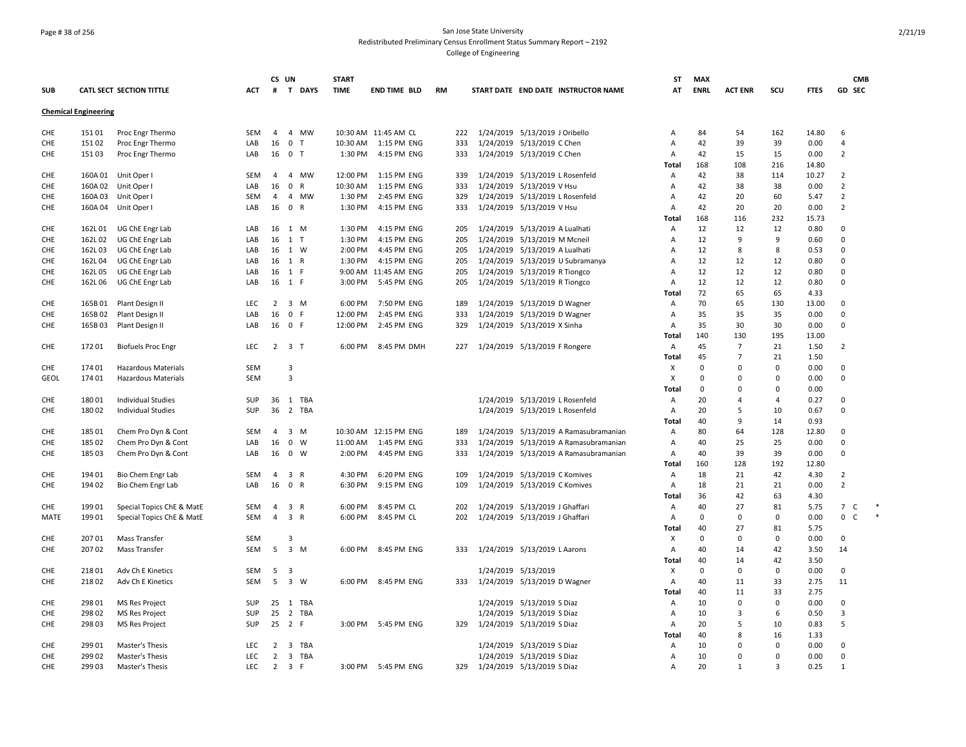### Page # 38 of 256 San Jose State University Redistributed Preliminary Census Enrollment Status Summary Report – 2192 College of Engineering

|            |                             |                                 |                          | CS UN          |                                         | <b>START</b> |                       |           |     |                     |                                                          | ST           | MAX            |                |                |              |                     | <b>CMB</b>   |
|------------|-----------------------------|---------------------------------|--------------------------|----------------|-----------------------------------------|--------------|-----------------------|-----------|-----|---------------------|----------------------------------------------------------|--------------|----------------|----------------|----------------|--------------|---------------------|--------------|
| <b>SUB</b> |                             | <b>CATL SECT SECTION TITTLE</b> | <b>ACT</b>               |                | # T DAYS                                | <b>TIME</b>  | <b>END TIME BLD</b>   | <b>RM</b> |     |                     | START DATE END DATE INSTRUCTOR NAME                      | AT           | <b>ENRL</b>    | <b>ACT ENR</b> | SCU            | <b>FTES</b>  | GD SEC              |              |
|            | <b>Chemical Engineering</b> |                                 |                          |                |                                         |              |                       |           |     |                     |                                                          |              |                |                |                |              |                     |              |
| CHE        | 15101                       | Proc Engr Thermo                | SEM                      | $\overline{4}$ | 4 MW                                    |              | 10:30 AM 11:45 AM CL  |           | 222 |                     | 1/24/2019 5/13/2019 J Oribello                           | Α            | 84             | 54             | 162            | 14.80        | 6                   |              |
| CHE        | 15102                       | Proc Engr Thermo                | LAB                      | 16             | $\mathbf{0}$<br>- T                     | 10:30 AM     | 1:15 PM ENG           |           | 333 |                     | 1/24/2019 5/13/2019 C Chen                               | Α            | 42             | 39             | 39             | 0.00         | 4                   |              |
| CHE        | 15103                       | Proc Engr Thermo                | LAB                      | 16             | $\mathbf 0$<br>$\top$                   | 1:30 PM      | 4:15 PM ENG           |           | 333 |                     | 1/24/2019 5/13/2019 C Chen                               | Α            | 42             | 15             | 15             | 0.00         | $\overline{2}$      |              |
|            |                             |                                 |                          |                |                                         |              |                       |           |     |                     |                                                          | Total        | 168            | 108            | 216            | 14.80        |                     |              |
| CHE        | 160A01                      | Unit Oper I                     | <b>SEM</b>               | 4              | MW<br>$\overline{4}$                    | 12:00 PM     | 1:15 PM ENG           |           | 339 |                     | 1/24/2019 5/13/2019 L Rosenfeld                          | Α            | 42             | 38             | 114            | 10.27        | $\overline{2}$      |              |
| CHE        | 160A02                      | Unit Oper I                     | LAB                      | 16             | $\mathbf 0$<br>R                        | 10:30 AM     | 1:15 PM ENG           |           | 333 |                     | 1/24/2019 5/13/2019 V Hsu                                | Α            | 42             | 38             | 38             | 0.00         | $\overline{2}$      |              |
| CHE.       | 160A03                      | Unit Oper                       | <b>SEM</b>               | $\overline{4}$ | 4 MW                                    | 1:30 PM      | 2:45 PM ENG           |           | 329 |                     | 1/24/2019 5/13/2019 L Rosenfeld                          | A            | 42             | 20             | 60             | 5.47         | $\overline{2}$      |              |
| CHE        | 160A04                      | Unit Oper                       | LAB                      | 16             | $\mathbf 0$<br>$\mathsf{R}$             | 1:30 PM      | 4:15 PM ENG           |           | 333 |                     | 1/24/2019 5/13/2019 V Hsu                                | Α            | 42             | 20             | 20             | 0.00         | $\overline{2}$      |              |
|            |                             |                                 |                          |                |                                         |              |                       |           |     |                     |                                                          | Total        | 168            | 116            | 232            | 15.73        |                     |              |
| CHE        | 162L01                      | UG ChE Engr Lab                 | LAB                      | 16             | 1 M                                     | 1:30 PM      | 4:15 PM ENG           |           | 205 |                     | 1/24/2019 5/13/2019 A Lualhati                           | Α            | 12             | 12             | 12             | 0.80         | 0                   |              |
| CHE        | 162L02                      | UG ChE Engr Lab                 | LAB                      | 16             | $1$ T                                   | 1:30 PM      | 4:15 PM ENG           |           | 205 | 1/24/2019           | 5/13/2019 M Mcneil                                       | Α            | 12             | 9              | 9              | 0.60         | $\mathbf 0$         |              |
| CHE        | 162L03                      | UG ChE Engr Lab                 | LAB                      |                | 16 1 W                                  | 2:00 PM      | 4:45 PM ENG           |           | 205 | 1/24/2019           | 5/13/2019 A Lualhati                                     | Α            | 12             | 8              | 8              | 0.53         | 0                   |              |
| CHE.       | 162L04                      | UG ChE Engr Lab                 | LAB                      | 16             | 1 R                                     | 1:30 PM      | 4:15 PM ENG           |           | 205 |                     | 1/24/2019 5/13/2019 U Subramanya                         | A            | 12             | 12             | 12             | 0.80         | $\Omega$            |              |
| CHE        | 162L05                      | UG ChE Engr Lab                 | LAB                      |                | 16 1 F                                  |              | 9:00 AM 11:45 AM ENG  |           | 205 |                     | 1/24/2019 5/13/2019 R Tiongco                            | Α            | 12             | 12             | 12             | 0.80         | $\mathbf 0$         |              |
| CHE        | 162L06                      | UG ChE Engr Lab                 | LAB                      |                | 16 1 F                                  | 3:00 PM      | 5:45 PM ENG           |           | 205 |                     | 1/24/2019 5/13/2019 R Tiongco                            | Α            | 12             | 12             | 12             | 0.80         | $\mathsf 0$         |              |
|            |                             |                                 |                          |                |                                         |              |                       |           |     |                     |                                                          | Total        | 72             | 65             | 65             | 4.33         |                     |              |
| CHE        | 165B01                      | Plant Design II                 | LEC                      | $\overline{2}$ | $3 \, M$                                | 6:00 PM      | 7:50 PM ENG           |           | 189 |                     | 1/24/2019 5/13/2019 D Wagner                             | Α            | 70             | 65             | 130            | 13.00        | 0                   |              |
| CHE        | 165B02                      | Plant Design II                 | LAB                      | 16             | 0 F                                     | 12:00 PM     | 2:45 PM ENG           |           | 333 | 1/24/2019           | 5/13/2019 D Wagner                                       | Α            | 35             | 35             | 35             | 0.00         | $\mathsf 0$         |              |
| CHE        | 165B03                      | Plant Design II                 | LAB                      | 16             | 0 F                                     | 12:00 PM     | 2:45 PM ENG           |           | 329 |                     | 1/24/2019 5/13/2019 X Sinha                              | Α            | 35             | 30             | 30             | 0.00         | 0                   |              |
|            |                             |                                 |                          |                |                                         |              |                       |           |     |                     |                                                          | Total        | 140            | 130            | 195            | 13.00        |                     |              |
| CHE        | 17201                       | <b>Biofuels Proc Engr</b>       | LEC                      | $\overline{2}$ | 3 <sub>1</sub>                          | 6:00 PM      | 8:45 PM DMH           |           | 227 |                     | 1/24/2019 5/13/2019 F Rongere                            | Α            | 45             | $\overline{7}$ | 21             | 1.50         | $\overline{2}$      |              |
|            |                             |                                 |                          |                |                                         |              |                       |           |     |                     |                                                          | Total        | 45             | 7              | 21             | 1.50         |                     |              |
| <b>CHE</b> | 174 01                      | <b>Hazardous Materials</b>      | <b>SEM</b>               |                | 3                                       |              |                       |           |     |                     |                                                          | X            | $\Omega$       | $\Omega$       | $\Omega$       | 0.00         | $\mathbf 0$         |              |
| GEOL       | 17401                       | <b>Hazardous Materials</b>      | <b>SEM</b>               |                | $\overline{3}$                          |              |                       |           |     |                     |                                                          | X            | $\Omega$       | $\Omega$       | $\Omega$       | 0.00         | $\mathbf 0$         |              |
|            |                             |                                 |                          |                |                                         |              |                       |           |     |                     |                                                          | Total        | 0              | <sup>0</sup>   | $\mathbf 0$    | 0.00         |                     |              |
| CHE        | 18001                       | <b>Individual Studies</b>       | <b>SUP</b>               | 36             | 1 TBA                                   |              |                       |           |     |                     | 1/24/2019 5/13/2019 L Rosenfeld                          | Α            | 20             | 4              | $\overline{4}$ | 0.27         | 0                   |              |
| CHE        | 18002                       | <b>Individual Studies</b>       | SUP                      | 36             | 2 TBA                                   |              |                       |           |     |                     | 1/24/2019 5/13/2019 L Rosenfeld                          | Α            | 20             | 5              | 10             | 0.67         | 0                   |              |
|            |                             |                                 |                          |                |                                         |              |                       |           |     |                     |                                                          | Total        | 40             | 9              | 14             | 0.93         |                     |              |
| CHE        | 185 01                      | Chem Pro Dyn & Cont             | <b>SEM</b>               | $\overline{4}$ | 3<br>M                                  |              | 10:30 AM 12:15 PM ENG |           | 189 | 1/24/2019           | 5/13/2019 A Ramasubramanian                              | Α            | 80             | 64             | 128            | 12.80        | 0                   |              |
| CHE        | 185 02                      | Chem Pro Dyn & Cont             | LAB                      | 16             | $\mathbf 0$<br>W                        | 11:00 AM     | 1:45 PM ENG           |           | 333 | 1/24/2019           | 5/13/2019 A Ramasubramanian                              | Α            | 40             | 25             | 25             | 0.00         | $\mathbf 0$         |              |
| CHE        | 18503                       | Chem Pro Dyn & Cont             | LAB                      | 16             | $0 \quad W$                             | 2:00 PM      | 4:45 PM ENG           |           | 333 |                     | 1/24/2019 5/13/2019 A Ramasubramanian                    | Α            | 40             | 39             | 39             | 0.00         | $\mathsf{O}\xspace$ |              |
|            |                             |                                 |                          |                |                                         |              |                       |           |     |                     |                                                          | <b>Total</b> | 160            | 128            | 192            | 12.80        |                     |              |
| CHE        | 194 01                      | Bio Chem Engr Lab               | <b>SEM</b>               | $\overline{4}$ | $\overline{\mathbf{3}}$<br>$\mathsf{R}$ | 4:30 PM      | 6:20 PM ENG           |           | 109 |                     | 1/24/2019 5/13/2019 C Komives                            | Α            | 18             | 21             | 42             | 4.30         | $\overline{2}$      |              |
| CHE        | 194 02                      | Bio Chem Engr Lab               | LAB                      | 16             | 0 R                                     | 6:30 PM      | 9:15 PM ENG           |           | 109 |                     | 1/24/2019 5/13/2019 C Komives                            | Α            | 18             | 21             | 21             | 0.00         | $\overline{2}$      |              |
|            |                             |                                 |                          |                |                                         |              |                       |           |     |                     |                                                          | Total        | 36             | 42             | 63             | 4.30         |                     |              |
| CHE.       | 19901                       | Special Topics ChE & MatE       | <b>SEM</b>               | $\overline{4}$ | $\overline{\mathbf{3}}$<br>R            | 6:00 PM      | 8:45 PM CL            |           | 202 |                     | 1/24/2019 5/13/2019 J Ghaffari                           | Α            | 40             | 27             | 81             | 5.75         | 7 <sup>C</sup>      |              |
| MATE       | 19901                       | Special Topics ChE & MatE       | <b>SEM</b>               | $\overline{4}$ | 3 R                                     | 6:00 PM      | 8:45 PM CL            |           | 202 |                     | 1/24/2019 5/13/2019 J Ghaffari                           | Α            | $\mathbf 0$    | $\mathbf 0$    | $\mathbf 0$    | 0.00         | 0                   | $\mathsf{C}$ |
|            |                             |                                 |                          |                |                                         |              |                       |           |     |                     |                                                          | Total        | 40             | 27             | 81             | 5.75         |                     |              |
| CHE.       | 20701<br>20702              | Mass Transfer                   | <b>SEM</b><br><b>SEM</b> | 5              | 3<br>3 M                                | 6:00 PM      | 8:45 PM ENG           |           |     |                     |                                                          | Х            | $\Omega$<br>40 | $\Omega$       | $\mathbf 0$    | 0.00         | $\mathbf 0$         |              |
| CHE        |                             | Mass Transfer                   |                          |                |                                         |              |                       |           | 333 |                     | 1/24/2019 5/13/2019 L Aarons                             | Α            |                | 14             | 42             | 3.50         | 14                  |              |
|            |                             |                                 |                          |                |                                         |              |                       |           |     |                     |                                                          | Total        | 40             | 14             | 42             | 3.50         |                     |              |
| CHE        | 21801                       | Adv Ch E Kinetics               | SEM                      | -5<br>5        | 3<br>3 W                                |              |                       |           |     | 1/24/2019 5/13/2019 |                                                          | х            | $\Omega$       | $\Omega$       | $\mathbf 0$    | 0.00         | 0                   |              |
| CHE        | 21802                       | Adv Ch E Kinetics               | <b>SEM</b>               |                |                                         |              | 6:00 PM 8:45 PM ENG   |           | 333 |                     | 1/24/2019 5/13/2019 D Wagner                             | Α            | 40             | 11             | 33             | 2.75         | 11                  |              |
|            |                             |                                 |                          |                |                                         |              |                       |           |     |                     |                                                          | Total        | 40             | 11<br>$\Omega$ | 33<br>$\Omega$ | 2.75         | $\mathbf 0$         |              |
| CHE<br>CHE | 298 01<br>29802             | <b>MS Res Project</b>           | <b>SUP</b><br>SUP        | 25             | 25 1 TBA<br>2 TBA                       |              |                       |           |     |                     | 1/24/2019 5/13/2019 S Diaz<br>1/24/2019 5/13/2019 S Diaz | Α<br>Α       | 10<br>10       | 3              | 6              | 0.00<br>0.50 | 3                   |              |
| CHE        | 29803                       | <b>MS Res Project</b>           | SUP                      | 25             | 2 F                                     | 3:00 PM      | 5:45 PM ENG           |           | 329 |                     | 1/24/2019 5/13/2019 S Diaz                               |              | 20             | 5              | 10             | 0.83         | 5                   |              |
|            |                             | MS Res Project                  |                          |                |                                         |              |                       |           |     |                     |                                                          | Α<br>Total   | 40             | 8              | 16             | 1.33         |                     |              |
| CHE        | 29901                       | Master's Thesis                 | LEC                      | $\overline{2}$ | 3 TBA                                   |              |                       |           |     |                     | 1/24/2019 5/13/2019 S Diaz                               | Α            | 10             | <sup>0</sup>   | $\mathbf 0$    | 0.00         | 0                   |              |
| CHE        | 299 02                      | Master's Thesis                 | LEC                      | $\overline{2}$ | 3 TBA                                   |              |                       |           |     |                     | 1/24/2019 5/13/2019 S Diaz                               | Α            | 10             | $\Omega$       | $\overline{0}$ | 0.00         | $\mathbf 0$         |              |
| CHE        | 29903                       | Master's Thesis                 | LEC                      | $\overline{2}$ | 3 F                                     |              | 3:00 PM 5:45 PM ENG   |           | 329 |                     | 1/24/2019 5/13/2019 S Diaz                               | Α            | 20             | 1              | $\overline{3}$ | 0.25         | $\mathbf{1}$        |              |
|            |                             |                                 |                          |                |                                         |              |                       |           |     |                     |                                                          |              |                |                |                |              |                     |              |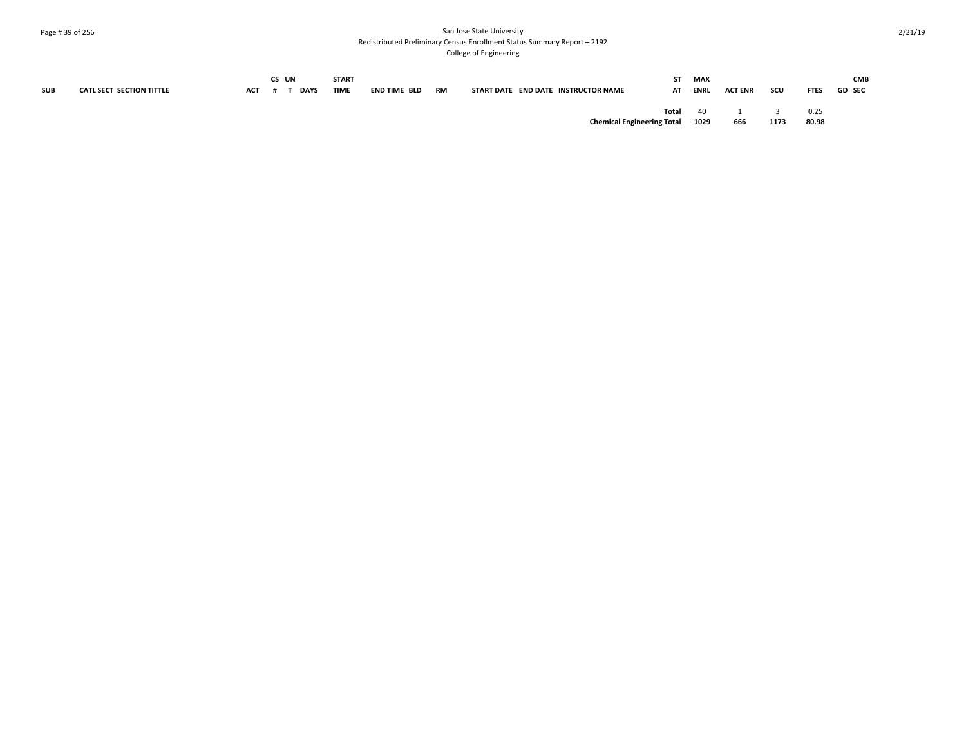# Page # 39 of 256 San Jose State University Redistributed Preliminary Census Enrollment Status Summary Report – 2192

College of Engineering

|            |                          |            | CS UN       | <b>START</b> |              |           |                                     | ST.   | <b>MAX</b>  |                |      |             | <b>CMB</b>    |
|------------|--------------------------|------------|-------------|--------------|--------------|-----------|-------------------------------------|-------|-------------|----------------|------|-------------|---------------|
| <b>SUB</b> | CATL SECT SECTION TITTLE | <b>ACT</b> | <b>DAYS</b> | <b>TIME</b>  | END TIME BLD | <b>RM</b> | START DATE END DATE INSTRUCTOR NAME | AT    | <b>ENRL</b> | <b>ACT ENR</b> | scu  | <b>FTES</b> | <b>GD SEC</b> |
|            |                          |            |             |              |              |           |                                     | Total | 40          |                |      | 0.25        |               |
|            |                          |            |             |              |              |           | <b>Chemical Engineering Total</b>   |       | 1029        | 666            | 1173 | 80.98       |               |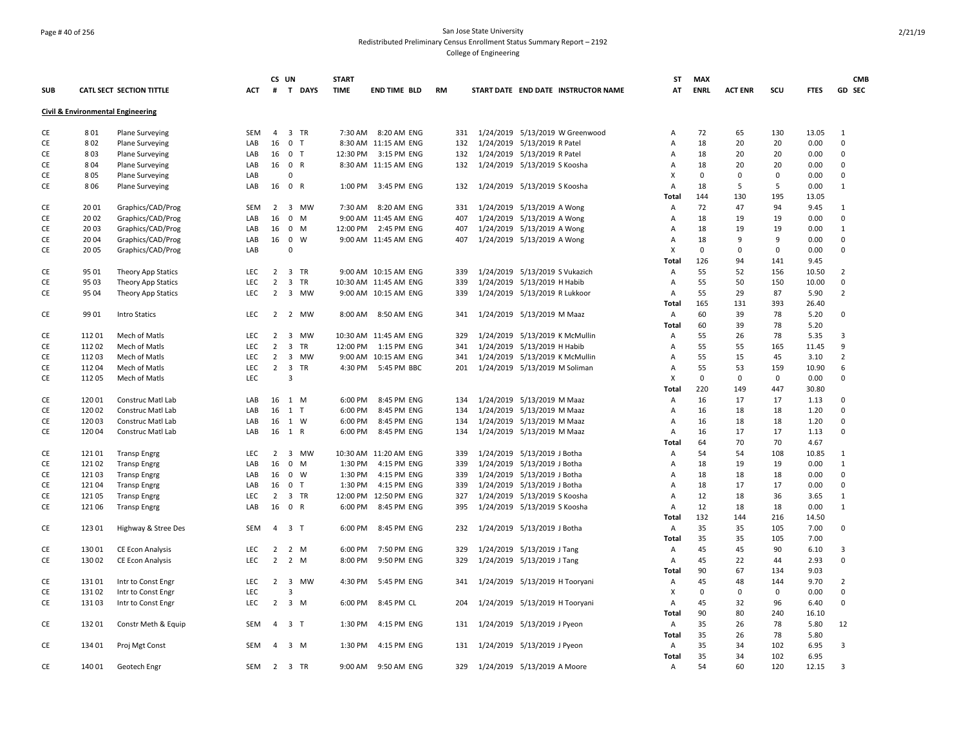### Page # 40 of 256 San Jose State University Redistributed Preliminary Census Enrollment Status Summary Report – 2192 College of Engineering

|            |        |                                              |            | CS UN          |                  | <b>START</b> |                       |    |     |                                     | ST           | <b>MAX</b>  |                |             |             | <b>CMB</b>     |
|------------|--------|----------------------------------------------|------------|----------------|------------------|--------------|-----------------------|----|-----|-------------------------------------|--------------|-------------|----------------|-------------|-------------|----------------|
| <b>SUB</b> |        | CATL SECT SECTION TITTLE                     | <b>ACT</b> |                | # T DAYS         | <b>TIME</b>  | <b>END TIME BLD</b>   | RM |     | START DATE END DATE INSTRUCTOR NAME | AT           | <b>ENRL</b> | <b>ACT ENR</b> | SCU         | <b>FTES</b> | GD SEC         |
|            |        | <b>Civil &amp; Environmental Engineering</b> |            |                |                  |              |                       |    |     |                                     |              |             |                |             |             |                |
| CE         | 801    | <b>Plane Surveying</b>                       | SEM        | $\overline{4}$ | 3 TR             |              | 7:30 AM 8:20 AM ENG   |    | 331 | 1/24/2019 5/13/2019 W Greenwood     | Α            | 72          | 65             | 130         | 13.05       | $\overline{1}$ |
| CE         | 802    | <b>Plane Surveying</b>                       | LAB        | 16             | 0 <sub>T</sub>   |              | 8:30 AM 11:15 AM ENG  |    | 132 | 1/24/2019 5/13/2019 R Patel         | A            | 18          | 20             | 20          | 0.00        | $\Omega$       |
| CE         | 803    | <b>Plane Surveying</b>                       | LAB        | 16             | 0 <sub>T</sub>   | 12:30 PM     | 3:15 PM ENG           |    | 132 | 1/24/2019 5/13/2019 R Patel         | Α            | 18          | 20             | 20          | 0.00        | $\mathbf 0$    |
| CE         | 804    | <b>Plane Surveying</b>                       | LAB        |                | 16 0 R           |              | 8:30 AM 11:15 AM ENG  |    | 132 | 1/24/2019 5/13/2019 S Koosha        | Α            | 18          | 20             | 20          | 0.00        | $\Omega$       |
| CE         | 805    | <b>Plane Surveying</b>                       | LAB        |                | $\mathbf 0$      |              |                       |    |     |                                     | X            | $\Omega$    | $\mathbf{0}$   | 0           | 0.00        | $\Omega$       |
| CE         | 806    | <b>Plane Surveying</b>                       | LAB        | 16             | 0 R              |              | 1:00 PM 3:45 PM ENG   |    | 132 | 1/24/2019 5/13/2019 S Koosha        | Α            | 18          | 5              | 5           | 0.00        | $\mathbf{1}$   |
|            |        |                                              |            |                |                  |              |                       |    |     |                                     | Total        | 144         | 130            | 195         | 13.05       |                |
| CE         | 2001   | Graphics/CAD/Prog                            | SEM        | $2^{\circ}$    | 3 MW             |              | 7:30 AM 8:20 AM ENG   |    | 331 | 1/24/2019 5/13/2019 A Wong          | Α            | 72          | 47             | 94          | 9.45        | -1             |
| CE         | 2002   | Graphics/CAD/Prog                            | LAB        | 16             | $\mathbf 0$<br>M |              | 9:00 AM 11:45 AM ENG  |    | 407 | 1/24/2019 5/13/2019 A Wong          | Α            | 18          | 19             | 19          | 0.00        | $\pmb{0}$      |
| CE         | 2003   | Graphics/CAD/Prog                            | LAB        | 16             | 0 M              |              | 12:00 PM 2:45 PM ENG  |    | 407 | 1/24/2019 5/13/2019 A Wong          | Α            | 18          | 19             | 19          | 0.00        | 1              |
| CE         | 2004   | Graphics/CAD/Prog                            | LAB        | 16             | $0 \quad W$      |              | 9:00 AM 11:45 AM ENG  |    | 407 | 1/24/2019 5/13/2019 A Wong          | Α            | 18          | 9              | 9           | 0.00        | $\mathbf 0$    |
| CE         | 2005   | Graphics/CAD/Prog                            | LAB        |                | $\mathbf 0$      |              |                       |    |     |                                     | X            | $\mathbf 0$ | $\mathbf 0$    | 0           | 0.00        | $\mathbf 0$    |
|            |        |                                              |            |                |                  |              |                       |    |     |                                     | Total        | 126         | 94             | 141         | 9.45        |                |
| CE         | 95 01  | Theory App Statics                           | LEC        | 2              | 3 TR             |              | 9:00 AM 10:15 AM ENG  |    | 339 | 1/24/2019 5/13/2019 S Vukazich      | Α            | 55          | 52             | 156         | 10.50       | $\overline{2}$ |
| CE         | 9503   | Theory App Statics                           | LEC        | $\overline{2}$ | 3 TR             |              | 10:30 AM 11:45 AM ENG |    | 339 | 1/24/2019 5/13/2019 H Habib         | А            | 55          | 50             | 150         | 10.00       | $\mathbf 0$    |
| CE         | 95 04  |                                              | <b>LEC</b> | $\overline{2}$ | 3 MW             |              | 9:00 AM 10:15 AM ENG  |    | 339 | 1/24/2019 5/13/2019 R Lukkoor       | Α            | 55          | 29             | 87          | 5.90        | $\overline{2}$ |
|            |        | Theory App Statics                           |            |                |                  |              |                       |    |     |                                     | <b>Total</b> | 165         | 131            | 393         | 26.40       |                |
| CE         |        |                                              |            |                |                  |              |                       |    |     |                                     |              | 60          | 39             | 78          | 5.20        | $\mathbf 0$    |
|            | 99 01  | <b>Intro Statics</b>                         | LEC        | $\overline{2}$ | 2 MW             |              | 8:00 AM 8:50 AM ENG   |    | 341 | 1/24/2019 5/13/2019 M Maaz          | Α            |             |                |             |             |                |
|            |        |                                              |            |                |                  |              |                       |    |     |                                     | Total        | 60          | 39             | 78          | 5.20        |                |
| CE         | 11201  | Mech of Matls                                | <b>LEC</b> | $\overline{2}$ | 3 MW             |              | 10:30 AM 11:45 AM ENG |    | 329 | 1/24/2019 5/13/2019 K McMullin      | Α            | 55          | 26             | 78          | 5.35        | 3              |
| CE         | 11202  | Mech of Matls                                | LEC        | $\overline{2}$ | 3 TR             |              | 12:00 PM 1:15 PM ENG  |    | 341 | 1/24/2019 5/13/2019 H Habib         | Α            | 55          | 55             | 165         | 11.45       | 9              |
| CE         | 11203  | Mech of Matls                                | <b>LEC</b> | $\overline{2}$ | 3 MW             |              | 9:00 AM 10:15 AM ENG  |    | 341 | 1/24/2019 5/13/2019 K McMullin      | Α            | 55          | 15             | 45          | 3.10        | $\overline{2}$ |
| CE         | 11204  | Mech of Matls                                | LEC        | 2              | 3 TR             |              | 4:30 PM 5:45 PM BBC   |    | 201 | 1/24/2019 5/13/2019 M Soliman       | A            | 55          | 53             | 159         | 10.90       | 6              |
| CE         | 11205  | Mech of Matls                                | LEC        |                | $\overline{3}$   |              |                       |    |     |                                     | X            | $\Omega$    | $\mathbf{0}$   | $\mathbf 0$ | 0.00        | $\Omega$       |
|            |        |                                              |            |                |                  |              |                       |    |     |                                     | Total        | 220         | 149            | 447         | 30.80       |                |
| CE         | 12001  | Construc Matl Lab                            | LAB        | 16             | 1 M              | 6:00 PM      | 8:45 PM ENG           |    | 134 | 1/24/2019 5/13/2019 M Maaz          | Α            | 16          | 17             | 17          | 1.13        | $\Omega$       |
| CE         | 12002  | Construc Matl Lab                            | LAB        | 16             | $1$ T            | 6:00 PM      | 8:45 PM ENG           |    | 134 | 1/24/2019 5/13/2019 M Maaz          | Α            | 16          | 18             | 18          | 1.20        | $\mathbf 0$    |
| CE         | 12003  | Construc Matl Lab                            | LAB        | 16             | 1 W              | 6:00 PM      | 8:45 PM ENG           |    | 134 | 1/24/2019 5/13/2019 M Maaz          | Α            | 16          | 18             | 18          | 1.20        | $\mathbf 0$    |
| CE         | 12004  | Construc Matl Lab                            | LAB        | 16             | 1 R              | 6:00 PM      | 8:45 PM ENG           |    | 134 | 1/24/2019 5/13/2019 M Maaz          | Α            | 16          | 17             | 17          | 1.13        | 0              |
|            |        |                                              |            |                |                  |              |                       |    |     |                                     | Total        | 64          | 70             | 70          | 4.67        |                |
| CE         | 12101  | <b>Transp Engrg</b>                          | <b>LEC</b> |                | 2 3 MW           |              | 10:30 AM 11:20 AM ENG |    | 339 | 1/24/2019 5/13/2019 J Botha         | Α            | 54          | 54             | 108         | 10.85       | 1              |
| CE         | 12102  | <b>Transp Engrg</b>                          | LAB        | 16             | $0 \mathsf{M}$   | 1:30 PM      | 4:15 PM ENG           |    | 339 | 1/24/2019 5/13/2019 J Botha         | Α            | 18          | 19             | 19          | 0.00        | $\mathbf{1}$   |
| CE         | 12103  | <b>Transp Engrg</b>                          | LAB        | 16             | $0 \quad W$      | 1:30 PM      | 4:15 PM ENG           |    | 339 | 1/24/2019 5/13/2019 J Botha         | Α            | 18          | 18             | 18          | 0.00        | $\Omega$       |
| CE         | 12104  | <b>Transp Engrg</b>                          | LAB        | 16             | 0 <sub>T</sub>   | 1:30 PM      | 4:15 PM ENG           |    | 339 | 1/24/2019 5/13/2019 J Botha         | Α            | 18          | 17             | 17          | 0.00        | $\Omega$       |
| CE         | 12105  | <b>Transp Engrg</b>                          | LEC        | 2              | 3 TR             |              | 12:00 PM 12:50 PM ENG |    | 327 | 1/24/2019 5/13/2019 S Koosha        | Α            | 12          | 18             | 36          | 3.65        | 1              |
| CE         | 12106  | <b>Transp Engrg</b>                          | LAB        | 16             | 0 R              | 6:00 PM      | 8:45 PM ENG           |    | 395 | 1/24/2019 5/13/2019 S Koosha        | A            | 12          | 18             | 18          | 0.00        | $\mathbf{1}$   |
|            |        |                                              |            |                |                  |              |                       |    |     |                                     | Total        | 132         | 144            | 216         | 14.50       |                |
| CE         | 12301  | Highway & Stree Des                          | <b>SEM</b> | 4              | 3 <sub>1</sub>   | 6:00 PM      | 8:45 PM ENG           |    | 232 | 1/24/2019 5/13/2019 J Botha         | Α            | 35          | 35             | 105         | 7.00        | 0              |
|            |        |                                              |            |                |                  |              |                       |    |     |                                     | Total        | 35          | 35             | 105         | 7.00        |                |
| CE         | 13001  | CE Econ Analysis                             | LEC        | $\overline{2}$ | 2 M              | 6:00 PM      | 7:50 PM ENG           |    | 329 | 1/24/2019 5/13/2019 J Tang          | Α            | 45          | 45             | 90          | 6.10        | $\overline{3}$ |
| CE         | 13002  | CE Econ Analysis                             | LEC        | $\overline{2}$ | 2 M              | 8:00 PM      | 9:50 PM ENG           |    | 329 | 1/24/2019 5/13/2019 J Tang          | Α            | 45          | 22             | 44          | 2.93        | $\mathbf 0$    |
|            |        |                                              |            |                |                  |              |                       |    |     |                                     | Total        | 90          | 67             | 134         | 9.03        |                |
| CE         | 13101  | Intr to Const Engr                           | <b>LEC</b> | $2^{\circ}$    | 3 MW             | 4:30 PM      | 5:45 PM ENG           |    | 341 | 1/24/2019 5/13/2019 H Tooryani      | Α            | 45          | 48             | 144         | 9.70        | $\overline{2}$ |
| CE         | 13102  | Intr to Const Engr                           | LEC        |                | $\overline{3}$   |              |                       |    |     |                                     | X            | 0           | $\mathbf{0}$   | 0           | 0.00        | 0              |
| CE         | 13103  | Intr to Const Engr                           | <b>LEC</b> | $\overline{2}$ | $3 \, M$         | 6:00 PM      | 8:45 PM CL            |    | 204 | 1/24/2019 5/13/2019 H Tooryani      | Α            | 45          | 32             | 96          | 6.40        | $\mathbf 0$    |
|            |        |                                              |            |                |                  |              |                       |    |     |                                     | Total        | 90          | 80             | 240         | 16.10       |                |
| CE         | 13201  | Constr Meth & Equip                          | SEM        | $\overline{4}$ | 3 <sub>1</sub>   | 1:30 PM      | 4:15 PM ENG           |    | 131 | 1/24/2019 5/13/2019 J Pyeon         | Α            | 35          | 26             | 78          | 5.80        | 12             |
|            |        |                                              |            |                |                  |              |                       |    |     |                                     | <b>Total</b> | 35          | 26             | 78          | 5.80        |                |
| CE         | 134 01 | Proj Mgt Const                               | SEM        | $\overline{4}$ | $3 \, M$         | 1:30 PM      | 4:15 PM ENG           |    | 131 | 1/24/2019 5/13/2019 J Pyeon         | Α            | 35          | 34             | 102         | 6.95        | 3              |
|            |        |                                              |            |                |                  |              |                       |    |     |                                     | Total        | 35          | 34             | 102         | 6.95        |                |
| CE         | 14001  | Geotech Engr                                 | SEM        |                | 2 3 TR           |              | 9:00 AM 9:50 AM ENG   |    | 329 | 1/24/2019 5/13/2019 A Moore         | Α            | 54          | 60             | 120         | 12.15       | 3              |
|            |        |                                              |            |                |                  |              |                       |    |     |                                     |              |             |                |             |             |                |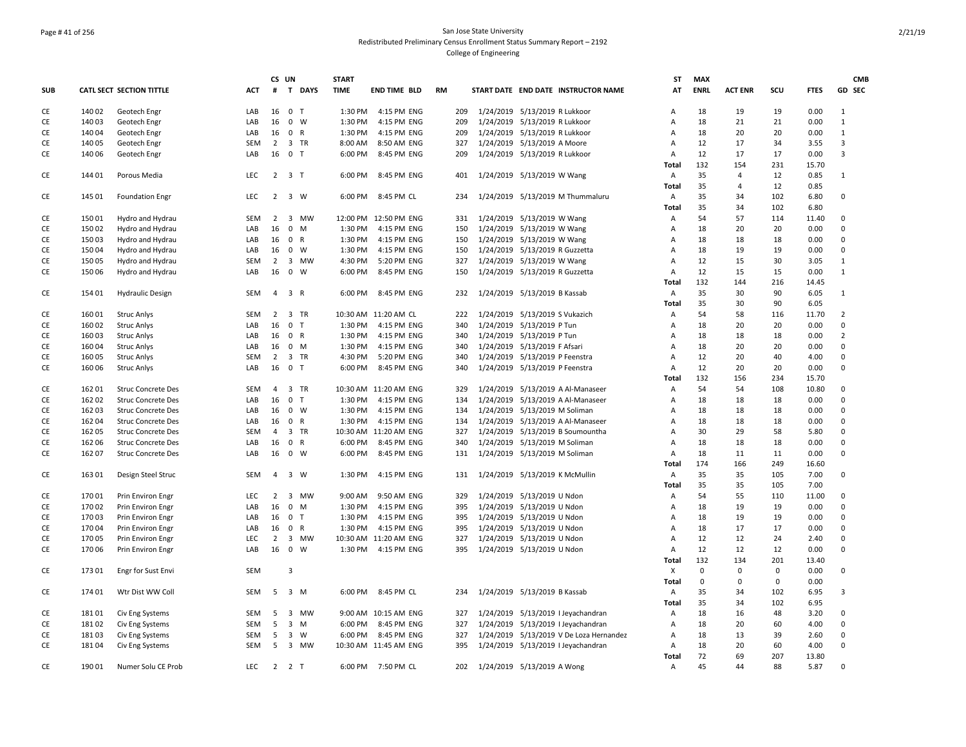## Page # 41 of 256 San Jose State University Redistributed Preliminary Census Enrollment Status Summary Report – 2192 College of Engineering

|            |        |                                        |            |                | CS UN               | <b>START</b> |                       |    |     |                               |                                |                                         | ST           | <b>MAX</b>  |                |     |             | <b>CMB</b>     |
|------------|--------|----------------------------------------|------------|----------------|---------------------|--------------|-----------------------|----|-----|-------------------------------|--------------------------------|-----------------------------------------|--------------|-------------|----------------|-----|-------------|----------------|
| <b>SUB</b> |        | CATL SECT SECTION TITTLE               | <b>ACT</b> | #              | T DAYS              | <b>TIME</b>  | <b>END TIME BLD</b>   | RM |     |                               |                                | START DATE END DATE INSTRUCTOR NAME     | AT           | <b>ENRL</b> | <b>ACT ENR</b> | SCU | <b>FTES</b> | GD SEC         |
| CE         | 140 02 | Geotech Engr                           | LAB        | 16             | 0 <sub>T</sub>      | 1:30 PM      | 4:15 PM ENG           |    | 209 | 1/24/2019 5/13/2019 R Lukkoor |                                |                                         | Α            | 18          | 19             | 19  | 0.00        | 1              |
| CE         | 14003  | Geotech Engr                           | LAB        | 16             | $0 \quad W$         | 1:30 PM      | 4:15 PM ENG           |    | 209 |                               | 1/24/2019 5/13/2019 R Lukkoor  |                                         | A            | 18          | 21             | 21  | 0.00        | $\mathbf{1}$   |
| CE         | 14004  | Geotech Engr                           | LAB        | 16             | 0 R                 | 1:30 PM      | 4:15 PM ENG           |    | 209 |                               | 1/24/2019 5/13/2019 R Lukkoor  |                                         | A            | 18          | 20             | 20  | 0.00        | $\mathbf{1}$   |
| CE         | 14005  | Geotech Engr                           | <b>SEM</b> | 2              | 3 TR                | 8:00 AM      | 8:50 AM ENG           |    | 327 |                               | 1/24/2019 5/13/2019 A Moore    |                                         | A            | 12          | 17             | 34  | 3.55        | 3              |
| CE         | 14006  | Geotech Engr                           | LAB        | 16             | 0 <sub>T</sub>      | 6:00 PM      | 8:45 PM ENG           |    | 209 |                               | 1/24/2019 5/13/2019 R Lukkoor  |                                         | Α            | 12          | 17             | 17  | 0.00        | 3              |
|            |        |                                        |            |                |                     |              |                       |    |     |                               |                                |                                         | Total        | 132         | 154            | 231 | 15.70       |                |
| CE         | 14401  | Porous Media                           | <b>LEC</b> |                | $2 \quad 3 \quad T$ | 6:00 PM      | 8:45 PM ENG           |    | 401 |                               | 1/24/2019 5/13/2019 W Wang     |                                         | Α            | 35          | 4              | 12  | 0.85        | 1              |
|            |        |                                        |            |                |                     |              |                       |    |     |                               |                                |                                         | <b>Total</b> | 35          | 4              | 12  | 0.85        |                |
| CE         | 145 01 | <b>Foundation Engr</b>                 | LEC        |                | 2 3 W               | 6:00 PM      | 8:45 PM CL            |    | 234 |                               |                                | 1/24/2019 5/13/2019 M Thummaluru        | А            | 35          | 34             | 102 | 6.80        | 0              |
|            |        |                                        |            |                |                     |              |                       |    |     |                               |                                |                                         | Total        | 35          | 34             | 102 | 6.80        |                |
| CE         | 15001  | Hydro and Hydrau                       | <b>SEM</b> | $\overline{2}$ | 3 MW                |              | 12:00 PM 12:50 PM ENG |    | 331 |                               | 1/24/2019 5/13/2019 W Wang     |                                         | Α            | 54          | 57             | 114 | 11.40       | 0              |
| CE         | 15002  | Hydro and Hydrau                       | LAB        | 16             | $0$ M               | 1:30 PM      | 4:15 PM ENG           |    | 150 |                               | 1/24/2019 5/13/2019 W Wang     |                                         | A            | 18          | 20             | 20  | 0.00        | 0              |
| CE         | 15003  | Hydro and Hydrau                       | LAB        | 16             | 0 R                 | 1:30 PM      | 4:15 PM ENG           |    | 150 |                               | 1/24/2019 5/13/2019 W Wang     |                                         | A            | 18          | 18             | 18  | 0.00        | $\Omega$       |
| CE         | 15004  | Hydro and Hydrau                       | LAB        | 16             | $0 \quad W$         | 1:30 PM      | 4:15 PM ENG           |    | 150 |                               | 1/24/2019 5/13/2019 R Guzzetta |                                         | А            | 18          | 19             | 19  | 0.00        | 0              |
| CE         | 15005  | Hydro and Hydrau                       | SEM        | $\overline{2}$ | 3 MW                | 4:30 PM      | 5:20 PM ENG           |    | 327 |                               | 1/24/2019 5/13/2019 W Wang     |                                         | А            | 12          | 15             | 30  | 3.05        | 1              |
| CE         | 15006  | Hydro and Hydrau                       | LAB        | 16             | $\mathbf 0$<br>W    | 6:00 PM      | 8:45 PM ENG           |    | 150 |                               | 1/24/2019 5/13/2019 R Guzzetta |                                         | Α            | 12          | 15             | 15  | 0.00        | 1              |
|            |        |                                        |            |                |                     |              |                       |    |     |                               |                                |                                         | Total        | 132         | 144            | 216 | 14.45       |                |
| CE         | 154 01 | <b>Hydraulic Design</b>                | SEM        | $\overline{4}$ | 3 R                 | 6:00 PM      | 8:45 PM ENG           |    | 232 |                               | 1/24/2019 5/13/2019 B Kassab   |                                         | Α            | 35          | 30             | 90  | 6.05        | 1              |
|            |        |                                        |            |                |                     |              |                       |    |     |                               |                                |                                         | Total        | 35          | 30             | 90  | 6.05        |                |
| CE         | 16001  | <b>Struc Anlys</b>                     | <b>SEM</b> | 2              | 3 TR                |              | 10:30 AM 11:20 AM CL  |    | 222 |                               | 1/24/2019 5/13/2019 S Vukazich |                                         | Α            | 54          | 58             | 116 | 11.70       | $\overline{2}$ |
| CE         | 16002  | <b>Struc Anlys</b>                     | LAB        | 16             | 0 <sub>T</sub>      | 1:30 PM      | 4:15 PM ENG           |    | 340 |                               | 1/24/2019 5/13/2019 P Tun      |                                         | A            | 18          | 20             | 20  | 0.00        | 0              |
| CE         | 16003  | <b>Struc Anlys</b>                     | LAB        | 16             | 0 R                 | 1:30 PM      | 4:15 PM ENG           |    | 340 |                               | 1/24/2019 5/13/2019 P Tun      |                                         | A            | 18          | 18             | 18  | 0.00        | $\overline{2}$ |
| CE         | 16004  | <b>Struc Anlys</b>                     | LAB        | 16             | $0$ M               | 1:30 PM      | 4:15 PM ENG           |    | 340 |                               | 1/24/2019 5/13/2019 F Afsari   |                                         | A            | 18          | 20             | 20  | 0.00        | 0              |
| CE         | 16005  | <b>Struc Anlys</b>                     | SEM        | $\overline{2}$ | 3 TR                | 4:30 PM      | 5:20 PM ENG           |    | 340 |                               | 1/24/2019 5/13/2019 P Feenstra |                                         | А            | 12          | 20             | 40  | 4.00        | 0              |
| CE         | 16006  | <b>Struc Anlys</b>                     | LAB        | 16             | 0 <sub>T</sub>      | 6:00 PM      | 8:45 PM ENG           |    | 340 |                               | 1/24/2019 5/13/2019 P Feenstra |                                         | A            | 12          | 20             | 20  | 0.00        | $\mathbf 0$    |
|            |        |                                        |            |                |                     |              |                       |    |     |                               |                                |                                         | <b>Total</b> | 132         | 156            | 234 | 15.70       |                |
| CE         | 162 01 | <b>Struc Concrete Des</b>              | SEM        | $\overline{4}$ | 3 TR                |              | 10:30 AM 11:20 AM ENG |    | 329 |                               |                                | 1/24/2019 5/13/2019 A Al-Manaseer       | Α            | 54          | 54             | 108 | 10.80       | 0              |
| CE         | 16202  | <b>Struc Concrete Des</b>              | LAB        | 16             | 0 <sub>T</sub>      | 1:30 PM      | 4:15 PM ENG           |    | 134 |                               |                                | 1/24/2019 5/13/2019 A Al-Manaseer       | Α            | 18          | 18             | 18  | 0.00        | 0              |
| CE         | 16203  | <b>Struc Concrete Des</b>              | LAB        | 16             | $0 \quad W$         | 1:30 PM      | 4:15 PM ENG           |    | 134 |                               | 1/24/2019 5/13/2019 M Soliman  |                                         | A            | 18          | 18             | 18  | 0.00        | 0              |
| CE         | 16204  | <b>Struc Concrete Des</b>              | LAB        | 16             | 0 R                 | 1:30 PM      | 4:15 PM ENG           |    | 134 |                               |                                | 1/24/2019 5/13/2019 A Al-Manaseer       | Α            | 18          | 18             | 18  | 0.00        | 0              |
| CE         | 162 05 | <b>Struc Concrete Des</b>              | SEM        | 4              | 3 TR                |              | 10:30 AM 11:20 AM ENG |    | 327 |                               |                                | 1/24/2019 5/13/2019 B Soumountha        | A            | 30          | 29             | 58  | 5.80        | 0              |
| CE         | 162 06 | <b>Struc Concrete Des</b>              | LAB        | 16             | 0 R                 | 6:00 PM      | 8:45 PM ENG           |    | 340 |                               | 1/24/2019 5/13/2019 M Soliman  |                                         | A            | 18          | 18             | 18  | 0.00        | $\mathbf 0$    |
| CE         | 162 07 | <b>Struc Concrete Des</b>              | LAB        | 16             | 0 W                 | 6:00 PM      | 8:45 PM ENG           |    | 131 |                               | 1/24/2019 5/13/2019 M Soliman  |                                         | А            | 18          | 11             | 11  | 0.00        | $\mathbf 0$    |
|            |        |                                        |            |                |                     |              |                       |    |     |                               |                                |                                         | Total        | 174         | 166            | 249 | 16.60       |                |
| CE         | 16301  |                                        | <b>SEM</b> | $\overline{4}$ | 3 W                 | 1:30 PM      | 4:15 PM ENG           |    | 131 |                               | 1/24/2019 5/13/2019 K McMullin |                                         | А            | 35          | 35             | 105 | 7.00        | $\Omega$       |
|            |        | Design Steel Struc                     |            |                |                     |              |                       |    |     |                               |                                |                                         | <b>Total</b> | 35          | 35             | 105 | 7.00        |                |
| CE         | 17001  | Prin Environ Engr                      | LEC        | $2^{\circ}$    | 3 MW                | 9:00 AM      | 9:50 AM ENG           |    | 329 |                               | 1/24/2019 5/13/2019 U Ndon     |                                         | A            | 54          | 55             | 110 | 11.00       | $\mathbf 0$    |
| <b>CE</b>  | 17002  |                                        | LAB        | 16             | $0 \quad M$         | 1:30 PM      | 4:15 PM ENG           |    | 395 |                               | 1/24/2019 5/13/2019 U Ndon     |                                         | A            | 18          | 19             | 19  | 0.00        | $\Omega$       |
| CE         | 17003  | Prin Environ Engr<br>Prin Environ Engr | LAB        | 16             | 0 <sub>T</sub>      | 1:30 PM      | 4:15 PM ENG           |    | 395 |                               |                                |                                         | A            | 18          | 19             | 19  | 0.00        | $\mathbf 0$    |
|            |        |                                        |            |                |                     |              |                       |    |     |                               | 1/24/2019 5/13/2019 U Ndon     |                                         | A            | 18          | 17             |     |             |                |
| CE         | 17004  | Prin Environ Engr                      | LAB        | 16             | 0 R                 | 1:30 PM      | 4:15 PM ENG           |    | 395 |                               | 1/24/2019 5/13/2019 U Ndon     |                                         |              | 12          |                | 17  | 0.00        | 0<br>$\Omega$  |
| CE         | 17005  | Prin Environ Engr                      | <b>LEC</b> | $\overline{2}$ | 3 MW<br>16 0 W      |              | 10:30 AM 11:20 AM ENG |    | 327 |                               | 1/24/2019 5/13/2019 U Ndon     |                                         | А            |             | 12             | 24  | 2.40        | $\Omega$       |
| CE         | 17006  | Prin Environ Engr                      | LAB        |                |                     | 1:30 PM      | 4:15 PM ENG           |    | 395 | 1/24/2019 5/13/2019 U Ndon    |                                |                                         | А            | 12          | 12             | 12  | 0.00        |                |
|            |        |                                        |            |                |                     |              |                       |    |     |                               |                                |                                         | Total        | 132         | 134            | 201 | 13.40       |                |
| CE         | 17301  | Engr for Sust Envi                     | SEM        |                | $\overline{3}$      |              |                       |    |     |                               |                                |                                         | Χ            | $\mathbf 0$ | 0              | 0   | 0.00        | $\mathbf 0$    |
|            |        |                                        |            |                |                     |              |                       |    |     |                               |                                |                                         | <b>Total</b> | $\mathbf 0$ | $\mathbf 0$    | 0   | 0.00        |                |
| CE         | 174 01 | Wtr Dist WW Coll                       | SEM        |                | 5 3 M               |              | 6:00 PM 8:45 PM CL    |    | 234 |                               | 1/24/2019 5/13/2019 B Kassab   |                                         | Α            | 35          | 34             | 102 | 6.95        | 3              |
|            |        |                                        |            |                |                     |              |                       |    |     |                               |                                |                                         | Total        | 35          | 34             | 102 | 6.95        |                |
| CE         | 18101  | Civ Eng Systems                        | <b>SEM</b> | 5              | 3 MW                |              | 9:00 AM 10:15 AM ENG  |    | 327 |                               |                                | 1/24/2019 5/13/2019 I Jeyachandran      | Α            | 18          | 16             | 48  | 3.20        | $\mathbf 0$    |
| CE         | 18102  | Civ Eng Systems                        | <b>SEM</b> | 5              | $3 \, M$            | 6:00 PM      | 8:45 PM ENG           |    | 327 |                               |                                | 1/24/2019 5/13/2019 I Jeyachandran      | А            | 18          | 20             | 60  | 4.00        | $\mathbf 0$    |
| CE         | 18103  | Civ Eng Systems                        | SEM        | 5              | 3 W                 | 6:00 PM      | 8:45 PM ENG           |    | 327 |                               |                                | 1/24/2019 5/13/2019 V De Loza Hernandez | Α            | 18          | 13             | 39  | 2.60        | $\Omega$       |
| CE         | 18104  | Civ Eng Systems                        | <b>SEM</b> | -5             | 3 MW                |              | 10:30 AM 11:45 AM ENG |    | 395 |                               |                                | 1/24/2019 5/13/2019 I Jeyachandran      | А            | 18          | 20             | 60  | 4.00        | $\Omega$       |
|            |        |                                        |            |                |                     |              |                       |    |     |                               |                                |                                         | Total        | 72          | 69             | 207 | 13.80       |                |
| CE         | 19001  | Numer Solu CE Prob                     | <b>LEC</b> |                | $2 \quad 2 \quad T$ |              | 6:00 PM 7:50 PM CL    |    | 202 | 1/24/2019 5/13/2019 A Wong    |                                |                                         | Α            | 45          | 44             | 88  | 5.87        | $\Omega$       |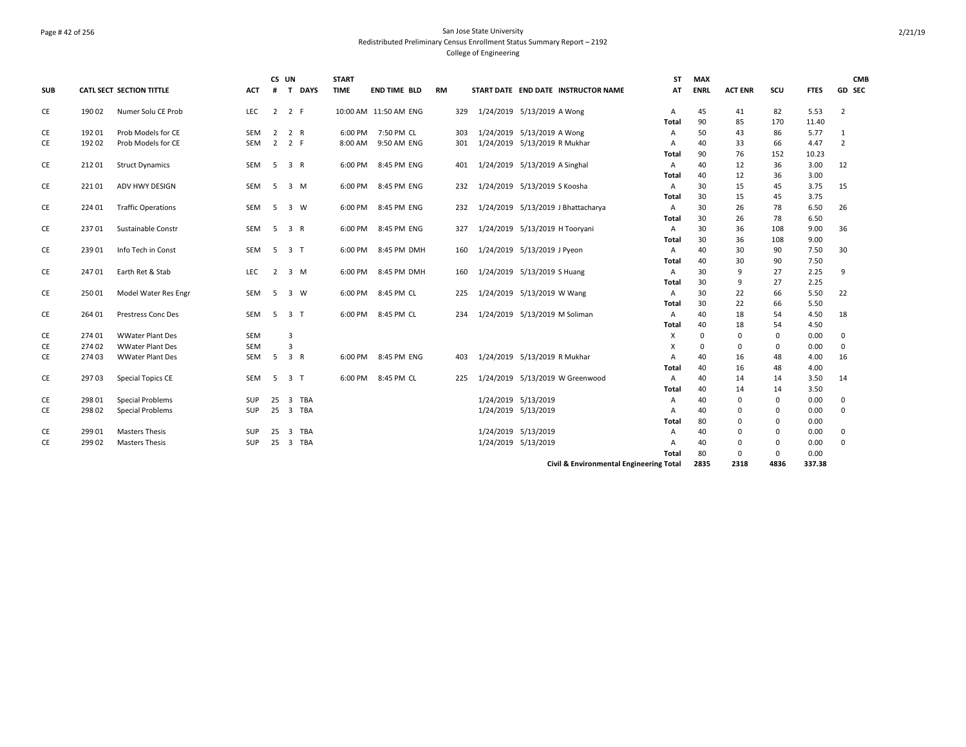## Page # 42 of 256 San Jose State University Redistributed Preliminary Census Enrollment Status Summary Report – 2192 College of Engineering

| <b>SUB</b> |        | CATL SECT SECTION TITTLE  | <b>ACT</b> | #              | CS UN                   | T DAYS | <b>START</b><br><b>TIME</b> | <b>END TIME BLD</b>   | <b>RM</b> |     |                                | START DATE END DATE INSTRUCTOR NAME     | ST<br>ΑT       | <b>MAX</b><br><b>ENRL</b> | <b>ACT ENR</b> | scu         | <b>FTES</b>  | <b>CMB</b><br>GD SEC |
|------------|--------|---------------------------|------------|----------------|-------------------------|--------|-----------------------------|-----------------------|-----------|-----|--------------------------------|-----------------------------------------|----------------|---------------------------|----------------|-------------|--------------|----------------------|
| CE         | 19002  | Numer Solu CE Prob        | LEC        | 2              | 2 F                     |        |                             | 10:00 AM 11:50 AM ENG |           | 329 | 1/24/2019 5/13/2019 A Wong     |                                         | A              | 45                        | 41             | 82          | 5.53         | $\overline{2}$       |
|            |        |                           |            |                |                         |        |                             |                       |           |     |                                |                                         | Total          | 90                        | 85             | 170         | 11.40        |                      |
| CE         | 19201  | Prob Models for CE        | SEM        | 2              | 2 R                     |        | 6:00 PM                     | 7:50 PM CL            |           | 303 | 1/24/2019 5/13/2019 A Wong     |                                         | A              | 50                        | 43             | 86          | 5.77         | 1                    |
| CE         | 19202  | Prob Models for CE        | <b>SEM</b> | 2              | 2 F                     |        | 8:00 AM                     | 9:50 AM ENG           |           | 301 | 1/24/2019 5/13/2019 R Mukhar   |                                         | A              | 40                        | 33             | 66          | 4.47         | $\overline{2}$       |
|            |        |                           |            |                |                         |        |                             |                       |           |     |                                |                                         | Total          | 90                        | 76             | 152         | 10.23        |                      |
| CE         | 21201  | <b>Struct Dynamics</b>    | SEM        | - 5            | 3 R                     |        | 6:00 PM                     | 8:45 PM ENG           |           | 401 | 1/24/2019 5/13/2019 A Singhal  |                                         | $\overline{A}$ | 40                        | 12             | 36          | 3.00         | 12                   |
|            |        |                           |            |                |                         |        |                             |                       |           |     |                                |                                         | Total          | 40                        | 12             | 36          | 3.00         |                      |
| CE         | 22101  | ADV HWY DESIGN            | SEM        | 5              | 3 M                     |        | 6:00 PM                     | 8:45 PM ENG           |           | 232 | 1/24/2019 5/13/2019 S Koosha   |                                         | Α              | 30                        | 15             | 45          | 3.75         | 15                   |
|            |        |                           |            |                |                         |        |                             |                       |           |     |                                |                                         | Total          | 30                        | 15             | 45          | 3.75         |                      |
| CE         | 224 01 | <b>Traffic Operations</b> | SEM        | -5             | 3 W                     |        | 6:00 PM                     | 8:45 PM ENG           |           | 232 |                                | 1/24/2019 5/13/2019 J Bhattacharya      | A              | 30                        | 26             | 78          | 6.50         | 26                   |
|            |        |                           |            |                |                         |        |                             |                       |           |     |                                |                                         | Total          | 30                        | 26             | 78          | 6.50         |                      |
| CE         | 23701  | Sustainable Constr        | SEM        | 5              | 3 R                     |        | 6:00 PM                     | 8:45 PM ENG           |           | 327 | 1/24/2019 5/13/2019 H Tooryani |                                         | Α              | 30                        | 36             | 108         | 9.00         | 36                   |
|            |        |                           |            |                |                         |        |                             |                       |           |     |                                |                                         | Total          | 30                        | 36             | 108         | 9.00         |                      |
| CE         | 23901  | Info Tech in Const        | SEM        | -5             | 3 <sub>1</sub>          |        | 6:00 PM                     | 8:45 PM DMH           |           | 160 | 1/24/2019 5/13/2019 J Pyeon    |                                         | A              | 40                        | 30             | 90          | 7.50         | 30                   |
|            |        | Earth Ret & Stab          | LEC        | $\overline{2}$ | 3 M                     |        |                             |                       |           |     |                                |                                         | Total          | 40<br>30                  | 30<br>9        | 90<br>27    | 7.50         |                      |
| CE         | 24701  |                           |            |                |                         |        | 6:00 PM                     | 8:45 PM DMH           |           | 160 | 1/24/2019 5/13/2019 S Huang    |                                         | A<br>Total     | 30                        | 9              | 27          | 2.25<br>2.25 | 9                    |
| CE         | 25001  | Model Water Res Engr      | SEM        | -5             | $3 \quad W$             |        | 6:00 PM                     | 8:45 PM CL            |           | 225 | 1/24/2019 5/13/2019 W Wang     |                                         | Α              | 30                        | 22             | 66          | 5.50         | 22                   |
|            |        |                           |            |                |                         |        |                             |                       |           |     |                                |                                         | Total          | 30                        | 22             | 66          | 5.50         |                      |
| CE         | 264 01 | Prestress Conc Des        | SEM        | -5             | 3 <sub>1</sub>          |        | 6:00 PM                     | 8:45 PM CL            |           | 234 | 1/24/2019 5/13/2019 M Soliman  |                                         | A              | 40                        | 18             | 54          | 4.50         | 18                   |
|            |        |                           |            |                |                         |        |                             |                       |           |     |                                |                                         | <b>Total</b>   | 40                        | 18             | 54          | 4.50         |                      |
| CE         | 274 01 | <b>WWater Plant Des</b>   | <b>SEM</b> |                | 3                       |        |                             |                       |           |     |                                |                                         | Х              | $\mathbf 0$               | $\Omega$       | 0           | 0.00         | 0                    |
| CE         | 274 02 | <b>WWater Plant Des</b>   | <b>SEM</b> |                | $\overline{3}$          |        |                             |                       |           |     |                                |                                         | X              | $\mathbf 0$               | $\Omega$       | 0           | 0.00         | 0                    |
| <b>CE</b>  | 274 03 | <b>WWater Plant Des</b>   | SEM        | -5             | 3 R                     |        | 6:00 PM                     | 8:45 PM ENG           |           | 403 | 1/24/2019 5/13/2019 R Mukhar   |                                         | A              | 40                        | 16             | 48          | 4.00         | 16                   |
|            |        |                           |            |                |                         |        |                             |                       |           |     |                                |                                         | Total          | 40                        | 16             | 48          | 4.00         |                      |
| CE         | 29703  | Special Topics CE         | SEM        | -5             | 3 <sub>1</sub>          |        | 6:00 PM                     | 8:45 PM CL            |           | 225 |                                | 1/24/2019 5/13/2019 W Greenwood         | Α              | 40                        | 14             | 14          | 3.50         | 14                   |
|            |        |                           |            |                |                         |        |                             |                       |           |     |                                |                                         | Total          | 40                        | 14             | 14          | 3.50         |                      |
| CE         | 298 01 | <b>Special Problems</b>   | <b>SUP</b> | 25             | $\overline{3}$          | TBA    |                             |                       |           |     | 1/24/2019 5/13/2019            |                                         | A              | 40                        | $\Omega$       | 0           | 0.00         | 0                    |
| CE         | 298 02 | Special Problems          | SUP        | 25             |                         | 3 TBA  |                             |                       |           |     | 1/24/2019 5/13/2019            |                                         | A              | 40                        | $\Omega$       | 0           | 0.00         | $\mathbf 0$          |
|            |        |                           |            |                |                         |        |                             |                       |           |     |                                |                                         | Total          | 80                        | $\Omega$       | $\mathbf 0$ | 0.00         |                      |
| CE         | 299 01 | <b>Masters Thesis</b>     | <b>SUP</b> | 25             | $\overline{\mathbf{3}}$ | TBA    |                             |                       |           |     | 1/24/2019 5/13/2019            |                                         | A              | 40                        | $\Omega$       | 0           | 0.00         | 0                    |
| CE         | 299 02 | <b>Masters Thesis</b>     | <b>SUP</b> | 25             |                         | 3 TBA  |                             |                       |           |     | 1/24/2019 5/13/2019            |                                         | Α              | 40                        | $\Omega$       | 0           | 0.00         | 0                    |
|            |        |                           |            |                |                         |        |                             |                       |           |     |                                |                                         | Total          | 80                        | $\Omega$       | $\mathbf 0$ | 0.00         |                      |
|            |        |                           |            |                |                         |        |                             |                       |           |     |                                | Civil & Environmental Engineering Total |                | 2835                      | 2318           | 4836        | 337.38       |                      |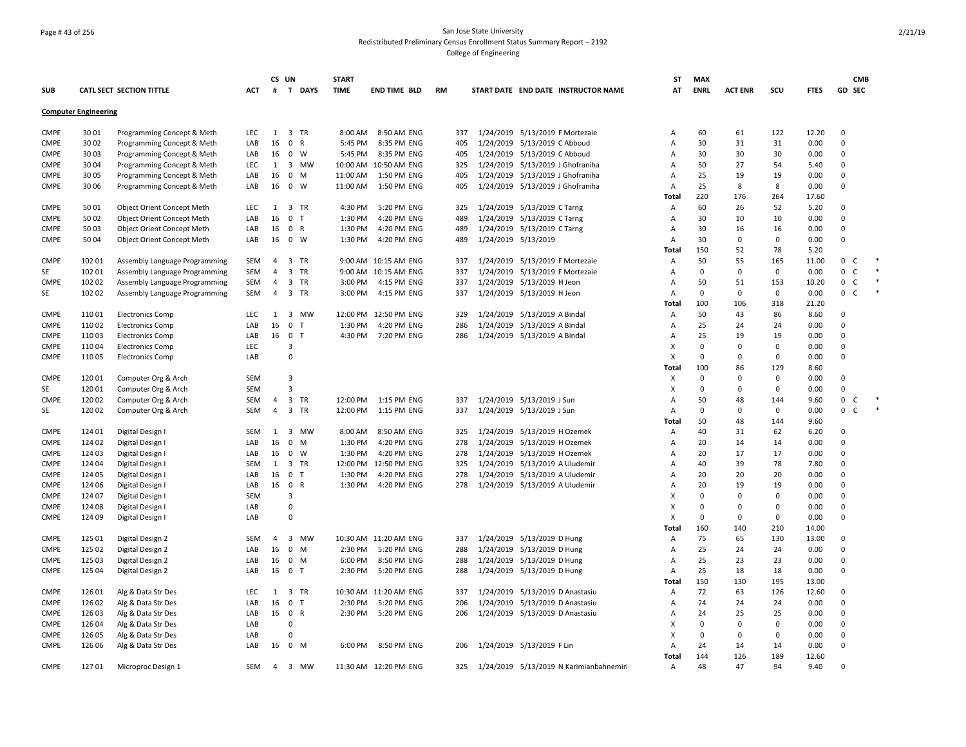### Page # 43 of 256 San Jose State University Redistributed Preliminary Census Enrollment Status Summary Report – 2192 College of Engineering

|                            |                             |                                          |            | CS UN          |                                      | <b>START</b> |                       |           |           |                                         | ST             | <b>MAX</b>                 |                   |             |              |                                     | <b>CMB</b> |
|----------------------------|-----------------------------|------------------------------------------|------------|----------------|--------------------------------------|--------------|-----------------------|-----------|-----------|-----------------------------------------|----------------|----------------------------|-------------------|-------------|--------------|-------------------------------------|------------|
| <b>SUB</b>                 |                             | CATL SECT SECTION TITTLE                 | ACT        | #              | T DAYS                               | <b>TIME</b>  | END TIME BLD          | <b>RM</b> |           | START DATE END DATE INSTRUCTOR NAME     | AT             | <b>ENRL</b>                | <b>ACT ENR</b>    | scu         | <b>FTES</b>  | GD SEC                              |            |
|                            | <b>Computer Engineering</b> |                                          |            |                |                                      |              |                       |           |           |                                         |                |                            |                   |             |              |                                     |            |
| <b>CMPE</b>                | 3001                        | Programming Concept & Meth               | LEC        | 1              | 3 TR                                 | 8:00 AM      | 8:50 AM ENG           | 337       |           | 1/24/2019 5/13/2019 F Mortezaie         | Α              | 60                         | 61                | 122         | 12.20        | $\mathbf 0$                         |            |
| <b>CMPE</b>                | 3002                        | Programming Concept & Meth               | LAB        | 16             | $\mathbf 0$<br>$\mathsf{R}$          | 5:45 PM      | 8:35 PM ENG           | 405       |           | 1/24/2019 5/13/2019 C Abboud            | А              | 30                         | 31                | 31          | 0.00         | $\Omega$                            |            |
| CMPE                       | 3003                        | Programming Concept & Meth               | LAB        | 16             | $\mathbf{0}$<br>W                    | 5:45 PM      | 8:35 PM ENG           | 405       |           | 1/24/2019 5/13/2019 C Abboud            | A              | 30                         | 30                | 30          | 0.00         | $\Omega$                            |            |
| <b>CMPE</b>                | 3004                        | Programming Concept & Meth               | LEC        | 1              | 3 MW                                 |              | 10:00 AM 10:50 AM ENG | 325       |           | 1/24/2019 5/13/2019 J Ghofraniha        | A              | 50                         | 27                | 54          | 5.40         | $\Omega$                            |            |
| <b>CMPE</b>                | 30 05                       | Programming Concept & Meth               | LAB        | 16             | $\mathbf 0$<br>M                     | 11:00 AM     | 1:50 PM ENG           | 405       |           | 1/24/2019 5/13/2019 J Ghofraniha        | A              | 25                         | 19                | 19          | 0.00         | $\mathbf 0$                         |            |
| <b>CMPE</b>                | 30 06                       | Programming Concept & Meth               | LAB        | 16             | $\mathbf{0}$<br>W                    |              | 11:00 AM  1:50 PM ENG | 405       |           | 1/24/2019 5/13/2019 J Ghofraniha        | Α              | 25                         | 8                 | 8           | 0.00         | $\Omega$                            |            |
|                            |                             |                                          |            |                |                                      |              |                       |           |           |                                         | Total          | 220                        | 176               | 264         | 17.60        |                                     |            |
| <b>CMPE</b>                | 50 01                       | <b>Object Orient Concept Meth</b>        | LEC        | 1              | $\overline{3}$<br><b>TR</b>          | 4:30 PM      | 5:20 PM ENG           | 325       |           | 1/24/2019 5/13/2019 C Tarng             | A              | 60                         | 26                | 52          | 5.20         | $\Omega$                            |            |
| <b>CMPE</b>                | 5002                        | Object Orient Concept Meth               | LAB        | 16             | $\mathbf 0$<br>$\mathsf{T}$          | 1:30 PM      | 4:20 PM ENG           | 489       |           | 1/24/2019 5/13/2019 C Tarng             | $\overline{A}$ | 30                         | 10                | 10          | 0.00         | $\mathbf 0$                         |            |
| <b>CMPE</b>                | 5003                        | Object Orient Concept Meth               | LAB        | 16             | 0 R                                  | 1:30 PM      | 4:20 PM ENG           | 489       |           | 1/24/2019 5/13/2019 C Tarng             | A              | 30                         | 16                | 16          | 0.00         | $\mathbf 0$                         |            |
| <b>CMPE</b>                | 5004                        | Object Orient Concept Meth               | LAB        | 16             | 0 W                                  | 1:30 PM      | 4:20 PM ENG           | 489       |           | 1/24/2019 5/13/2019                     | Α              | 30                         | 0                 | 0           | 0.00         | $\mathbf 0$                         |            |
|                            |                             |                                          |            |                |                                      |              |                       |           |           |                                         | Total          | 150                        | 52                | 78          | 5.20         |                                     |            |
| <b>CMPE</b>                | 102 01                      | Assembly Language Programming            | SEM        | $\overline{4}$ | $\overline{\mathbf{3}}$<br><b>TR</b> |              | 9:00 AM 10:15 AM ENG  | 337       |           | 1/24/2019 5/13/2019 F Mortezaie         | A              | 50                         | 55                | 165         | 11.00        | 0<br>C                              |            |
| SE                         | 102 01                      | Assembly Language Programming            | SEM        | $\overline{4}$ | $\overline{3}$<br><b>TR</b>          |              | 9:00 AM 10:15 AM ENG  | 337       |           | 1/24/2019 5/13/2019 F Mortezaie         | A              | $\mathbf 0$                | $\Omega$          | $\mathbf 0$ | 0.00         | $\mathbf 0$<br>$\mathsf{C}$         |            |
| <b>CMPE</b>                | 102 02                      | Assembly Language Programming            | SEM        | $\overline{4}$ | 3 TR                                 | 3:00 PM      | 4:15 PM ENG           | 337       |           | 1/24/2019 5/13/2019 H Jeon              | A              | 50                         | 51                | 153         | 10.20        | $\mathsf{O}\xspace$<br><sub>c</sub> |            |
| SE                         | 102 02                      | Assembly Language Programming            | SEM        | $\overline{4}$ | $\overline{3}$<br>TR                 | 3:00 PM      | 4:15 PM ENG           | 337       |           | 1/24/2019 5/13/2019 H Jeon              | А              | $\mathbf 0$                | $\mathbf 0$       | $\mathbf 0$ | 0.00         | $\mathsf{O}$<br>$\mathsf{C}$        |            |
|                            |                             |                                          |            |                |                                      |              |                       |           |           |                                         | Total          | 100                        | 106               | 318         | 21.20        |                                     |            |
| <b>CMPE</b>                | 11001                       | <b>Electronics Comp</b>                  | LEC        | 1              | 3 MW                                 |              | 12:00 PM 12:50 PM ENG | 329       |           | 1/24/2019 5/13/2019 A Bindal            | Α              | 50                         | 43                | 86          | 8.60         | $\mathbf 0$                         |            |
| <b>CMPE</b>                | 11002                       | <b>Electronics Comp</b>                  | LAB        | 16             | $\mathbf 0$<br>$\top$                | 1:30 PM      | 4:20 PM ENG           | 286       |           | 1/24/2019 5/13/2019 A Bindal            | A              | 25                         | 24                | 24          | 0.00         | $\Omega$                            |            |
| <b>CMPE</b>                | 11003                       | <b>Electronics Comp</b>                  | LAB        | 16             | $\mathbf 0$<br>$\top$                |              | 4:30 PM 7:20 PM ENG   | 286       |           | 1/24/2019 5/13/2019 A Bindal            | A              | 25                         | 19                | 19          | 0.00         | $\Omega$                            |            |
| <b>CMPE</b>                | 11004                       | <b>Electronics Comp</b>                  | LEC        |                | $\overline{\mathbf{3}}$              |              |                       |           |           |                                         | X              | $\mathbf 0$                | $\Omega$          | $\mathbf 0$ | 0.00         | $\Omega$                            |            |
| <b>CMPE</b>                | 11005                       | <b>Electronics Comp</b>                  | LAB        |                | $\mathbf 0$                          |              |                       |           |           |                                         | X              | $\Omega$                   | 0                 | 0           | 0.00         | $\mathbf 0$                         |            |
|                            |                             |                                          |            |                |                                      |              |                       |           |           |                                         | Total          | 100                        | 86                | 129         | 8.60         |                                     |            |
| <b>CMPE</b>                | 12001                       | Computer Org & Arch                      | SEM        |                | $\overline{\mathbf{3}}$              |              |                       |           |           |                                         | Χ              | $\mathbf 0$                | $\mathbf 0$       | $\mathbf 0$ | 0.00         | $\mathbf 0$                         |            |
| SE                         | 12001                       | Computer Org & Arch                      | <b>SEM</b> |                | $\overline{3}$                       |              |                       |           |           |                                         | X              | $\mathbf 0$                | $\Omega$          | 0           | 0.00         | $\mathsf 0$                         |            |
| <b>CMPE</b>                | 120 02                      | Computer Org & Arch                      | SEM        | $\overline{4}$ | $\overline{\mathbf{3}}$<br>TR        |              | 12:00 PM  1:15 PM ENG | 337       |           | 1/24/2019 5/13/2019 J Sun               | A              | 50                         | 48                | 144         | 9.60         | 0<br>C                              |            |
| SE                         | 12002                       | Computer Org & Arch                      | SEM        | $\overline{a}$ | 3 TR                                 | 12:00 PM     | 1:15 PM ENG           | 337       |           | 1/24/2019 5/13/2019 J Sun               | Α              | $\mathbf 0$                | $\mathbf 0$       | $\mathsf 0$ | 0.00         | $\mathsf{O}\xspace$<br>$\mathsf{C}$ |            |
|                            |                             |                                          |            |                |                                      |              |                       |           |           |                                         | Total          | 50                         | 48                | 144         | 9.60         |                                     |            |
| <b>CMPE</b>                | 124 01                      | Digital Design I                         | SEM        | 1              | $\overline{3}$<br>MW                 | 8:00 AM      | 8:50 AM ENG           | 325       |           | 1/24/2019 5/13/2019 H Ozemek            | Α              | 40                         | 31                | 62          | 6.20         | $\mathbf 0$                         |            |
| <b>CMPE</b>                | 124 02                      | Digital Design I                         | LAB        | 16             | $\mathbf 0$<br>M                     | 1:30 PM      | 4:20 PM ENG           | 278       | 1/24/2019 | 5/13/2019 H Ozemek                      | A              | 20                         | 14                | 14          | 0.00         | $\mathbf 0$                         |            |
| <b>CMPE</b>                | 124 03                      | Digital Design I                         | LAB        | 16             | $0 \quad W$                          | 1:30 PM      | 4:20 PM ENG           | 278       |           | 1/24/2019 5/13/2019 H Ozemek            | A              | 20                         | 17                | 17          | 0.00         | $\mathbf 0$                         |            |
| <b>CMPE</b>                | 124 04                      | Digital Design                           | SEM        | 1              | $\overline{3}$<br>TR                 | 12:00 PM     | 12:50 PM ENG          | 325       | 1/24/2019 | 5/13/2019 A Uludemir                    | Α              | 40                         | 39                | 78          | 7.80         | $\mathbf 0$                         |            |
| <b>CMPE</b>                | 124 05                      | Digital Design I                         | LAB        | 16             | $\mathbf 0$<br>$\mathsf{T}$          | 1:30 PM      | 4:20 PM ENG           | 278       |           | 1/24/2019 5/13/2019 A Uludemir          | A              | 20                         | 20                | 20          | 0.00         | $\mathbf 0$                         |            |
| <b>CMPE</b>                | 124 06                      | Digital Design I                         | LAB        |                | 16 0 R                               | 1:30 PM      | 4:20 PM ENG           | 278       |           | 1/24/2019 5/13/2019 A Uludemir          | A              | 20                         | 19                | 19          | 0.00         | $\Omega$                            |            |
| <b>CMPE</b>                | 124 07                      | Digital Design                           | <b>SEM</b> |                | 3                                    |              |                       |           |           |                                         | X              | $\mathbf 0$                | $\mathbf 0$       | 0           | 0.00         | $\mathbf 0$                         |            |
| <b>CMPE</b>                | 124 08                      | Digital Design I                         | LAB        |                | $\mathbf 0$                          |              |                       |           |           |                                         | X              | $\Omega$                   | $\Omega$          | 0           | 0.00         | $\Omega$                            |            |
| <b>CMPE</b>                | 124 09                      | Digital Design I                         | LAB        |                | $\Omega$                             |              |                       |           |           |                                         | X              | $\mathbf{0}$               | $\Omega$          | $\mathbf 0$ | 0.00         | $\mathbf 0$                         |            |
|                            |                             |                                          |            |                |                                      |              |                       |           |           |                                         | Total          | 160                        | 140               | 210         | 14.00        |                                     |            |
| <b>CMPE</b>                | 125 01                      | Digital Design 2                         | SEM        | 4              | $\overline{3}$<br>MW                 |              | 10:30 AM 11:20 AM ENG | 337       |           | 1/24/2019 5/13/2019 D Hung              | A              | 75                         | 65                | 130         | 13.00        | $\mathbf 0$                         |            |
| <b>CMPE</b>                | 125 02                      | Digital Design 2                         | LAB        | 16             | $\mathbf 0$<br>M                     |              | 2:30 PM 5:20 PM ENG   | 288       |           | 1/24/2019 5/13/2019 D Hung              | Α              | 25                         | 24                | 24          | 0.00         | 0                                   |            |
| <b>CMPE</b>                | 125 03                      | Digital Design 2                         | LAB        | 16             | $\mathbf 0$<br>M                     | 6:00 PM      | 8:50 PM ENG           | 288       |           | 1/24/2019 5/13/2019 D Hung              | Α              | 25                         | 23                | 23          | 0.00         | $\mathbf 0$                         |            |
| <b>CMPE</b>                | 125 04                      | Digital Design 2                         | LAB        | 16             | 0 <sub>T</sub>                       | 2:30 PM      | 5:20 PM ENG           | 288       |           | 1/24/2019 5/13/2019 D Hung              | Α              | 25                         | 18<br>130         | 18<br>195   | 0.00         | $\mathbf 0$                         |            |
|                            |                             |                                          |            |                |                                      |              |                       |           |           |                                         | Total          | 150                        |                   |             | 13.00        | $\Omega$                            |            |
| <b>CMPE</b>                | 12601                       | Alg & Data Str Des                       | LEC        | 1              | $\overline{3}$<br>TR                 |              | 10:30 AM 11:20 AM ENG | 337       |           | 1/24/2019 5/13/2019 D Anastasiu         | A              | 72<br>24                   | 63                | 126         | 12.60        | $\mathbf 0$                         |            |
| <b>CMPE</b>                | 126 02                      | Alg & Data Str Des                       | LAB        | 16             | $\mathbf 0$<br>$\top$                | 2:30 PM      | 5:20 PM ENG           | 206       |           | 1/24/2019 5/13/2019 D Anastasiu         | A              |                            | 24                | 24          | 0.00         | 0                                   |            |
| <b>CMPE</b>                | 12603                       | Alg & Data Str Des                       | LAB        |                | 16 0 R<br>$\Omega$                   | 2:30 PM      | 5:20 PM ENG           | 206       |           | 1/24/2019 5/13/2019 D Anastasiu         | A              | 24                         | 25<br>$\mathbf 0$ | 25          | 0.00         |                                     |            |
| <b>CMPE</b>                | 126 04<br>126 05            | Alg & Data Str Des                       | LAB        |                | $\Omega$                             |              |                       |           |           |                                         | X<br>X         | $\mathbf 0$<br>$\mathbf 0$ | $\Omega$          | 0<br>0      | 0.00<br>0.00 | $\mathbf 0$<br>$\mathbf 0$          |            |
| <b>CMPE</b><br><b>CMPE</b> | 126 06                      | Alg & Data Str Des<br>Alg & Data Str Des | LAB<br>LAB |                | 16 0 M                               | 6:00 PM      | 8:50 PM ENG           | 206       |           | 1/24/2019 5/13/2019 F Lin               | Α              | 24                         | 14                | 14          | 0.00         | $\mathbf 0$                         |            |
|                            |                             |                                          |            |                |                                      |              |                       |           |           |                                         | Total          | 144                        | 126               | 189         | 12.60        |                                     |            |
| <b>CMPE</b>                | 12701                       |                                          | SEM        | 4              | 3 MW                                 |              | 11:30 AM 12:20 PM ENG | 325       |           | 1/24/2019 5/13/2019 N Karimianbahnemiri | A              | 48                         | 47                | 94          | 9.40         | $\Omega$                            |            |
|                            |                             | Microproc Design 1                       |            |                |                                      |              |                       |           |           |                                         |                |                            |                   |             |              |                                     |            |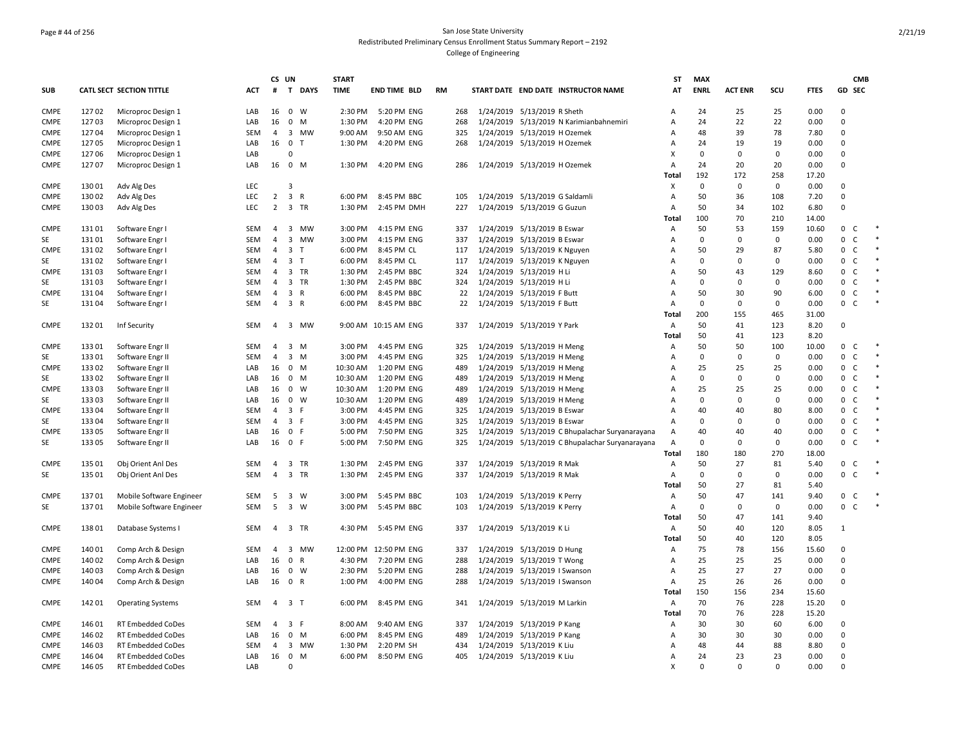## Page # 44 of 256 San Jose State University Redistributed Preliminary Census Enrollment Status Summary Report – 2192 College of Engineering

|                   |                |                                      |            | CS UN          |                                         | <b>START</b>        |                            |    |            |                                                          | ST           | <b>MAX</b>        |                |                   |              | <b>CMB</b>                            |        |
|-------------------|----------------|--------------------------------------|------------|----------------|-----------------------------------------|---------------------|----------------------------|----|------------|----------------------------------------------------------|--------------|-------------------|----------------|-------------------|--------------|---------------------------------------|--------|
| SUB               |                | CATL SECT SECTION TITTLE             | ACT        | #              | T<br><b>DAYS</b>                        | <b>TIME</b>         | <b>END TIME BLD</b>        | RM |            | START DATE END DATE INSTRUCTOR NAME                      | AT           | <b>ENRL</b>       | <b>ACT ENR</b> | SCU               | <b>FTES</b>  | GD SEC                                |        |
| <b>CMPE</b>       | 12702          | Microproc Design 1                   | LAB        | 16             | $\mathbf 0$<br>W                        | 2:30 PM             | 5:20 PM ENG                |    | 268        | 1/24/2019 5/13/2019 R Sheth                              | Α            | 24                | 25             | 25                | 0.00         | $\Omega$                              |        |
| <b>CMPE</b>       | 12703          | Microproc Design 1                   | LAB        | 16             | 0<br>M                                  | 1:30 PM             | 4:20 PM ENG                |    | 268        | 1/24/2019 5/13/2019 N Karimianbahnemiri                  | A            | 24                | 22             | 22                | 0.00         | $\Omega$                              |        |
| <b>CMPE</b>       | 12704          | Microproc Design 1                   | SEM        | $\overline{4}$ | 3 MW                                    | 9:00 AM             | 9:50 AM ENG                |    | 325        | 1/24/2019 5/13/2019 H Ozemek                             | A            | 48                | 39             | 78                | 7.80         | $\Omega$                              |        |
| <b>CMPE</b>       | 12705          | Microproc Design 1                   | LAB        | 16             | 0 <sub>T</sub>                          | 1:30 PM             | 4:20 PM ENG                |    | 268        | 1/24/2019 5/13/2019 H Ozemek                             | A            | 24                | 19             | 19                | 0.00         | $\Omega$                              |        |
| <b>CMPE</b>       | 12706          | Microproc Design 1                   | LAB        |                | $\Omega$                                |                     |                            |    |            |                                                          | X            | $\mathbf 0$       | 0              | $\Omega$          | 0.00         | $\Omega$                              |        |
| <b>CMPE</b>       | 12707          | Microproc Design 1                   | LAB        |                | 16 0 M                                  |                     | 1:30 PM 4:20 PM ENG        |    | 286        | 1/24/2019 5/13/2019 H Ozemek                             | A            | 24                | 20             | 20                | 0.00         | $\mathbf 0$                           |        |
|                   |                |                                      |            |                |                                         |                     |                            |    |            |                                                          | Total        | 192               | 172            | 258               | 17.20        |                                       |        |
| <b>CMPE</b>       | 13001          | Adv Alg Des                          | <b>LEC</b> |                | 3                                       |                     |                            |    |            |                                                          | X            | $\mathbf 0$       | 0              | $\mathbf 0$       | 0.00         | $\Omega$                              |        |
| <b>CMPE</b>       | 13002          | Adv Alg Des                          | <b>LEC</b> | $\overline{2}$ | 3 R                                     | 6:00 PM             | 8:45 PM BBC                |    | 105        | 1/24/2019 5/13/2019 G Saldamli                           | A            | 50                | 36             | 108               | 7.20         | $\mathbf 0$                           |        |
| <b>CMPE</b>       | 13003          | Adv Alg Des                          | LEC        | $2^{\circ}$    | 3 TR                                    | 1:30 PM             | 2:45 PM DMH                |    | 227        | 1/24/2019 5/13/2019 G Guzun                              | A            | 50                | 34             | 102               | 6.80         | $\Omega$                              |        |
|                   |                |                                      |            |                |                                         |                     |                            |    |            |                                                          | Total        | 100               | 70             | 210               | 14.00        |                                       |        |
| <b>CMPE</b>       | 13101          | Software Engr I                      | SEM        | 4              | 3 MW                                    | 3:00 PM             | 4:15 PM ENG                |    | 337        | 1/24/2019 5/13/2019 B Eswar                              | A            | 50                | 53             | 159               | 10.60        | 0 <sup>o</sup>                        |        |
| SE                | 13101          | Software Engr I                      | <b>SEM</b> | 4              | 3 MW                                    | 3:00 PM             | 4:15 PM ENG                |    | 337        | 1/24/2019 5/13/2019 B Eswar                              | Α            | $\mathbf 0$       | 0              | $\mathbf 0$       | 0.00         | $\mathbf 0$<br>C                      | $\ast$ |
| <b>CMPE</b>       | 13102          | Software Engr I                      | <b>SEM</b> | 4              | 3 <sub>1</sub>                          | 6:00 PM             | 8:45 PM CL                 |    | 117        | 1/24/2019 5/13/2019 K Nguyen                             | A            | 50                | 29             | 87                | 5.80         | $\mathbf 0$<br>C                      |        |
| SE                | 13102          | Software Engr I                      | SEM        | $\overline{4}$ | 3 <sub>1</sub>                          | 6:00 PM             | 8:45 PM CL                 |    | 117        | 1/24/2019 5/13/2019 K Nguyen                             | A            | $\mathbf 0$       | $\Omega$       | 0                 | 0.00         | $\mathbf{0}$<br>$\mathsf{C}$          |        |
| <b>CMPE</b>       | 13103          | Software Engr I                      | <b>SEM</b> | 4              | 3 TR                                    | 1:30 PM             | 2:45 PM BBC                |    | 324        | 1/24/2019 5/13/2019 H Li                                 | A            | 50                | 43             | 129               | 8.60         | $\mathbf 0$<br>C                      |        |
| SE                | 13103          | Software Engr I                      | <b>SEM</b> | 4              | 3 TR                                    | 1:30 PM             | 2:45 PM BBC                |    | 324        | 1/24/2019 5/13/2019 H Li                                 | A            | $\mathbf 0$       | $\mathbf 0$    | $\mathbf 0$       | 0.00         | $\mathsf{C}$<br>$\mathbf{0}$          |        |
| <b>CMPE</b>       | 13104          | Software Engr I                      | <b>SEM</b> | $\overline{4}$ | 3 R                                     | 6:00 PM             | 8:45 PM BBC                |    | 22         | 1/24/2019 5/13/2019 F Butt                               | A            | 50                | 30             | 90                | 6.00         | $\mathbf{0}$<br>C                     | $\ast$ |
| SE                | 13104          | Software Engr I                      | <b>SEM</b> | $\overline{4}$ | 3 R                                     | 6:00 PM             | 8:45 PM BBC                |    | 22         | 1/24/2019 5/13/2019 F Butt                               | A            | $\mathbf 0$       | $\Omega$       | $\mathbf 0$       | 0.00         | $\mathbf{0}$<br>$\mathsf{C}$          |        |
|                   |                |                                      |            |                |                                         |                     |                            |    |            |                                                          | Total        | 200               | 155            | 465               | 31.00        |                                       |        |
| <b>CMPE</b>       | 13201          | Inf Security                         | SEM        |                | 4 3 MW                                  |                     | 9:00 AM 10:15 AM ENG       |    | 337        | 1/24/2019 5/13/2019 Y Park                               | А            | 50                | 41             | 123               | 8.20         | $\mathbf 0$                           |        |
|                   |                |                                      |            |                |                                         |                     |                            |    |            |                                                          | Total        | 50                | 41             | 123               | 8.20         |                                       |        |
| <b>CMPE</b>       | 13301          | Software Engr II                     | SEM        | 4              | 3 M                                     | 3:00 PM             | 4:45 PM ENG                |    | 325        | 1/24/2019 5/13/2019 H Meng                               | Α            | 50                | 50             | 100               | 10.00        | $\mathbf 0$<br>C                      |        |
| SE<br><b>CMPE</b> | 13301<br>13302 | Software Engr II<br>Software Engr II | SEM<br>LAB | 4<br>16        | 3 M<br>0 M                              | 3:00 PM<br>10:30 AM | 4:45 PM ENG<br>1:20 PM ENG |    | 325<br>489 | 1/24/2019 5/13/2019 H Meng<br>1/24/2019 5/13/2019 H Meng | A<br>A       | $\mathbf 0$<br>25 | 0<br>25        | $\mathbf 0$<br>25 | 0.00<br>0.00 | $\mathbf{0}$<br>C<br>$\mathbf 0$<br>C | $\ast$ |
| SE                | 13302          | Software Engr II                     | LAB        | 16             | 0 M                                     | 10:30 AM            | 1:20 PM ENG                |    | 489        | 1/24/2019 5/13/2019 H Meng                               | A            | $\mathbf 0$       | $\mathbf 0$    | $\Omega$          | 0.00         | $\mathbf{0}$<br>$\mathsf{C}$          |        |
| <b>CMPE</b>       | 13303          | Software Engr II                     | LAB        | 16             | $^{\circ}$<br>W                         | 10:30 AM            | 1:20 PM ENG                |    | 489        | 1/24/2019 5/13/2019 H Meng                               | A            | 25                | 25             | 25                | 0.00         | $\mathsf{C}$<br>$\mathbf{0}$          |        |
| <b>SE</b>         | 13303          | Software Engr II                     | LAB        | 16             | 0 W                                     | 10:30 AM            | 1:20 PM ENG                |    | 489        | 1/24/2019 5/13/2019 H Meng                               | A            | $\mathbf 0$       | $\Omega$       | $\Omega$          | 0.00         | $\mathbf 0$<br>C                      |        |
| <b>CMPE</b>       | 13304          | Software Engr II                     | <b>SEM</b> | $\overline{4}$ | $\overline{\mathbf{3}}$<br>- F          | 3:00 PM             | 4:45 PM ENG                |    | 325        | 1/24/2019 5/13/2019 B Eswar                              | A            | 40                | 40             | 80                | 8.00         | $\mathbf{0}$<br>$\mathsf{C}$          |        |
| SE                | 13304          | Software Engr II                     | <b>SEM</b> | $\overline{4}$ | 3 F                                     | 3:00 PM             | 4:45 PM ENG                |    | 325        | 1/24/2019 5/13/2019 B Eswar                              | A            | $\mathbf 0$       | $\mathbf 0$    | $\Omega$          | 0.00         | $\mathbf{0}$<br>$\mathsf{C}$          |        |
| <b>CMPE</b>       | 13305          | Software Engr II                     | LAB        | 16             | 0 F                                     | 5:00 PM             | 7:50 PM ENG                |    | 325        | 1/24/2019 5/13/2019 C Bhupalachar Suryanarayana          | A            | 40                | 40             | 40                | 0.00         | $\mathsf{C}$<br>$\mathbf 0$           |        |
| SE                | 13305          | Software Engr II                     | LAB        |                | 16 0 F                                  | 5:00 PM             | 7:50 PM ENG                |    | 325        | 1/24/2019 5/13/2019 C Bhupalachar Suryanarayana          | Α            | $\mathbf 0$       | $\mathbf 0$    | $\Omega$          | 0.00         | $\mathbf 0$<br>$\mathsf{C}$           |        |
|                   |                |                                      |            |                |                                         |                     |                            |    |            |                                                          | Total        | 180               | 180            | 270               | 18.00        |                                       |        |
| <b>CMPE</b>       | 135 01         | Obj Orient Anl Des                   | <b>SEM</b> | 4              | 3 TR                                    | 1:30 PM             | 2:45 PM ENG                |    | 337        | 1/24/2019 5/13/2019 R Mak                                | Α            | 50                | 27             | 81                | 5.40         | 0 <sup>o</sup>                        |        |
| SE                | 135 01         | Obj Orient Anl Des                   | <b>SEM</b> | $\overline{4}$ | 3 TR                                    | 1:30 PM             | 2:45 PM ENG                |    | 337        | 1/24/2019 5/13/2019 R Mak                                | A            | $\mathbf 0$       | 0              | $\Omega$          | 0.00         | $\mathbf{0}$<br>C                     |        |
|                   |                |                                      |            |                |                                         |                     |                            |    |            |                                                          | Total        | 50                | 27             | 81                | 5.40         |                                       |        |
| <b>CMPE</b>       | 13701          | Mobile Software Engineer             | SEM        | 5              | 3 W                                     | 3:00 PM             | 5:45 PM BBC                |    | 103        | 1/24/2019 5/13/2019 K Perry                              | A            | 50                | 47             | 141               | 9.40         | $0-$                                  |        |
| SE                | 13701          | Mobile Software Engineer             | <b>SEM</b> | 5              | 3 W                                     | 3:00 PM             | 5:45 PM BBC                |    | 103        | 1/24/2019 5/13/2019 K Perry                              | A            | $\mathbf 0$       | $\mathbf 0$    | $\mathbf 0$       | 0.00         | $\mathbf 0$<br>$\mathsf{C}$           | $\ast$ |
|                   |                |                                      |            |                |                                         |                     |                            |    |            |                                                          | Total        | 50                | 47             | 141               | 9.40         |                                       |        |
| <b>CMPE</b>       | 13801          | Database Systems I                   | <b>SEM</b> | $\overline{4}$ | 3 TR                                    | 4:30 PM             | 5:45 PM ENG                |    | 337        | 1/24/2019 5/13/2019 K Li                                 | A            | 50                | 40             | 120               | 8.05         | 1                                     |        |
|                   |                |                                      |            |                |                                         |                     |                            |    |            |                                                          | <b>Total</b> | 50                | 40             | 120               | 8.05         |                                       |        |
| <b>CMPE</b>       | 140 01         | Comp Arch & Design                   | SEM        | 4              | 3 MW                                    |                     | 12:00 PM 12:50 PM ENG      |    | 337        | 1/24/2019 5/13/2019 D Hung                               | Α            | 75                | 78             | 156               | 15.60        | $\Omega$                              |        |
| <b>CMPE</b>       | 140 02         | Comp Arch & Design                   | LAB        | 16             | $\mathbf 0$<br>$\mathsf{R}$             | 4:30 PM             | 7:20 PM ENG                |    | 288        | 1/24/2019 5/13/2019 T Wong                               | Α            | 25                | 25             | 25                | 0.00         | $\Omega$                              |        |
| <b>CMPE</b>       | 14003          | Comp Arch & Design                   | LAB        | 16             | $\mathbf 0$<br>W                        | 2:30 PM             | 5:20 PM ENG                |    | 288        | 1/24/2019 5/13/2019   Swanson                            | Α            | 25                | 27             | 27                | 0.00         | $\Omega$                              |        |
| <b>CMPE</b>       | 14004          | Comp Arch & Design                   | LAB        |                | 16 0 R                                  | 1:00 PM             | 4:00 PM ENG                |    | 288        | 1/24/2019 5/13/2019   Swanson                            | Α            | 25                | 26             | 26                | 0.00         | $\Omega$                              |        |
|                   |                |                                      |            |                |                                         |                     |                            |    |            |                                                          | Total        | 150               | 156            | 234               | 15.60        |                                       |        |
| <b>CMPE</b>       | 14201          | <b>Operating Systems</b>             | <b>SEM</b> | 4              | $\overline{\mathbf{3}}$<br>$\mathsf{T}$ | 6:00 PM             | 8:45 PM ENG                |    | 341        | 1/24/2019 5/13/2019 M Larkin                             | A            | 70                | 76             | 228               | 15.20        | $\Omega$                              |        |
|                   |                |                                      |            |                |                                         |                     |                            |    |            |                                                          | Total        | 70                | 76             | 228               | 15.20        |                                       |        |
| <b>CMPE</b>       | 146 01         | <b>RT Embedded CoDes</b>             | <b>SEM</b> | $\overline{4}$ | 3 F                                     | 8:00 AM             | 9:40 AM ENG                |    | 337        | 1/24/2019 5/13/2019 P Kang                               | A            | 30                | 30             | 60                | 6.00         | $\Omega$                              |        |
| <b>CMPE</b>       | 14602          | <b>RT Embedded CoDes</b>             | LAB        | 16             | $\mathbf{0}$<br>M                       | 6:00 PM             | 8:45 PM ENG                |    | 489        | 1/24/2019 5/13/2019 P Kang                               | A            | 30                | 30             | 30                | 0.00         | $\Omega$                              |        |
| <b>CMPE</b>       | 14603          | <b>RT Embedded CoDes</b>             | SEM        | $\overline{4}$ | 3 MW                                    | 1:30 PM             | 2:20 PM SH                 |    | 434        | 1/24/2019 5/13/2019 K Liu                                | A            | 48                | 44             | 88                | 8.80         | $\Omega$                              |        |
| <b>CMPE</b>       | 14604          | RT Embedded CoDes                    | LAB        | 16             | $\mathbf{0}$<br>M                       | 6:00 PM             | 8:50 PM ENG                |    | 405        | 1/24/2019 5/13/2019 K Liu                                | A            | 24                | 23             | 23                | 0.00         | $\Omega$                              |        |
| CMPE              | 146 05         | <b>RT Embedded CoDes</b>             | LAB        |                | $\Omega$                                |                     |                            |    |            |                                                          | X            | $\Omega$          | <sup>0</sup>   | $\Omega$          | 0.00         | $\Omega$                              |        |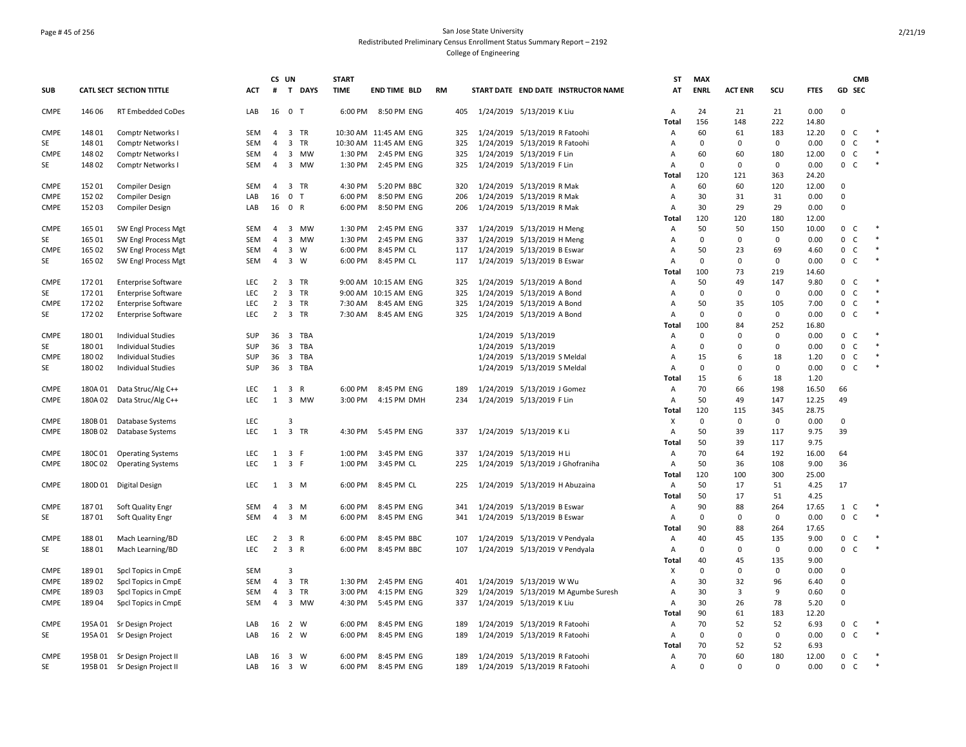## Page # 45 of 256 San Jose State University Redistributed Preliminary Census Enrollment Status Summary Report – 2192 College of Engineering

|                   |                |                                            |                   | CS UN           |                             | <b>START</b> |                       |           |            |                                                                |                     |                                     | ST             | <b>MAX</b>         |                    |                    |               |                                                             | <b>CMB</b> |
|-------------------|----------------|--------------------------------------------|-------------------|-----------------|-----------------------------|--------------|-----------------------|-----------|------------|----------------------------------------------------------------|---------------------|-------------------------------------|----------------|--------------------|--------------------|--------------------|---------------|-------------------------------------------------------------|------------|
| <b>SUB</b>        |                | CATL SECT SECTION TITTLE                   | ACT               | #               | $\mathbf{T}$<br><b>DAYS</b> | <b>TIME</b>  | <b>END TIME BLD</b>   | <b>RM</b> |            |                                                                |                     | START DATE END DATE INSTRUCTOR NAME | AT             | <b>ENRL</b>        | <b>ACT ENR</b>     | scu                | <b>FTES</b>   | GD SEC                                                      |            |
| <b>CMPE</b>       | 146 06         | RT Embedded CoDes                          | LAB               | 16 0            | ਾ                           | 6:00 PM      | 8:50 PM ENG           |           | 405        | 1/24/2019 5/13/2019 K Liu                                      |                     |                                     | Α              | 24                 | 21                 | 21                 | 0.00          | $\mathbf 0$                                                 |            |
|                   |                |                                            |                   | $\overline{4}$  |                             |              | 10:30 AM 11:45 AM ENG |           |            |                                                                |                     |                                     | Total          | 156<br>60          | 148                | 222                | 14.80         |                                                             |            |
| <b>CMPE</b><br>SE | 14801<br>14801 | Comptr Networks I                          | SEM<br><b>SEM</b> | $\overline{4}$  | 3 TR<br>3 TR                |              | 10:30 AM 11:45 AM ENG |           | 325<br>325 | 1/24/2019 5/13/2019 R Fatoohi<br>1/24/2019 5/13/2019 R Fatoohi |                     |                                     | Α<br>Α         | $\mathbf 0$        | 61<br>$\mathbf 0$  | 183<br>$\mathbf 0$ | 12.20<br>0.00 | $\mathbf{0}$<br>$\mathsf{C}$<br>$\mathbf 0$<br>$\mathsf{C}$ |            |
| <b>CMPE</b>       | 14802          | Comptr Networks I<br>Comptr Networks I     | <b>SEM</b>        | 4               | 3 MW                        | 1:30 PM      | 2:45 PM ENG           |           | 325        | 1/24/2019 5/13/2019 F Lin                                      |                     |                                     | $\overline{A}$ | 60                 | 60                 | 180                | 12.00         | $\mathbf 0$<br>$\mathsf{C}$                                 |            |
| SE                | 14802          | Comptr Networks I                          | SEM               | $\overline{4}$  | 3 MW                        | 1:30 PM      | 2:45 PM ENG           |           | 325        | 1/24/2019 5/13/2019 F Lin                                      |                     |                                     | A              | $\mathbf{0}$       | $\mathbf 0$        | $\mathbf 0$        | 0.00          | 0 <sup>o</sup>                                              |            |
|                   |                |                                            |                   |                 |                             |              |                       |           |            |                                                                |                     |                                     | Total          | 120                | 121                | 363                | 24.20         |                                                             |            |
| <b>CMPE</b>       | 15201          | Compiler Design                            | SEM               | 4               | 3 TR                        | 4:30 PM      | 5:20 PM BBC           |           | 320        | 1/24/2019 5/13/2019 R Mak                                      |                     |                                     | Α              | 60                 | 60                 | 120                | 12.00         | $\mathbf 0$                                                 |            |
| <b>CMPE</b>       | 15202          | <b>Compiler Design</b>                     | LAB               | 16              | $\mathbf 0$<br>$\mathsf{T}$ | 6:00 PM      | 8:50 PM ENG           |           | 206        | 1/24/2019 5/13/2019 R Mak                                      |                     |                                     | А              | 30                 | 31                 | 31                 | 0.00          | $\mathbf 0$                                                 |            |
| <b>CMPE</b>       | 15203          | Compiler Design                            | LAB               | 16              | 0 R                         | 6:00 PM      | 8:50 PM ENG           |           | 206        | 1/24/2019 5/13/2019 R Mak                                      |                     |                                     | Α<br>Total     | 30<br>120          | 29<br>120          | 29<br>180          | 0.00<br>12.00 | $\mathbf 0$                                                 |            |
| <b>CMPE</b>       | 165 01         | SW Engl Process Mgt                        | SEM               | $\overline{4}$  | 3 MW                        | 1:30 PM      | 2:45 PM ENG           |           | 337        | 1/24/2019 5/13/2019 H Meng                                     |                     |                                     | Α              | 50                 | 50                 | 150                | 10.00         | 0 <sup>o</sup>                                              |            |
| SE                | 165 01         | SW Engl Process Mgt                        | <b>SEM</b>        | $\overline{4}$  | 3 MW                        | 1:30 PM      | 2:45 PM ENG           |           | 337        | 1/24/2019 5/13/2019 H Meng                                     |                     |                                     | $\overline{A}$ | $\mathbf 0$        | $\mathbf 0$        | $\mathbf 0$        | 0.00          | 0<br>$\mathsf{C}$                                           | $\ast$     |
| <b>CMPE</b>       | 165 02         | SW Engl Process Mgt                        | SEM               | $\overline{4}$  | $\overline{3}$<br>W         | 6:00 PM      | 8:45 PM CL            |           | 117        | 1/24/2019 5/13/2019 B Eswar                                    |                     |                                     | $\overline{A}$ | 50                 | 23                 | 69                 | 4.60          | $\mathbf 0$<br>$\mathsf{C}$                                 |            |
| SE                | 165 02         | SW Engl Process Mgt                        | SEM               | $\overline{4}$  | 3 W                         | 6:00 PM      | 8:45 PM CL            |           | 117        | 1/24/2019 5/13/2019 B Eswar                                    |                     |                                     | $\overline{A}$ | $\mathbf{0}$       | $\mathbf 0$        | $\mathbf 0$        | 0.00          | $0-$                                                        |            |
|                   |                |                                            |                   |                 |                             |              |                       |           |            |                                                                |                     |                                     | Total          | 100                | 73                 | 219                | 14.60         |                                                             |            |
| <b>CMPE</b>       | 17201          | <b>Enterprise Software</b>                 | LEC               | $\overline{2}$  | 3 TR                        |              | 9:00 AM 10:15 AM ENG  |           | 325        | 1/24/2019 5/13/2019 A Bond                                     |                     |                                     | Α              | 50                 | 49                 | 147                | 9.80          | 0<br>$\mathsf{C}$                                           |            |
| SE                | 17201          | <b>Enterprise Software</b>                 | <b>LEC</b>        | $\overline{2}$  | 3 TR                        |              | 9:00 AM 10:15 AM ENG  |           | 325        | 1/24/2019 5/13/2019 A Bond                                     |                     |                                     | $\overline{A}$ | $\mathbf 0$        | $\mathsf 0$        | $\mathbf 0$        | 0.00          | $\mathbf 0$<br>$\mathsf{C}$                                 |            |
| <b>CMPE</b>       | 17202          | <b>Enterprise Software</b>                 | <b>LEC</b>        | $\overline{2}$  | 3 TR                        | 7:30 AM      | 8:45 AM ENG           |           | 325        | 1/24/2019 5/13/2019 A Bond                                     |                     |                                     | Α              | 50                 | 35                 | 105                | 7.00          | $\mathbf 0$<br>$\mathsf{C}$                                 |            |
| SE                | 17202          | <b>Enterprise Software</b>                 | <b>LEC</b>        | $\overline{2}$  | 3 TR                        | 7:30 AM      | 8:45 AM ENG           |           | 325        | 1/24/2019 5/13/2019 A Bond                                     |                     |                                     | А              | $\mathbf{0}$       | $\mathbf 0$        | 0                  | 0.00          | $\mathbf 0$<br>$\mathsf{C}$                                 |            |
|                   |                |                                            |                   |                 |                             |              |                       |           |            |                                                                |                     |                                     | Total          | 100                | 84                 | 252                | 16.80         |                                                             |            |
| <b>CMPE</b>       | 18001          | <b>Individual Studies</b>                  | <b>SUP</b>        | 36 <sub>3</sub> | TBA                         |              |                       |           |            | 1/24/2019 5/13/2019                                            |                     |                                     | $\overline{A}$ | $\Omega$           | $\Omega$           | $\mathbf 0$        | 0.00          | $\mathbf{0}$<br><sub>c</sub>                                |            |
| SE                | 18001          | <b>Individual Studies</b>                  | SUP               | 36              | $\overline{3}$<br>TBA       |              |                       |           |            | 1/24/2019 5/13/2019                                            |                     |                                     | $\overline{A}$ | $\mathbf 0$        | $\Omega$           | $\Omega$           | 0.00          | $\mathbf{0}$<br>$\mathsf{C}$                                |            |
| <b>CMPE</b>       | 18002          | <b>Individual Studies</b>                  | <b>SUP</b>        | 36              | 3 TBA                       |              |                       |           |            | 1/24/2019 5/13/2019 S Meldal                                   |                     |                                     | Α              | 15                 | 6                  | 18                 | 1.20          | $\mathbf 0$<br>$\mathsf{C}$                                 |            |
| SE                | 18002          | <b>Individual Studies</b>                  | SUP               |                 | 36 3 TBA                    |              |                       |           |            | 1/24/2019 5/13/2019 S Meldal                                   |                     |                                     | A              | $\Omega$           | $\Omega$           | $\mathbf 0$        | 0.00          | $\mathbf{0}$<br><sub>c</sub>                                |            |
|                   |                |                                            |                   |                 |                             |              |                       |           |            |                                                                |                     |                                     | <b>Total</b>   | 15                 | 6                  | 18                 | 1.20          |                                                             |            |
| <b>CMPE</b>       | 180A01         | Data Struc/Alg C++                         | LEC               | 1               | 3 R                         | 6:00 PM      | 8:45 PM ENG           |           | 189        | 1/24/2019 5/13/2019 J Gomez                                    |                     |                                     | Α              | 70                 | 66                 | 198                | 16.50         | 66                                                          |            |
| <b>CMPE</b>       | 180A02         | Data Struc/Alg C++                         | LEC               | 1               | 3<br>MW                     | 3:00 PM      | 4:15 PM DMH           |           | 234        | 1/24/2019 5/13/2019 F Lin                                      |                     |                                     | $\overline{A}$ | 50                 | 49                 | 147                | 12.25         | 49                                                          |            |
| <b>CMPE</b>       | 180B01         | Database Systems                           | LEC               |                 | 3                           |              |                       |           |            |                                                                |                     |                                     | Total<br>X     | 120<br>$\mathbf 0$ | 115<br>$\mathbf 0$ | 345<br>$\mathbf 0$ | 28.75<br>0.00 | $\mathbf 0$                                                 |            |
| <b>CMPE</b>       | 180B02         | Database Systems                           | LEC               | 1               | 3 TR                        | 4:30 PM      | 5:45 PM ENG           |           | 337        | 1/24/2019 5/13/2019 K Li                                       |                     |                                     | $\overline{A}$ | 50                 | 39                 | 117                | 9.75          | 39                                                          |            |
|                   |                |                                            |                   |                 |                             |              |                       |           |            |                                                                |                     |                                     | Total          | 50                 | 39                 | 117                | 9.75          |                                                             |            |
| <b>CMPE</b>       | 180C01         | <b>Operating Systems</b>                   | <b>LEC</b>        | 1               | 3 F                         | 1:00 PM      | 3:45 PM ENG           |           | 337        | 1/24/2019 5/13/2019 H Li                                       |                     |                                     | Α              | 70                 | 64                 | 192                | 16.00         | 64                                                          |            |
| <b>CMPE</b>       | 180C02         | <b>Operating Systems</b>                   | LEC               | 1               | 3 F                         | 1:00 PM      | 3:45 PM CL            |           | 225        |                                                                |                     | 1/24/2019 5/13/2019 J Ghofraniha    | Α              | 50                 | 36                 | 108                | 9.00          | 36                                                          |            |
|                   |                |                                            |                   |                 |                             |              |                       |           |            |                                                                |                     |                                     | <b>Total</b>   | 120                | 100                | 300                | 25.00         |                                                             |            |
| <b>CMPE</b>       | 180D 01        | Digital Design                             | LEC               |                 | $1 \quad 3 \quad M$         | 6:00 PM      | 8:45 PM CL            |           | 225        | 1/24/2019 5/13/2019 H Abuzaina                                 |                     |                                     | Α              | 50                 | 17                 | 51                 | 4.25          | 17                                                          |            |
|                   |                |                                            |                   |                 |                             |              |                       |           |            |                                                                |                     |                                     | Total          | 50                 | 17                 | 51                 | 4.25          |                                                             |            |
| <b>CMPE</b>       | 18701          | Soft Quality Engr                          | <b>SEM</b>        | $\overline{4}$  | 3 M                         | 6:00 PM      | 8:45 PM ENG           |           | 341        | 1/24/2019 5/13/2019 B Eswar                                    |                     |                                     | Α              | 90                 | 88                 | 264                | 17.65         | 1<br>C                                                      |            |
| SE                | 18701          | Soft Quality Engr                          | SEM               | $\overline{4}$  | 3 M                         | 6:00 PM      | 8:45 PM ENG           |           | 341        | 1/24/2019 5/13/2019 B Eswar                                    |                     |                                     | Α              | $\mathbf 0$        | 0                  | $\mathbf 0$        | 0.00          | $\mathbf 0$<br>$\mathsf{C}$                                 |            |
|                   |                |                                            |                   |                 |                             |              |                       |           |            |                                                                |                     |                                     | Total          | 90                 | 88                 | 264                | 17.65         |                                                             |            |
| <b>CMPE</b>       | 18801          | Mach Learning/BD                           | LEC.              | $\overline{2}$  | 3<br>$\mathsf{R}$           | 6:00 PM      | 8:45 PM BBC           |           | 107        | 1/24/2019 5/13/2019 V Pendyala                                 |                     |                                     | Α              | 40                 | 45                 | 135                | 9.00          | 0<br>C                                                      |            |
| SE                | 18801          | Mach Learning/BD                           | <b>LEC</b>        |                 | $2 \quad 3 \quad R$         | 6:00 PM      | 8:45 PM BBC           |           | 107        | 1/24/2019 5/13/2019 V Pendyala                                 |                     |                                     | Α              | $\mathbf 0$        | $\mathbf 0$        | $\mathbf 0$        | 0.00          | 0<br><sub>c</sub>                                           |            |
| <b>CMPE</b>       | 18901          |                                            | <b>SEM</b>        |                 | Э                           |              |                       |           |            |                                                                |                     |                                     | Total<br>X     | 40<br>$\mathbf 0$  | 45<br>$\Omega$     | 135<br>$\mathbf 0$ | 9.00<br>0.00  | $\Omega$                                                    |            |
| <b>CMPE</b>       | 18902          | Spcl Topics in CmpE<br>Spcl Topics in CmpE | SEM               | 4               | 3 TR                        | 1:30 PM      | 2:45 PM ENG           |           | 401        | 1/24/2019 5/13/2019 W Wu                                       |                     |                                     | Α              | 30                 | 32                 | 96                 | 6.40          | $\Omega$                                                    |            |
| <b>CMPE</b>       | 18903          |                                            | SEM               | $\overline{4}$  | 3 TR                        | 3:00 PM      | 4:15 PM ENG           |           |            |                                                                |                     |                                     | A              | 30                 | 3                  | 9                  | 0.60          | $\mathbf 0$                                                 |            |
| <b>CMPE</b>       | 18904          | Spcl Topics in CmpE<br>Spcl Topics in CmpE | SEM               | 4               | 3 MW                        | 4:30 PM      | 5:45 PM ENG           |           | 329<br>337 | 1/24/2019 5/13/2019 K Liu                                      |                     | 1/24/2019 5/13/2019 M Agumbe Suresh | Α              | 30                 | 26                 | 78                 | 5.20          | $\mathbf{0}$                                                |            |
|                   |                |                                            |                   |                 |                             |              |                       |           |            |                                                                |                     |                                     | Total          | 90                 | 61                 | 183                | 12.20         |                                                             |            |
| <b>CMPE</b>       | 195A 01        | Sr Design Project                          | LAB               |                 | 16 2 W                      | 6:00 PM      | 8:45 PM ENG           |           | 189        | 1/24/2019 5/13/2019 R Fatoohi                                  |                     |                                     | Α              | 70                 | 52                 | 52                 | 6.93          | 0 <sub>c</sub>                                              |            |
| SE                | 195A 01        | Sr Design Project                          | LAB               | 16              | $\overline{2}$<br>W         | 6:00 PM      | 8:45 PM ENG           |           | 189        | 1/24/2019                                                      | 5/13/2019 R Fatoohi |                                     | Α              | $\mathbf 0$        | $\mathbf 0$        | 0                  | 0.00          | $\mathsf{O}$<br>C.                                          | $\ast$     |
|                   |                |                                            |                   |                 |                             |              |                       |           |            |                                                                |                     |                                     | Total          | 70                 | 52                 | 52                 | 6.93          |                                                             |            |
| <b>CMPE</b>       |                | 195B 01 Sr Design Project II               | LAB               |                 | 16 3 W                      | 6:00 PM      | 8:45 PM ENG           |           | 189        | 1/24/2019 5/13/2019 R Fatoohi                                  |                     |                                     | Α              | 70                 | 60                 | 180                | 12.00         | $\mathbf 0$<br>$\mathsf{C}$                                 |            |
| SE                |                | 195B 01 Sr Design Project II               | LAB               |                 | 16 3 W                      | 6:00 PM      | 8:45 PM ENG           |           | 189        | 1/24/2019 5/13/2019 R Fatoohi                                  |                     |                                     | Α              | $\mathbf 0$        | $\Omega$           | $\Omega$           | 0.00          | $\mathbf 0$<br>$\mathsf{C}$                                 |            |
|                   |                |                                            |                   |                 |                             |              |                       |           |            |                                                                |                     |                                     |                |                    |                    |                    |               |                                                             |            |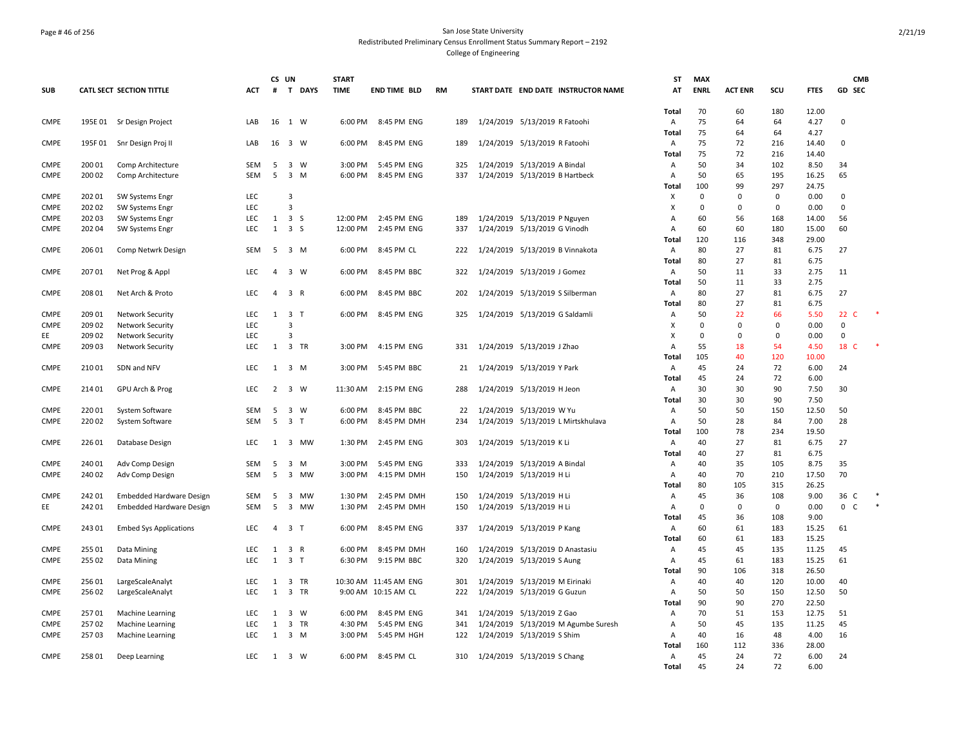## Page # 46 of 256 San Jose State University Redistributed Preliminary Census Enrollment Status Summary Report – 2192 College of Engineering

|             |        |                                      |            | CS UN          |                              | <b>START</b> |                       |           |     |                                 |                                 |                                     | ST             | <b>MAX</b>  |                |             |                | <b>CMB</b>  |  |
|-------------|--------|--------------------------------------|------------|----------------|------------------------------|--------------|-----------------------|-----------|-----|---------------------------------|---------------------------------|-------------------------------------|----------------|-------------|----------------|-------------|----------------|-------------|--|
| <b>SUB</b>  |        | CATL SECT SECTION TITTLE             | АСТ        |                | # T DAYS                     | <b>TIME</b>  | <b>END TIME BLD</b>   | <b>RM</b> |     |                                 |                                 | START DATE END DATE INSTRUCTOR NAME | AT             | <b>ENRL</b> | <b>ACT ENR</b> | SCU         | <b>FTES</b>    | GD SEC      |  |
|             |        |                                      |            |                |                              |              |                       |           |     |                                 |                                 |                                     |                |             |                |             |                |             |  |
|             |        |                                      |            |                |                              |              |                       |           |     |                                 |                                 |                                     | Total          | 70          | 60             | 180         | 12.00          |             |  |
| <b>CMPE</b> |        | 195E 01 Sr Design Project            | LAB        |                | 16 1 W                       |              | 6:00 PM 8:45 PM ENG   |           | 189 | 1/24/2019 5/13/2019 R Fatoohi   |                                 |                                     | Α              | 75          | 64             | 64          | 4.27           | $\mathbf 0$ |  |
|             |        |                                      |            |                |                              |              |                       |           |     |                                 |                                 |                                     | Total          | 75          | 64             | 64          | 4.27           |             |  |
| <b>CMPE</b> | 195F01 | Snr Design Proj II                   | LAB        |                | 16 3 W                       | 6:00 PM      | 8:45 PM ENG           |           | 189 |                                 | 1/24/2019 5/13/2019 R Fatoohi   |                                     | Α              | 75          | 72             | 216         | 14.40          | $\mathbf 0$ |  |
| <b>CMPE</b> | 200 01 | Comp Architecture                    | SEM        | 5              | $\overline{\mathbf{3}}$<br>W | 3:00 PM      | 5:45 PM ENG           |           | 325 |                                 | 1/24/2019 5/13/2019 A Bindal    |                                     | Total          | 75<br>50    | 72<br>34       | 216<br>102  | 14.40<br>8.50  | 34          |  |
| <b>CMPE</b> | 200 02 |                                      | <b>SEM</b> | 5              | $\overline{\mathbf{3}}$<br>M | 6:00 PM      | 8:45 PM ENG           |           | 337 |                                 | 1/24/2019 5/13/2019 B Hartbeck  |                                     | Α<br>А         | 50          | 65             | 195         | 16.25          | 65          |  |
|             |        | Comp Architecture                    |            |                |                              |              |                       |           |     |                                 |                                 |                                     | Total          | 100         | 99             | 297         | 24.75          |             |  |
| <b>CMPE</b> | 202 01 | SW Systems Engr                      | LEC        |                | 3                            |              |                       |           |     |                                 |                                 |                                     | Х              | 0           | $\mathbf 0$    | 0           | 0.00           | 0           |  |
| <b>CMPE</b> | 202 02 | SW Systems Engr                      | LEC        |                | 3                            |              |                       |           |     |                                 |                                 |                                     | X              | $\mathbf 0$ | $\Omega$       | $\mathbf 0$ | 0.00           | $\mathbf 0$ |  |
| <b>CMPE</b> | 20203  | SW Systems Engr                      | LEC        | 1              | 3 <sub>5</sub>               | 12:00 PM     | 2:45 PM ENG           |           | 189 |                                 | 1/24/2019 5/13/2019 P Nguyen    |                                     | $\overline{A}$ | 60          | 56             | 168         | 14.00          | 56          |  |
| <b>CMPE</b> | 202 04 | SW Systems Engr                      | LEC        | $\mathbf{1}$   | 3 <sub>5</sub>               | 12:00 PM     | 2:45 PM ENG           |           | 337 |                                 | 1/24/2019 5/13/2019 G Vinodh    |                                     | Α              | 60          | 60             | 180         | 15.00          | 60          |  |
|             |        |                                      |            |                |                              |              |                       |           |     |                                 |                                 |                                     | Total          | 120         | 116            | 348         | 29.00          |             |  |
| <b>CMPE</b> | 206 01 | Comp Netwrk Design                   | SEM        | 5              | 3 M                          | 6:00 PM      | 8:45 PM CL            |           | 222 | 1/24/2019 5/13/2019 B Vinnakota |                                 |                                     | Α              | 80          | 27             | 81          | 6.75           | 27          |  |
|             |        |                                      |            |                |                              |              |                       |           |     |                                 |                                 |                                     | Total          | 80          | 27             | 81          | 6.75           |             |  |
| <b>CMPE</b> | 20701  | Net Prog & Appl                      | <b>LEC</b> | $\overline{a}$ | 3 W                          | 6:00 PM      | 8:45 PM BBC           |           | 322 | 1/24/2019 5/13/2019 J Gomez     |                                 |                                     | Α              | 50          | 11             | 33          | 2.75           | 11          |  |
|             |        |                                      |            |                |                              |              |                       |           |     |                                 |                                 |                                     | Total          | 50          | 11             | 33          | 2.75           |             |  |
| <b>CMPE</b> | 208 01 | Net Arch & Proto                     | LEC        | $\overline{4}$ | 3 R                          | 6:00 PM      | 8:45 PM BBC           |           | 202 |                                 | 1/24/2019 5/13/2019 S Silberman |                                     | Α              | 80          | 27             | 81          | 6.75           | 27          |  |
|             |        |                                      |            |                |                              |              |                       |           |     |                                 |                                 |                                     | Total          | 80          | 27             | 81          | 6.75           |             |  |
| <b>CMPE</b> | 209 01 | <b>Network Security</b>              | LEC        | 1              | 3 <sub>1</sub>               |              | 6:00 PM 8:45 PM ENG   |           | 325 | 1/24/2019 5/13/2019 G Saldamli  |                                 |                                     | Α              | 50          | 22             | 66          | 5.50           | 22 C        |  |
| <b>CMPE</b> | 20902  | Network Security                     | LEC        |                | 3                            |              |                       |           |     |                                 |                                 |                                     | X              | $\Omega$    | $\Omega$       | $\mathbf 0$ | 0.00           | $\Omega$    |  |
| EE          | 209 02 | Network Security                     | LEC        |                | 3                            |              |                       |           |     |                                 |                                 |                                     | X              | $\mathbf 0$ | $\Omega$       | $\mathbf 0$ | 0.00           | $\mathbf 0$ |  |
| <b>CMPE</b> | 209 03 | Network Security                     | LEC        | 1              | 3 TR                         | 3:00 PM      | 4:15 PM ENG           |           | 331 | 1/24/2019 5/13/2019 J Zhao      |                                 |                                     | А              | 55          | 18             | 54          | 4.50           | 18 C        |  |
|             |        |                                      |            |                |                              |              |                       |           |     |                                 |                                 |                                     | Total          | 105         | 40             | 120         | 10.00          |             |  |
| <b>CMPE</b> | 21001  | SDN and NFV                          | LEC        | 1              | 3 M                          | 3:00 PM      | 5:45 PM BBC           |           | 21  | 1/24/2019 5/13/2019 Y Park      |                                 |                                     | Α              | 45          | 24             | 72          | 6.00           | 24          |  |
|             |        |                                      |            |                |                              |              |                       |           |     |                                 |                                 |                                     | Total          | 45          | 24             | 72          | 6.00           |             |  |
| <b>CMPE</b> | 214 01 | GPU Arch & Prog                      | LEC        | $2^{\circ}$    | 3 W                          | 11:30 AM     | 2:15 PM ENG           |           | 288 |                                 | 1/24/2019 5/13/2019 H Jeon      |                                     | A              | 30          | 30             | 90          | 7.50           | 30          |  |
|             |        |                                      |            |                |                              |              |                       |           |     |                                 |                                 |                                     | Total          | 30          | 30             | 90          | 7.50           |             |  |
| <b>CMPE</b> | 22001  | System Software                      | SEM        | -5             | $\overline{\mathbf{3}}$<br>W | 6:00 PM      | 8:45 PM BBC           |           | 22  |                                 | 1/24/2019 5/13/2019 W Yu        |                                     | Α              | 50          | 50             | 150         | 12.50          | 50          |  |
| <b>CMPE</b> | 22002  | System Software                      | <b>SEM</b> | 5              | 3 <sub>T</sub>               | 6:00 PM      | 8:45 PM DMH           |           | 234 |                                 |                                 | 1/24/2019 5/13/2019 L Mirtskhulava  | А              | 50          | 28             | 84          | 7.00           | 28          |  |
|             |        |                                      |            |                |                              |              |                       |           |     |                                 |                                 |                                     | Total          | 100         | 78             | 234         | 19.50          |             |  |
| <b>CMPE</b> | 22601  | Database Design                      | LEC        | 1              | 3 MW                         | 1:30 PM      | 2:45 PM ENG           |           | 303 | 1/24/2019 5/13/2019 K Li        |                                 |                                     | Α              | 40          | 27             | 81          | 6.75           | 27          |  |
|             |        |                                      |            |                |                              |              |                       |           |     |                                 |                                 |                                     | Total          | 40          | 27             | 81          | 6.75           |             |  |
| <b>CMPE</b> | 24001  | Adv Comp Design                      | SEM        | -5             | 3 M                          | 3:00 PM      | 5:45 PM ENG           |           | 333 |                                 | 1/24/2019 5/13/2019 A Bindal    |                                     | Α              | 40          | 35             | 105         | 8.75           | 35          |  |
| <b>CMPE</b> | 240 02 | Adv Comp Design                      | SEM        | 5              | 3 MW                         | 3:00 PM      | 4:15 PM DMH           |           | 150 |                                 | 1/24/2019 5/13/2019 H Li        |                                     | Α              | 40          | 70             | 210         | 17.50          | 70          |  |
|             |        |                                      |            |                |                              |              |                       |           |     |                                 |                                 |                                     | Total          | 80          | 105            | 315         | 26.25          |             |  |
| <b>CMPE</b> | 242 01 | <b>Embedded Hardware Design</b>      | <b>SEM</b> | 5              | 3 MW                         | 1:30 PM      | 2:45 PM DMH           |           | 150 |                                 | 1/24/2019 5/13/2019 H Li        |                                     | Α              | 45          | 36             | 108         | 9.00           | 36 C        |  |
| EE          | 24201  | Embedded Hardware Design             | <b>SEM</b> | 5              | 3 MW                         | 1:30 PM      | 2:45 PM DMH           |           | 150 |                                 | 1/24/2019 5/13/2019 H Li        |                                     | Α              | $\mathbf 0$ | $\mathbf 0$    | $\mathbf 0$ | 0.00           | 0 C         |  |
|             |        |                                      |            |                |                              |              |                       |           |     |                                 |                                 |                                     | Total          | 45          | 36             | 108         | 9.00           |             |  |
| <b>CMPE</b> | 24301  | <b>Embed Sys Applications</b>        | <b>LEC</b> | $\overline{4}$ | 3 <sub>1</sub>               | 6:00 PM      | 8:45 PM ENG           |           | 337 |                                 | 1/24/2019 5/13/2019 P Kang      |                                     | Α              | 60          | 61             | 183         | 15.25          | 61          |  |
|             |        |                                      |            |                |                              |              |                       |           |     |                                 |                                 |                                     | Total          | 60          | 61             | 183         | 15.25          |             |  |
| <b>CMPE</b> | 25501  | Data Mining                          | LEC        | 1              | 3<br>R                       | 6:00 PM      | 8:45 PM DMH           |           | 160 |                                 | 1/24/2019 5/13/2019 D Anastasiu |                                     | Α              | 45          | 45             | 135         | 11.25          | 45          |  |
| <b>CMPE</b> | 255 02 | Data Mining                          | LEC        | $\mathbf{1}$   | 3 <sub>1</sub>               | 6:30 PM      | 9:15 PM BBC           |           | 320 |                                 | 1/24/2019 5/13/2019 S Aung      |                                     | Α              | 45          | 61             | 183         | 15.25          | 61          |  |
|             |        |                                      |            |                |                              |              |                       |           |     |                                 |                                 |                                     | Total          | 90          | 106            | 318         | 26.50          |             |  |
| <b>CMPE</b> | 256 01 | LargeScaleAnalyt                     | LEC        | 1              | 3<br>TR                      |              | 10:30 AM 11:45 AM ENG |           | 301 | 1/24/2019                       | 5/13/2019 M Eirinaki            |                                     | Α              | 40          | 40             | 120         | 10.00          | 40          |  |
| <b>CMPE</b> | 25602  | LargeScaleAnalyt                     | LEC        | 1              | 3 TR                         |              | 9:00 AM 10:15 AM CL   |           | 222 |                                 | 1/24/2019 5/13/2019 G Guzun     |                                     | А              | 50          | 50             | 150         | 12.50          | 50          |  |
| <b>CMPE</b> | 25701  |                                      | LEC        | 1              | $\overline{\mathbf{3}}$<br>W | 6:00 PM      | 8:45 PM ENG           |           | 341 |                                 |                                 |                                     | Total          | 90<br>70    | 90<br>51       | 270<br>153  | 22.50<br>12.75 | 51          |  |
| <b>CMPE</b> | 25702  | Machine Learning<br>Machine Learning | LEC        | 1              | 3 TR                         | 4:30 PM      | 5:45 PM ENG           |           | 341 |                                 | 1/24/2019 5/13/2019 Z Gao       | 1/24/2019 5/13/2019 M Agumbe Suresh | Α<br>Α         | 50          | 45             | 135         | 11.25          | 45          |  |
| <b>CMPE</b> | 25703  | Machine Learning                     | LEC        | 1              | 3 M                          | 3:00 PM      | 5:45 PM HGH           |           | 122 | 1/24/2019 5/13/2019 S Shim      |                                 |                                     | Α              | 40          | 16             | 48          | 4.00           | 16          |  |
|             |        |                                      |            |                |                              |              |                       |           |     |                                 |                                 |                                     | Total          | 160         | 112            | 336         | 28.00          |             |  |
| <b>CMPE</b> | 258 01 | Deep Learning                        | LEC        | 1              | 3 W                          | 6:00 PM      | 8:45 PM CL            |           | 310 | 1/24/2019 5/13/2019 S Chang     |                                 |                                     | Α              | 45          | 24             | 72          | 6.00           | 24          |  |
|             |        |                                      |            |                |                              |              |                       |           |     |                                 |                                 |                                     | Total          | 45          | 24             | 72          | 6.00           |             |  |
|             |        |                                      |            |                |                              |              |                       |           |     |                                 |                                 |                                     |                |             |                |             |                |             |  |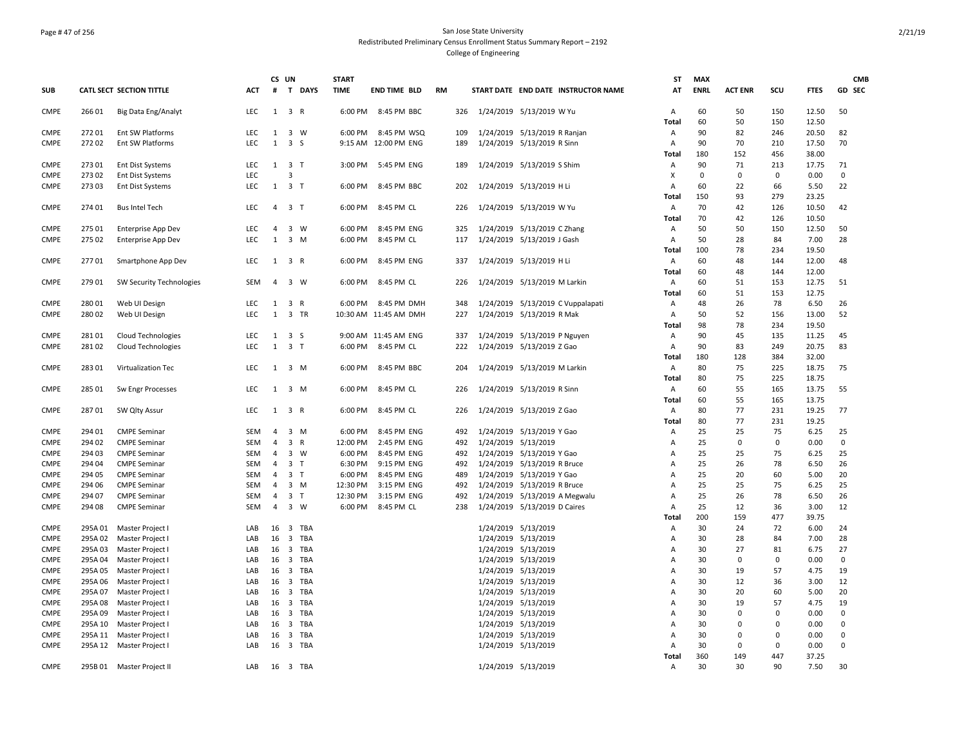## Page # 47 of 256 San Jose State University Redistributed Preliminary Census Enrollment Status Summary Report – 2192 College of Engineering

|             |         |                           |            | CS UN          |                                | <b>START</b> |                       |           |     |                     |                                     | <b>ST</b>      | <b>MAX</b>  |                |          |             | <b>CMB</b>  |
|-------------|---------|---------------------------|------------|----------------|--------------------------------|--------------|-----------------------|-----------|-----|---------------------|-------------------------------------|----------------|-------------|----------------|----------|-------------|-------------|
| <b>SUB</b>  |         | CATL SECT SECTION TITTLE  | <b>ACT</b> | #              | T DAYS                         | <b>TIME</b>  | <b>END TIME BLD</b>   | <b>RM</b> |     |                     | START DATE END DATE INSTRUCTOR NAME | AT             | <b>ENRL</b> | <b>ACT ENR</b> | SCU      | <b>FTES</b> | GD SEC      |
| <b>CMPE</b> | 26601   | Big Data Eng/Analyt       | <b>LEC</b> |                | 1 3 R                          | 6:00 PM      | 8:45 PM BBC           |           | 326 |                     | 1/24/2019 5/13/2019 W Yu            | Α              | 60          | 50             | 150      | 12.50       | 50          |
|             |         |                           |            |                |                                |              |                       |           |     |                     |                                     | Total          | 60          | 50             | 150      | 12.50       |             |
| <b>CMPE</b> | 27201   | Ent SW Platforms          | LEC        |                | 1 3 W                          |              | 6:00 PM 8:45 PM WSQ   |           | 109 |                     | 1/24/2019 5/13/2019 R Ranjan        | Α              | 90          | 82             | 246      | 20.50       | 82          |
| <b>CMPE</b> | 27202   | <b>Ent SW Platforms</b>   | <b>LEC</b> | $\mathbf{1}$   | 3 <sub>5</sub>                 |              | 9:15 AM 12:00 PM ENG  |           | 189 |                     | 1/24/2019 5/13/2019 R Sinn          | Α              | 90          | 70             | 210      | 17.50       | 70          |
|             |         |                           |            |                |                                |              |                       |           |     |                     |                                     | Total          | 180         | 152            | 456      | 38.00       |             |
| <b>CMPE</b> | 27301   | <b>Ent Dist Systems</b>   | <b>LEC</b> |                | $1 \quad 3 \quad T$            |              | 3:00 PM 5:45 PM ENG   |           | 189 |                     | 1/24/2019 5/13/2019 S Shim          | Α              | 90          | 71             | 213      | 17.75       | 71          |
| <b>CMPE</b> | 27302   | <b>Ent Dist Systems</b>   | LEC        |                | 3                              |              |                       |           |     |                     |                                     | X              | 0           | $\Omega$       | 0        | 0.00        | $\mathbf 0$ |
| <b>CMPE</b> | 27303   | Ent Dist Systems          | <b>LEC</b> |                | 1 3 T                          | 6:00 PM      | 8:45 PM BBC           |           | 202 |                     | 1/24/2019 5/13/2019 H Li            | A              | 60          | 22             | 66       | 5.50        | 22          |
|             |         |                           |            |                |                                |              |                       |           |     |                     |                                     | Total          | 150         | 93             | 279      | 23.25       |             |
| <b>CMPE</b> | 274 01  | <b>Bus Intel Tech</b>     | <b>LEC</b> | $\overline{4}$ | 3 <sub>1</sub>                 | 6:00 PM      | 8:45 PM CL            |           | 226 |                     | 1/24/2019 5/13/2019 W Yu            | Α              | 70          | 42             | 126      | 10.50       | 42          |
|             |         |                           |            |                |                                |              |                       |           |     |                     |                                     | <b>Total</b>   | 70          | 42             | 126      | 10.50       |             |
| <b>CMPE</b> | 275 01  | Enterprise App Dev        | <b>LEC</b> | $\overline{4}$ | $3 \quad W$                    | 6:00 PM      | 8:45 PM ENG           |           | 325 |                     | 1/24/2019 5/13/2019 CZhang          | Α              | 50          | 50             | 150      | 12.50       | 50          |
| <b>CMPE</b> | 275 02  | Enterprise App Dev        | <b>LEC</b> | $\mathbf{1}$   | 3 M                            | 6:00 PM      | 8:45 PM CL            |           | 117 |                     | 1/24/2019 5/13/2019 J Gash          | Α              | 50          | 28             | 84       | 7.00        | 28          |
|             |         |                           |            |                |                                |              |                       |           |     |                     |                                     | <b>Total</b>   | 100         | 78             | 234      | 19.50       |             |
| <b>CMPE</b> | 27701   | Smartphone App Dev        | LEC        |                | $1 \quad 3 \quad R$            | 6:00 PM      | 8:45 PM ENG           |           | 337 |                     | 1/24/2019 5/13/2019 H Li            | Α              | 60          | 48             | 144      | 12.00       | 48          |
|             |         |                           |            |                |                                |              |                       |           |     |                     |                                     | Total          | 60          | 48             | 144      | 12.00       |             |
| <b>CMPE</b> | 279 01  | SW Security Technologies  | SEM        | $\overline{4}$ | 3 W                            | 6:00 PM      | 8:45 PM CL            |           | 226 |                     | 1/24/2019 5/13/2019 M Larkin        | Α              | 60          | 51             | 153      | 12.75       | 51          |
|             |         |                           |            |                |                                |              |                       |           |     |                     |                                     | <b>Total</b>   | 60          | 51             | 153      | 12.75       |             |
| <b>CMPE</b> | 280 01  | Web UI Design             | <b>LEC</b> | $\mathbf{1}$   | 3 R                            | 6:00 PM      | 8:45 PM DMH           |           | 348 |                     | 1/24/2019 5/13/2019 C Vuppalapati   | Α              | 48          | 26             | 78       | 6.50        | 26          |
| <b>CMPE</b> | 280 02  | Web UI Design             | <b>LEC</b> | 1              | 3 TR                           |              | 10:30 AM 11:45 AM DMH |           | 227 |                     | 1/24/2019 5/13/2019 R Mak           | Α              | 50          | 52             | 156      | 13.00       | 52          |
|             |         |                           |            |                |                                |              |                       |           |     |                     |                                     | Total          | 98          | 78             | 234      | 19.50       |             |
| <b>CMPE</b> | 28101   | <b>Cloud Technologies</b> | <b>LEC</b> |                | $1 \quad 3 \quad S$            |              | 9:00 AM 11:45 AM ENG  |           | 337 |                     | 1/24/2019 5/13/2019 P Nguyen        | Α              | 90          | 45             | 135      | 11.25       | 45          |
| <b>CMPE</b> | 28102   | <b>Cloud Technologies</b> | <b>LEC</b> | $\mathbf{1}$   | 3 <sub>1</sub>                 | 6:00 PM      | 8:45 PM CL            |           | 222 |                     | 1/24/2019 5/13/2019 Z Gao           | Α              | 90          | 83             | 249      | 20.75       | 83          |
|             |         |                           |            |                |                                |              |                       |           |     |                     |                                     | Total          | 180         | 128            | 384      | 32.00       |             |
| <b>CMPE</b> | 28301   | Virtualization Tec        | LEC        |                | 1 3 M                          | 6:00 PM      | 8:45 PM BBC           |           | 204 |                     | 1/24/2019 5/13/2019 M Larkin        | Α              | 80          | 75             | 225      | 18.75       | 75          |
|             |         |                           |            |                |                                |              |                       |           |     |                     |                                     | Total          | 80          | 75             | 225      | 18.75       |             |
| <b>CMPE</b> | 285 01  | Sw Engr Processes         | <b>LEC</b> |                | $1 \quad 3 \quad M$            | 6:00 PM      | 8:45 PM CL            |           | 226 |                     | 1/24/2019 5/13/2019 R Sinn          | Α              | 60          | 55             | 165      | 13.75       | 55          |
|             |         |                           |            |                |                                |              |                       |           |     |                     |                                     | Total          | 60          | 55             | 165      | 13.75       |             |
| <b>CMPE</b> | 28701   | SW Qlty Assur             | <b>LEC</b> |                | $1 \quad 3 \quad R$            | 6:00 PM      | 8:45 PM CL            |           | 226 |                     | 1/24/2019 5/13/2019 Z Gao           | Α              | 80          | 77             | 231      | 19.25       | 77          |
|             |         |                           |            |                |                                |              |                       |           |     |                     |                                     | <b>Total</b>   | 80          | 77             | 231      | 19.25       |             |
| <b>CMPE</b> | 294 01  | <b>CMPE Seminar</b>       | SEM        | 4              | $3 \, M$                       | 6:00 PM      | 8:45 PM ENG           |           | 492 |                     | 1/24/2019 5/13/2019 Y Gao           | Α              | 25          | 25             | 75       | 6.25        | 25          |
| <b>CMPE</b> | 294 02  | <b>CMPE Seminar</b>       | SEM        | $\overline{4}$ | 3 R                            | 12:00 PM     | 2:45 PM ENG           |           | 492 | 1/24/2019 5/13/2019 |                                     | А              | 25          | $\mathbf 0$    | 0        | 0.00        | $\mathbf 0$ |
| <b>CMPE</b> | 294 03  | <b>CMPE Seminar</b>       | SEM        | 4              | $3 \quad W$                    | 6:00 PM      | 8:45 PM ENG           |           | 492 |                     | 1/24/2019 5/13/2019 Y Gao           | Α              | 25          | 25             | 75       | 6.25        | 25          |
| <b>CMPE</b> | 294 04  | <b>CMPE Seminar</b>       | SEM        | $\overline{4}$ | 3 <sub>1</sub>                 | 6:30 PM      | 9:15 PM ENG           |           | 492 |                     | 1/24/2019 5/13/2019 R Bruce         | Α              | 25          | 26             | 78       | 6.50        | 26          |
| <b>CMPE</b> | 294 05  | <b>CMPE Seminar</b>       | SEM        | $\overline{4}$ | 3 <sub>1</sub>                 | 6:00 PM      | 8:45 PM ENG           |           | 489 |                     | 1/24/2019 5/13/2019 Y Gao           | Α              | 25          | 20             | 60       | 5.00        | 20          |
| <b>CMPE</b> | 294 06  | <b>CMPE Seminar</b>       | SEM        | $\overline{4}$ | $3 \, M$                       | 12:30 PM     | 3:15 PM ENG           |           | 492 |                     | 1/24/2019 5/13/2019 R Bruce         | Α              | 25          | 25             | 75       | 6.25        | 25          |
| <b>CMPE</b> | 294 07  | <b>CMPE Seminar</b>       | SEM        | $\overline{4}$ | 3 <sub>1</sub>                 | 12:30 PM     | 3:15 PM ENG           |           | 492 |                     | 1/24/2019 5/13/2019 A Megwalu       | Α              | 25          | 26             | 78       | 6.50        | 26          |
| <b>CMPE</b> | 294 08  | <b>CMPE Seminar</b>       | SEM        | 4              | 3 W                            | 6:00 PM      | 8:45 PM CL            |           | 238 |                     | 1/24/2019 5/13/2019 D Caires        | Α              | 25          | 12             | 36       | 3.00        | 12          |
|             |         |                           |            |                |                                |              |                       |           |     |                     |                                     | Total          | 200         | 159            | 477      | 39.75       |             |
| <b>CMPE</b> | 295A01  | Master Project I          | LAB        | 16             | TBA<br>$\overline{\mathbf{3}}$ |              |                       |           |     | 1/24/2019 5/13/2019 |                                     | Α              | 30          | 24             | 72       | 6.00        | 24          |
| <b>CMPE</b> | 295A02  | Master Project I          | LAB        | 16             | 3 TBA                          |              |                       |           |     | 1/24/2019 5/13/2019 |                                     | $\overline{A}$ | 30          | 28             | 84       | 7.00        | 28          |
| <b>CMPE</b> | 295A03  | Master Project I          | LAB        |                | 16 3 TBA                       |              |                       |           |     | 1/24/2019 5/13/2019 |                                     | Α              | 30          | 27             | 81       | 6.75        | 27          |
| <b>CMPE</b> | 295A04  | Master Project I          | LAB        |                | 16 3 TBA                       |              |                       |           |     | 1/24/2019 5/13/2019 |                                     | Α              | 30          | $\mathbf 0$    | 0        | 0.00        | 0           |
| <b>CMPE</b> | 295A05  | Master Project I          | LAB        | 16             | 3 TBA                          |              |                       |           |     | 1/24/2019 5/13/2019 |                                     | Α              | 30          | 19             | 57       | 4.75        | 19          |
| <b>CMPE</b> | 295A06  | Master Project I          | LAB        |                | 16 3 TBA                       |              |                       |           |     | 1/24/2019 5/13/2019 |                                     | Α              | 30          | 12             | 36       | 3.00        | 12          |
| <b>CMPE</b> | 295A07  | Master Project I          | LAB        |                | 16 3 TBA                       |              |                       |           |     | 1/24/2019 5/13/2019 |                                     | Α              | 30          | 20             | 60       | 5.00        | 20          |
| <b>CMPE</b> | 295A08  | Master Project I          | LAB        | 16             | 3 TBA                          |              |                       |           |     | 1/24/2019 5/13/2019 |                                     | Α              | 30          | 19             | 57       | 4.75        | 19          |
| <b>CMPE</b> | 295A09  | Master Project I          | LAB        |                | 16 3 TBA                       |              |                       |           |     | 1/24/2019 5/13/2019 |                                     | A              | 30          | $\Omega$       | $\Omega$ | 0.00        | $\mathbf 0$ |
| <b>CMPE</b> | 295A 10 | Master Project I          | LAB        | 16             | 3 TBA                          |              |                       |           |     | 1/24/2019 5/13/2019 |                                     | Α              | 30          | $\Omega$       | 0        | 0.00        | 0           |
| <b>CMPE</b> | 295A 11 | Master Project I          | LAB        | 16             | 3 TBA                          |              |                       |           |     | 1/24/2019 5/13/2019 |                                     | Α              | 30          | $\mathbf 0$    | 0        | 0.00        | 0           |
| <b>CMPE</b> |         | 295A 12 Master Project I  | LAB        |                | 16 3 TBA                       |              |                       |           |     | 1/24/2019 5/13/2019 |                                     | Α              | 30          | 0              | $\Omega$ | 0.00        | 0           |
|             |         |                           |            |                |                                |              |                       |           |     |                     |                                     | Total          | 360         | 149            | 447      | 37.25       |             |
| <b>CMPE</b> |         | 295B 01 Master Project II | LAB        |                | 16 3 TBA                       |              |                       |           |     | 1/24/2019 5/13/2019 |                                     | Α              | 30          | 30             | 90       | 7.50        | 30          |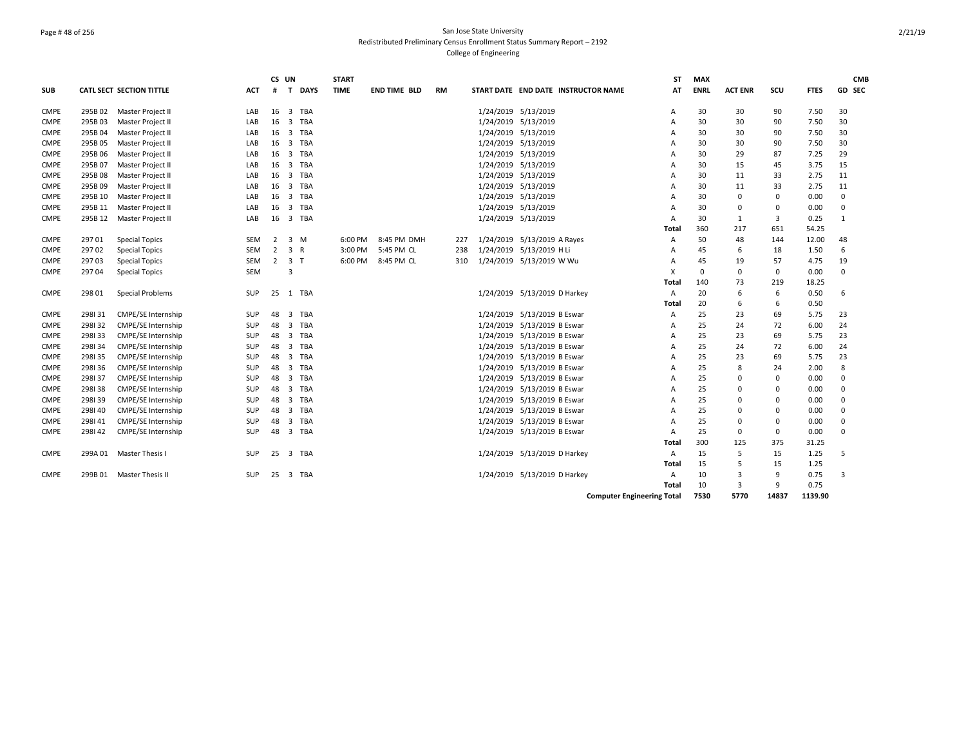## Page # 48 of 256 San Jose State University Redistributed Preliminary Census Enrollment Status Summary Report – 2192 College of Engineering

|             |         |                           |            | CS UN          |                                       | <b>START</b> |                     |           |     |                     |                                     | ST                                | <b>MAX</b>  |                |             |             | <b>CMB</b>    |
|-------------|---------|---------------------------|------------|----------------|---------------------------------------|--------------|---------------------|-----------|-----|---------------------|-------------------------------------|-----------------------------------|-------------|----------------|-------------|-------------|---------------|
| <b>SUB</b>  |         | CATL SECT SECTION TITTLE  | <b>ACT</b> | #              | T DAYS                                | <b>TIME</b>  | <b>END TIME BLD</b> | <b>RM</b> |     |                     | START DATE END DATE INSTRUCTOR NAME | AT                                | <b>ENRL</b> | <b>ACT ENR</b> | scu         | <b>FTES</b> | <b>GD SEC</b> |
| <b>CMPE</b> | 295B02  | Master Project II         | LAB        | 16             | $\overline{3}$<br>TBA                 |              |                     |           |     | 1/24/2019 5/13/2019 |                                     | A                                 | 30          | 30             | 90          | 7.50        | 30            |
| <b>CMPE</b> | 295B03  | Master Project II         | LAB        | 16             | 3 TBA                                 |              |                     |           |     | 1/24/2019 5/13/2019 |                                     | A                                 | 30          | 30             | 90          | 7.50        | 30            |
| <b>CMPE</b> | 295B04  | Master Project II         | LAB        | 16             | $\overline{3}$<br>TBA                 |              |                     |           |     | 1/24/2019 5/13/2019 |                                     | A                                 | 30          | 30             | 90          | 7.50        | 30            |
| <b>CMPE</b> | 295B05  | Master Project II         | LAB        | 16             | 3 TBA                                 |              |                     |           |     | 1/24/2019 5/13/2019 |                                     | Α                                 | 30          | 30             | 90          | 7.50        | 30            |
| <b>CMPE</b> | 295B06  | Master Project II         | LAB        | 16             | 3 TBA                                 |              |                     |           |     | 1/24/2019 5/13/2019 |                                     | A                                 | 30          | 29             | 87          | 7.25        | 29            |
| <b>CMPE</b> | 295B07  | Master Project II         | LAB        | 16             | 3 TBA                                 |              |                     |           |     | 1/24/2019 5/13/2019 |                                     | A                                 | 30          | 15             | 45          | 3.75        | 15            |
| <b>CMPE</b> | 295B08  | Master Project II         | LAB        | 16             | 3 TBA                                 |              |                     |           |     | 1/24/2019 5/13/2019 |                                     | A                                 | 30          | 11             | 33          | 2.75        | 11            |
| <b>CMPE</b> | 295B09  | Master Project II         | LAB        | 16             | 3 TBA                                 |              |                     |           |     | 1/24/2019 5/13/2019 |                                     | А                                 | 30          | 11             | 33          | 2.75        | 11            |
| <b>CMPE</b> | 295B 10 | Master Project II         | LAB        | 16             | 3 TBA                                 |              |                     |           |     | 1/24/2019 5/13/2019 |                                     | А                                 | 30          | $\Omega$       | $\mathbf 0$ | 0.00        | 0             |
| <b>CMPE</b> | 295B 11 | Master Project II         | LAB        | 16             | $\overline{\mathbf{3}}$<br><b>TBA</b> |              |                     |           |     | 1/24/2019 5/13/2019 |                                     | A                                 | 30          | $\mathbf 0$    | $\mathbf 0$ | 0.00        | 0             |
| <b>CMPE</b> | 295B 12 | Master Project II         | LAB        | 16             | 3 TBA                                 |              |                     |           |     | 1/24/2019 5/13/2019 |                                     | A                                 | 30          | 1              | 3           | 0.25        | $\mathbf{1}$  |
|             |         |                           |            |                |                                       |              |                     |           |     |                     |                                     | Total                             | 360         | 217            | 651         | 54.25       |               |
| <b>CMPE</b> | 29701   | <b>Special Topics</b>     | <b>SEM</b> | 2              | 3 M                                   | 6:00 PM      | 8:45 PM DMH         |           | 227 |                     | 1/24/2019 5/13/2019 A Rayes         | A                                 | 50          | 48             | 144         | 12.00       | 48            |
| <b>CMPE</b> | 29702   | <b>Special Topics</b>     | <b>SEM</b> | $\overline{2}$ | 3 R                                   | 3:00 PM      | 5:45 PM CL          |           | 238 |                     | 1/24/2019 5/13/2019 H Li            | A                                 | 45          | 6              | 18          | 1.50        | 6             |
| <b>CMPE</b> | 29703   | <b>Special Topics</b>     | <b>SEM</b> | $2^{\circ}$    | 3 <sub>1</sub>                        | 6:00 PM      | 8:45 PM CL          |           | 310 |                     | 1/24/2019 5/13/2019 W Wu            | A                                 | 45          | 19             | 57          | 4.75        | 19            |
| <b>CMPE</b> | 29704   | <b>Special Topics</b>     | SEM        |                | 3                                     |              |                     |           |     |                     |                                     | x                                 | $\Omega$    | $\mathbf 0$    | 0           | 0.00        | 0             |
|             |         |                           |            |                |                                       |              |                     |           |     |                     |                                     | Total                             | 140         | 73             | 219         | 18.25       |               |
| <b>CMPE</b> | 298 01  | <b>Special Problems</b>   | <b>SUP</b> | 25             | 1 TBA                                 |              |                     |           |     |                     | 1/24/2019 5/13/2019 D Harkey        | A                                 | 20          | 6              | 6           | 0.50        | 6             |
|             |         |                           |            |                |                                       |              |                     |           |     |                     |                                     | Total                             | 20          | 6              | 6           | 0.50        |               |
| <b>CMPE</b> | 298131  | <b>CMPE/SE Internship</b> | <b>SUP</b> | 48             | 3 TBA                                 |              |                     |           |     |                     | 1/24/2019 5/13/2019 B Eswar         | A                                 | 25          | 23             | 69          | 5.75        | 23            |
| <b>CMPE</b> | 298132  | <b>CMPE/SE Internship</b> | <b>SUP</b> | 48             | 3 TBA                                 |              |                     |           |     |                     | 1/24/2019 5/13/2019 B Eswar         | A                                 | 25          | 24             | 72          | 6.00        | 24            |
| <b>CMPE</b> | 298133  | <b>CMPE/SE Internship</b> | SUP        | 48             | 3 TBA                                 |              |                     |           |     |                     | 1/24/2019 5/13/2019 B Eswar         | A                                 | 25          | 23             | 69          | 5.75        | 23            |
| <b>CMPE</b> | 298134  | <b>CMPE/SE Internship</b> | SUP        | 48             | $\overline{\mathbf{3}}$<br>TBA        |              |                     |           |     |                     | 1/24/2019 5/13/2019 B Eswar         | Α                                 | 25          | 24             | 72          | 6.00        | 24            |
| <b>CMPE</b> | 298135  | CMPE/SE Internship        | SUP        | 48             | $\overline{3}$<br>TBA                 |              |                     |           |     |                     | 1/24/2019 5/13/2019 B Eswar         | A                                 | 25          | 23             | 69          | 5.75        | 23            |
| <b>CMPE</b> | 298136  | <b>CMPE/SE Internship</b> | SUP        | 48             | $\overline{3}$<br>TBA                 |              |                     |           |     |                     | 1/24/2019 5/13/2019 B Eswar         | A                                 | 25          | 8              | 24          | 2.00        | 8             |
| <b>CMPE</b> | 298137  | <b>CMPE/SE Internship</b> | <b>SUP</b> | 48             | $\overline{\mathbf{3}}$<br>TBA        |              |                     |           |     |                     | 1/24/2019 5/13/2019 B Eswar         | A                                 | 25          | $\Omega$       | $\mathbf 0$ | 0.00        | 0             |
| <b>CMPE</b> | 298138  | <b>CMPE/SE Internship</b> | SUP        | 48             | 3 TBA                                 |              |                     |           |     |                     | 1/24/2019 5/13/2019 B Eswar         | A                                 | 25          | $\Omega$       | 0           | 0.00        | 0             |
| <b>CMPE</b> | 298139  | CMPE/SE Internship        | <b>SUP</b> | 48             | 3 TBA                                 |              |                     |           |     |                     | 1/24/2019 5/13/2019 B Eswar         | A                                 | 25          | $\Omega$       | 0           | 0.00        | 0             |
| <b>CMPE</b> | 298140  | <b>CMPE/SE Internship</b> | SUP        | 48             | 3 TBA                                 |              |                     |           |     |                     | 1/24/2019 5/13/2019 B Eswar         | A                                 | 25          | 0              | 0           | 0.00        | 0             |
| <b>CMPE</b> | 298141  | <b>CMPE/SE Internship</b> | SUP        | 48             | $\overline{\mathbf{3}}$<br>TBA        |              |                     |           |     |                     | 1/24/2019 5/13/2019 B Eswar         | A                                 | 25          | $\Omega$       | 0           | 0.00        | 0             |
| <b>CMPE</b> | 298142  | <b>CMPE/SE Internship</b> | <b>SUP</b> | 48             | 3 TBA                                 |              |                     |           |     |                     | 1/24/2019 5/13/2019 B Eswar         | A                                 | 25          | 0              | 0           | 0.00        | 0             |
|             |         |                           |            |                |                                       |              |                     |           |     |                     |                                     | Total                             | 300         | 125            | 375         | 31.25       |               |
| <b>CMPE</b> |         | 299A 01 Master Thesis I   | <b>SUP</b> | 25             | 3 TBA                                 |              |                     |           |     |                     | 1/24/2019 5/13/2019 D Harkey        | $\mathsf{A}$                      | 15          | 5              | 15          | 1.25        | 5             |
|             |         |                           |            |                |                                       |              |                     |           |     |                     |                                     | Total                             | 15          | 5              | 15          | 1.25        |               |
| <b>CMPE</b> |         | 299B 01 Master Thesis II  | <b>SUP</b> | 25             | 3 TBA                                 |              |                     |           |     |                     | 1/24/2019 5/13/2019 D Harkey        | A                                 | 10          | 3              | 9           | 0.75        | 3             |
|             |         |                           |            |                |                                       |              |                     |           |     |                     |                                     | Total                             | 10          | $\overline{3}$ | 9           | 0.75        |               |
|             |         |                           |            |                |                                       |              |                     |           |     |                     |                                     | <b>Computer Engineering Total</b> | 7530        | 5770           | 14837       | 1139.90     |               |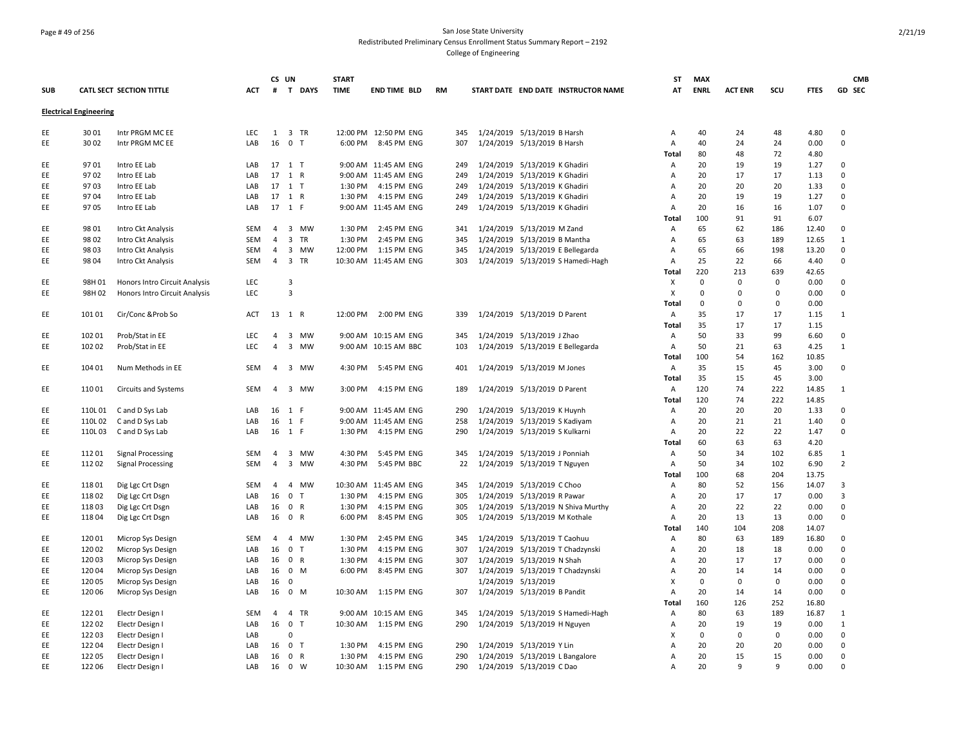### Page # 49 of 256 San Jose State University Redistributed Preliminary Census Enrollment Status Summary Report – 2192 College of Engineering

|            |                               |                                    |                    |                | CS UN                      | <b>START</b> |                       |           |     |                                  |                                     | ST         | <b>MAX</b>         |                    |                         |              | <b>CMB</b>       |
|------------|-------------------------------|------------------------------------|--------------------|----------------|----------------------------|--------------|-----------------------|-----------|-----|----------------------------------|-------------------------------------|------------|--------------------|--------------------|-------------------------|--------------|------------------|
| <b>SUB</b> |                               | CATL SECT SECTION TITTLE           | <b>ACT</b>         | #              | T DAYS                     | <b>TIME</b>  | <b>END TIME BLD</b>   | <b>RM</b> |     |                                  | START DATE END DATE INSTRUCTOR NAME | AT         | <b>ENRL</b>        | <b>ACT ENR</b>     | scu                     | <b>FTES</b>  | GD SEC           |
|            | <b>Electrical Engineering</b> |                                    |                    |                |                            |              |                       |           |     |                                  |                                     |            |                    |                    |                         |              |                  |
|            |                               |                                    |                    |                |                            |              |                       |           |     |                                  |                                     |            |                    |                    |                         |              |                  |
| EE         | 3001                          | Intr PRGM MC EE                    | LEC                | 1              | 3 TR                       |              | 12:00 PM 12:50 PM ENG |           | 345 | 1/24/2019 5/13/2019 B Harsh      |                                     | Α          | 40                 | 24                 | 48                      | 4.80         | 0                |
| EE         | 3002                          | Intr PRGM MC EE                    | LAB                | 16             | 0 <sub>T</sub>             | 6:00 PM      | 8:45 PM ENG           |           | 307 | 1/24/2019 5/13/2019 B Harsh      |                                     | A          | 40                 | 24                 | 24                      | 0.00         | $\Omega$         |
|            |                               |                                    |                    |                |                            |              |                       |           |     |                                  |                                     | Total      | 80                 | 48                 | 72                      | 4.80         |                  |
| EE         | 9701                          | Intro EE Lab                       | LAB                |                | 17 1 T                     |              | 9:00 AM 11:45 AM ENG  |           | 249 | 1/24/2019 5/13/2019 K Ghadiri    |                                     | Α          | 20                 | 19                 | 19                      | 1.27         | $\Omega$         |
| EE         | 9702                          | Intro EE Lab                       | LAB                | 17             | 1 R                        |              | 9:00 AM 11:45 AM ENG  |           | 249 | 1/24/2019 5/13/2019 K Ghadiri    |                                     | Α          | 20                 | 17                 | 17                      | 1.13         | $\mathbf 0$      |
| EE         | 9703                          | Intro EE Lab                       | LAB                |                | 17 1 T                     | 1:30 PM      | 4:15 PM ENG           |           | 249 | 1/24/2019 5/13/2019 K Ghadiri    |                                     | Α          | 20                 | 20                 | 20                      | 1.33         | 0                |
| EE         | 9704                          | Intro EE Lab                       | LAB                |                | 17 1 R                     | 1:30 PM      | 4:15 PM ENG           |           | 249 | 1/24/2019 5/13/2019 K Ghadiri    |                                     | Α          | 20                 | 19                 | 19                      | 1.27         | $\Omega$         |
| EE         | 9705                          | Intro EE Lab                       | LAB                |                | 17 1 F                     |              | 9:00 AM 11:45 AM ENG  |           | 249 | 1/24/2019 5/13/2019 K Ghadiri    |                                     | Α          | 20                 | 16                 | 16                      | 1.07         | $\Omega$         |
|            |                               |                                    |                    |                |                            |              |                       |           |     |                                  |                                     | Total      | 100                | 91                 | 91                      | 6.07         |                  |
| EE         | 9801                          | Intro Ckt Analysis                 | SEM                | $\overline{4}$ | 3 MW                       | 1:30 PM      | 2:45 PM ENG           |           | 341 | 1/24/2019 5/13/2019 M Zand       |                                     | Α          | 65                 | 62                 | 186                     | 12.40        | $\mathbf 0$      |
| EE         | 9802                          | Intro Ckt Analysis                 | SEM                | $\overline{4}$ | 3 TR                       | 1:30 PM      | 2:45 PM ENG           |           | 345 | 1/24/2019 5/13/2019 B Mantha     |                                     | Α          | 65                 | 63                 | 189                     | 12.65        | $\mathbf{1}$     |
| EE         | 98 03                         | Intro Ckt Analysis                 | SEM                | $\overline{4}$ | 3 MW                       | 12:00 PM     | 1:15 PM ENG           |           | 345 | 1/24/2019 5/13/2019 E Bellegarda |                                     | Α          | 65                 | 66                 | 198                     | 13.20        | $\mathbf 0$      |
| EE         | 98 04                         | Intro Ckt Analysis                 | SEM                | $\overline{4}$ | 3 TR                       |              | 10:30 AM 11:45 AM ENG |           | 303 |                                  | 1/24/2019 5/13/2019 S Hamedi-Hagh   | Α          | 25                 | 22                 | 66                      | 4.40         | 0                |
|            |                               |                                    |                    |                | $\overline{3}$             |              |                       |           |     |                                  |                                     | Total      | 220<br>$\mathbf 0$ | 213<br>$\mathbf 0$ | 639                     | 42.65        | $\Omega$         |
| EE         | 98H 01                        | Honors Intro Circuit Analysis      | <b>LEC</b><br>LEC. |                | $\overline{3}$             |              |                       |           |     |                                  |                                     | Χ          | $\mathbf 0$        | $\Omega$           | $\mathbf 0$<br>$\Omega$ | 0.00<br>0.00 | $\mathbf 0$      |
| EE         | 98H 02                        | Honors Intro Circuit Analysis      |                    |                |                            |              |                       |           |     |                                  |                                     | X<br>Total | $\mathbf 0$        | $\Omega$           | $\mathbf 0$             | 0.00         |                  |
| EE         | 10101                         | Cir/Conc & Prob So                 | ACT                |                | 13 1 R                     | 12:00 PM     | 2:00 PM ENG           |           | 339 | 1/24/2019 5/13/2019 D Parent     |                                     | Α          | 35                 | 17                 | 17                      | 1.15         | 1                |
|            |                               |                                    |                    |                |                            |              |                       |           |     |                                  |                                     | Total      | 35                 | 17                 | 17                      | 1.15         |                  |
| EE         | 102 01                        | Prob/Stat in EE                    | <b>LEC</b>         | $\overline{4}$ | 3 MW                       |              | 9:00 AM 10:15 AM ENG  |           | 345 | 1/24/2019 5/13/2019 J Zhao       |                                     | Α          | 50                 | 33                 | 99                      | 6.60         | 0                |
| EE         | 102 02                        | Prob/Stat in EE                    | <b>LEC</b>         | $\overline{4}$ | 3 MW                       |              | 9:00 AM 10:15 AM BBC  |           | 103 | 1/24/2019 5/13/2019 E Bellegarda |                                     | Α          | 50                 | 21                 | 63                      | 4.25         | $\mathbf{1}$     |
|            |                               |                                    |                    |                |                            |              |                       |           |     |                                  |                                     | Total      | 100                | 54                 | 162                     | 10.85        |                  |
| EE         | 104 01                        | Num Methods in EE                  | SEM                | $\overline{4}$ | 3 MW                       | 4:30 PM      | 5:45 PM ENG           |           | 401 | 1/24/2019 5/13/2019 M Jones      |                                     | Α          | 35                 | 15                 | 45                      | 3.00         | $\Omega$         |
|            |                               |                                    |                    |                |                            |              |                       |           |     |                                  |                                     | Total      | 35                 | 15                 | 45                      | 3.00         |                  |
| EE         | 11001                         | Circuits and Systems               | SEM                | 4              | 3 MW                       | 3:00 PM      | 4:15 PM ENG           |           | 189 | 1/24/2019 5/13/2019 D Parent     |                                     | Α          | 120                | 74                 | 222                     | 14.85        | 1                |
|            |                               |                                    |                    |                |                            |              |                       |           |     |                                  |                                     | Total      | 120                | 74                 | 222                     | 14.85        |                  |
| EE         | 110L01                        | C and D Sys Lab                    | LAB                |                | 16 1 F                     |              | 9:00 AM 11:45 AM ENG  |           | 290 | 1/24/2019 5/13/2019 K Huynh      |                                     | Α          | 20                 | 20                 | 20                      | 1.33         | 0                |
| EE         | 110L02                        | C and D Sys Lab                    | LAB                | 16             | 1 F                        |              | 9:00 AM 11:45 AM ENG  |           | 258 | 1/24/2019 5/13/2019 S Kadiyam    |                                     | Α          | 20                 | 21                 | 21                      | 1.40         | 0                |
| EE         | 110L03                        | C and D Sys Lab                    | LAB                |                | 16 1 F                     | 1:30 PM      | 4:15 PM ENG           |           | 290 | 1/24/2019 5/13/2019 S Kulkarni   |                                     | A          | 20                 | 22                 | 22                      | 1.47         | $\Omega$         |
|            |                               |                                    |                    |                |                            |              |                       |           |     |                                  |                                     | Total      | 60                 | 63                 | 63                      | 4.20         |                  |
| EE.        | 11201                         | <b>Signal Processing</b>           | SEM                | 4              | 3 MW                       | 4:30 PM      | 5:45 PM ENG           |           | 345 | 1/24/2019 5/13/2019 J Ponniah    |                                     | Α          | 50                 | 34                 | 102                     | 6.85         | 1                |
| EE         | 11202                         | <b>Signal Processing</b>           | SEM                | $\overline{4}$ | 3 MW                       | 4:30 PM      | 5:45 PM BBC           |           | 22  | 1/24/2019 5/13/2019 T Nguyen     |                                     | Α          | 50                 | 34                 | 102                     | 6.90         | $\overline{2}$   |
|            |                               |                                    |                    |                |                            |              |                       |           |     |                                  |                                     | Total      | 100                | 68                 | 204                     | 13.75        |                  |
| EE         | 11801                         | Dig Lgc Crt Dsgn                   | SEM                | $\overline{4}$ | 4 MW                       |              | 10:30 AM 11:45 AM ENG |           | 345 | 1/24/2019 5/13/2019 C Choo       |                                     | Α          | 80                 | 52                 | 156                     | 14.07        | 3                |
| EE         | 11802                         | Dig Lgc Crt Dsgn                   | LAB                | 16             | $\mathbf{0}$<br>$\top$     | 1:30 PM      | 4:15 PM ENG           |           | 305 | 1/24/2019 5/13/2019 R Pawar      |                                     | Α          | 20                 | 17                 | 17                      | 0.00         | 3                |
| EE         | 11803                         | Dig Lgc Crt Dsgn                   | LAB                | 16             | 0 R                        | 1:30 PM      | 4:15 PM ENG           |           | 305 |                                  | 1/24/2019 5/13/2019 N Shiva Murthy  | Α          | 20                 | 22                 | 22                      | 0.00         | $\Omega$         |
| EE         | 11804                         | Dig Lgc Crt Dsgn                   | LAB                | 16             | 0 R                        | 6:00 PM      | 8:45 PM ENG           |           | 305 | 1/24/2019 5/13/2019 M Kothale    |                                     | Α          | 20                 | 13                 | 13                      | 0.00         | 0                |
|            |                               |                                    |                    |                |                            |              |                       |           |     |                                  |                                     | Total      | 140                | 104                | 208                     | 14.07        |                  |
| EE         | 12001                         | Microp Sys Design                  | <b>SEM</b>         | $\overline{4}$ | 4 MW                       | 1:30 PM      | 2:45 PM ENG           |           | 345 | 1/24/2019 5/13/2019 T Caohuu     |                                     | Α          | 80                 | 63                 | 189                     | 16.80        | 0                |
| EE         | 12002                         | Microp Sys Design                  | LAB                | 16             | 0 <sub>T</sub>             | 1:30 PM      | 4:15 PM ENG           |           | 307 | 1/24/2019 5/13/2019 T Chadzynski |                                     | Α          | 20                 | 18                 | 18                      | 0.00         | 0                |
| EE         | 12003                         | Microp Sys Design                  | LAB                | 16             | 0 R                        | 1:30 PM      | 4:15 PM ENG           |           | 307 | 1/24/2019 5/13/2019 N Shah       |                                     | Α          | 20                 | 17                 | 17                      | 0.00         | $\Omega$         |
| EE         | 12004                         | Microp Sys Design                  | LAB                | 16             | $0 \mathsf{M}$             | 6:00 PM      | 8:45 PM ENG           |           | 307 | 1/24/2019 5/13/2019 T Chadzynski |                                     | A          | 20                 | 14                 | 14                      | 0.00         | $\mathbf 0$      |
| EE         | 12005                         | Microp Sys Design                  | LAB                | 16             | $\Omega$                   |              |                       |           |     | 1/24/2019 5/13/2019              |                                     | x          | $\mathbf 0$        | $\Omega$           | 0                       | 0.00         | 0                |
| EE         | 12006                         | Microp Sys Design                  | LAB                | 16             | 0 M                        | 10:30 AM     | 1:15 PM ENG           |           | 307 | 1/24/2019 5/13/2019 B Pandit     |                                     | Α          | 20                 | 14                 | 14                      | 0.00         | $\mathsf 0$      |
|            |                               |                                    |                    |                |                            |              |                       |           |     |                                  |                                     | Total      | 160                | 126                | 252                     | 16.80        |                  |
| EE         | 12201                         | Electr Design I                    | <b>SEM</b>         | $\overline{4}$ | 4 TR                       |              | 9:00 AM 10:15 AM ENG  |           | 345 |                                  | 1/24/2019 5/13/2019 S Hamedi-Hagh   | Α          | 80                 | 63                 | 189                     | 16.87        | 1                |
| EE<br>EE   | 12202<br>12203                | Electr Design I                    | LAB<br>LAB         | 16             | 0 <sub>T</sub><br>$\Omega$ | 10:30 AM     | 1:15 PM ENG           |           | 290 | 1/24/2019 5/13/2019 H Nguyen     |                                     | Α<br>X     | 20<br>$\mathbf 0$  | 19<br>$\Omega$     | 19<br>$\mathbf 0$       | 0.00<br>0.00 | 1<br>$\mathbf 0$ |
| EE.        | 12204                         | Electr Design I<br>Electr Design I | LAB                | 16             | 0 <sub>T</sub>             | 1:30 PM      | 4:15 PM ENG           |           | 290 | 1/24/2019 5/13/2019 Y Lin        |                                     | A          | 20                 | 20                 | 20                      | 0.00         | $\mathbf 0$      |
| EE         | 12205                         | Electr Design I                    | LAB                | 16             | 0 R                        | 1:30 PM      | 4:15 PM ENG           |           | 290 | 1/24/2019 5/13/2019 L Bangalore  |                                     | Α          | 20                 | 15                 | 15                      | 0.00         | $\mathbf 0$      |
| EE         | 12206                         | Electr Design I                    | LAB                | 16             | 0 W                        | 10:30 AM     | 1:15 PM ENG           |           | 290 | 1/24/2019 5/13/2019 C Dao        |                                     | Α          | 20                 | 9                  | 9                       | 0.00         | $\Omega$         |
|            |                               |                                    |                    |                |                            |              |                       |           |     |                                  |                                     |            |                    |                    |                         |              |                  |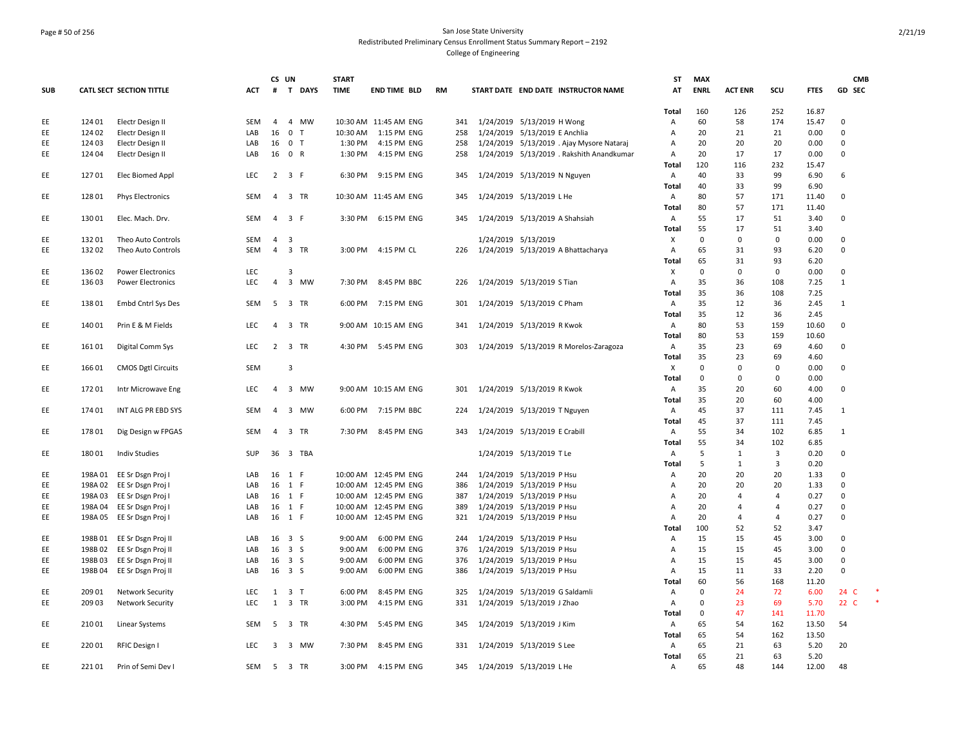### Page # 50 of 256 San Jose State University Redistributed Preliminary Census Enrollment Status Summary Report – 2192 College of Engineering

|            |         |                           |            | CS UN                   |                         | <b>START</b> |                       |           |     |                                |                                           | ST           | MAX         |                |                         |               | <b>CMB</b>   |        |
|------------|---------|---------------------------|------------|-------------------------|-------------------------|--------------|-----------------------|-----------|-----|--------------------------------|-------------------------------------------|--------------|-------------|----------------|-------------------------|---------------|--------------|--------|
| <b>SUB</b> |         | CATL SECT SECTION TITTLE  | <b>ACT</b> | #                       | T DAYS                  | <b>TIME</b>  | <b>END TIME BLD</b>   | <b>RM</b> |     |                                | START DATE END DATE INSTRUCTOR NAME       | AT           | <b>ENRL</b> | <b>ACT ENR</b> | scu                     | <b>FTES</b>   | GD SEC       |        |
|            |         |                           |            |                         |                         |              |                       |           |     |                                |                                           | Total        | 160         | 126            | 252                     | 16.87         |              |        |
| EE         | 124 01  | Electr Design II          | SEM        | $\overline{4}$          | 4 MW                    |              | 10:30 AM 11:45 AM ENG |           | 341 | 1/24/2019 5/13/2019 H Wong     |                                           | Α            | 60          | 58             | 174                     | 15.47         | $\mathbf 0$  |        |
| EE         | 124 02  | Electr Design II          | LAB        | 16 <sub>0</sub>         | T                       | 10:30 AM     | 1:15 PM ENG           |           | 258 | 1/24/2019 5/13/2019 E Anchlia  |                                           | Α            | 20          | 21             | 21                      | 0.00          | $\mathbf 0$  |        |
| EE         | 124 03  | Electr Design II          | LAB        | 16                      | 0 <sub>T</sub>          | 1:30 PM      | 4:15 PM ENG           |           | 258 |                                | 1/24/2019 5/13/2019 . Ajay Mysore Nataraj | Α            | 20          | 20             | 20                      | 0.00          | 0            |        |
| EE         | 124 04  | Electr Design II          | LAB        |                         | 16 0 R                  | 1:30 PM      | 4:15 PM ENG           |           | 258 |                                | 1/24/2019 5/13/2019 . Rakshith Anandkumar | Α            | 20          | 17             | 17                      | 0.00          | $\Omega$     |        |
|            |         |                           |            |                         |                         |              |                       |           |     |                                |                                           | Total        | 120         | 116            | 232                     | 15.47         |              |        |
| EE         | 12701   | Elec Biomed Appl          | <b>LEC</b> | $\overline{2}$          | 3 F                     | 6:30 PM      | 9:15 PM ENG           |           | 345 | 1/24/2019 5/13/2019 N Nguyen   |                                           | Α            | 40          | 33             | 99                      | 6.90          | 6            |        |
|            |         |                           |            |                         |                         |              |                       |           |     |                                |                                           | <b>Total</b> | 40          | 33             | 99                      | 6.90          |              |        |
| EE         | 12801   | <b>Phys Electronics</b>   | SEM        |                         | 4 3 TR                  |              | 10:30 AM 11:45 AM ENG |           | 345 | 1/24/2019 5/13/2019 L He       |                                           | Α            | 80          | 57             | 171                     | 11.40         | $\mathbf 0$  |        |
|            |         |                           |            |                         |                         |              |                       |           |     |                                |                                           | Total        | 80          | 57             | 171                     | 11.40         |              |        |
| EE         | 13001   | Elec. Mach. Drv.          | <b>SEM</b> | 4                       | 3 F                     | 3:30 PM      | 6:15 PM ENG           |           | 345 | 1/24/2019 5/13/2019 A Shahsiah |                                           | Α            | 55          | 17             | 51                      | 3.40          | 0            |        |
|            |         |                           |            |                         |                         |              |                       |           |     |                                |                                           | Total        | 55          | 17             | 51                      | 3.40          |              |        |
| EE         | 13201   | Theo Auto Controls        | SEM        | $\overline{4}$          | $\overline{\mathbf{3}}$ |              |                       |           |     | 1/24/2019 5/13/2019            |                                           | X            | $\mathbf 0$ | $\Omega$       | $\mathbf 0$             | 0.00          | $\mathbf 0$  |        |
| EE         | 13202   | Theo Auto Controls        | SEM        | $\overline{4}$          | 3 TR                    | 3:00 PM      | 4:15 PM CL            |           | 226 |                                | 1/24/2019 5/13/2019 A Bhattacharya        | Α            | 65          | 31             | 93                      | 6.20          | $\mathbf 0$  |        |
|            |         |                           |            |                         |                         |              |                       |           |     |                                |                                           | Total        | 65          | 31             | 93                      | 6.20          |              |        |
| EE         | 13602   | <b>Power Electronics</b>  | LEC        |                         | 3                       |              |                       |           |     |                                |                                           | X            | $\mathbf 0$ | $\mathbf 0$    | $\mathbf 0$             | 0.00          | $\mathbf 0$  |        |
| EE         | 13603   | <b>Power Electronics</b>  | LEC        | $\overline{4}$          | 3 MW                    | 7:30 PM      | 8:45 PM BBC           |           | 226 | 1/24/2019 5/13/2019 S Tian     |                                           | А            | 35          | 36             | 108                     | 7.25          | $\mathbf{1}$ |        |
|            |         |                           |            |                         |                         |              |                       |           |     |                                |                                           | Total        | 35          | 36             | 108                     | 7.25          |              |        |
| EE         | 13801   | Embd Cntrl Sys Des        | SEM        | $5\overline{)}$         | 3 TR                    |              | 6:00 PM 7:15 PM ENG   |           | 301 | 1/24/2019 5/13/2019 C Pham     |                                           | Α            | 35          | 12             | 36                      | 2.45          | $\mathbf{1}$ |        |
|            |         |                           |            |                         |                         |              |                       |           |     |                                |                                           | <b>Total</b> | 35          | 12             | 36                      | 2.45          |              |        |
| EE         | 14001   | Prin E & M Fields         | <b>LEC</b> | $\overline{4}$          | 3 TR                    |              | 9:00 AM 10:15 AM ENG  |           | 341 | 1/24/2019 5/13/2019 R Kwok     |                                           | A            | 80          | 53             | 159                     | 10.60         | 0            |        |
|            |         |                           |            |                         |                         |              |                       |           |     |                                |                                           | Total        | 80          | 53             | 159                     | 10.60         |              |        |
| EE         | 16101   | Digital Comm Sys          | <b>LEC</b> | $\overline{2}$          | 3 TR                    |              | 4:30 PM 5:45 PM ENG   |           | 303 |                                | 1/24/2019 5/13/2019 R Morelos-Zaragoza    | Α            | 35          | 23             | 69                      | 4.60          | 0            |        |
|            |         |                           |            |                         |                         |              |                       |           |     |                                |                                           | Total        | 35          | 23             | 69                      | 4.60          |              |        |
| EE         | 16601   | <b>CMOS Dgtl Circuits</b> | <b>SEM</b> |                         | $\overline{3}$          |              |                       |           |     |                                |                                           | Х            | $\mathbf 0$ | $\Omega$       | $\Omega$                | 0.00          | $\mathbf 0$  |        |
|            |         |                           |            |                         |                         |              |                       |           |     |                                |                                           | <b>Total</b> | $\mathbf 0$ | $\Omega$       | $\mathbf 0$             | 0.00          |              |        |
| EE         | 17201   | Intr Microwave Eng        | LEC        | 4                       | 3 MW                    |              | 9:00 AM 10:15 AM ENG  |           | 301 | 1/24/2019 5/13/2019 R Kwok     |                                           | Α            | 35          | 20             | 60                      | 4.00          | $\mathbf 0$  |        |
|            |         |                           |            |                         |                         |              |                       |           |     |                                |                                           | Total        | 35          | 20             | 60                      | 4.00          |              |        |
| EE         | 17401   | INT ALG PR EBD SYS        | <b>SEM</b> | $\overline{4}$          | $\overline{3}$<br>MW    | 6:00 PM      | 7:15 PM BBC           |           | 224 | 1/24/2019 5/13/2019 T Nguyen   |                                           | Α            | 45          | 37             | 111                     | 7.45          | 1            |        |
|            |         |                           |            |                         |                         |              |                       |           |     |                                |                                           | Total        | 45          | 37             | 111                     | 7.45          |              |        |
| EE         | 17801   | Dig Design w FPGAS        | <b>SEM</b> | $\overline{4}$          | 3 TR                    | 7:30 PM      | 8:45 PM ENG           |           | 343 | 1/24/2019 5/13/2019 E Crabill  |                                           | Α            | 55          | 34             | 102                     | 6.85          | 1            |        |
|            |         |                           |            |                         |                         |              |                       |           |     |                                |                                           | <b>Total</b> | 55          | 34             | 102                     | 6.85          |              |        |
| EE         | 18001   | <b>Indiv Studies</b>      | SUP        |                         | 36 3 TBA                |              |                       |           |     | 1/24/2019 5/13/2019 TLe        |                                           | Α            | 5           | $\mathbf{1}$   | $\overline{\mathbf{3}}$ | 0.20          | $\mathsf 0$  |        |
|            |         |                           |            |                         |                         |              |                       |           |     |                                |                                           | Total        | 5           | 1              | 3                       | 0.20          |              |        |
| EE         |         | 198A 01 EE Sr Dsgn Proj I | LAB        |                         | 16 1 F                  |              | 10:00 AM 12:45 PM ENG |           | 244 | 1/24/2019 5/13/2019 P Hsu      |                                           | Α            | 20          | 20             | 20                      | 1.33          | $\mathbf 0$  |        |
| EE         |         | 198A 02 EE Sr Dsgn Proj I | LAB        |                         | 16 1 F                  |              | 10:00 AM 12:45 PM ENG |           | 386 | 1/24/2019 5/13/2019 P Hsu      |                                           | Α            | 20          | 20             | 20                      | 1.33          | $\mathbf 0$  |        |
| EE         |         | 198A 03 EE Sr Dsgn Proj I | LAB        |                         | 16 1 F                  |              | 10:00 AM 12:45 PM ENG |           | 387 | 1/24/2019 5/13/2019 P Hsu      |                                           | Α            | 20          | 4              | $\overline{4}$          | 0.27          | $\mathbf 0$  |        |
| EE         | 198A04  | EE Sr Dsgn Proj I         | LAB        |                         | 16 1 F                  |              | 10:00 AM 12:45 PM ENG |           | 389 | 1/24/2019 5/13/2019 P Hsu      |                                           | А            | 20          | $\overline{4}$ | $\overline{a}$          | 0.27          | $\mathbf 0$  |        |
| EE         |         | 198A 05 EE Sr Dsgn Proj I | LAB        |                         | 16 1 F                  |              | 10:00 AM 12:45 PM ENG |           | 321 | 1/24/2019 5/13/2019 P Hsu      |                                           | Α            | 20          | 4              | $\overline{4}$          | 0.27          | 0            |        |
|            |         |                           |            |                         |                         |              |                       |           |     |                                |                                           | Total        | 100         | 52             | 52                      | 3.47          |              |        |
| EE         | 198B 01 | EE Sr Dsgn Proj II        | LAB        |                         | 16 3 S                  | 9:00 AM      | 6:00 PM ENG           |           | 244 | 1/24/2019 5/13/2019 P Hsu      |                                           | Α            | 15          | 15             | 45                      | 3.00          | $\mathbf 0$  |        |
| EE         | 198B02  | EE Sr Dsgn Proj II        | LAB        |                         | $16 \quad 3 \quad S$    | 9:00 AM      | 6:00 PM ENG           |           | 376 | 1/24/2019 5/13/2019 P Hsu      |                                           | А            | 15          | 15             | 45                      | 3.00          | $\mathbf 0$  |        |
| EE         | 198B03  | EE Sr Dsgn Proj II        | LAB        |                         | 16 3 S                  | 9:00 AM      | 6:00 PM ENG           |           | 376 | 1/24/2019 5/13/2019 P Hsu      |                                           | Α            | 15          | 15             | 45                      | 3.00          | $\mathbf 0$  |        |
| EE         | 198B04  | EE Sr Dsgn Proj II        | LAB        |                         | 16 3 S                  | 9:00 AM      | 6:00 PM ENG           |           | 386 | 1/24/2019 5/13/2019 P Hsu      |                                           | Α            | 15          | 11             | 33                      | 2.20          | $\mathsf 0$  |        |
|            |         |                           |            |                         |                         |              |                       |           |     |                                |                                           | Total        | 60          | 56             | 168                     | 11.20         |              |        |
| EE         | 209 01  | <b>Network Security</b>   | LEC        |                         | $1 \quad 3 \quad T$     | 6:00 PM      | 8:45 PM ENG           |           | 325 | 1/24/2019 5/13/2019 G Saldamli |                                           | Α            | $\mathbf 0$ | 24             | 72                      | 6.00          | 24 C         |        |
| EE         | 209 03  | <b>Network Security</b>   | LEC        | 1                       | 3 TR                    | 3:00 PM      | 4:15 PM ENG           |           | 331 | 1/24/2019 5/13/2019 J Zhao     |                                           | Α            | $\mathbf 0$ | 23             | 69                      | 5.70          | 22 C         | $\ast$ |
|            |         |                           |            |                         |                         |              |                       |           |     |                                |                                           | Total        | 0           | 47             | 141                     | 11.70         |              |        |
| EE         | 21001   | Linear Systems            | SEM        |                         | 5 3 TR                  | 4:30 PM      | 5:45 PM ENG           |           | 345 | 1/24/2019 5/13/2019 J Kim      |                                           | Α            | 65          | 54             | 162                     | 13.50         | 54           |        |
|            |         |                           |            |                         |                         |              |                       |           |     |                                |                                           | Total        | 65          | 54             | 162                     | 13.50         |              |        |
| EE         | 220 01  | RFIC Design I             | LEC        | $\overline{\mathbf{3}}$ | 3 MW                    | 7:30 PM      | 8:45 PM ENG           |           | 331 | 1/24/2019 5/13/2019 S Lee      |                                           | Α            | 65          | 21             | 63                      | 5.20          | 20           |        |
| EE         | 22101   | Prin of Semi Dev I        | SEM        | 5                       | 3 TR                    | 3:00 PM      | 4:15 PM ENG           |           | 345 | 1/24/2019 5/13/2019 L He       |                                           | Total<br>Α   | 65<br>65    | 21<br>48       | 63<br>144               | 5.20<br>12.00 | 48           |        |
|            |         |                           |            |                         |                         |              |                       |           |     |                                |                                           |              |             |                |                         |               |              |        |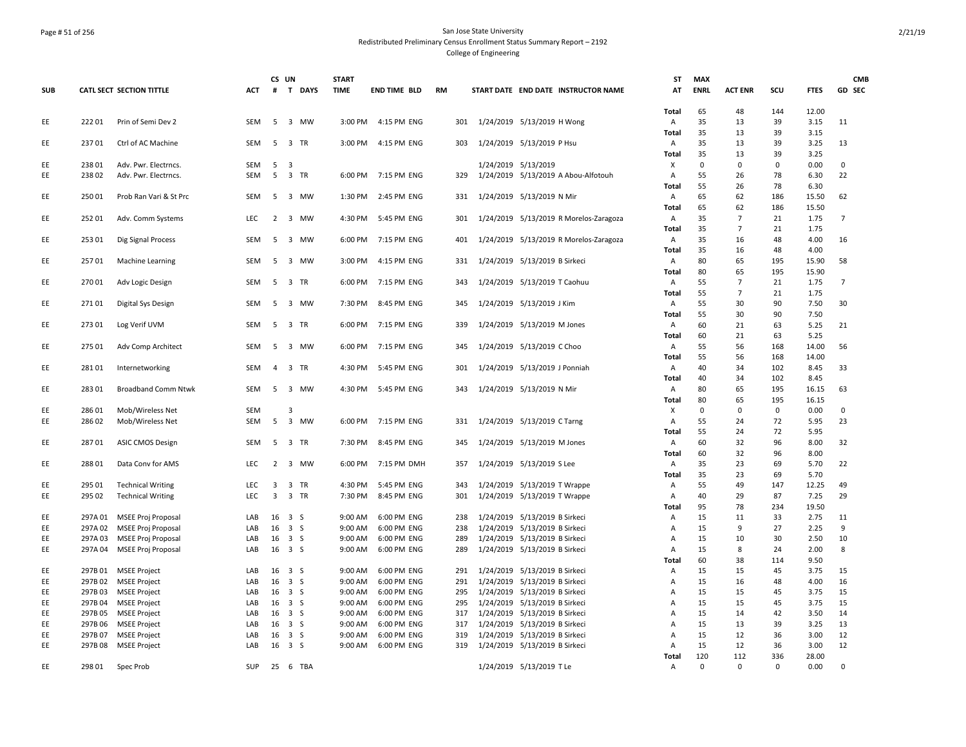### Page # 51 of 256 San Jose State University Redistributed Preliminary Census Enrollment Status Summary Report – 2192 College of Engineering

|            |         |                                                 |            |                         | CS UN          |          | <b>START</b> |                     |    |     |                     |                                        | ST           | <b>MAX</b>  |                      |             |               | <b>CMB</b>     |
|------------|---------|-------------------------------------------------|------------|-------------------------|----------------|----------|--------------|---------------------|----|-----|---------------------|----------------------------------------|--------------|-------------|----------------------|-------------|---------------|----------------|
| <b>SUB</b> |         | CATL SECT SECTION TITTLE                        | ACT        |                         |                | # T DAYS | <b>TIME</b>  | <b>END TIME BLD</b> | RM |     |                     | START DATE END DATE INSTRUCTOR NAME    | AT           | <b>ENRL</b> | <b>ACT ENR</b>       | SCU         | <b>FTES</b>   | GD SEC         |
|            |         |                                                 |            |                         |                |          |              |                     |    |     |                     |                                        | Total        | 65          | 48                   | 144         | 12.00         |                |
| EE         | 22201   | Prin of Semi Dev 2                              | SEM        | - 5                     | 3 MW           |          | 3:00 PM      | 4:15 PM ENG         |    |     |                     | 301 1/24/2019 5/13/2019 H Wong         | Α            | 35          | 13                   | 39          | 3.15          | 11             |
|            |         |                                                 |            |                         |                |          |              |                     |    |     |                     |                                        | Total        | 35          | 13                   | 39          | 3.15          |                |
| EE         | 23701   | Ctrl of AC Machine                              | <b>SEM</b> | - 5                     | 3 TR           |          | 3:00 PM      | 4:15 PM ENG         |    | 303 |                     | 1/24/2019 5/13/2019 P Hsu              | Α            | 35          | 13                   | 39          | 3.25          | 13             |
|            |         |                                                 |            |                         |                |          |              |                     |    |     |                     |                                        | Total        | 35          | 13                   | 39          | 3.25          |                |
| EE         | 23801   | Adv. Pwr. Electrncs.                            | SEM        | 5                       | 3              |          |              |                     |    |     | 1/24/2019 5/13/2019 |                                        | х            | $\mathbf 0$ | $\Omega$             | $\mathbf 0$ | 0.00          | 0              |
| EE.        | 23802   | Adv. Pwr. Electrncs.                            | <b>SEM</b> | - 5                     | 3 TR           |          | 6:00 PM      | 7:15 PM ENG         |    | 329 |                     | 1/24/2019 5/13/2019 A Abou-Alfotouh    | Α            | 55          | 26                   | 78          | 6.30          | 22             |
|            |         |                                                 |            |                         |                |          |              |                     |    |     |                     |                                        | Total        | 55          | 26                   | 78          | 6.30          |                |
| EE         | 25001   | Prob Ran Vari & St Prc                          | SEM        | 5                       | 3 MW           |          | 1:30 PM      | 2:45 PM ENG         |    | 331 |                     | 1/24/2019 5/13/2019 N Mir              | Α            | 65          | 62                   | 186         | 15.50         | 62             |
|            |         |                                                 |            |                         |                |          |              |                     |    |     |                     |                                        | Total        | 65          | 62                   | 186         | 15.50         |                |
| EE         | 252 01  | Adv. Comm Systems                               | <b>LEC</b> | 2                       | 3 MW           |          | 4:30 PM      | 5:45 PM ENG         |    | 301 |                     | 1/24/2019 5/13/2019 R Morelos-Zaragoza | Α            | 35          | $\overline{7}$       | 21          | 1.75          | $\overline{7}$ |
|            |         |                                                 |            |                         |                |          |              |                     |    |     |                     |                                        | Total        | 35          | $\overline{7}$       | 21          | 1.75          |                |
| EE         | 25301   | Dig Signal Process                              | SEM        | -5                      | 3 MW           |          | 6:00 PM      | 7:15 PM ENG         |    | 401 |                     | 1/24/2019 5/13/2019 R Morelos-Zaragoza | A            | 35          | 16                   | 48          | 4.00          | 16             |
|            |         |                                                 |            |                         |                |          |              |                     |    |     |                     |                                        | <b>Total</b> | 35          | 16                   | 48          | 4.00          |                |
| EE         | 25701   | Machine Learning                                | SEM        | 5                       | 3 MW           |          | 3:00 PM      | 4:15 PM ENG         |    | 331 |                     | 1/24/2019 5/13/2019 B Sirkeci          | Α            | 80          | 65                   | 195         | 15.90         | 58             |
|            |         |                                                 |            |                         |                |          |              |                     |    |     |                     |                                        | Total        | 80          | 65                   | 195         | 15.90         |                |
| EE         | 27001   | Adv Logic Design                                | SEM        | - 5                     | 3 TR           |          | 6:00 PM      | 7:15 PM ENG         |    | 343 |                     | 1/24/2019 5/13/2019 T Caohuu           | Α            | 55          | 7                    | 21          | 1.75          | 7              |
| EE         | 27101   |                                                 | SEM        | - 5                     | 3 MW           |          | 7:30 PM      | 8:45 PM ENG         |    |     |                     | 1/24/2019 5/13/2019 J Kim              | Total<br>Α   | 55<br>55    | $\overline{7}$<br>30 | 21<br>90    | 1.75<br>7.50  | 30             |
|            |         | Digital Sys Design                              |            |                         |                |          |              |                     |    | 345 |                     |                                        | <b>Total</b> | 55          | 30                   | 90          | 7.50          |                |
| EE.        | 27301   | Log Verif UVM                                   | SEM        | - 5                     | 3 TR           |          | 6:00 PM      | 7:15 PM ENG         |    | 339 |                     | 1/24/2019 5/13/2019 M Jones            | А            | 60          | 21                   | 63          | 5.25          | 21             |
|            |         |                                                 |            |                         |                |          |              |                     |    |     |                     |                                        | Total        | 60          | 21                   | 63          | 5.25          |                |
| EE         | 275 01  | Adv Comp Architect                              | SEM        | - 5                     | 3 MW           |          | 6:00 PM      | 7:15 PM ENG         |    | 345 |                     | 1/24/2019 5/13/2019 C Choo             | Α            | 55          | 56                   | 168         | 14.00         | 56             |
|            |         |                                                 |            |                         |                |          |              |                     |    |     |                     |                                        | Total        | 55          | 56                   | 168         | 14.00         |                |
| EE         | 28101   | Internetworking                                 | SEM        | $\overline{4}$          | 3 TR           |          | 4:30 PM      | 5:45 PM ENG         |    | 301 |                     | 1/24/2019 5/13/2019 J Ponniah          | Α            | 40          | 34                   | 102         | 8.45          | 33             |
|            |         |                                                 |            |                         |                |          |              |                     |    |     |                     |                                        | Total        | 40          | 34                   | 102         | 8.45          |                |
| EE.        | 28301   | <b>Broadband Comm Ntwk</b>                      | <b>SEM</b> | -5                      | 3 MW           |          | 4:30 PM      | 5:45 PM ENG         |    | 343 |                     | 1/24/2019 5/13/2019 N Mir              | Α            | 80          | 65                   | 195         | 16.15         | 63             |
|            |         |                                                 |            |                         |                |          |              |                     |    |     |                     |                                        | Total        | 80          | 65                   | 195         | 16.15         |                |
| EE         | 28601   | Mob/Wireless Net                                | SEM        |                         | 3              |          |              |                     |    |     |                     |                                        | Х            | $\mathbf 0$ | $\mathbf 0$          | $\mathsf 0$ | 0.00          | 0              |
| EE         | 28602   | Mob/Wireless Net                                | SEM        |                         | 5 3 MW         |          | 6:00 PM      | 7:15 PM ENG         |    | 331 |                     | 1/24/2019 5/13/2019 C Tarng            | Α            | 55          | 24                   | 72          | 5.95          | 23             |
|            |         |                                                 |            |                         |                |          |              |                     |    |     |                     |                                        | Total        | 55          | 24                   | 72          | 5.95          |                |
| EE         | 28701   | <b>ASIC CMOS Design</b>                         | SEM        | 5                       | 3 TR           |          | 7:30 PM      | 8:45 PM ENG         |    | 345 |                     | 1/24/2019 5/13/2019 M Jones            | Α            | 60          | 32                   | 96          | 8.00          | 32             |
|            |         |                                                 |            |                         |                |          |              |                     |    |     |                     |                                        | Total        | 60          | 32                   | 96          | 8.00          |                |
| EE         | 28801   | Data Conv for AMS                               | <b>LEC</b> | $2^{\circ}$             | 3 MW           |          | 6:00 PM      | 7:15 PM DMH         |    | 357 |                     | 1/24/2019 5/13/2019 S Lee              | Α            | 35          | 23                   | 69          | 5.70          | 22             |
|            |         |                                                 |            |                         |                |          |              |                     |    |     |                     |                                        | Total        | 35          | 23                   | 69          | 5.70          |                |
| EE         | 295 01  | <b>Technical Writing</b>                        | LEC        | $\overline{\mathbf{3}}$ | 3 TR           |          | 4:30 PM      | 5:45 PM ENG         |    | 343 |                     | 1/24/2019 5/13/2019 T Wrappe           | Α            | 55          | 49                   | 147         | 12.25         | 49             |
| EE         | 295 02  | <b>Technical Writing</b>                        | LEC        | 3                       | 3 TR           |          | 7:30 PM      | 8:45 PM ENG         |    | 301 |                     | 1/24/2019 5/13/2019 T Wrappe           | Α            | 40          | 29                   | 87          | 7.25          | 29             |
| EE         | 297A 01 |                                                 | LAB        |                         | 16 3 S         |          | 9:00 AM      | 6:00 PM ENG         |    | 238 |                     | 1/24/2019 5/13/2019 B Sirkeci          | Total<br>Α   | 95<br>15    | 78<br>11             | 234<br>33   | 19.50<br>2.75 | 11             |
| EE         | 297A 02 | MSEE Proj Proposal<br><b>MSEE Proj Proposal</b> | LAB        |                         | 16 3 S         |          | 9:00 AM      | 6:00 PM ENG         |    | 238 |                     | 1/24/2019 5/13/2019 B Sirkeci          | A            | 15          | 9                    | 27          | 2.25          | 9              |
| EE         | 297A03  | <b>MSEE Proj Proposal</b>                       | LAB        |                         | 16 3 S         |          | 9:00 AM      | 6:00 PM ENG         |    | 289 |                     | 1/24/2019 5/13/2019 B Sirkeci          | А            | 15          | 10                   | 30          | 2.50          | 10             |
| EE         | 297A 04 | MSEE Proj Proposal                              | LAB        |                         | 16 3 S         |          | 9:00 AM      | 6:00 PM ENG         |    | 289 |                     | 1/24/2019 5/13/2019 B Sirkeci          | Α            | 15          | 8                    | 24          | 2.00          | 8              |
|            |         |                                                 |            |                         |                |          |              |                     |    |     |                     |                                        | Total        | 60          | 38                   | 114         | 9.50          |                |
| EE         | 297B 01 | <b>MSEE Project</b>                             | LAB        | 16                      | 3 S            |          | 9:00 AM      | 6:00 PM ENG         |    | 291 |                     | 1/24/2019 5/13/2019 B Sirkeci          | Α            | 15          | 15                   | 45          | 3.75          | 15             |
| EE         | 297B02  | <b>MSEE Project</b>                             | LAB        |                         | 16 3 S         |          | 9:00 AM      | 6:00 PM ENG         |    | 291 |                     | 1/24/2019 5/13/2019 B Sirkeci          | A            | 15          | 16                   | 48          | 4.00          | 16             |
| EE         | 297B03  | <b>MSEE Project</b>                             | LAB        |                         | 16 3 S         |          | 9:00 AM      | 6:00 PM ENG         |    | 295 |                     | 1/24/2019 5/13/2019 B Sirkeci          | Α            | 15          | 15                   | 45          | 3.75          | 15             |
| EE         | 297B04  | <b>MSEE Project</b>                             | LAB        | 16                      | 3 <sub>5</sub> |          | 9:00 AM      | 6:00 PM ENG         |    | 295 |                     | 1/24/2019 5/13/2019 B Sirkeci          | A            | 15          | 15                   | 45          | 3.75          | 15             |
| EE         | 297B05  | <b>MSEE Project</b>                             | LAB        |                         | 16 3 S         |          | 9:00 AM      | 6:00 PM ENG         |    | 317 |                     | 1/24/2019 5/13/2019 B Sirkeci          | Α            | 15          | 14                   | 42          | 3.50          | 14             |
| EE         | 297B06  | <b>MSEE Project</b>                             | LAB        |                         | 16 3 S         |          | 9:00 AM      | 6:00 PM ENG         |    | 317 |                     | 1/24/2019 5/13/2019 B Sirkeci          | Α            | 15          | 13                   | 39          | 3.25          | 13             |
| EE         | 297B07  | <b>MSEE Project</b>                             | LAB        | 16                      | 3 <sub>5</sub> |          | 9:00 AM      | 6:00 PM ENG         |    | 319 |                     | 1/24/2019 5/13/2019 B Sirkeci          | Α            | 15          | 12                   | 36          | 3.00          | 12             |
| EE         |         | 297B 08 MSEE Project                            | LAB        |                         | 16 3 S         |          | 9:00 AM      | 6:00 PM ENG         |    | 319 |                     | 1/24/2019 5/13/2019 B Sirkeci          | Α            | 15          | 12                   | 36          | 3.00          | 12             |
|            |         |                                                 |            |                         |                |          |              |                     |    |     |                     |                                        | Total        | 120         | 112                  | 336         | 28.00         |                |
| ΕE         | 298 01  | Spec Prob                                       | <b>SUP</b> |                         | 25 6 TBA       |          |              |                     |    |     |                     | 1/24/2019 5/13/2019 T Le               | Α            | $\mathbf 0$ | $\mathbf 0$          | $\mathbf 0$ | 0.00          | $\Omega$       |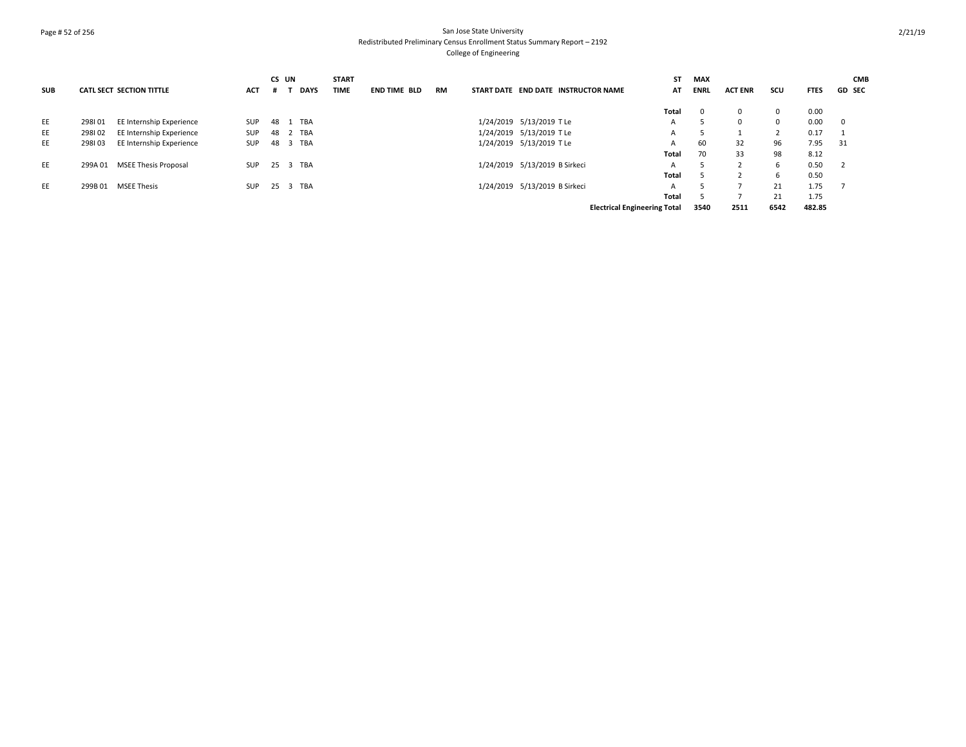## Page # 52 of 256 San Jose State University Redistributed Preliminary Census Enrollment Status Summary Report – 2192 College of Engineering

|            |         |                                 |            | CS UN |       |             | <b>START</b> |                     |           |                                     | ST                                  | <b>MAX</b>  |                |             |             | <b>CMB</b>    |
|------------|---------|---------------------------------|------------|-------|-------|-------------|--------------|---------------------|-----------|-------------------------------------|-------------------------------------|-------------|----------------|-------------|-------------|---------------|
| <b>SUB</b> |         | <b>CATL SECT SECTION TITTLE</b> | <b>ACT</b> |       |       | <b>DAYS</b> | TIME         | <b>END TIME BLD</b> | <b>RM</b> | START DATE END DATE INSTRUCTOR NAME | AT                                  | <b>ENRL</b> | <b>ACT ENR</b> | scu         | <b>FTES</b> | <b>GD SEC</b> |
|            |         |                                 |            |       |       |             |              |                     |           |                                     | Total                               | - 0         | $\Omega$       | $^{\circ}$  | 0.00        |               |
| EE         | 298101  | EE Internship Experience        | SUP        | 48    | TBA   |             |              |                     |           | 1/24/2019 5/13/2019 TLe             | A                                   | -5          | $\Omega$       | $\mathbf 0$ | 0.00        | $\mathbf{0}$  |
| EE         | 298102  | EE Internship Experience        | <b>SUP</b> | 48    | 2 TBA |             |              |                     |           | 1/24/2019 5/13/2019 TLe             | A                                   |             |                |             | 0.17        |               |
| EE         | 298103  | EE Internship Experience        | <b>SUP</b> | 48    | 3 TBA |             |              |                     |           | 1/24/2019 5/13/2019 TLe             | A                                   | 60          | 32             | 96          | 7.95        | 31            |
|            |         |                                 |            |       |       |             |              |                     |           |                                     | Total                               | 70          | 33             | 98          | 8.12        |               |
| EE         | 299A 01 | <b>MSEE Thesis Proposal</b>     | <b>SUP</b> | 25    | 3 TBA |             |              |                     |           | 1/24/2019 5/13/2019 B Sirkeci       |                                     |             |                | 6           | 0.50        |               |
|            |         |                                 |            |       |       |             |              |                     |           |                                     | Total                               |             |                | 6           | 0.50        |               |
| EE         |         | 299B 01 MSEE Thesis             | <b>SUP</b> | 25    | 3 TBA |             |              |                     |           | 1/24/2019 5/13/2019 B Sirkeci       |                                     |             |                | 21          | 1.75        |               |
|            |         |                                 |            |       |       |             |              |                     |           |                                     | Total                               |             |                | 21          | 1.75        |               |
|            |         |                                 |            |       |       |             |              |                     |           |                                     | <b>Electrical Engineering Total</b> | 3540        | 2511           | 6542        | 482.85      |               |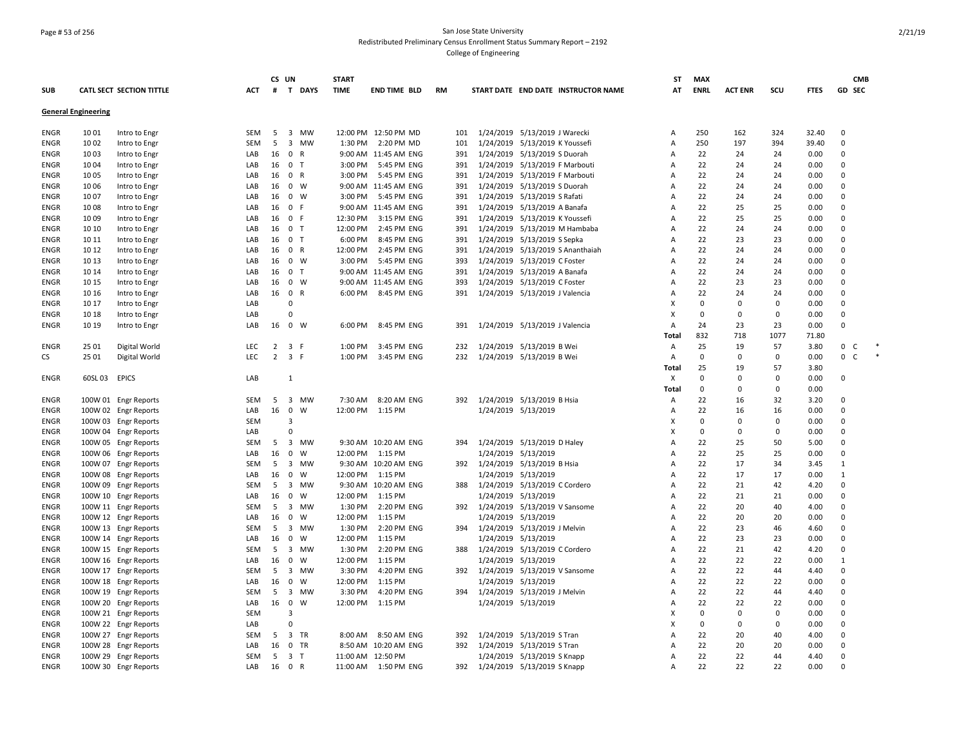### Page # 53 of 256 San Jose State University Redistributed Preliminary Census Enrollment Status Summary Report – 2192 College of Engineering

|             |                            |                          |            | CS UN          |                                      | <b>START</b> |                       |           |                     |                                     | <b>ST</b> | <b>MAX</b>  |                |             |             | <b>CMB</b>                  |        |
|-------------|----------------------------|--------------------------|------------|----------------|--------------------------------------|--------------|-----------------------|-----------|---------------------|-------------------------------------|-----------|-------------|----------------|-------------|-------------|-----------------------------|--------|
| SUB         |                            | CATL SECT SECTION TITTLE | ACT        | #              | T DAYS                               | <b>TIME</b>  | <b>END TIME BLD</b>   | <b>RM</b> |                     | START DATE END DATE INSTRUCTOR NAME | АТ        | <b>ENRL</b> | <b>ACT ENR</b> | SCU         | <b>FTES</b> | GD SEC                      |        |
|             | <b>General Engineering</b> |                          |            |                |                                      |              |                       |           |                     |                                     |           |             |                |             |             |                             |        |
| ENGR        | 10 01                      | Intro to Engr            | SEM        | - 5            | 3 MW                                 |              | 12:00 PM 12:50 PM MD  | 101       |                     | 1/24/2019 5/13/2019 J Warecki       | Α         | 250         | 162            | 324         | 32.40       | 0                           |        |
| <b>ENGR</b> | 1002                       | Intro to Engr            | <b>SEM</b> | - 5            | $\overline{\mathbf{3}}$<br><b>MW</b> | 1:30 PM      | 2:20 PM MD            | 101       |                     | 1/24/2019 5/13/2019 K Youssefi      | Α         | 250         | 197            | 394         | 39.40       | 0                           |        |
| ENGR        | 10 03                      | Intro to Engr            | LAB        | 16             | $\mathbf 0$<br>$\mathsf{R}$          |              | 9:00 AM 11:45 AM ENG  | 391       |                     | 1/24/2019 5/13/2019 S Duorah        | Α         | 22          | 24             | 24          | 0.00        | $\mathbf 0$                 |        |
| ENGR        | 10 04                      | Intro to Engr            | LAB        | 16             | $\mathbf 0$<br>$\top$                | 3:00 PM      | 5:45 PM ENG           | 391       |                     | 1/24/2019 5/13/2019 F Marbouti      | Α         | 22          | 24             | 24          | 0.00        | 0                           |        |
| <b>ENGR</b> | 10 05                      | Intro to Engr            | LAB        | 16             | 0 R                                  | 3:00 PM      | 5:45 PM ENG           | 391       |                     | 1/24/2019 5/13/2019 F Marbouti      | A         | 22          | 24             | 24          | 0.00        | $\Omega$                    |        |
| <b>ENGR</b> | 1006                       | Intro to Engr            | LAB        | 16             | 0 W                                  |              | 9:00 AM 11:45 AM ENG  | 391       |                     | 1/24/2019 5/13/2019 S Duorah        | A         | 22          | 24             | 24          | 0.00        | $\mathbf 0$                 |        |
| <b>ENGR</b> | 10 07                      | Intro to Engr            | LAB        | 16             | $\mathbf 0$<br>W                     | 3:00 PM      | 5:45 PM ENG           | 391       |                     | 1/24/2019 5/13/2019 S Rafati        | Α         | 22          | 24             | 24          | 0.00        | 0                           |        |
| ENGR        | 1008                       | Intro to Engr            | LAB        | 16             | 0 F                                  |              | 9:00 AM 11:45 AM ENG  | 391       |                     | 1/24/2019 5/13/2019 A Banafa        | Α         | 22          | 25             | 25          | 0.00        | 0                           |        |
| <b>ENGR</b> | 1009                       | Intro to Engr            | LAB        |                | 16 0 F                               | 12:30 PM     | 3:15 PM ENG           | 391       |                     | 1/24/2019 5/13/2019 K Youssefi      | A         | 22          | 25             | 25          | 0.00        | $\mathbf 0$                 |        |
| ENGR        | 10 10                      | Intro to Engr            | LAB        | 16             | 0 <sub>T</sub>                       | 12:00 PM     | 2:45 PM ENG           | 391       |                     | 1/24/2019 5/13/2019 M Hambaba       | Α         | 22          | 24             | 24          | 0.00        | 0                           |        |
| <b>ENGR</b> | 10 11                      | Intro to Engr            | LAB        | 16             | 0 <sub>T</sub>                       | 6:00 PM      | 8:45 PM ENG           | 391       |                     | 1/24/2019 5/13/2019 S Sepka         | Α         | 22          | 23             | 23          | 0.00        | $\Omega$                    |        |
| <b>ENGR</b> | 10 12                      | Intro to Engr            | LAB        |                | 16 0 R                               | 12:00 PM     | 2:45 PM ENG           | 391       |                     | 1/24/2019 5/13/2019 S Ananthaiah    | A         | 22          | 24             | 24          | 0.00        | $\Omega$                    |        |
| <b>ENGR</b> | 10 13                      | Intro to Engr            | LAB        | 16             | $0 \quad W$                          | 3:00 PM      | 5:45 PM ENG           | 393       |                     | 1/24/2019 5/13/2019 C Foster        | Α         | 22          | 24             | 24          | 0.00        | 0                           |        |
| <b>ENGR</b> | 10 14                      | Intro to Engr            | LAB        | 16             | $\overline{0}$<br>$\top$             |              | 9:00 AM 11:45 AM ENG  | 391       |                     | 1/24/2019 5/13/2019 A Banafa        | Α         | 22          | 24             | 24          | 0.00        | $\Omega$                    |        |
| ENGR        | 10 15                      | Intro to Engr            | LAB        |                | 16 0 W                               |              | 9:00 AM 11:45 AM ENG  | 393       |                     | 1/24/2019 5/13/2019 C Foster        | Α         | 22          | 23             | 23          | 0.00        | $\Omega$                    |        |
| ENGR        | 10 16                      | Intro to Engr            | LAB        | 16             | $\mathbf 0$<br>R                     | 6:00 PM      | 8:45 PM ENG           | 391       |                     | 1/24/2019 5/13/2019 J Valencia      | Α         | 22          | 24             | 24          | 0.00        | $\mathsf{O}\xspace$         |        |
| ENGR        | 10 17                      | Intro to Engr            | LAB        |                | $\mathbf 0$                          |              |                       |           |                     |                                     | X         | 0           | 0              | $\Omega$    | 0.00        | 0                           |        |
| ENGR        | 10 18                      | Intro to Engr            | LAB        |                | $\Omega$                             |              |                       |           |                     |                                     | x         | 0           | 0              | $\mathbf 0$ | 0.00        | 0                           |        |
| <b>ENGR</b> | 10 19                      | Intro to Engr            | LAB        | 16             | $\mathbf 0$<br>w                     | 6:00 PM      | 8:45 PM ENG           | 391       |                     | 1/24/2019 5/13/2019 J Valencia      | Α         | 24          | 23             | 23          | 0.00        | 0                           |        |
|             |                            |                          |            |                |                                      |              |                       |           |                     |                                     | Total     | 832         | 718            | 1077        | 71.80       |                             |        |
| ENGR        | 25 01                      | Digital World            | <b>LEC</b> | 2              | 3 F                                  | 1:00 PM      | 3:45 PM ENG           | 232       |                     | 1/24/2019 5/13/2019 B Wei           | Α         | 25          | 19             | 57          | 3.80        | 0<br>C                      |        |
| СS          | 25 01                      | Digital World            | LEC        | $\overline{2}$ | 3 F                                  | 1:00 PM      | 3:45 PM ENG           | 232       |                     | 1/24/2019 5/13/2019 B Wei           | Α         | $\Omega$    | $\Omega$       | $\Omega$    | 0.00        | $\mathbf 0$<br>$\mathsf{C}$ | $\ast$ |
|             |                            |                          |            |                |                                      |              |                       |           |                     |                                     | Total     | 25          | 19             | 57          | 3.80        |                             |        |
| ENGR        | 60SL 03                    | <b>EPICS</b>             | LAB        |                | 1                                    |              |                       |           |                     |                                     | X         | $\mathbf 0$ | 0              | $\mathbf 0$ | 0.00        | 0                           |        |
|             |                            |                          |            |                |                                      |              |                       |           |                     |                                     | Total     | 0           | $\Omega$       | $\Omega$    | 0.00        |                             |        |
| <b>ENGR</b> |                            | 100W 01 Engr Reports     | SEM        | -5             | $\overline{\mathbf{3}}$<br><b>MW</b> | 7:30 AM      | 8:20 AM ENG           | 392       |                     | 1/24/2019 5/13/2019 B Hsia          | Α         | 22          | 16             | 32          | 3.20        | 0                           |        |
| ENGR        | 100W 02                    | <b>Engr Reports</b>      | LAB        | 16             | $\mathbf 0$<br>W                     |              | 12:00 PM   1:15 PM    |           | 1/24/2019 5/13/2019 |                                     | Α         | 22          | 16             | 16          | 0.00        | $\Omega$                    |        |
| ENGR        | 100W 03                    | <b>Engr Reports</b>      | <b>SEM</b> |                | 3                                    |              |                       |           |                     |                                     | X         | 0           | $\Omega$       | $\Omega$    | 0.00        | $\Omega$                    |        |
| <b>ENGR</b> | 100W 04                    | <b>Engr Reports</b>      | LAB        |                | $\Omega$                             |              |                       |           |                     |                                     | Х         | $\mathbf 0$ | 0              | $\Omega$    | 0.00        | $\mathbf 0$                 |        |
| <b>ENGR</b> |                            | 100W 05 Engr Reports     | SEM        | -5             | $\overline{3}$<br>MW                 |              | 9:30 AM 10:20 AM ENG  | 394       |                     | 1/24/2019 5/13/2019 D Haley         | A         | 22          | 25             | 50          | 5.00        | $\Omega$                    |        |
| <b>ENGR</b> |                            | 100W 06 Engr Reports     | LAB        | 16             | $\mathbf 0$<br>W                     | 12:00 PM     | 1:15 PM               |           |                     | 1/24/2019 5/13/2019                 | A         | 22          | 25             | 25          | 0.00        | 0                           |        |
| ENGR        |                            | 100W 07 Engr Reports     | SEM        | 5              | $\overline{3}$<br>MW                 |              | 9:30 AM 10:20 AM ENG  | 392       |                     | 1/24/2019 5/13/2019 B Hsia          | A         | 22          | 17             | 34          | 3.45        | 1                           |        |
| ENGR        | 100W 08                    | <b>Engr Reports</b>      | LAB        | 16             | $\mathbf 0$<br>W                     | 12:00 PM     | 1:15 PM               |           | 1/24/2019 5/13/2019 |                                     | A         | 22          | 17             | 17          | 0.00        | 1                           |        |
| ENGR        |                            | 100W 09 Engr Reports     | SEM        | 5              | 3 MW                                 |              | 9:30 AM 10:20 AM ENG  | 388       |                     | 1/24/2019 5/13/2019 C Cordero       | Α         | 22          | 21             | 42          | 4.20        | 0                           |        |
| ENGR        |                            | 100W 10 Engr Reports     | LAB        | 16             | $\mathbf 0$<br>W                     | 12:00 PM     | 1:15 PM               |           |                     | 1/24/2019 5/13/2019                 | A         | 22          | 21             | 21          | 0.00        | $\Omega$                    |        |
| ENGR        |                            | 100W 11 Engr Reports     | SEM        | - 5            | 3 MW                                 | 1:30 PM      | 2:20 PM ENG           | 392       |                     | 1/24/2019 5/13/2019 V Sansome       | A         | 22          | 20             | 40          | 4.00        | 0                           |        |
| <b>ENGR</b> |                            | 100W 12 Engr Reports     | LAB        | 16             | $\mathbf 0$<br>W                     | 12:00 PM     | 1:15 PM               |           |                     | 1/24/2019 5/13/2019                 | Α         | 22          | 20             | 20          | 0.00        | $\Omega$                    |        |
| <b>ENGR</b> |                            | 100W 13 Engr Reports     | <b>SEM</b> | - 5            | $\overline{\mathbf{3}}$<br><b>MW</b> | 1:30 PM      | 2:20 PM ENG           | 394       |                     | 1/24/2019 5/13/2019 J Melvin        | A         | 22          | 23             | 46          | 4.60        | $\Omega$                    |        |
| <b>ENGR</b> |                            | 100W 14 Engr Reports     | LAB        | 16             | $\mathsf 0$<br>W                     | 12:00 PM     | 1:15 PM               |           | 1/24/2019 5/13/2019 |                                     | Α         | 22          | 23             | 23          | 0.00        | 0                           |        |
| ENGR        |                            | 100W 15 Engr Reports     | SEM        | - 5            | 3 MW                                 | 1:30 PM      | 2:20 PM ENG           | 388       |                     | 1/24/2019 5/13/2019 C Cordero       | A         | 22          | 21             | 42          | 4.20        | 0                           |        |
| ENGR        |                            | 100W 16 Engr Reports     | LAB        | 16             | $\mathbf 0$<br>W                     | 12:00 PM     | 1:15 PM               |           | 1/24/2019 5/13/2019 |                                     | A         | 22          | 22             | 22          | 0.00        | 1                           |        |
| ENGR        |                            | 100W 17 Engr Reports     | SEM        | - 5            | 3 MW                                 | 3:30 PM      | 4:20 PM ENG           | 392       |                     | 1/24/2019 5/13/2019 V Sansome       | A         | 22          | 22             | 44          | 4.40        | 0                           |        |
| ENGR        |                            | 100W 18 Engr Reports     | LAB        | 16             | $\mathbf 0$<br>W                     | 12:00 PM     | 1:15 PM               |           | 1/24/2019 5/13/2019 |                                     | A         | 22          | 22             | 22          | 0.00        | 0                           |        |
| <b>ENGR</b> |                            | 100W 19 Engr Reports     | <b>SEM</b> | - 5            | $\overline{3}$<br>MW                 | 3:30 PM      | 4:20 PM ENG           | 394       |                     | 1/24/2019 5/13/2019 J Melvin        | A         | 22          | 22             | 44          | 4.40        | 0                           |        |
| <b>ENGR</b> |                            | 100W 20 Engr Reports     | LAB        | 16             | $\mathbf 0$<br>W                     | 12:00 PM     | 1:15 PM               |           | 1/24/2019 5/13/2019 |                                     | Α         | 22          | 22             | 22          | 0.00        | 0                           |        |
| ENGR        |                            | 100W 21 Engr Reports     | <b>SEM</b> |                | $\overline{3}$                       |              |                       |           |                     |                                     | X         | $\mathbf 0$ | $\mathbf 0$    | $\Omega$    | 0.00        | 0                           |        |
| ENGR        |                            | 100W 22 Engr Reports     | LAB        |                | $\Omega$                             |              |                       |           |                     |                                     | Х         | $\mathbf 0$ | $\Omega$       | $\Omega$    | 0.00        | $\Omega$                    |        |
| ENGR        |                            | 100W 27 Engr Reports     | SEM        | 5              | $\overline{3}$<br>TR                 | 8:00 AM      | 8:50 AM ENG           | 392       |                     | 1/24/2019 5/13/2019 S Tran          | A         | 22          | 20             | 40          | 4.00        | $\mathbf 0$                 |        |
| ENGR        |                            | 100W 28 Engr Reports     | LAB        | 16             | 0 TR                                 |              | 8:50 AM 10:20 AM ENG  | 392       |                     | 1/24/2019 5/13/2019 S Tran          | A         | 22          | 20             | 20          | 0.00        | 0                           |        |
| <b>ENGR</b> |                            | 100W 29 Engr Reports     | SEM        | 5              | 3 <sub>1</sub>                       |              | 11:00 AM 12:50 PM     |           |                     | 1/24/2019 5/13/2019 S Knapp         | Α         | 22          | 22             | 44          | 4.40        | 0                           |        |
| <b>ENGR</b> |                            |                          | LAB        | 16             | 0 R                                  |              | 11:00 AM  1:50 PM ENG | 392       |                     |                                     | A         | 22          | 22             | 22          | 0.00        | $\Omega$                    |        |
|             |                            | 100W 30 Engr Reports     |            |                |                                      |              |                       |           |                     | 1/24/2019 5/13/2019 S Knapp         |           |             |                |             |             |                             |        |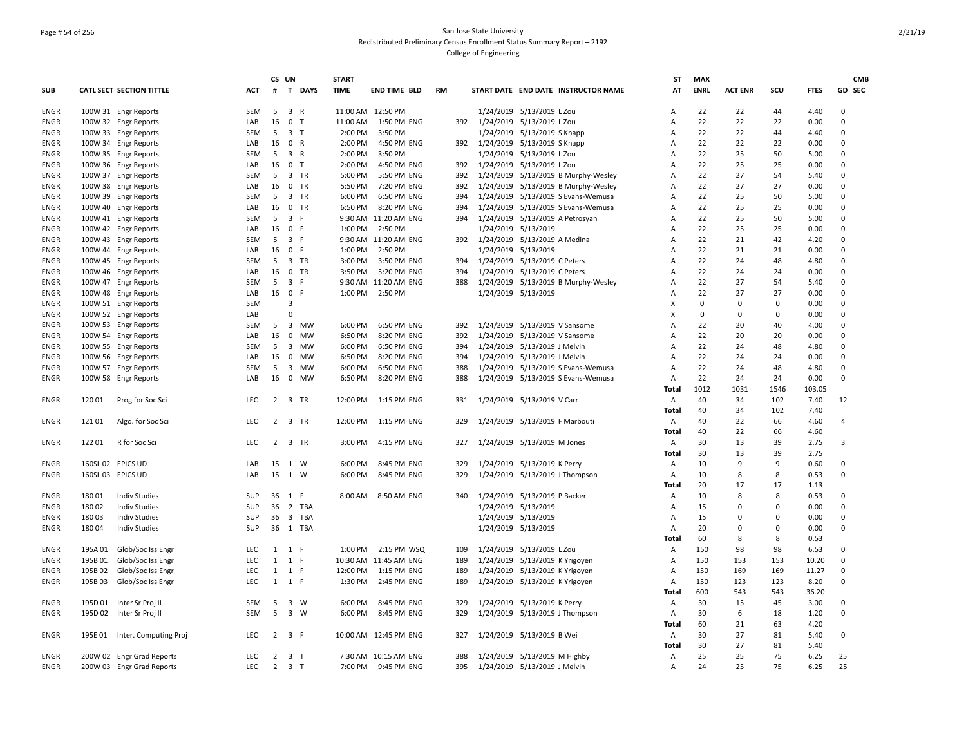### Page # 54 of 256 San Jose State University Redistributed Preliminary Census Enrollment Status Summary Report – 2192 College of Engineering

|             |                   |                           |            | CS UN       |                                         | <b>START</b> |                          |     |                                     | ST             | <b>MAX</b>  |                |          |             | <b>CMB</b>  |
|-------------|-------------------|---------------------------|------------|-------------|-----------------------------------------|--------------|--------------------------|-----|-------------------------------------|----------------|-------------|----------------|----------|-------------|-------------|
| <b>SUB</b>  |                   | CATL SECT SECTION TITTLE  | ACT        |             | # T DAYS                                | <b>TIME</b>  | <b>END TIME BLD</b>      | RM  | START DATE END DATE INSTRUCTOR NAME | AT             | <b>ENRL</b> | <b>ACT ENR</b> | scu      | <b>FTES</b> | GD SEC      |
| <b>ENGR</b> |                   | 100W 31 Engr Reports      | <b>SEM</b> | 5           | $\overline{\mathbf{3}}$<br>$\mathsf{R}$ |              | 11:00 AM 12:50 PM        |     | 1/24/2019 5/13/2019 L Zou           | A              | 22          | 22             | 44       | 4.40        | $\Omega$    |
| <b>ENGR</b> |                   | 100W 32 Engr Reports      | LAB        | 16          | 0 <sub>T</sub>                          |              | 11:00 AM  1:50 PM ENG    | 392 | 1/24/2019 5/13/2019 L Zou           | Α              | 22          | 22             | 22       | 0.00        | $\mathbf 0$ |
| <b>ENGR</b> |                   | 100W 33 Engr Reports      | <b>SEM</b> | - 5         | 3 <sub>1</sub>                          | 2:00 PM      | 3:50 PM                  |     | 1/24/2019 5/13/2019 S Knapp         | Α              | 22          | 22             | 44       | 4.40        | $\Omega$    |
| <b>ENGR</b> |                   | 100W 34 Engr Reports      | LAB        | 16          | 0 R                                     | 2:00 PM      | 4:50 PM ENG              | 392 | 1/24/2019 5/13/2019 S Knapp         | А              | 22          | 22             | 22       | 0.00        | $\Omega$    |
| <b>ENGR</b> |                   | 100W 35 Engr Reports      | SEM        | 5           | 3 R                                     | 2:00 PM      | 3:50 PM                  |     | 1/24/2019 5/13/2019 L Zou           | Α              | 22          | 25             | 50       | 5.00        | $\Omega$    |
| <b>ENGR</b> |                   | 100W 36 Engr Reports      | LAB        | 16          | 0 <sub>T</sub>                          | 2:00 PM      | 4:50 PM ENG              | 392 | 1/24/2019 5/13/2019 L Zou           | $\overline{A}$ | 22          | 25             | 25       | 0.00        | $\Omega$    |
| ENGR        |                   | 100W 37 Engr Reports      | SEM        | 5           | 3 TR                                    | 5:00 PM      | 5:50 PM ENG              | 392 | 1/24/2019 5/13/2019 B Murphy-Wesley | А              | 22          | 27             | 54       | 5.40        | $\Omega$    |
| <b>ENGR</b> |                   | 100W 38 Engr Reports      | LAB        | 16          | 0 TR                                    | 5:50 PM      | 7:20 PM ENG              | 392 | 1/24/2019 5/13/2019 B Murphy-Wesley | Α              | 22          | 27             | 27       | 0.00        | 0           |
| ENGR        |                   | 100W 39 Engr Reports      | SEM        | - 5         | 3 TR                                    | 6:00 PM      | 6:50 PM ENG              | 394 | 1/24/2019 5/13/2019 S Evans-Wemusa  | Α              | 22          | 25             | 50       | 5.00        | $\Omega$    |
| <b>ENGR</b> |                   | 100W 40 Engr Reports      | LAB        | 16          | $0$ TR                                  | 6:50 PM      | 8:20 PM ENG              | 394 | 1/24/2019 5/13/2019 S Evans-Wemusa  | Α              | 22          | 25             | 25       | 0.00        | $\Omega$    |
| <b>ENGR</b> |                   | 100W 41 Engr Reports      | SEM        | 5           | 3 F                                     |              | 9:30 AM 11:20 AM ENG     | 394 | 1/24/2019 5/13/2019 A Petrosyan     | Α              | 22          | 25             | 50       | 5.00        | $\Omega$    |
| ENGR        |                   | 100W 42 Engr Reports      | LAB        | 16          | 0 F                                     |              | 1:00 PM 2:50 PM          |     | 1/24/2019 5/13/2019                 | $\overline{A}$ | 22          | 25             | 25       | 0.00        | $\Omega$    |
| <b>ENGR</b> |                   | 100W 43 Engr Reports      | <b>SEM</b> | - 5         | 3 F                                     |              | 9:30 AM 11:20 AM ENG     |     | 392 1/24/2019 5/13/2019 A Medina    | A              | 22          | 21             | 42       | 4.20        | $\Omega$    |
| <b>ENGR</b> |                   | 100W 44 Engr Reports      | LAB        | 16          | 0 F                                     | 1:00 PM      | 2:50 PM                  |     | 1/24/2019 5/13/2019                 | А              | 22          | 21             | 21       | 0.00        | $\Omega$    |
| <b>ENGR</b> |                   | 100W 45 Engr Reports      | <b>SEM</b> | - 5         | 3 TR                                    | 3:00 PM      | 3:50 PM ENG              | 394 | 1/24/2019 5/13/2019 C Peters        | $\overline{A}$ | 22          | 24             | 48       | 4.80        | $\Omega$    |
| <b>ENGR</b> |                   | 100W 46 Engr Reports      | LAB        | 16          | $0$ TR                                  | 3:50 PM      | 5:20 PM ENG              | 394 | 1/24/2019 5/13/2019 C Peters        | A              | 22          | 24             | 24       | 0.00        | $\Omega$    |
| <b>ENGR</b> |                   | 100W 47 Engr Reports      | <b>SEM</b> | 5           | 3 F                                     |              | 9:30 AM 11:20 AM ENG     | 388 | 1/24/2019 5/13/2019 B Murphy-Wesley | Α              | 22          | 27             | 54       | 5.40        | $\Omega$    |
| ENGR        |                   | 100W 48 Engr Reports      | LAB        |             | 16 0 F                                  | 1:00 PM      | 2:50 PM                  |     | 1/24/2019 5/13/2019                 | A              | 22          | 27             | 27       | 0.00        | $\Omega$    |
| ENGR        |                   | 100W 51 Engr Reports      | <b>SEM</b> |             | 3                                       |              |                          |     |                                     | X              | 0           | $\Omega$       | $\Omega$ | 0.00        | $\Omega$    |
| ENGR        |                   | 100W 52 Engr Reports      | LAB        |             | $\mathbf 0$                             |              |                          |     |                                     | X              | $\Omega$    | $\Omega$       | 0        | 0.00        | $\Omega$    |
| ENGR        |                   | 100W 53 Engr Reports      | SEM        |             | 5 3 MW                                  | 6:00 PM      | 6:50 PM ENG              | 392 | 1/24/2019 5/13/2019 V Sansome       | $\overline{A}$ | 22          | 20             | 40       | 4.00        | $\Omega$    |
| ENGR        |                   | 100W 54 Engr Reports      | LAB        | 16          | $\mathbf 0$<br>MW                       | 6:50 PM      | 8:20 PM ENG              | 392 | 1/24/2019 5/13/2019 V Sansome       | Α              | 22          | 20             | 20       | 0.00        | $\Omega$    |
| <b>ENGR</b> |                   | 100W 55 Engr Reports      | <b>SEM</b> | 5           | 3 MW                                    | 6:00 PM      | 6:50 PM ENG              | 394 | 1/24/2019 5/13/2019 J Melvin        | Α              | 22          | 24             | 48       | 4.80        | $\Omega$    |
| ENGR        |                   | 100W 56 Engr Reports      | LAB        | 16          | 0 MW                                    | 6:50 PM      | 8:20 PM ENG              | 394 | 1/24/2019 5/13/2019 J Melvin        | $\overline{A}$ | 22          | 24             | 24       | 0.00        | $\Omega$    |
| <b>ENGR</b> |                   | 100W 57 Engr Reports      | SEM        | - 5         | 3<br>MW                                 | 6:00 PM      | 6:50 PM ENG              | 388 | 1/24/2019 5/13/2019 S Evans-Wemusa  | Α              | 22          | 24             | 48       | 4.80        | $\Omega$    |
| <b>ENGR</b> |                   | 100W 58 Engr Reports      | LAB        | 16          | 0 MW                                    | 6:50 PM      | 8:20 PM ENG              | 388 | 1/24/2019 5/13/2019 S Evans-Wemusa  | A              | 22          | 24             | 24       | 0.00        | $\Omega$    |
|             |                   |                           |            |             |                                         |              |                          |     |                                     | Total          | 1012        | 1031           | 1546     | 103.05      |             |
| ENGR        | 12001             | Prog for Soc Sci          | <b>LEC</b> | $2^{\circ}$ | 3 TR                                    | 12:00 PM     | 1:15 PM ENG              | 331 | 1/24/2019 5/13/2019 V Carr          | Α              | 40          | 34             | 102      | 7.40        | 12          |
|             |                   |                           |            |             |                                         |              |                          |     |                                     | <b>Total</b>   | 40          | 34             | 102      | 7.40        |             |
| ENGR        | 12101             | Algo. for Soc Sci         | LEC.       |             | 2 3 TR                                  |              | 12:00 PM   1:15 PM   ENG | 329 | 1/24/2019 5/13/2019 F Marbouti      | Α              | 40          | 22             | 66       | 4.60        | 4           |
|             |                   |                           |            |             |                                         |              |                          |     |                                     | Total          | 40          | 22             | 66       | 4.60        |             |
| <b>ENGR</b> | 12201             | R for Soc Sci             | LEC.       |             | 2 3 TR                                  | 3:00 PM      | 4:15 PM ENG              | 327 | 1/24/2019 5/13/2019 M Jones         | Α              | 30          | 13             | 39       | 2.75        | 3           |
|             |                   |                           |            |             |                                         |              |                          |     |                                     | Total          | 30          | 13             | 39       | 2.75        |             |
| <b>ENGR</b> | 160SL 02 EPICS UD |                           | LAB        | 15          | 1 W                                     | 6:00 PM      | 8:45 PM ENG              | 329 | 1/24/2019 5/13/2019 K Perry         | Α              | 10          | 9              | 9        | 0.60        | $\Omega$    |
| <b>ENGR</b> | 160SL 03 EPICS UD |                           | LAB        |             | 15 1 W                                  | 6:00 PM      | 8:45 PM ENG              | 329 | 1/24/2019 5/13/2019 J Thompson      | A              | 10          | 8              | 8        | 0.53        | $\Omega$    |
|             |                   |                           |            |             |                                         |              |                          |     |                                     | Total          | 20          | 17             | 17       | 1.13        |             |
| <b>ENGR</b> | 18001             | <b>Indiv Studies</b>      | SUP        |             | 36 1 F                                  |              | 8:00 AM 8:50 AM ENG      | 340 | 1/24/2019 5/13/2019 P Backer        | Α              | 10          | 8              | 8        | 0.53        | $\Omega$    |
| <b>ENGR</b> | 18002             | <b>Indiv Studies</b>      | SUP        | 36          | 2 TBA                                   |              |                          |     | 1/24/2019 5/13/2019                 | $\overline{A}$ | 15          | $\Omega$       | $\Omega$ | 0.00        | $\Omega$    |
| ENGR        | 18003             | <b>Indiv Studies</b>      | <b>SUP</b> | 36          | 3 TBA                                   |              |                          |     | 1/24/2019 5/13/2019                 | Α              | 15          | $\Omega$       | $\Omega$ | 0.00        | $\Omega$    |
| ENGR        | 18004             | <b>Indiv Studies</b>      | <b>SUP</b> | 36          | 1 TBA                                   |              |                          |     | 1/24/2019 5/13/2019                 | А              | 20          | $\mathbf 0$    | 0        | 0.00        | $\mathbf 0$ |
|             |                   |                           |            |             |                                         |              |                          |     |                                     | Total          | 60          | 8              | 8        | 0.53        |             |
| ENGR        | 195A 01           | Glob/Soc Iss Engr         | LEC        |             | 1 1 F                                   |              | 1:00 PM 2:15 PM WSQ      | 109 | 1/24/2019 5/13/2019 L Zou           | Α              | 150         | 98             | 98       | 6.53        | $\Omega$    |
| ENGR        | 195B01            | Glob/Soc Iss Engr         | LEC        | 1           | 1 F                                     |              | 10:30 AM 11:45 AM ENG    | 189 | 1/24/2019 5/13/2019 K Yrigoyen      | Α              | 150         | 153            | 153      | 10.20       | $\mathbf 0$ |
| ENGR        | 195B02            | Glob/Soc Iss Engr         | <b>LEC</b> | 1           | 1 F                                     |              | 12:00 PM   1:15 PM   ENG | 189 | 1/24/2019 5/13/2019 K Yrigoyen      | $\overline{A}$ | 150         | 169            | 169      | 11.27       | $\Omega$    |
| <b>ENGR</b> | 195B03            | Glob/Soc Iss Engr         | LEC.       |             | 1 1 F                                   |              | 1:30 PM 2:45 PM ENG      | 189 | 1/24/2019 5/13/2019 K Yrigoyen      | Α              | 150         | 123            | 123      | 8.20        | $\Omega$    |
|             |                   |                           |            |             |                                         |              |                          |     |                                     | Total          | 600         | 543            | 543      | 36.20       |             |
| <b>ENGR</b> | 195D 01           | Inter Sr Proj II          | <b>SEM</b> | - 5         | 3 W                                     | 6:00 PM      | 8:45 PM ENG              | 329 | 1/24/2019 5/13/2019 K Perry         | Α              | 30          | 15             | 45       | 3.00        | $\Omega$    |
| <b>ENGR</b> |                   | 195D 02 Inter Sr Proj II  | <b>SEM</b> |             | 5 3 W                                   | 6:00 PM      | 8:45 PM ENG              | 329 | 1/24/2019 5/13/2019 J Thompson      | A              | 30          | 6              | 18       | 1.20        | $\Omega$    |
|             |                   |                           |            |             |                                         |              |                          |     |                                     | Total          | 60          | 21             | 63       | 4.20        |             |
| <b>ENGR</b> | 195E 01           | Inter. Computing Proj     | <b>LEC</b> |             | $2 \quad 3 \quad F$                     |              | 10:00 AM 12:45 PM ENG    | 327 | 1/24/2019 5/13/2019 B Wei           | Α              | 30          | 27             | 81       | 5.40        | $\Omega$    |
|             |                   |                           |            |             |                                         |              |                          |     |                                     | <b>Total</b>   | 30          | 27             | 81       | 5.40        |             |
| <b>ENGR</b> |                   | 200W 02 Engr Grad Reports | LEC.       |             | $2 \quad 3 \quad T$                     |              | 7:30 AM 10:15 AM ENG     | 388 | 1/24/2019 5/13/2019 M Highby        | Α              | 25          | 25             | 75       | 6.25        | 25          |
| <b>ENGR</b> |                   | 200W 03 Engr Grad Reports | <b>LEC</b> |             | $2 \quad 3 \quad T$                     |              | 7:00 PM 9:45 PM ENG      | 395 | 1/24/2019 5/13/2019 J Melvin        | Α              | 24          | 25             | 75       | 6.25        | 25          |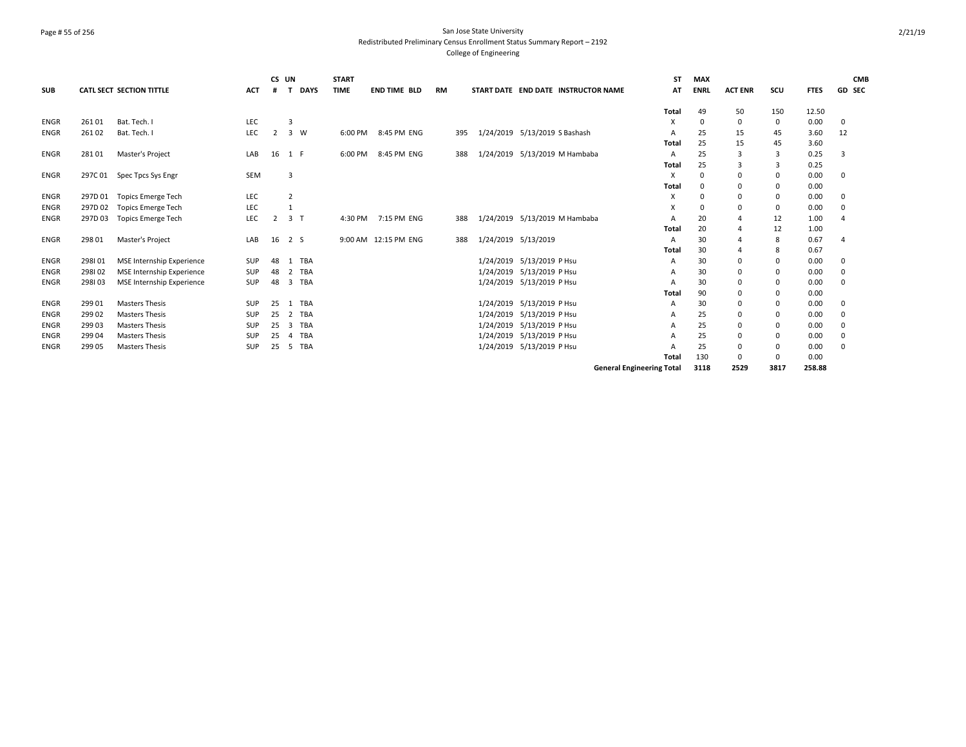## Page # 55 of 256 San Jose State University Redistributed Preliminary Census Enrollment Status Summary Report – 2192 College of Engineering

|             |         |                                 |            | CS UN          |                |             | <b>START</b> |                      |    |     |                     |                               |                                     | ST                               | <b>MAX</b>   |                |                |             | <b>CMB</b>     |
|-------------|---------|---------------------------------|------------|----------------|----------------|-------------|--------------|----------------------|----|-----|---------------------|-------------------------------|-------------------------------------|----------------------------------|--------------|----------------|----------------|-------------|----------------|
| <b>SUB</b>  |         | <b>CATL SECT SECTION TITTLE</b> | <b>ACT</b> | #              |                | <b>DAYS</b> | <b>TIME</b>  | <b>END TIME BLD</b>  | RM |     |                     |                               | START DATE END DATE INSTRUCTOR NAME | AT                               | <b>ENRL</b>  | <b>ACT ENR</b> | SCU            | <b>FTES</b> | <b>GD SEC</b>  |
|             |         |                                 |            |                |                |             |              |                      |    |     |                     |                               |                                     | Total                            | 49           | 50             | 150            | 12.50       |                |
| <b>ENGR</b> | 26101   | Bat. Tech. I                    | LEC        |                | $\overline{3}$ |             |              |                      |    |     |                     |                               |                                     | x                                | $\mathbf 0$  | $\Omega$       | $\mathbf 0$    | 0.00        | $\mathbf 0$    |
| <b>ENGR</b> | 26102   | Bat. Tech. I                    | LEC        | 2              |                | 3 W         |              | 6:00 PM 8:45 PM ENG  |    | 395 |                     | 1/24/2019 5/13/2019 S Bashash |                                     | A                                | 25           | 15             | 45             | 3.60        | 12             |
|             |         |                                 |            |                |                |             |              |                      |    |     |                     |                               |                                     | Total                            | 25           | 15             | 45             | 3.60        |                |
| <b>ENGR</b> | 28101   | Master's Project                | LAB        | 16             | 1 F            |             | 6:00 PM      | 8:45 PM ENG          |    | 388 |                     | 1/24/2019 5/13/2019 M Hambaba |                                     | A                                | 25           | $\mathbf{a}$   | $\overline{3}$ | 0.25        | २              |
|             |         |                                 |            |                |                |             |              |                      |    |     |                     |                               |                                     | Total                            | 25           | 3              | 3              | 0.25        |                |
| <b>ENGR</b> | 297C01  | Spec Tpcs Sys Engr              | SEM        |                | 3              |             |              |                      |    |     |                     |                               |                                     | X                                | $\mathbf{0}$ | $\Omega$       | 0              | 0.00        | $\mathbf 0$    |
|             |         |                                 |            |                |                |             |              |                      |    |     |                     |                               |                                     | Total                            | $\mathbf 0$  | 0              | 0              | 0.00        |                |
| <b>ENGR</b> | 297D 01 | <b>Topics Emerge Tech</b>       | LEC        |                | $\overline{2}$ |             |              |                      |    |     |                     |                               |                                     | x                                | $\Omega$     | $\Omega$       | 0              | 0.00        | $\Omega$       |
| <b>ENGR</b> | 297D02  | <b>Topics Emerge Tech</b>       | LEC        |                | 1              |             |              |                      |    |     |                     |                               |                                     | x                                | $\Omega$     | $\Omega$       | 0              | 0.00        | $\mathbf 0$    |
| <b>ENGR</b> | 297D03  | <b>Topics Emerge Tech</b>       | LEC        | $\overline{2}$ | 3 <sub>1</sub> |             |              | 4:30 PM 7:15 PM ENG  |    | 388 |                     | 1/24/2019 5/13/2019 M Hambaba |                                     | A                                | 20           |                | 12             | 1.00        | $\overline{a}$ |
|             |         |                                 |            |                |                |             |              |                      |    |     |                     |                               |                                     | Total                            | 20           |                | 12             | 1.00        |                |
| <b>ENGR</b> | 298 01  | Master's Project                | LAB        | 16             | 2 S            |             |              | 9:00 AM 12:15 PM ENG |    | 388 | 1/24/2019 5/13/2019 |                               |                                     | A                                | 30           |                | 8              | 0.67        | $\overline{a}$ |
|             |         |                                 |            |                |                |             |              |                      |    |     |                     |                               |                                     | Total                            | 30           |                | 8              | 0.67        |                |
| <b>ENGR</b> | 298101  | MSE Internship Experience       | <b>SUP</b> | 48             |                | 1 TBA       |              |                      |    |     |                     | 1/24/2019 5/13/2019 P Hsu     |                                     | A                                | 30           | 0              | 0              | 0.00        | 0              |
| <b>ENGR</b> | 298102  | MSE Internship Experience       | SUP        | 48             | $\overline{2}$ | TBA         |              |                      |    |     |                     | 1/24/2019 5/13/2019 P Hsu     |                                     | A                                | 30           | $\Omega$       | 0              | 0.00        | 0              |
| <b>ENGR</b> | 298103  | MSE Internship Experience       | <b>SUP</b> | 48             |                | 3 TBA       |              |                      |    |     |                     | 1/24/2019 5/13/2019 P Hsu     |                                     | A                                | 30           | $\Omega$       | 0              | 0.00        | $\Omega$       |
|             |         |                                 |            |                |                |             |              |                      |    |     |                     |                               |                                     | Total                            | 90           | 0              | 0              | 0.00        |                |
| <b>ENGR</b> | 29901   | <b>Masters Thesis</b>           | SUP        | 25             |                | 1 TBA       |              |                      |    |     |                     | 1/24/2019 5/13/2019 P Hsu     |                                     | A                                | 30           | $\Omega$       | $\mathbf 0$    | 0.00        | $\mathbf 0$    |
| <b>ENGR</b> | 29902   | <b>Masters Thesis</b>           | <b>SUP</b> | 25             | 2              | TBA         |              |                      |    |     |                     | 1/24/2019 5/13/2019 P Hsu     |                                     | A                                | 25           | 0              | 0              | 0.00        | $\mathbf 0$    |
| <b>ENGR</b> | 29903   | <b>Masters Thesis</b>           | SUP        | 25             |                | 3 TBA       |              |                      |    |     |                     | 1/24/2019 5/13/2019 P Hsu     |                                     | A                                | 25           | 0              | $\mathbf 0$    | 0.00        | $\mathbf 0$    |
| <b>ENGR</b> | 29904   | <b>Masters Thesis</b>           | <b>SUP</b> | 25             | 4              | TBA         |              |                      |    |     |                     | 1/24/2019 5/13/2019 P Hsu     |                                     | A                                | 25           | $\Omega$       | $\mathbf 0$    | 0.00        | $\mathbf 0$    |
| <b>ENGR</b> | 299 05  | <b>Masters Thesis</b>           | SUP        | 25             |                | 5 TBA       |              |                      |    |     |                     | 1/24/2019 5/13/2019 P Hsu     |                                     | A                                | 25           | $\Omega$       | 0              | 0.00        | $\Omega$       |
|             |         |                                 |            |                |                |             |              |                      |    |     |                     |                               |                                     | Total                            | 130          | $\Omega$       | $\Omega$       | 0.00        |                |
|             |         |                                 |            |                |                |             |              |                      |    |     |                     |                               |                                     | <b>General Engineering Total</b> | 3118         | 2529           | 3817           | 258.88      |                |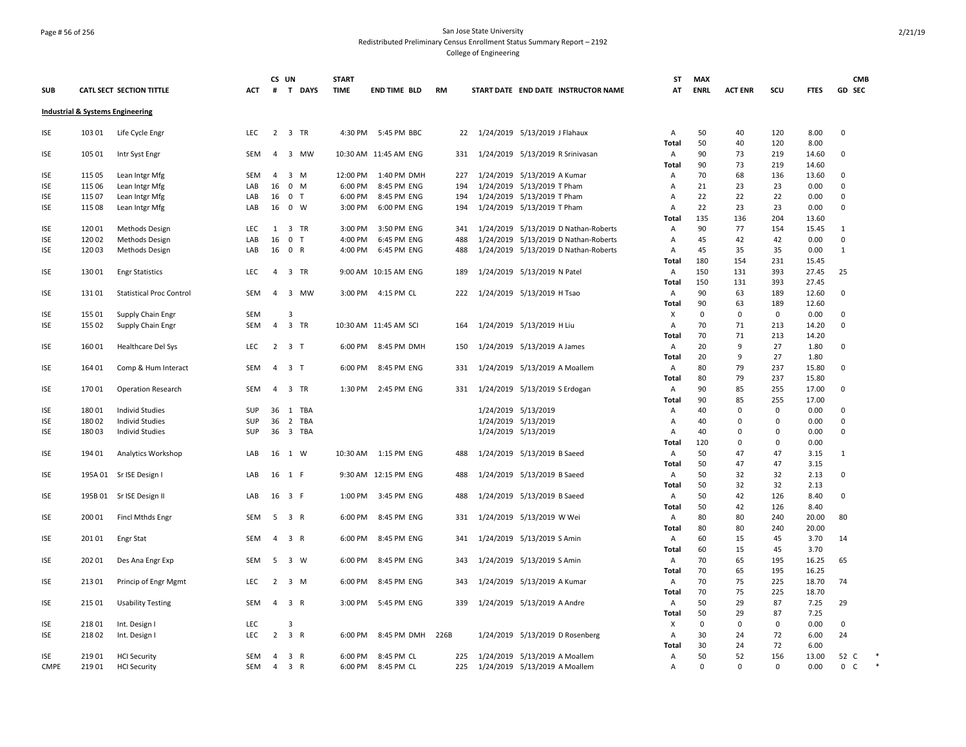### Page # 56 of 256 San Jose State University Redistributed Preliminary Census Enrollment Status Summary Report – 2192 College of Engineering

| <b>SUB</b>  |         | CATL SECT SECTION TITTLE                    | <b>ACT</b> | CS UN<br>#     | T DAYS              | <b>START</b><br><b>TIME</b> | <b>END TIME BLD</b>   | <b>RM</b> |     |                     | START DATE END DATE INSTRUCTOR NAME  | <b>ST</b><br>AT   | <b>MAX</b><br><b>ENRL</b> | <b>ACT ENR</b> | scu         | <b>FTES</b>   | <b>CMB</b><br>GD SEC        |        |
|-------------|---------|---------------------------------------------|------------|----------------|---------------------|-----------------------------|-----------------------|-----------|-----|---------------------|--------------------------------------|-------------------|---------------------------|----------------|-------------|---------------|-----------------------------|--------|
|             |         | <b>Industrial &amp; Systems Engineering</b> |            |                |                     |                             |                       |           |     |                     |                                      |                   |                           |                |             |               |                             |        |
| ISE         | 103 01  | Life Cycle Engr                             | <b>LEC</b> |                | 2 3 TR              |                             | 4:30 PM 5:45 PM BBC   |           | 22  |                     | 1/24/2019 5/13/2019 J Flahaux        | A                 | 50                        | 40             | 120         | 8.00          | 0                           |        |
| ISE         | 105 01  | Intr Syst Engr                              | SEM        | 4              | 3 MW                |                             | 10:30 AM 11:45 AM ENG |           | 331 |                     | 1/24/2019 5/13/2019 R Srinivasan     | <b>Total</b><br>Α | 50<br>90                  | 40<br>73       | 120<br>219  | 8.00<br>14.60 | 0                           |        |
|             |         |                                             |            |                |                     |                             |                       |           |     |                     |                                      | Total             | 90                        | 73             | 219         | 14.60         |                             |        |
| ISE         | 115 05  | Lean Intgr Mfg                              | <b>SEM</b> | $\overline{4}$ | 3 M                 | 12:00 PM                    | 1:40 PM DMH           |           | 227 |                     | 1/24/2019 5/13/2019 A Kumar          | A                 | 70                        | 68             | 136         | 13.60         | 0                           |        |
| ISE         | 115 06  | Lean Intgr Mfg                              | LAB        | 16             | $0$ M               | 6:00 PM                     | 8:45 PM ENG           |           | 194 |                     | 1/24/2019 5/13/2019 T Pham           | Α                 | 21                        | 23             | 23          | 0.00          | 0                           |        |
| <b>ISE</b>  | 115 07  | Lean Intgr Mfg                              | LAB        | 16             | 0 <sub>T</sub>      | 6:00 PM                     | 8:45 PM ENG           |           | 194 |                     | 1/24/2019 5/13/2019 T Pham           | A                 | 22                        | 22             | 22          | 0.00          | $\mathbf 0$                 |        |
| ISE         | 115 08  | Lean Intgr Mfg                              | LAB        |                | 16 0 W              | 3:00 PM                     | 6:00 PM ENG           |           | 194 |                     | 1/24/2019 5/13/2019 T Pham           | $\overline{A}$    | 22                        | 23             | 23          | 0.00          | $\Omega$                    |        |
|             |         |                                             |            |                |                     |                             |                       |           |     |                     |                                      | Total             | 135                       | 136            | 204         | 13.60         |                             |        |
| ISE         | 12001   | Methods Design                              | LEC        | 1              | 3 TR                | 3:00 PM                     | 3:50 PM ENG           |           | 341 |                     | 1/24/2019 5/13/2019 D Nathan-Roberts | Α                 | 90                        | 77             | 154         | 15.45         | 1                           |        |
| ISE         | 12002   | Methods Design                              | LAB        | 16             | 0 <sub>T</sub>      | 4:00 PM                     | 6:45 PM ENG           |           | 488 |                     | 1/24/2019 5/13/2019 D Nathan-Roberts | Α                 | 45                        | 42             | 42          | 0.00          | 0                           |        |
| ISE         | 12003   | Methods Design                              | LAB        |                | 16 0 R              | 4:00 PM                     | 6:45 PM ENG           |           | 488 |                     | 1/24/2019 5/13/2019 D Nathan-Roberts | $\overline{A}$    | 45                        | 35             | 35          | 0.00          | 1                           |        |
|             |         |                                             |            |                |                     |                             |                       |           |     |                     |                                      | Total             | 180                       | 154            | 231         | 15.45         |                             |        |
| ISE         | 13001   | <b>Engr Statistics</b>                      | <b>LEC</b> | $\overline{4}$ | 3 TR                |                             | 9:00 AM 10:15 AM ENG  |           | 189 |                     | 1/24/2019 5/13/2019 N Patel          | A                 | 150                       | 131            | 393         | 27.45         | 25                          |        |
|             |         |                                             |            |                |                     |                             |                       |           |     |                     |                                      | Total             | 150                       | 131            | 393         | 27.45         |                             |        |
| ISE         | 13101   | <b>Statistical Proc Control</b>             | SEM        | $\overline{a}$ | 3 MW                | 3:00 PM                     | 4:15 PM CL            |           | 222 |                     | 1/24/2019 5/13/2019 H Tsao           | A                 | 90                        | 63             | 189         | 12.60         | 0                           |        |
|             |         |                                             |            |                |                     |                             |                       |           |     |                     |                                      | Total             | 90                        | 63             | 189         | 12.60         |                             |        |
| ISE         | 155 01  | Supply Chain Engr                           | SEM        |                | 3                   |                             |                       |           |     |                     |                                      | X                 | 0                         | 0              | 0           | 0.00          | $\mathbf 0$                 |        |
| ISE         | 155 02  |                                             | <b>SEM</b> | $\overline{4}$ | 3 TR                |                             | 10:30 AM 11:45 AM SCI |           | 164 |                     | 1/24/2019 5/13/2019 H Liu            | A                 | 70                        | 71             | 213         | 14.20         | 0                           |        |
|             |         | Supply Chain Engr                           |            |                |                     |                             |                       |           |     |                     |                                      |                   | 70                        | 71             | 213         | 14.20         |                             |        |
|             |         |                                             | LEC        |                |                     |                             | 6:00 PM 8:45 PM DMH   |           |     |                     |                                      | Total             | 20                        | 9              | 27          |               | $\Omega$                    |        |
| ISE         | 16001   | Healthcare Del Sys                          |            |                | $2 \quad 3 \quad T$ |                             |                       |           | 150 |                     | 1/24/2019 5/13/2019 A James          | Α                 |                           |                |             | 1.80          |                             |        |
|             |         |                                             |            |                |                     |                             |                       |           |     |                     |                                      | Total             | 20                        | 9              | 27          | 1.80          |                             |        |
| ISE         | 164 01  | Comp & Hum Interact                         | SEM        | 4              | 3 <sub>1</sub>      | 6:00 PM                     | 8:45 PM ENG           |           | 331 |                     | 1/24/2019 5/13/2019 A Moallem        | Α                 | 80                        | 79             | 237         | 15.80         | 0                           |        |
|             |         |                                             |            |                |                     |                             |                       |           |     |                     |                                      | Total             | 80                        | 79             | 237         | 15.80         |                             |        |
| ISE         | 17001   | <b>Operation Research</b>                   | <b>SEM</b> | $\overline{4}$ | 3 TR                | 1:30 PM                     | 2:45 PM ENG           |           | 331 |                     | 1/24/2019 5/13/2019 S Erdogan        | A                 | 90                        | 85             | 255         | 17.00         | $\mathbf 0$                 |        |
|             |         |                                             |            |                |                     |                             |                       |           |     |                     |                                      | <b>Total</b>      | 90                        | 85             | 255         | 17.00         |                             |        |
| <b>ISE</b>  | 180 01  | <b>Individ Studies</b>                      | SUP        |                | 36 1 TBA            |                             |                       |           |     | 1/24/2019 5/13/2019 |                                      | A                 | 40                        | $\mathbf 0$    | $\mathsf 0$ | 0.00          | 0                           |        |
| ISE         | 18002   | <b>Individ Studies</b>                      | <b>SUP</b> | 36             | 2 TBA               |                             |                       |           |     | 1/24/2019 5/13/2019 |                                      | A                 | 40                        | 0              | 0           | 0.00          | $\mathbf 0$                 |        |
| ISE         | 18003   | <b>Individ Studies</b>                      | <b>SUP</b> |                | 36 3 TBA            |                             |                       |           |     | 1/24/2019 5/13/2019 |                                      | A                 | 40                        | 0              | $\Omega$    | 0.00          | $\mathbf 0$                 |        |
|             |         |                                             |            |                |                     |                             |                       |           |     |                     |                                      | Total             | 120                       | $\mathbf 0$    | $\mathbf 0$ | 0.00          |                             |        |
| ISE         | 194 01  | Analytics Workshop                          | LAB        |                | 16 1 W              |                             | 10:30 AM  1:15 PM ENG |           | 488 |                     | 1/24/2019 5/13/2019 B Saeed          | A                 | 50                        | 47             | 47          | 3.15          | $\mathbf{1}$                |        |
|             |         |                                             |            |                |                     |                             |                       |           |     |                     |                                      | Total             | 50                        | 47             | 47          | 3.15          |                             |        |
| ISE         | 195A 01 | Sr ISE Design I                             | LAB        |                | 16 1 F              |                             | 9:30 AM 12:15 PM ENG  |           | 488 |                     | 1/24/2019 5/13/2019 B Saeed          | A                 | 50                        | 32             | 32          | 2.13          | $\mathsf 0$                 |        |
|             |         |                                             |            |                |                     |                             |                       |           |     |                     |                                      | Total             | 50                        | 32             | 32          | 2.13          |                             |        |
| ISE         | 195B 01 | Sr ISE Design II                            | LAB        |                | 16 3 F              | 1:00 PM                     | 3:45 PM ENG           |           | 488 |                     | 1/24/2019 5/13/2019 B Saeed          | A                 | 50                        | 42             | 126         | 8.40          | $\mathbf 0$                 |        |
|             |         |                                             |            |                |                     |                             |                       |           |     |                     |                                      | Total             | 50                        | 42             | 126         | 8.40          |                             |        |
| ISE         | 200 01  | Fincl Mthds Engr                            | SEM        |                | 5 3 R               |                             | 6:00 PM 8:45 PM ENG   |           | 331 |                     | 1/24/2019 5/13/2019 W Wei            | A                 | 80                        | 80             | 240         | 20.00         | 80                          |        |
|             |         |                                             |            |                |                     |                             |                       |           |     |                     |                                      | Total             | 80                        | 80             | 240         | 20.00         |                             |        |
| ISE         | 20101   | <b>Engr Stat</b>                            | <b>SEM</b> | 4              | 3 R                 | 6:00 PM                     | 8:45 PM ENG           |           | 341 |                     | 1/24/2019 5/13/2019 S Amin           | A                 | 60                        | 15             | 45          | 3.70          | 14                          |        |
|             |         |                                             |            |                |                     |                             |                       |           |     |                     |                                      |                   | 60                        | 15             | 45          | 3.70          |                             |        |
|             |         |                                             |            |                |                     |                             |                       |           |     |                     |                                      | Total             | 70                        | 65             |             |               |                             |        |
| ISE         | 202 01  | Des Ana Engr Exp                            | SEM        | 5              | 3 W                 | 6:00 PM                     | 8:45 PM ENG           |           | 343 |                     | 1/24/2019 5/13/2019 S Amin           | A                 |                           |                | 195         | 16.25         | 65                          |        |
|             |         |                                             |            |                |                     |                             |                       |           |     |                     |                                      | Total             | 70                        | 65             | 195         | 16.25         |                             |        |
| ISE         | 21301   | Princip of Engr Mgmt                        | <b>LEC</b> |                | $2 \quad 3 \quad M$ |                             | 6:00 PM 8:45 PM ENG   |           | 343 |                     | 1/24/2019 5/13/2019 A Kumar          | A                 | 70                        | 75             | 225         | 18.70         | 74                          |        |
|             |         |                                             |            |                |                     |                             |                       |           |     |                     |                                      | <b>Total</b>      | 70                        | 75             | 225         | 18.70         |                             |        |
| ISE         | 215 01  | <b>Usability Testing</b>                    | SEM        | 4              | 3 R                 | 3:00 PM                     | 5:45 PM ENG           |           | 339 |                     | 1/24/2019 5/13/2019 A Andre          | A                 | 50                        | 29             | 87          | 7.25          | 29                          |        |
|             |         |                                             |            |                |                     |                             |                       |           |     |                     |                                      | Total             | 50                        | 29             | 87          | 7.25          |                             |        |
| <b>ISE</b>  | 218 01  | Int. Design I                               | LEC        |                | 3                   |                             |                       |           |     |                     |                                      | X                 | $\mathbf 0$               | $\mathbf 0$    | 0           | 0.00          | 0                           |        |
| ISE         | 21802   | Int. Design I                               | LEC        | $\overline{2}$ | 3 R                 | 6:00 PM                     | 8:45 PM DMH           | 226B      |     |                     | 1/24/2019 5/13/2019 D Rosenberg      | A                 | 30                        | 24             | 72          | 6.00          | 24                          |        |
|             |         |                                             |            |                |                     |                             |                       |           |     |                     |                                      | Total             | 30                        | 24             | 72          | 6.00          |                             |        |
| ISE         | 21901   | <b>HCI Security</b>                         | SEM        | 4              | 3 R                 | 6:00 PM                     | 8:45 PM CL            |           | 225 |                     | 1/24/2019 5/13/2019 A Moallem        | Α                 | 50                        | 52             | 156         | 13.00         | 52 C                        | *      |
| <b>CMPE</b> | 21901   | <b>HCI Security</b>                         | SEM        | $\overline{4}$ | 3 R                 | 6:00 PM                     | 8:45 PM CL            |           | 225 |                     | 1/24/2019 5/13/2019 A Moallem        | Α                 | $\Omega$                  | $\mathbf{0}$   | $\mathsf 0$ | 0.00          | $\mathbf 0$<br>$\mathsf{C}$ | $\ast$ |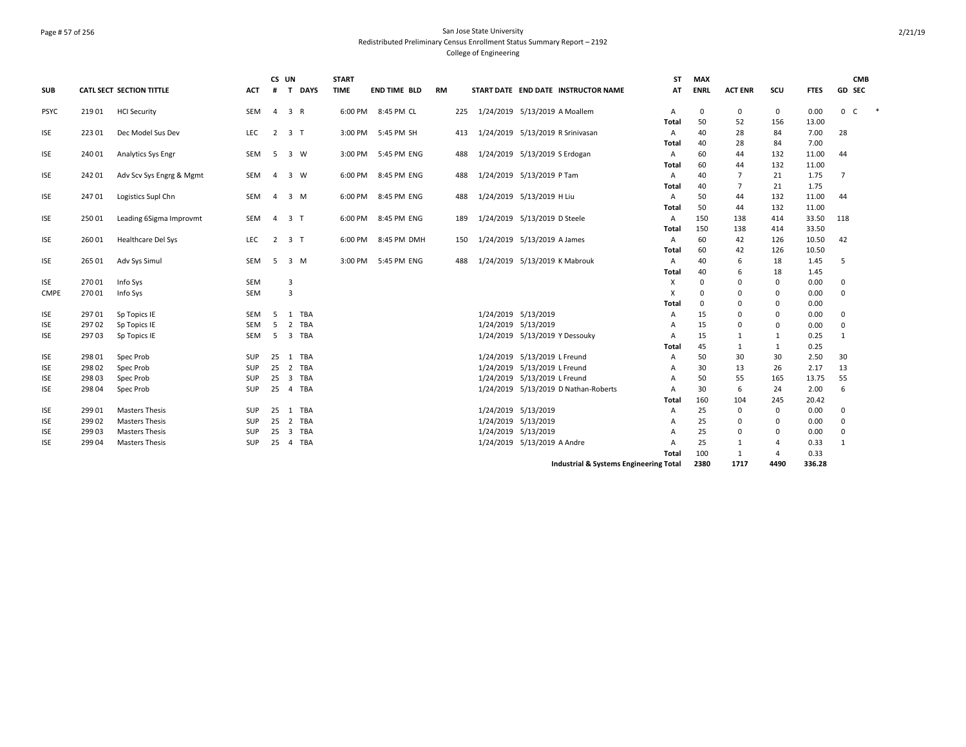## Page # 57 of 256 San Jose State University Redistributed Preliminary Census Enrollment Status Summary Report – 2192 College of Engineering

| <b>SUB</b>  |        | <b>CATL SECT SECTION TITTLE</b> | <b>ACT</b> | CS UN<br>#     | <b>DAYS</b><br>$\mathbf{T}$           | <b>START</b><br><b>TIME</b> | <b>END TIME BLD</b> | <b>RM</b> |     |                     | START DATE END DATE INSTRUCTOR NAME    | <b>ST</b><br>AT | <b>MAX</b><br><b>ENRL</b> | <b>ACT ENR</b> | scu            | <b>FTES</b>   | GD SEC         | <b>CMB</b> |        |
|-------------|--------|---------------------------------|------------|----------------|---------------------------------------|-----------------------------|---------------------|-----------|-----|---------------------|----------------------------------------|-----------------|---------------------------|----------------|----------------|---------------|----------------|------------|--------|
| <b>PSYC</b> | 21901  | <b>HCI Security</b>             | <b>SEM</b> | $\overline{4}$ | 3 R                                   |                             | 6:00 PM 8:45 PM CL  |           | 225 |                     | 1/24/2019 5/13/2019 A Moallem          | Α               | 0                         | 0              | $\mathbf 0$    | 0.00          | 0 C            |            | $\ast$ |
|             |        |                                 |            |                |                                       |                             |                     |           |     |                     |                                        | Total           | 50                        | 52             | 156            | 13.00         |                |            |        |
| <b>ISE</b>  | 22301  | Dec Model Sus Dev               | LEC.       |                | $2 \quad 3 \quad T$                   |                             | 3:00 PM 5:45 PM SH  |           | 413 |                     | 1/24/2019 5/13/2019 R Srinivasan       | Α               | 40                        | 28             | 84             | 7.00          | 28             |            |        |
|             |        |                                 |            |                |                                       |                             |                     |           |     |                     |                                        | Total           | 40                        | 28             | 84             | 7.00          |                |            |        |
| <b>ISE</b>  | 240 01 | Analytics Sys Engr              | SEM        | 5              | 3 W                                   | 3:00 PM                     | 5:45 PM ENG         |           | 488 |                     | 1/24/2019 5/13/2019 S Erdogan          | Α               | 60                        | 44             | 132            | 11.00         | 44             |            |        |
|             |        |                                 |            |                |                                       |                             |                     |           |     |                     |                                        | Total           | 60                        | 44             | 132            | 11.00         |                |            |        |
| <b>ISE</b>  | 24201  | Adv Scv Sys Engrg & Mgmt        | SEM        | 4              | 3 W                                   | 6:00 PM                     | 8:45 PM ENG         |           | 488 |                     | 1/24/2019 5/13/2019 P Tam              | Α               | 40                        | 7              | 21             | 1.75          | $\overline{7}$ |            |        |
|             |        |                                 |            |                |                                       |                             |                     |           |     |                     |                                        | Total           | 40                        | 7              | 21             | 1.75          |                |            |        |
| <b>ISE</b>  | 24701  | Logistics Supl Chn              | SEM        | 4              | $3 \, M$                              | 6:00 PM                     | 8:45 PM ENG         |           | 488 |                     | 1/24/2019 5/13/2019 H Liu              | Α               | 50                        | 44             | 132            | 11.00         | 44             |            |        |
|             |        |                                 |            |                |                                       |                             |                     |           |     |                     |                                        | Total           | 50                        | 44             | 132            | 11.00         |                |            |        |
| <b>ISE</b>  | 250 01 | Leading 6Sigma Improvmt         | SEM        | $\overline{4}$ | 3 <sub>1</sub>                        | 6:00 PM                     | 8:45 PM ENG         |           | 189 |                     | 1/24/2019 5/13/2019 D Steele           | A               | 150                       | 138            | 414            | 33.50         | 118            |            |        |
|             |        |                                 |            |                |                                       |                             |                     |           |     |                     |                                        | Total           | 150                       | 138            | 414            | 33.50         |                |            |        |
| <b>ISE</b>  | 26001  | Healthcare Del Sys              | LEC        | $\overline{2}$ | 3 <sub>1</sub>                        | 6:00 PM                     | 8:45 PM DMH         |           | 150 |                     | 1/24/2019 5/13/2019 A James            | Α               | 60<br>60                  | 42             | 126            | 10.50         | 42             |            |        |
| <b>ISE</b>  | 265 01 |                                 | <b>SEM</b> | -5             | 3 M                                   | 3:00 PM                     | 5:45 PM ENG         |           |     |                     | 1/24/2019 5/13/2019 K Mabrouk          | Total           | 40                        | 42             | 126            | 10.50<br>1.45 | 5              |            |        |
|             |        | Adv Sys Simul                   |            |                |                                       |                             |                     |           | 488 |                     |                                        | Α<br>Total      | 40                        | 6<br>6         | 18<br>18       | 1.45          |                |            |        |
| <b>ISE</b>  | 27001  | Info Sys                        | SEM        |                | 3                                     |                             |                     |           |     |                     |                                        | Χ               | 0                         | $\mathbf 0$    | 0              | 0.00          | 0              |            |        |
| <b>CMPE</b> | 27001  | Info Sys                        | <b>SEM</b> |                | $\overline{3}$                        |                             |                     |           |     |                     |                                        | X               | $\Omega$                  | $\mathbf 0$    | 0              | 0.00          | $\mathbf 0$    |            |        |
|             |        |                                 |            |                |                                       |                             |                     |           |     |                     |                                        | Total           | $\Omega$                  | 0              | 0              | 0.00          |                |            |        |
| <b>ISE</b>  | 29701  | Sp Topics IE                    | <b>SEM</b> | .5             | 1 TBA                                 |                             |                     |           |     | 1/24/2019 5/13/2019 |                                        | Α               | 15                        | 0              | 0              | 0.00          | 0              |            |        |
| <b>ISE</b>  | 29702  | Sp Topics IE                    | <b>SEM</b> | 5              | 2<br>TBA                              |                             |                     |           |     | 1/24/2019 5/13/2019 |                                        | А               | 15                        | 0              | 0              | 0.00          | $\mathbf 0$    |            |        |
| <b>ISE</b>  | 29703  | Sp Topics IE                    | SEM        | 5              | $\overline{\mathbf{3}}$<br>TBA        |                             |                     |           |     |                     | 1/24/2019 5/13/2019 Y Dessouky         | А               | 15                        | 1              | 1              | 0.25          | 1              |            |        |
|             |        |                                 |            |                |                                       |                             |                     |           |     |                     |                                        | Total           | 45                        | 1              | $\mathbf{1}$   | 0.25          |                |            |        |
| <b>ISE</b>  | 298 01 | Spec Prob                       | <b>SUP</b> | 25             | <b>TBA</b><br>1                       |                             |                     |           |     |                     | 1/24/2019 5/13/2019 L Freund           | Α               | 50                        | 30             | 30             | 2.50          | 30             |            |        |
| <b>ISE</b>  | 29802  | Spec Prob                       | SUP        | 25             | $\overline{2}$<br>TBA                 |                             |                     |           |     |                     | 1/24/2019 5/13/2019 L Freund           | А               | 30                        | 13             | 26             | 2.17          | 13             |            |        |
| <b>ISE</b>  | 29803  | Spec Prob                       | SUP        | 25             | $\overline{\mathbf{3}}$<br>TBA        |                             |                     |           |     |                     | 1/24/2019 5/13/2019 L Freund           | Α               | 50                        | 55             | 165            | 13.75         | 55             |            |        |
| <b>ISE</b>  | 298 04 | Spec Prob                       | <b>SUP</b> | 25             | TBA<br>$\overline{4}$                 |                             |                     |           |     |                     | 1/24/2019 5/13/2019 D Nathan-Roberts   | Α               | 30                        | 6              | 24             | 2.00          | 6              |            |        |
|             |        |                                 |            |                |                                       |                             |                     |           |     |                     |                                        | Total           | 160                       | 104            | 245            | 20.42         |                |            |        |
| <b>ISE</b>  | 29901  | <b>Masters Thesis</b>           | <b>SUP</b> | 25             | TBA<br>1                              |                             |                     |           |     | 1/24/2019 5/13/2019 |                                        | Α               | 25                        | 0              | 0              | 0.00          | 0              |            |        |
| ISE         | 29902  | <b>Masters Thesis</b>           | SUP        | 25             | $\overline{2}$<br>TBA                 |                             |                     |           |     | 1/24/2019 5/13/2019 |                                        | Α               | 25                        | 0              | 0              | 0.00          | 0              |            |        |
| <b>ISE</b>  | 29903  | <b>Masters Thesis</b>           | SUP        | 25             | $\overline{\mathbf{3}}$<br><b>TBA</b> |                             |                     |           |     | 1/24/2019 5/13/2019 |                                        | А               | 25                        | 0              | 0              | 0.00          | 0              |            |        |
| <b>ISE</b>  | 29904  | <b>Masters Thesis</b>           | <b>SUP</b> | 25             | TBA<br>$\overline{4}$                 |                             |                     |           |     |                     | 1/24/2019 5/13/2019 A Andre            | A               | 25                        | 1              | 4              | 0.33          | 1              |            |        |
|             |        |                                 |            |                |                                       |                             |                     |           |     |                     |                                        | Total           | 100                       | 1              | $\overline{4}$ | 0.33          |                |            |        |
|             |        |                                 |            |                |                                       |                             |                     |           |     |                     | Industrial & Systems Engineering Total |                 | 2380                      | 1717           | 4490           | 336.28        |                |            |        |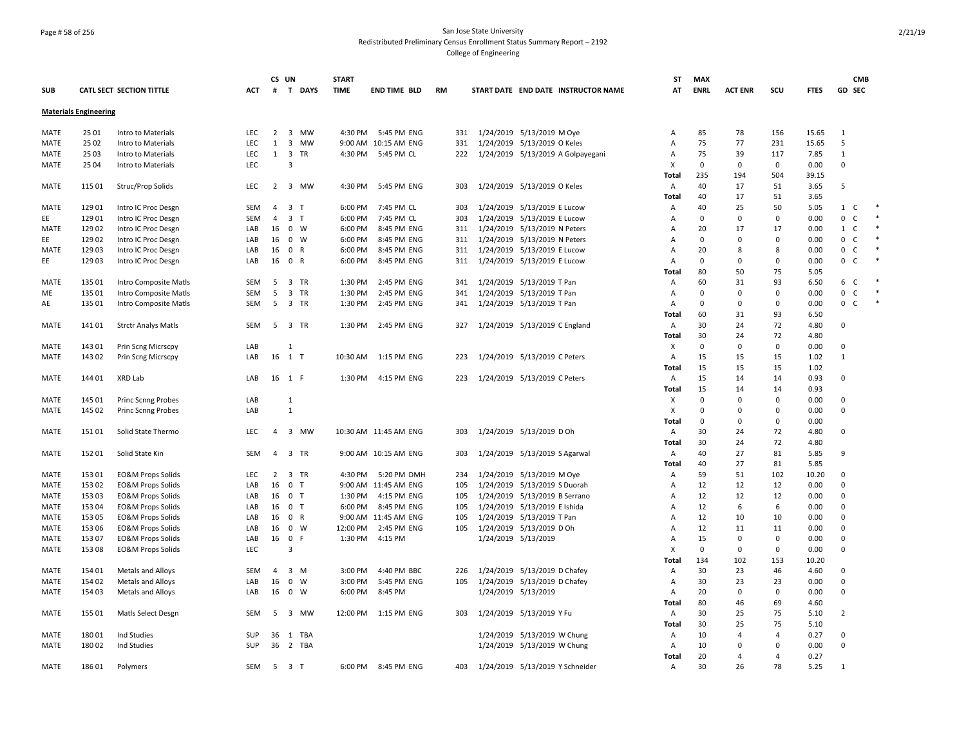### Page # 58 of 256 San Jose State University Redistributed Preliminary Census Enrollment Status Summary Report – 2192 College of Engineering

|             |                              |                              |            | CS UN          |                                      | <b>START</b> |                          |           |                                     | <b>ST</b>    | <b>MAX</b>  |                |                |             | <b>CMB</b>                          |  |
|-------------|------------------------------|------------------------------|------------|----------------|--------------------------------------|--------------|--------------------------|-----------|-------------------------------------|--------------|-------------|----------------|----------------|-------------|-------------------------------------|--|
| <b>SUB</b>  |                              | CATL SECT SECTION TITTLE     | ACT        | #              | T DAYS                               | <b>TIME</b>  | <b>END TIME BLD</b>      | <b>RM</b> | START DATE END DATE INSTRUCTOR NAME | AT           | <b>ENRL</b> | <b>ACT ENR</b> | scu            | <b>FTES</b> | GD SEC                              |  |
|             | <b>Materials Engineering</b> |                              |            |                |                                      |              |                          |           |                                     |              |             |                |                |             |                                     |  |
| MATE        | 25 01                        | Intro to Materials           | LEC        | $\overline{2}$ | 3 MW                                 | 4:30 PM      | 5:45 PM ENG              | 331       | 1/24/2019 5/13/2019 M Oye           | Α            | 85          | 78             | 156            | 15.65       | 1                                   |  |
| MATE        | 25 02                        | Intro to Materials           | LEC        | 1              | $\overline{\mathbf{3}}$<br>MW        |              | 9:00 AM 10:15 AM ENG     | 331       | 1/24/2019 5/13/2019 O Keles         | A            | 75          | 77             | 231            | 15.65       | 5                                   |  |
| MATE        | 25 03                        | Intro to Materials           | LEC        | 1              | $\overline{3}$<br>TR                 |              | 4:30 PM 5:45 PM CL       | 222       | 1/24/2019 5/13/2019 A Golpayegani   | A            | 75          | 39             | 117            | 7.85        | $\mathbf{1}$                        |  |
| MATE        | 25 04                        | Intro to Materials           | LEC        |                | 3                                    |              |                          |           |                                     | X            | $\mathbf 0$ | 0              | 0              | 0.00        | $\mathbf 0$                         |  |
|             |                              |                              |            |                |                                      |              |                          |           |                                     | Total        | 235         | 194            | 504            | 39.15       |                                     |  |
| MATE        | 115 01                       | Struc/Prop Solids            | LEC        | $2^{\circ}$    | 3 MW                                 | 4:30 PM      | 5:45 PM ENG              | 303       | 1/24/2019 5/13/2019 O Keles         | Α            | 40          | 17             | 51             | 3.65        | 5                                   |  |
|             |                              |                              |            |                |                                      |              |                          |           |                                     | Total        | 40          | 17             | 51             | 3.65        |                                     |  |
| MATE        | 129 01                       | Intro IC Proc Desgn          | SEM        | 4              | 3 <sub>1</sub>                       | 6:00 PM      | 7:45 PM CL               | 303       | 1/24/2019 5/13/2019 E Lucow         | Α            | 40          | 25             | 50             | 5.05        | 1 C                                 |  |
| EE          | 12901                        | Intro IC Proc Desgn          | <b>SEM</b> | $\overline{4}$ | 3 <sub>T</sub>                       | 6:00 PM      | 7:45 PM CL               | 303       | 1/24/2019 5/13/2019 E Lucow         | A            | $\mathbf 0$ | 0              | 0              | 0.00        | $\mathbf 0$<br>C                    |  |
| MATE        | 12902                        | Intro IC Proc Desgn          | LAB        | 16             | $0 \quad W$                          | 6:00 PM      | 8:45 PM ENG              | 311       | 1/24/2019 5/13/2019 N Peters        | Α            | 20          | 17             | 17             | 0.00        | 1 C                                 |  |
| EE          | 12902                        | Intro IC Proc Desgn          | LAB        | 16             | $\mathbf 0$<br>W                     | 6:00 PM      | 8:45 PM ENG              | 311       | 1/24/2019 5/13/2019 N Peters        | A            | $\mathbf 0$ | $\Omega$       | 0              | 0.00        | $\mathbf 0$<br>C <sub>1</sub>       |  |
| MATE        | 12903                        | Intro IC Proc Desgn          | LAB        | 16             | 0 R                                  | 6:00 PM      | 8:45 PM ENG              | 311       | 1/24/2019 5/13/2019 E Lucow         | A            | 20          | 8              | 8              | 0.00        | $\mathsf{O}$<br>C <sub>1</sub>      |  |
| EE          | 12903                        | Intro IC Proc Desgn          | LAB        | 16             | 0 R                                  | 6:00 PM      | 8:45 PM ENG              | 311       | 1/24/2019 5/13/2019 E Lucow         | Α            | $\mathbf 0$ | $\Omega$       | $\Omega$       | 0.00        | $\mathsf{O}\xspace$<br>$\mathsf{C}$ |  |
|             |                              |                              |            |                |                                      |              |                          |           |                                     | Total        | 80          | 50             | 75             | 5.05        |                                     |  |
| <b>MATE</b> | 135 01                       | Intro Composite Matls        | SEM        | 5              | 3 TR                                 | 1:30 PM      | 2:45 PM ENG              | 341       | 1/24/2019 5/13/2019 T Pan           | Α            | 60          | 31             | 93             | 6.50        | 6 C                                 |  |
| ME          | 135 01                       | Intro Composite Matls        | SEM        | 5              | $\overline{\mathbf{3}}$<br>TR        | 1:30 PM      | 2:45 PM ENG              | 341       | 1/24/2019 5/13/2019 T Pan           | Α            | $\mathbf 0$ | $\mathbf 0$    | $\mathbf 0$    | 0.00        | $\mathsf{O}$<br>$\mathsf{C}$        |  |
| AE          | 135 01                       | Intro Composite Matls        | SEM        | 5              | $\overline{\mathbf{3}}$<br><b>TR</b> | 1:30 PM      | 2:45 PM ENG              | 341       | 1/24/2019 5/13/2019 T Pan           | A            | $\mathbf 0$ | $\Omega$       | 0              | 0.00        | 0 C                                 |  |
|             |                              |                              |            |                |                                      |              |                          |           |                                     | <b>Total</b> | 60          | 31             | 93             | 6.50        |                                     |  |
| MATE        | 14101                        | <b>Strctr Analys Matls</b>   | <b>SEM</b> | 5              | 3 TR                                 | 1:30 PM      | 2:45 PM ENG              | 327       | 1/24/2019 5/13/2019 C England       | Α            | 30          | 24             | 72             | 4.80        | $\mathbf 0$                         |  |
|             |                              |                              |            |                |                                      |              |                          |           |                                     | Total        | 30          | 24             | 72             | 4.80        |                                     |  |
| MATE        | 14301                        | Prin Scng Micrscpy           | LAB        |                | -1                                   |              |                          |           |                                     | X            | $\mathbf 0$ | $\mathbf 0$    | $\mathbf 0$    | 0.00        | $\mathbf 0$                         |  |
| MATE        | 14302                        | Prin Scng Micrscpy           | LAB        |                | 16 1 T                               |              | 10:30 AM  1:15 PM ENG    | 223       | 1/24/2019 5/13/2019 C Peters        | Α            | 15          | 15             | 15             | 1.02        | $\mathbf{1}$                        |  |
|             |                              |                              |            |                |                                      |              |                          |           |                                     | Total        | 15          | 15             | 15             | 1.02        |                                     |  |
| MATE        | 144 01                       | XRD Lab                      | LAB        |                | 16 1 F                               | 1:30 PM      | 4:15 PM ENG              | 223       | 1/24/2019 5/13/2019 C Peters        | Α            | 15          | 14             | 14             | 0.93        | $\mathbf 0$                         |  |
|             |                              |                              |            |                |                                      |              |                          |           |                                     | Total        | 15          | 14             | 14             | 0.93        |                                     |  |
| MATE        | 145 01                       | Princ Scnng Probes           | LAB        |                | 1                                    |              |                          |           |                                     | х            | $\Omega$    | $\Omega$       | 0              | 0.00        | $\mathbf 0$                         |  |
| MATE        | 145 02                       | <b>Princ Scnng Probes</b>    | LAB        |                | 1                                    |              |                          |           |                                     | X            | $\mathbf 0$ | $\mathbf 0$    | $\mathbf 0$    | 0.00        | $\mathbf 0$                         |  |
|             |                              |                              |            |                |                                      |              |                          |           |                                     | Total        | 0           | $\Omega$       | $\Omega$       | 0.00        |                                     |  |
| MATE        | 151 01                       | Solid State Thermo           | LEC        | $\overline{a}$ | 3 MW                                 |              | 10:30 AM 11:45 AM ENG    | 303       | 1/24/2019 5/13/2019 D Oh            | Α            | 30          | 24             | 72             | 4.80        | $\mathbf 0$                         |  |
|             |                              |                              |            |                |                                      |              |                          |           |                                     | <b>Total</b> | 30          | 24             | 72             | 4.80        |                                     |  |
| MATE        | 15201                        | Solid State Kin              | SEM        | $\overline{a}$ | 3 TR                                 |              | 9:00 AM 10:15 AM ENG     | 303       | 1/24/2019 5/13/2019 S Agarwal       | A            | 40          | 27             | 81             | 5.85        | 9                                   |  |
|             |                              |                              |            |                |                                      |              |                          |           |                                     | Total        | 40          | 27             | 81             | 5.85        |                                     |  |
| MATE        | 153 01                       | <b>EO&amp;M Props Solids</b> | LEC        | $\overline{2}$ | 3 TR                                 | 4:30 PM      | 5:20 PM DMH              | 234       | 1/24/2019 5/13/2019 M Oye           | Α            | 59          | 51             | 102            | 10.20       | $\mathbf 0$                         |  |
| MATE        | 15302                        | <b>EO&amp;M Props Solids</b> | LAB        | 16             | 0 <sub>T</sub>                       |              | 9:00 AM 11:45 AM ENG     | 105       | 1/24/2019 5/13/2019 S Duorah        | A            | 12          | 12             | 12             | 0.00        | $\mathbf 0$                         |  |
| MATE        | 15303                        | EO&M Props Solids            | LAB        | 16             | 0 <sub>T</sub>                       | 1:30 PM      | 4:15 PM ENG              | 105       | 1/24/2019 5/13/2019 B Serrano       | Α            | 12          | 12             | 12             | 0.00        | $\mathbf 0$                         |  |
| <b>MATE</b> | 153 04                       | <b>EO&amp;M Props Solids</b> | LAB        | 16             | 0 <sub>T</sub>                       | 6:00 PM      | 8:45 PM ENG              | 105       | 1/24/2019 5/13/2019 E Ishida        | Α            | 12          | 6              | 6              | 0.00        | $\mathbf 0$                         |  |
| MATE        | 15305                        | <b>EO&amp;M Props Solids</b> | LAB        |                | 16 0 R                               |              | 9:00 AM 11:45 AM ENG     | 105       | 1/24/2019 5/13/2019 T Pan           | A            | 12          | 10             | 10             | 0.00        | $\mathbf 0$                         |  |
| MATE        | 153 06                       | <b>EO&amp;M Props Solids</b> | LAB        | 16             | $\mathbf{0}$<br>W                    | 12:00 PM     | 2:45 PM ENG              | 105       | 1/24/2019 5/13/2019 D Oh            | Α            | 12          | 11             | 11             | 0.00        | $\mathbf 0$                         |  |
| <b>MATE</b> | 15307                        | <b>EO&amp;M Props Solids</b> | LAB        | 16             | $\mathbf 0$<br>- F                   | 1:30 PM      | 4:15 PM                  |           | 1/24/2019 5/13/2019                 | A            | 15          | $\Omega$       | 0              | 0.00        | $\Omega$                            |  |
| MATE        | 15308                        | <b>EO&amp;M Props Solids</b> | LEC        |                | $\overline{3}$                       |              |                          |           |                                     | X            | $\mathbf 0$ | $\mathbf 0$    | $\mathbf 0$    | 0.00        | $\mathbf 0$                         |  |
|             |                              |                              |            |                |                                      |              |                          |           |                                     | Total        | 134         | 102            | 153            | 10.20       |                                     |  |
| <b>MATE</b> | 154 01                       | Metals and Alloys            | <b>SEM</b> | 4              | 3<br>M                               | 3:00 PM      | 4:40 PM BBC              | 226       | 1/24/2019 5/13/2019 D Chafey        | A            | 30          | 23             | 46             | 4.60        | $\mathbf 0$                         |  |
| MATE        | 154 02                       | Metals and Alloys            | LAB        | 16             | $\mathbf 0$<br>W                     | 3:00 PM      | 5:45 PM ENG              | 105       | 1/24/2019 5/13/2019 D Chafey        | Α            | 30          | 23             | 23             | 0.00        | 0                                   |  |
| MATE        | 154 03                       | Metals and Alloys            | LAB        | 16             | $\mathbf 0$<br>W                     | 6:00 PM      | 8:45 PM                  |           | 1/24/2019 5/13/2019                 | Α            | 20          | $\Omega$       | $\mathbf 0$    | 0.00        | $\mathbf 0$                         |  |
|             |                              |                              |            |                |                                      |              |                          |           |                                     | Total        | 80          | 46             | 69             | 4.60        |                                     |  |
| <b>MATE</b> | 155 01                       | Matls Select Desgn           | SEM        | -5             | 3 MW                                 |              | 12:00 PM   1:15 PM   ENG | 303       | 1/24/2019 5/13/2019 Y Fu            | Α            | 30          | 25             | 75             | 5.10        | $\overline{2}$                      |  |
|             |                              |                              |            |                |                                      |              |                          |           |                                     | Total        | 30          | 25             | 75             | 5.10        |                                     |  |
| MATE        | 18001                        | Ind Studies                  | SUP        | 36             | 1 TBA                                |              |                          |           | 1/24/2019 5/13/2019 W Chung         | Α            | 10          | 4              | 4              | 0.27        | 0                                   |  |
| <b>MATE</b> | 18002                        | <b>Ind Studies</b>           | <b>SUP</b> |                | 36 2 TBA                             |              |                          |           | 1/24/2019 5/13/2019 W Chung         | Α            | 10          | $\Omega$       | $\Omega$       | 0.00        | 0                                   |  |
|             |                              |                              |            |                |                                      |              |                          |           |                                     | Total        | 20          | 4              | $\overline{a}$ | 0.27        |                                     |  |
| MATE        | 18601                        | Polymers                     | SEM        | 5              | 3 <sub>1</sub>                       |              | 6:00 PM 8:45 PM ENG      | 403       | 1/24/2019 5/13/2019 Y Schneider     | Α            | 30          | 26             | 78             | 5.25        | $\mathbf{1}$                        |  |
|             |                              |                              |            |                |                                      |              |                          |           |                                     |              |             |                |                |             |                                     |  |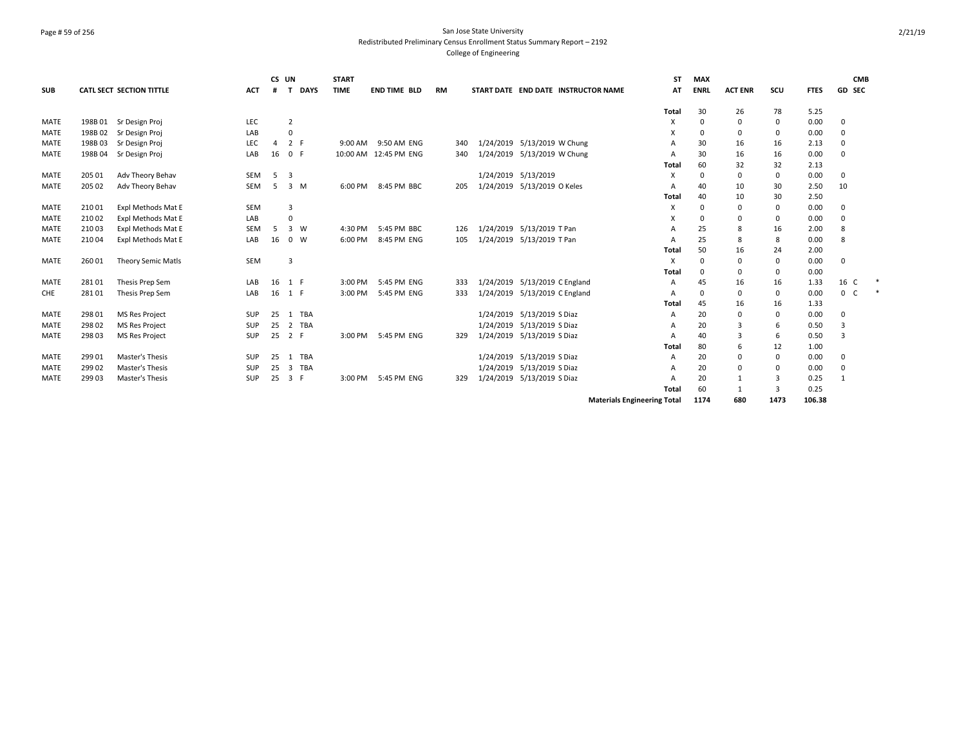### Page # 59 of 256 San Jose State University Redistributed Preliminary Census Enrollment Status Summary Report – 2192 College of Engineering

| <b>SUB</b>  |        | <b>CATL SECT SECTION TITTLE</b> | <b>ACT</b> | CS UN<br># | <b>DAYS</b>           | <b>START</b><br><b>TIME</b> | <b>END TIME BLD</b>   | RM |     |                     | START DATE END DATE INSTRUCTOR NAME | <b>ST</b><br>AT | <b>MAX</b><br><b>ENRL</b> | <b>ACT ENR</b> | scu         | <b>FTES</b> | <b>CMB</b><br>GD SEC |  |
|-------------|--------|---------------------------------|------------|------------|-----------------------|-----------------------------|-----------------------|----|-----|---------------------|-------------------------------------|-----------------|---------------------------|----------------|-------------|-------------|----------------------|--|
|             |        |                                 |            |            |                       |                             |                       |    |     |                     |                                     |                 |                           |                |             |             |                      |  |
|             |        |                                 |            |            |                       |                             |                       |    |     |                     |                                     | Total           | 30                        | 26             | 78          | 5.25        |                      |  |
| <b>MATE</b> | 198B01 | Sr Design Proj                  | LEC        |            | $\overline{2}$        |                             |                       |    |     |                     |                                     | Х               | $\Omega$                  | $\mathbf 0$    | 0           | 0.00        | $\mathbf 0$          |  |
| <b>MATE</b> | 198B02 | Sr Design Proj                  | LAB        |            | $\Omega$              |                             |                       |    |     |                     |                                     | X               | $\Omega$                  | 0              | $\mathbf 0$ | 0.00        | 0                    |  |
| <b>MATE</b> | 198B03 | Sr Design Proj                  | LEC        | 4          | 2 F                   |                             | 9:00 AM 9:50 AM ENG   |    | 340 |                     | 1/24/2019 5/13/2019 W Chung         | A               | 30                        | 16             | 16          | 2.13        | $\mathbf 0$          |  |
| <b>MATE</b> | 198B04 | Sr Design Proj                  | LAB        | 16         | $\mathbf{0}$          |                             | 10:00 AM 12:45 PM ENG |    | 340 |                     | 1/24/2019 5/13/2019 W Chung         | A               | 30                        | 16             | 16          | 0.00        | 0                    |  |
|             |        |                                 |            |            |                       |                             |                       |    |     |                     |                                     | Total           | 60                        | 32             | 32          | 2.13        |                      |  |
| <b>MATE</b> | 205 01 | Adv Theory Behav                | SEM        | -5         | 3                     |                             |                       |    |     | 1/24/2019 5/13/2019 |                                     | Х               | 0                         | $\mathbf 0$    | 0           | 0.00        | $\mathbf 0$          |  |
| <b>MATE</b> | 205 02 | Adv Theory Behav                | <b>SEM</b> | -5         | 3 M                   | 6:00 PM                     | 8:45 PM BBC           |    | 205 |                     | 1/24/2019 5/13/2019 O Keles         | A               | 40                        | 10             | 30          | 2.50        | 10                   |  |
|             |        |                                 |            |            |                       |                             |                       |    |     |                     |                                     | <b>Total</b>    | 40                        | 10             | 30          | 2.50        |                      |  |
| <b>MATE</b> | 21001  | Expl Methods Mat E              | <b>SEM</b> |            | 3                     |                             |                       |    |     |                     |                                     | X               | $\Omega$                  | 0              | 0           | 0.00        | 0                    |  |
| <b>MATE</b> | 21002  | Expl Methods Mat E              | LAB        |            | $\Omega$              |                             |                       |    |     |                     |                                     | X               | $\Omega$                  | 0              | 0           | 0.00        | $\Omega$             |  |
| <b>MATE</b> | 21003  | Expl Methods Mat E              | <b>SEM</b> | -5         | 3<br>W                | 4:30 PM                     | 5:45 PM BBC           |    | 126 |                     | 1/24/2019 5/13/2019 T Pan           | A               | 25                        | 8              | 16          | 2.00        | 8                    |  |
| <b>MATE</b> | 21004  | Expl Methods Mat E              | LAB        | 16         | $\mathbf 0$<br>W      | 6:00 PM                     | 8:45 PM ENG           |    | 105 |                     | 1/24/2019 5/13/2019 T Pan           | A               | 25                        | 8              | 8           | 0.00        | 8                    |  |
|             |        |                                 |            |            |                       |                             |                       |    |     |                     |                                     | Total           | 50                        | 16             | 24          | 2.00        |                      |  |
| <b>MATE</b> | 26001  | Theory Semic Matls              | <b>SEM</b> |            | $\overline{3}$        |                             |                       |    |     |                     |                                     | Х               |                           | 0              | 0           | 0.00        | $\mathbf 0$          |  |
|             |        |                                 |            |            |                       |                             |                       |    |     |                     |                                     | Total           | $\Omega$                  | $\Omega$       | 0           | 0.00        |                      |  |
| <b>MATE</b> | 28101  | Thesis Prep Sem                 | LAB        |            | 16 1 F                | 3:00 PM                     | 5:45 PM ENG           |    | 333 |                     | 1/24/2019 5/13/2019 C England       | A               | 45                        | 16             | 16          | 1.33        | 16 C                 |  |
| CHE         | 28101  | Thesis Prep Sem                 | LAB        |            | 16 1 F                | 3:00 PM                     | 5:45 PM ENG           |    | 333 |                     | 1/24/2019 5/13/2019 C England       | A               | ŋ                         | 0              | $\mathbf 0$ | 0.00        | 0<br><sub>c</sub>    |  |
|             |        |                                 |            |            |                       |                             |                       |    |     |                     |                                     | <b>Total</b>    | 45                        | 16             | 16          | 1.33        |                      |  |
| <b>MATE</b> | 298 01 | <b>MS Res Project</b>           | <b>SUP</b> | 25         | 1 TBA                 |                             |                       |    |     |                     | 1/24/2019 5/13/2019 S Diaz          | Α               | 20                        | 0              | $\mathbf 0$ | 0.00        | 0                    |  |
| <b>MATE</b> | 29802  | <b>MS Res Project</b>           | SUP        | 25         | TBA<br>$\overline{2}$ |                             |                       |    |     |                     | 1/24/2019 5/13/2019 S Diaz          | A               | 20                        | $\overline{3}$ | 6           | 0.50        | 3                    |  |
| <b>MATE</b> | 29803  | <b>MS Res Project</b>           | <b>SUP</b> | 25         | 2 F                   |                             | 3:00 PM 5:45 PM ENG   |    | 329 |                     | 1/24/2019 5/13/2019 S Diaz          | A               | 40                        | 3              | 6           | 0.50        | 3                    |  |
|             |        |                                 |            |            |                       |                             |                       |    |     |                     |                                     | Total           | 80                        | 6              | 12          | 1.00        |                      |  |
| <b>MATE</b> | 29901  | Master's Thesis                 | <b>SUP</b> | 25         | TBA<br>$\mathbf{1}$   |                             |                       |    |     |                     | 1/24/2019 5/13/2019 S Diaz          | A               | 20                        | 0              | 0           | 0.00        | $\mathbf 0$          |  |
| <b>MATE</b> | 29902  | Master's Thesis                 | SUP        | 25         | TBA<br>3              |                             |                       |    |     |                     | 1/24/2019 5/13/2019 S Diaz          | A               | 20                        | 0              | 0           | 0.00        | $\mathbf 0$          |  |
| <b>MATE</b> | 299 03 | Master's Thesis                 | <b>SUP</b> | 25         | 3<br>- F              | 3:00 PM                     | 5:45 PM ENG           |    | 329 |                     | 1/24/2019 5/13/2019 S Diaz          | A               | 20                        | 1              | 3           | 0.25        | 1                    |  |
|             |        |                                 |            |            |                       |                             |                       |    |     |                     |                                     | Total           | 60                        | 1              | 3           | 0.25        |                      |  |

**Materials Engineering Total 1174 680 1473 106.38**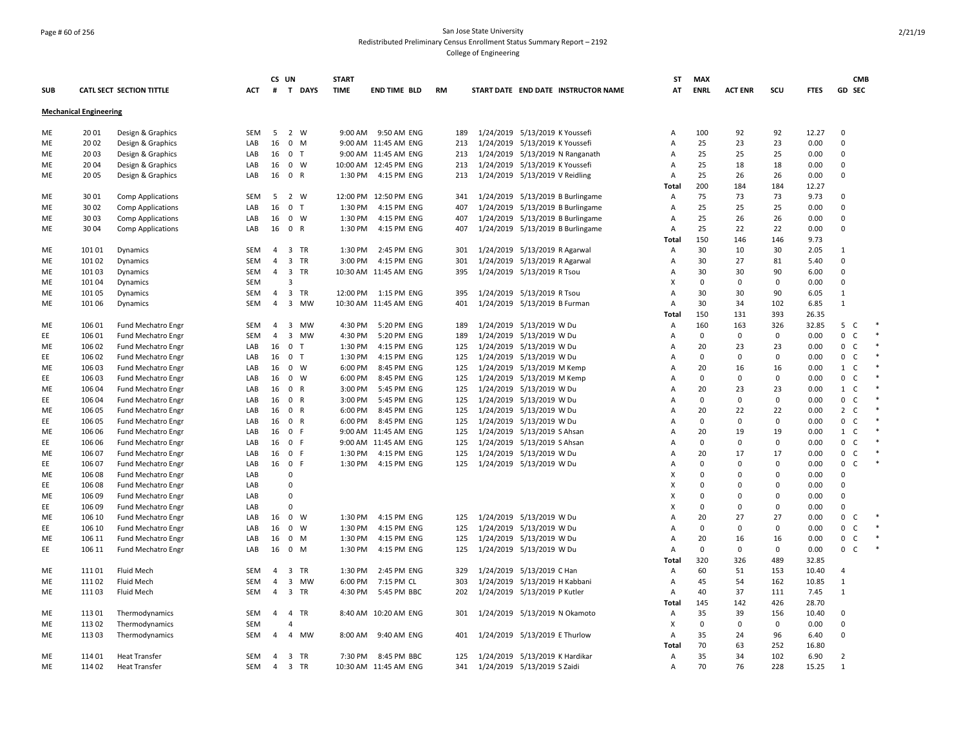### Page # 60 of 256 San Jose State University Redistributed Preliminary Census Enrollment Status Summary Report – 2192 College of Engineering

| <b>SUB</b> |                               | CATL SECT SECTION TITTLE  | ACT        | CS UN          | # T DAYS                             | <b>START</b><br><b>TIME</b> | <b>END TIME BLD</b>   | <b>RM</b> |                                |                                | START DATE END DATE INSTRUCTOR NAME | ST<br>AT       | <b>MAX</b><br><b>ENRL</b> | <b>ACT ENR</b> | scu         | <b>FTES</b> |                | <b>CMB</b><br><b>GD SEC</b> |  |
|------------|-------------------------------|---------------------------|------------|----------------|--------------------------------------|-----------------------------|-----------------------|-----------|--------------------------------|--------------------------------|-------------------------------------|----------------|---------------------------|----------------|-------------|-------------|----------------|-----------------------------|--|
|            |                               |                           |            |                |                                      |                             |                       |           |                                |                                |                                     |                |                           |                |             |             |                |                             |  |
|            | <b>Mechanical Engineering</b> |                           |            |                |                                      |                             |                       |           |                                |                                |                                     |                |                           |                |             |             |                |                             |  |
| ME         | 2001                          | Design & Graphics         | SEM        | - 5            | 2 W                                  | 9:00 AM                     | 9:50 AM ENG           | 189       |                                | 1/24/2019 5/13/2019 K Youssefi |                                     | A              | 100                       | 92             | 92          | 12.27       | $\mathbf 0$    |                             |  |
| МE         | 2002                          | Design & Graphics         | LAB        | 16             | $\mathbf{0}$<br>M                    |                             | 9:00 AM 11:45 AM ENG  | 213       |                                | 1/24/2019 5/13/2019 K Youssefi |                                     | $\overline{A}$ | 25                        | 23             | 23          | 0.00        | $\Omega$       |                             |  |
| ME         | 20 03                         | Design & Graphics         | LAB        | 16 0           | $\mathsf{T}$                         |                             | 9:00 AM 11:45 AM ENG  | 213       |                                |                                | 1/24/2019 5/13/2019 N Ranganath     | Α              | 25                        | 25             | 25          | 0.00        | $\Omega$       |                             |  |
| МE         | 20 04                         | Design & Graphics         | LAB        | 16             | $\mathbf 0$<br>W                     |                             | 10:00 AM 12:45 PM ENG | 213       |                                | 1/24/2019 5/13/2019 K Youssefi |                                     | Α              | 25                        | 18             | 18          | 0.00        | $\Omega$       |                             |  |
| ME         | 20 05                         | Design & Graphics         | LAB        |                | 16 0 R                               | 1:30 PM                     | 4:15 PM ENG           | 213       | 1/24/2019 5/13/2019 V Reidling |                                |                                     | A              | 25                        | 26             | 26          | 0.00        | $\Omega$       |                             |  |
|            |                               |                           |            |                |                                      |                             |                       |           |                                |                                |                                     | Total          | 200                       | 184            | 184         | 12.27       |                |                             |  |
| ME         | 3001                          | <b>Comp Applications</b>  | SEM        | 5              | $\overline{2}$<br>W                  |                             | 12:00 PM 12:50 PM ENG | 341       |                                |                                | 1/24/2019 5/13/2019 B Burlingame    | Α              | 75                        | 73             | 73          | 9.73        | 0              |                             |  |
| МE         | 30 02                         | <b>Comp Applications</b>  | LAB        | 16             | $\mathbf 0$<br>$\mathsf{T}$          | 1:30 PM                     | 4:15 PM ENG           | 407       |                                |                                | 1/24/2019 5/13/2019 B Burlingame    | Α              | 25                        | 25             | 25          | 0.00        | $\Omega$       |                             |  |
| МE         | 3003                          | <b>Comp Applications</b>  | LAB        |                | 16 0 W                               | 1:30 PM                     | 4:15 PM ENG           | 407       |                                |                                | 1/24/2019 5/13/2019 B Burlingame    | $\overline{A}$ | 25                        | 26             | 26          | 0.00        | $\Omega$       |                             |  |
| МE         | 3004                          | Comp Applications         | LAB        | 16             | $\mathbf 0$<br>$\mathsf{R}$          | 1:30 PM                     | 4:15 PM ENG           | 407       |                                |                                | 1/24/2019 5/13/2019 B Burlingame    | Α              | 25                        | 22             | 22          | 0.00        | $\mathbf 0$    |                             |  |
|            |                               |                           |            |                |                                      |                             |                       |           |                                |                                |                                     | Total          | 150                       | 146            | 146         | 9.73        |                |                             |  |
| МE         | 10101                         | Dynamics                  | SEM        | 4              | 3 TR                                 | 1:30 PM                     | 2:45 PM ENG           | 301       |                                | 1/24/2019 5/13/2019 R Agarwal  |                                     | A              | 30                        | 10             | 30          | 2.05        | $\mathbf{1}$   |                             |  |
| ME         | 10102                         | Dynamics                  | SEM        | 4              | 3 TR                                 | 3:00 PM                     | 4:15 PM ENG           | 301       |                                | 1/24/2019 5/13/2019 R Agarwal  |                                     | Α              | 30                        | 27             | 81          | 5.40        | $\mathbf 0$    |                             |  |
| МE         | 10103                         | Dynamics                  | SEM        | 4              | 3 TR                                 |                             | 10:30 AM 11:45 AM ENG | 395       |                                | 1/24/2019 5/13/2019 R Tsou     |                                     | Α              | 30                        | 30             | 90          | 6.00        | 0              |                             |  |
| МE         | 10104                         | Dynamics                  | SEM        |                | $\overline{3}$                       |                             |                       |           |                                |                                |                                     | х              | 0                         | 0              | $\Omega$    | 0.00        | $\Omega$       |                             |  |
| ME         | 10105                         | Dynamics                  | SEM        | $\overline{4}$ | $\overline{3}$<br>TR                 | 12:00 PM                    | 1:15 PM ENG           | 395       |                                | 1/24/2019 5/13/2019 R Tsou     |                                     | A              | 30                        | 30             | 90          | 6.05        | $\mathbf{1}$   |                             |  |
| ME         | 101 06                        | Dynamics                  | <b>SEM</b> | $\overline{4}$ | $\overline{3}$<br><b>MW</b>          |                             | 10:30 AM 11:45 AM ENG | 401       |                                | 1/24/2019 5/13/2019 B Furman   |                                     | Α              | 30                        | 34             | 102         | 6.85        | $\mathbf{1}$   |                             |  |
|            |                               |                           |            |                |                                      |                             |                       |           |                                |                                |                                     | Total          | 150                       | 131            | 393         | 26.35       |                |                             |  |
| МE         | 106 01                        | Fund Mechatro Engr        | SEM        | $\overline{4}$ | 3 MW                                 | 4:30 PM                     | 5:20 PM ENG           | 189       |                                | 1/24/2019 5/13/2019 W Du       |                                     | Α              | 160                       | 163            | 326         | 32.85       | 5              | C                           |  |
| EE.        | 106 01                        | Fund Mechatro Engr        | SEM        | $\overline{4}$ | $\overline{\mathbf{3}}$<br><b>MW</b> | 4:30 PM                     | 5:20 PM ENG           | 189       |                                | 1/24/2019 5/13/2019 W Du       |                                     | Α              | $\mathbf 0$               | 0              | 0           | 0.00        | 0              | C                           |  |
| МE         | 106 02                        | Fund Mechatro Engr        | LAB        | 16             | $\mathbf 0$<br>Т                     | 1:30 PM                     | 4:15 PM ENG           | 125       | 1/24/2019 5/13/2019 W Du       |                                |                                     | Α              | 20                        | 23             | 23          | 0.00        | 0              | C                           |  |
| EE         | 106 02                        | <b>Fund Mechatro Engr</b> | LAB        | 16             | $\mathbf{0}$<br>$\mathsf{T}$         | 1:30 PM                     | 4:15 PM ENG           | 125       |                                | 1/24/2019 5/13/2019 W Du       |                                     | $\overline{A}$ | $\Omega$                  | $\Omega$       | $\Omega$    | 0.00        | 0              | C                           |  |
| ME         | 106 03                        | Fund Mechatro Engr        | LAB        | 16             | $\mathbf 0$<br>W                     | 6:00 PM                     | 8:45 PM ENG           | 125       | 1/24/2019 5/13/2019 M Kemp     |                                |                                     | Α              | 20                        | 16             | 16          | 0.00        | $\mathbf{1}$   | $\mathsf{C}$                |  |
| EE.        | 106 03                        | Fund Mechatro Engr        | LAB        | 16             | $\mathbf 0$<br>W                     | 6:00 PM                     | 8:45 PM ENG           | 125       |                                | 1/24/2019 5/13/2019 M Kemp     |                                     | Α              | 0                         | $\mathsf 0$    | $\mathbf 0$ | 0.00        | $\mathbf 0$    | C                           |  |
| ME         | 106 04                        | Fund Mechatro Engr        | LAB        | 16             | $\mathbf 0$<br>R                     | 3:00 PM                     | 5:45 PM ENG           | 125       |                                | 1/24/2019 5/13/2019 W Du       |                                     | Α              | 20                        | 23             | 23          | 0.00        | $\mathbf{1}$   | C                           |  |
| EE.        | 106 04                        | Fund Mechatro Engr        | LAB        | 16             | $^{\circ}$<br>R                      | 3:00 PM                     | 5:45 PM ENG           | 125       | 1/24/2019 5/13/2019 W Du       |                                |                                     | $\overline{A}$ | $\Omega$                  | $\Omega$       | $\Omega$    | 0.00        | 0              | C                           |  |
| МE         | 106 05                        | <b>Fund Mechatro Engr</b> | LAB        | 16             | $\mathbf 0$<br>R                     | 6:00 PM                     | 8:45 PM ENG           | 125       |                                | 1/24/2019 5/13/2019 W Du       |                                     | A              | 20                        | 22             | 22          | 0.00        | $2^{\circ}$    | $\mathsf{C}$                |  |
| EE         | 106 05                        | Fund Mechatro Engr        | LAB        | 16             | $\mathbf 0$<br>$\mathsf{R}$          | 6:00 PM                     | 8:45 PM ENG           | 125       |                                | 1/24/2019 5/13/2019 W Du       |                                     | Α              | $\Omega$                  | $\Omega$       | $\Omega$    | 0.00        | 0              | C                           |  |
| МE         | 106 06                        | Fund Mechatro Engr        | LAB        | 16             | 0 F                                  |                             | 9:00 AM 11:45 AM ENG  | 125       |                                | 1/24/2019 5/13/2019 S Ahsan    |                                     | $\overline{A}$ | 20                        | 19             | 19          | 0.00        | $\mathbf{1}$   | C                           |  |
| ΕE         | 106 06                        | Fund Mechatro Engr        | LAB        | 16             | $\mathbf 0$<br>-F                    |                             | 9:00 AM 11:45 AM ENG  | 125       |                                | 1/24/2019 5/13/2019 S Ahsan    |                                     | A              | 0                         | $\Omega$       | $\Omega$    | 0.00        | 0              | C                           |  |
| МE         | 106 07                        | <b>Fund Mechatro Engr</b> | LAB        | 16             | $\overline{0}$<br>-F                 | 1:30 PM                     | 4:15 PM ENG           | 125       |                                | 1/24/2019 5/13/2019 W Du       |                                     | A              | 20                        | 17             | 17          | 0.00        | 0              | $\mathsf{C}$                |  |
| EE         | 106 07                        | <b>Fund Mechatro Engr</b> | LAB        | 16 0           | -F                                   | 1:30 PM                     | 4:15 PM ENG           | 125       | 1/24/2019 5/13/2019 W Du       |                                |                                     | Α              | $\Omega$                  | $\Omega$       | $\Omega$    | 0.00        | 0              | C                           |  |
| ME         | 106 08                        | Fund Mechatro Engr        | LAB        |                | $\mathbf 0$                          |                             |                       |           |                                |                                |                                     | X              | $\Omega$                  | $\Omega$       | $\Omega$    | 0.00        | $\Omega$       |                             |  |
| EE         | 106 08                        | <b>Fund Mechatro Engr</b> | LAB        |                | $\Omega$                             |                             |                       |           |                                |                                |                                     | X              | $\Omega$                  | $\Omega$       | $\Omega$    | 0.00        | $\Omega$       |                             |  |
| МE         | 106 09                        | Fund Mechatro Engr        | LAB        |                | $\Omega$                             |                             |                       |           |                                |                                |                                     | х              | $\Omega$                  | $\Omega$       | $\Omega$    | 0.00        | $\Omega$       |                             |  |
| EE.        | 106 09                        | Fund Mechatro Engr        | LAB        |                | $\Omega$                             |                             |                       |           |                                |                                |                                     | X              | $\Omega$                  | $\Omega$       | $\Omega$    | 0.00        | $\Omega$       |                             |  |
| ME         | 106 10                        | Fund Mechatro Engr        | LAB        | 16 0           | W                                    | 1:30 PM                     | 4:15 PM ENG           | 125       |                                | 1/24/2019 5/13/2019 W Du       |                                     | $\overline{A}$ | 20                        | 27             | 27          | 0.00        | $\mathsf{O}$   | C                           |  |
| EE         | 106 10                        | Fund Mechatro Engr        | LAB        | 16             | 0<br>W                               | 1:30 PM                     | 4:15 PM ENG           | 125       |                                | 1/24/2019 5/13/2019 W Du       |                                     | Α              | 0                         | $\Omega$       | $\Omega$    | 0.00        | 0              | C                           |  |
| ME         | 106 11                        | Fund Mechatro Engr        | LAB        | 16             | $\mathbf 0$<br>M                     | 1:30 PM                     | 4:15 PM ENG           | 125       | 1/24/2019 5/13/2019 W Du       |                                |                                     | Α              | 20                        | 16             | 16          | 0.00        | 0              | C                           |  |
| EE.        | 106 11                        | Fund Mechatro Engr        | LAB        |                | 16 0 M                               | 1:30 PM                     | 4:15 PM ENG           | 125       | 1/24/2019 5/13/2019 W Du       |                                |                                     | Α              | $\mathbf 0$               | $\mathbf 0$    | 0           | 0.00        | 0              | $\mathsf{C}$                |  |
|            |                               |                           |            |                |                                      |                             |                       |           |                                |                                |                                     | Total          | 320                       | 326            | 489         | 32.85       |                |                             |  |
| МE         | 11101                         | <b>Fluid Mech</b>         | <b>SEM</b> | $\overline{4}$ | $\overline{3}$<br>TR                 | 1:30 PM                     | 2:45 PM ENG           | 329       |                                | 1/24/2019 5/13/2019 C Han      |                                     | Α              | 60                        | 51             | 153         | 10.40       | 4              |                             |  |
| ME         | 11102                         | Fluid Mech                | SEM        | $\overline{4}$ | $\overline{\mathbf{3}}$<br>MW        | 6:00 PM                     | 7:15 PM CL            | 303       | 1/24/2019 5/13/2019 H Kabbani  |                                |                                     | A              | 45                        | 54             | 162         | 10.85       | $\mathbf{1}$   |                             |  |
| ME         | 11103                         | Fluid Mech                | SEM        | 4              | 3 TR                                 | 4:30 PM                     | 5:45 PM BBC           | 202       | 1/24/2019 5/13/2019 P Kutler   |                                |                                     | A              | 40                        | 37             | 111         | 7.45        | 1              |                             |  |
|            |                               |                           |            |                |                                      |                             |                       |           |                                |                                |                                     | Total          | 145                       | 142            | 426         | 28.70       |                |                             |  |
| МE         | 11301                         | Thermodynamics            | <b>SEM</b> | 4              | 4 TR                                 |                             | 8:40 AM 10:20 AM ENG  | 301       |                                |                                | 1/24/2019 5/13/2019 N Okamoto       | A              | 35                        | 39             | 156         | 10.40       | 0              |                             |  |
| ME         | 11302                         | Thermodynamics            | <b>SEM</b> |                | $\overline{4}$                       |                             |                       |           |                                |                                |                                     | X              | 0                         | $\mathbf 0$    | $\mathbf 0$ | 0.00        | 0              |                             |  |
| МE         | 11303                         | Thermodynamics            | SEM        | $\overline{4}$ | $\overline{4}$<br><b>MW</b>          | 8:00 AM                     | 9:40 AM ENG           | 401       |                                | 1/24/2019 5/13/2019 E Thurlow  |                                     | Α              | 35                        | 24             | 96          | 6.40        | $\Omega$       |                             |  |
|            |                               |                           |            |                |                                      |                             |                       |           |                                |                                |                                     | Total          | 70                        | 63             | 252         | 16.80       |                |                             |  |
| ME         | 11401                         | <b>Heat Transfer</b>      | SEM        | 4              | 3 TR                                 | 7:30 PM                     | 8:45 PM BBC           | 125       |                                | 1/24/2019 5/13/2019 K Hardikar |                                     | Α              | 35                        | 34             | 102         | 6.90        | $\overline{2}$ |                             |  |
| МE         | 11402                         | <b>Heat Transfer</b>      | SEM        | $\overline{4}$ | 3 TR                                 |                             | 10:30 AM 11:45 AM ENG | 341       | 1/24/2019 5/13/2019 S Zaidi    |                                |                                     | Α              | 70                        | 76             | 228         | 15.25       | $\mathbf{1}$   |                             |  |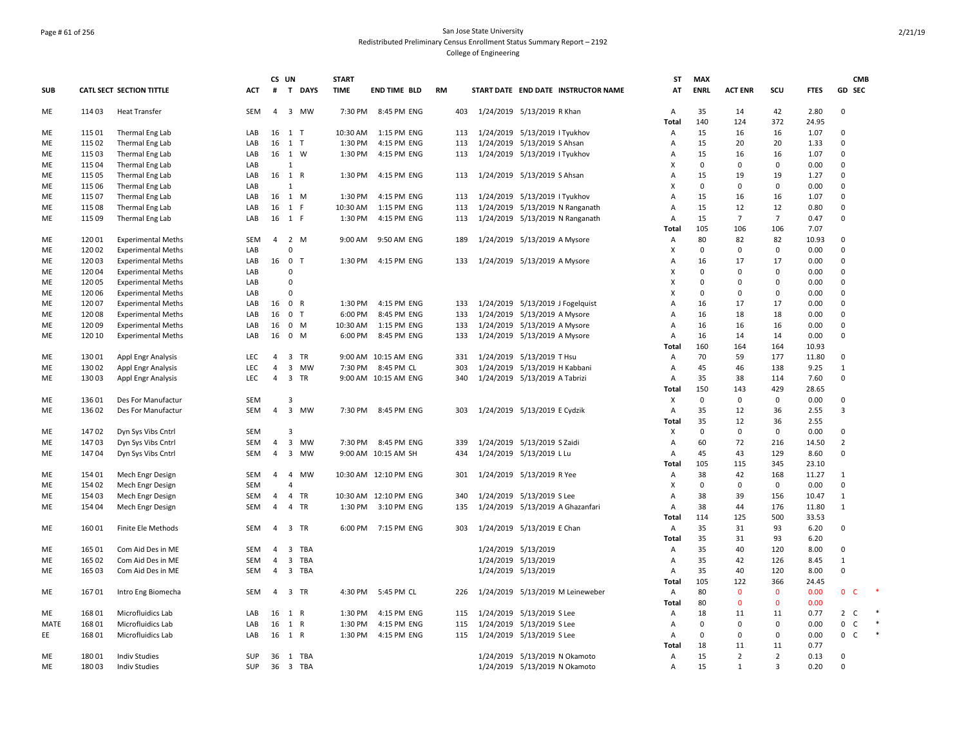## Page # 61 of 256 San Jose State University Redistributed Preliminary Census Enrollment Status Summary Report – 2192 College of Engineering

|            |                  |                                    |            | CS UN          |                               | <b>START</b> |                            |           |            |                               |                     |                                     | <b>ST</b> | <b>MAX</b>  |                |                |               | <b>CMB</b>                              |  |
|------------|------------------|------------------------------------|------------|----------------|-------------------------------|--------------|----------------------------|-----------|------------|-------------------------------|---------------------|-------------------------------------|-----------|-------------|----------------|----------------|---------------|-----------------------------------------|--|
| <b>SUB</b> |                  | CATL SECT SECTION TITTLE           | <b>ACT</b> | #              | $\mathbf{T}$<br><b>DAYS</b>   | <b>TIME</b>  | <b>END TIME BLD</b>        | <b>RM</b> |            |                               |                     | START DATE END DATE INSTRUCTOR NAME | AT        | <b>ENRL</b> | <b>ACT ENR</b> | SCU            | <b>FTES</b>   | GD SEC                                  |  |
| ME         | 114 03           | Heat Transfer                      | <b>SEM</b> | 4              | 3 MW                          | 7:30 PM      | 8:45 PM ENG                |           | 403        | 1/24/2019 5/13/2019 R Khan    |                     |                                     | А         | 35          | 14             | 42             | 2.80          | $\mathbf 0$                             |  |
| ME         | 115 01           |                                    | LAB        |                | 16 1 T                        | 10:30 AM     | 1:15 PM ENG                |           | 113        | 1/24/2019 5/13/2019 I Tyukhov |                     |                                     | Total     | 140<br>15   | 124<br>16      | 372<br>16      | 24.95<br>1.07 | $\mathbf 0$                             |  |
| ME         | 115 02           | Thermal Eng Lab                    | LAB        | 16             | 1 T                           | 1:30 PM      | 4:15 PM ENG                |           | 113        | 1/24/2019 5/13/2019 S Ahsan   |                     |                                     | Α         | 15          | 20             | 20             | 1.33          | $\mathbf 0$                             |  |
| ME         | 115 03           | Thermal Eng Lab<br>Thermal Eng Lab | LAB        |                | 16 1 W                        | 1:30 PM      | 4:15 PM ENG                |           | 113        | 1/24/2019 5/13/2019 I Tyukhov |                     |                                     | Α<br>Α    | 15          | 16             | 16             | 1.07          | $\Omega$                                |  |
| ME         | 115 04           | Thermal Eng Lab                    | LAB        |                | $\mathbf{1}$                  |              |                            |           |            |                               |                     |                                     | Χ         | $\Omega$    | $\mathbf 0$    | $\mathbf 0$    | 0.00          | $\Omega$                                |  |
| ME         | 115 05           |                                    | LAB        | 16 1           | R                             | 1:30 PM      | 4:15 PM ENG                |           | 113        | 1/24/2019 5/13/2019 S Ahsan   |                     |                                     | А         | 15          | 19             | 19             | 1.27          | $\Omega$                                |  |
| ME         | 115 06           | Thermal Eng Lab                    | LAB        |                | 1                             |              |                            |           |            |                               |                     |                                     | X         | $\Omega$    | $\Omega$       | 0              | 0.00          | $\Omega$                                |  |
| ME         | 115 07           | Thermal Eng Lab                    | LAB        |                | 16 1 M                        | 1:30 PM      | 4:15 PM ENG                | 113       |            | 1/24/2019 5/13/2019 I Tyukhov |                     |                                     | А         | 15          | 16             | 16             | 1.07          | $\Omega$                                |  |
|            |                  | Thermal Eng Lab                    |            |                | 1<br>-F                       | 10:30 AM     |                            |           |            |                               |                     |                                     |           | 15          | 12             | 12             | 0.80          | $\Omega$                                |  |
| ME         | 115 08<br>115 09 | Thermal Eng Lab                    | LAB<br>LAB | 16             | 16 1 F                        | 1:30 PM      | 1:15 PM ENG<br>4:15 PM ENG |           | 113<br>113 |                               |                     | 1/24/2019 5/13/2019 N Ranganath     | Α<br>A    | 15          | $\overline{7}$ | $\overline{7}$ | 0.47          | $\Omega$                                |  |
| ME         |                  | Thermal Eng Lab                    |            |                |                               |              |                            |           |            |                               |                     | 1/24/2019 5/13/2019 N Ranganath     | Total     | 105         | 106            | 106            | 7.07          |                                         |  |
|            |                  |                                    |            |                |                               |              |                            |           |            |                               |                     |                                     |           | 80          |                |                |               | $\Omega$                                |  |
| ME         | 12001            | <b>Experimental Meths</b>          | SEM        | 4              | 2 M<br>$\Omega$               | 9:00 AM      | 9:50 AM ENG                |           | 189        | 1/24/2019 5/13/2019 A Mysore  |                     |                                     | Α         | $\Omega$    | 82             | 82             | 10.93         | $\Omega$                                |  |
| ME         | 12002            | <b>Experimental Meths</b>          | LAB        |                |                               |              |                            |           |            |                               |                     |                                     | X         |             | $\mathbf 0$    | $\mathbf 0$    | 0.00          |                                         |  |
| ME         | 12003            | <b>Experimental Meths</b>          | LAB        |                | 16 0 T                        | 1:30 PM      | 4:15 PM ENG                |           | 133        | 1/24/2019 5/13/2019 A Mysore  |                     |                                     | А         | 16          | 17             | 17             | 0.00          | $\mathbf 0$                             |  |
| ME         | 12004            | <b>Experimental Meths</b>          | LAB        |                | $\mathbf{0}$                  |              |                            |           |            |                               |                     |                                     | X         | $\mathbf 0$ | $\mathbf 0$    | 0              | 0.00          | $\mathbf 0$                             |  |
| ME         | 12005            | <b>Experimental Meths</b>          | LAB        |                | $\mathbf 0$                   |              |                            |           |            |                               |                     |                                     | Х         | $\mathbf 0$ | 0              | $\Omega$       | 0.00          | $\mathbf 0$                             |  |
| ME         | 12006            | <b>Experimental Meths</b>          | LAB        |                | $\Omega$                      |              |                            |           |            |                               |                     |                                     | Χ         | $\Omega$    | $\mathbf 0$    | $\mathbf 0$    | 0.00          | $\Omega$                                |  |
| ME         | 120 07           | <b>Experimental Meths</b>          | LAB        | 16             | $\mathbf 0$<br>R              | 1:30 PM      | 4:15 PM ENG                |           | 133        | 1/24/2019                     |                     | 5/13/2019 J Fogelquist              | А         | 16          | 17             | 17             | 0.00          | $\mathbf 0$                             |  |
| ME         | 12008            | <b>Experimental Meths</b>          | LAB        | 16             | 0<br>$\mathsf{T}$             | 6:00 PM      | 8:45 PM ENG                |           | 133        | 1/24/2019 5/13/2019 A Mysore  |                     |                                     | Α         | 16          | 18             | 18             | 0.00          | $\mathbf 0$                             |  |
| ME         | 120 09           | <b>Experimental Meths</b>          | LAB        | 16             | $\mathbf 0$<br>M              | 10:30 AM     | 1:15 PM ENG                |           | 133        | 1/24/2019 5/13/2019 A Mysore  |                     |                                     | Α         | 16          | 16             | 16             | 0.00          | $\Omega$                                |  |
| ME         | 120 10           | <b>Experimental Meths</b>          | LAB        | 16             | $\mathbf 0$<br>M              | 6:00 PM      | 8:45 PM ENG                | 133       |            | 1/24/2019 5/13/2019 A Mysore  |                     |                                     | Α         | 16          | 14             | 14             | 0.00          | $\mathbf 0$                             |  |
|            |                  |                                    |            |                |                               |              |                            |           |            |                               |                     |                                     | Total     | 160         | 164            | 164            | 10.93         |                                         |  |
| ME         | 13001            | <b>Appl Engr Analysis</b>          | LEC        | $\overline{4}$ | 3 TR                          |              | 9:00 AM 10:15 AM ENG       |           | 331        | 1/24/2019 5/13/2019 T Hsu     |                     |                                     | Α         | 70          | 59             | 177            | 11.80         | $\Omega$                                |  |
| ME         | 13002            | <b>Appl Engr Analysis</b>          | <b>LEC</b> | 4              | $\overline{\mathbf{3}}$<br>MW | 7:30 PM      | 8:45 PM CL                 | 303       |            | 1/24/2019                     | 5/13/2019 H Kabbani |                                     | Α         | 45          | 46             | 138            | 9.25          | $\mathbf{1}$                            |  |
| ME         | 13003            | <b>Appl Engr Analysis</b>          | <b>LEC</b> | 4              | 3 TR                          |              | 9:00 AM 10:15 AM ENG       |           | 340        | 1/24/2019 5/13/2019 A Tabrizi |                     |                                     | Α         | 35          | 38             | 114            | 7.60          | $\Omega$                                |  |
|            |                  |                                    |            |                |                               |              |                            |           |            |                               |                     |                                     | Total     | 150         | 143            | 429            | 28.65         |                                         |  |
| ME         | 13601            | Des For Manufactur                 | SEM        |                | $\overline{\mathbf{3}}$       |              |                            |           |            |                               |                     |                                     | X         | $\mathbf 0$ | $\mathbf 0$    | $\mathbf 0$    | 0.00          | $\Omega$                                |  |
| ME         | 13602            | Des For Manufactur                 | <b>SEM</b> | $\overline{4}$ | $\overline{3}$<br><b>MW</b>   | 7:30 PM      | 8:45 PM ENG                |           | 303        | 1/24/2019 5/13/2019 E Cydzik  |                     |                                     | A         | 35          | 12             | 36             | 2.55          | $\overline{3}$                          |  |
|            |                  |                                    |            |                |                               |              |                            |           |            |                               |                     |                                     | Total     | 35          | 12             | 36             | 2.55          |                                         |  |
| ME         | 14702            | Dyn Sys Vibs Cntrl                 | SEM        |                | $\overline{3}$                |              |                            |           |            |                               |                     |                                     | X         | $\Omega$    | $\mathbf 0$    | $\mathbf 0$    | 0.00          | $\Omega$                                |  |
| ME         | 14703            | Dyn Sys Vibs Cntrl                 | SEM        | 4              | $\overline{3}$<br>MW          | 7:30 PM      | 8:45 PM ENG                |           | 339        | 1/24/2019 5/13/2019 S Zaidi   |                     |                                     | А         | 60          | 72             | 216            | 14.50         | $\overline{2}$                          |  |
| ME         | 14704            | Dyn Sys Vibs Cntrl                 | <b>SEM</b> | $\overline{4}$ | $\overline{3}$<br>MW          |              | 9:00 AM 10:15 AM SH        |           | 434        | 1/24/2019 5/13/2019 L Lu      |                     |                                     | Α         | 45          | 43             | 129            | 8.60          | $\Omega$                                |  |
|            |                  |                                    |            |                |                               |              |                            |           |            |                               |                     |                                     | Total     | 105         | 115            | 345            | 23.10         |                                         |  |
| ME         | 154 01           | Mech Engr Design                   | SEM        | 4              | $\overline{4}$<br>MW          |              | 10:30 AM 12:10 PM ENG      |           | 301        | 1/24/2019 5/13/2019 R Yee     |                     |                                     | Α         | 38          | 42             | 168            | 11.27         | $\mathbf{1}$                            |  |
| ME         | 154 02           | Mech Engr Design                   | <b>SEM</b> |                | $\overline{4}$                |              |                            |           |            |                               |                     |                                     | х         | $\Omega$    | $\mathbf 0$    | $^{\circ}$     | 0.00          | $\Omega$                                |  |
| ME         | 154 03           | Mech Engr Design                   | <b>SEM</b> | 4              | $\overline{4}$<br>TR          |              | 10:30 AM 12:10 PM ENG      | 340       |            | 1/24/2019 5/13/2019 S Lee     |                     |                                     | Α         | 38          | 39             | 156            | 10.47         | 1                                       |  |
| ME         | 154 04           | Mech Engr Design                   | <b>SEM</b> | 4              | 4<br>TR                       | 1:30 PM      | 3:10 PM ENG                |           | 135        |                               |                     | 1/24/2019 5/13/2019 A Ghazanfari    | Α         | 38          | 44             | 176            | 11.80         | $\mathbf{1}$                            |  |
|            |                  |                                    |            |                |                               |              |                            |           |            |                               |                     |                                     | Total     | 114         | 125            | 500            | 33.53         |                                         |  |
| ME         | 16001            | Finite Ele Methods                 | SEM        | 4              | 3 TR                          | 6:00 PM      | 7:15 PM ENG                | 303       |            | 1/24/2019 5/13/2019 E Chan    |                     |                                     | Α         | 35          | 31             | 93             | 6.20          | $\mathbf 0$                             |  |
|            |                  |                                    |            |                |                               |              |                            |           |            |                               |                     |                                     | Total     | 35          | 31             | 93             | 6.20          |                                         |  |
| ME         | 165 01           | Com Aid Des in ME                  | <b>SEM</b> | $\overline{4}$ | 3 TBA                         |              |                            |           |            | 1/24/2019 5/13/2019           |                     |                                     | Α         | 35          | 40             | 120            | 8.00          | $\Omega$                                |  |
| ME         | 165 02           | Com Aid Des in ME                  | <b>SEM</b> | 4              | 3 TBA                         |              |                            |           |            | 1/24/2019 5/13/2019           |                     |                                     | Α         | 35          | 42             | 126            | 8.45          | $\mathbf{1}$                            |  |
| ME         | 165 03           | Com Aid Des in ME                  | <b>SEM</b> | $\overline{4}$ | 3 TBA                         |              |                            |           |            | 1/24/2019 5/13/2019           |                     |                                     | Α         | 35          | 40             | 120            | 8.00          | $\Omega$                                |  |
|            |                  |                                    |            |                |                               |              |                            |           |            |                               |                     |                                     | Total     | 105         | 122            | 366            | 24.45         |                                         |  |
| ME         | 16701            | Intro Eng Biomecha                 | SEM        | 4              | 3 TR                          | 4:30 PM      | 5:45 PM CL                 |           | 226        | 1/24/2019                     |                     | 5/13/2019 M Leineweber              | Α         | 80          | $\mathbf{0}$   | $\mathbf{0}$   | 0.00          | $\mathbf{0}$<br>$\epsilon$              |  |
|            |                  |                                    |            |                |                               |              |                            |           |            |                               |                     |                                     | Total     | 80          | $\mathbf{0}$   | $\mathbf{0}$   | 0.00          |                                         |  |
| ME         | 16801            | Microfluidics Lab                  | LAB        |                | 16 1 R                        | 1:30 PM      | 4:15 PM ENG                |           | 115        | 1/24/2019 5/13/2019 S Lee     |                     |                                     | A         | 18          | 11             | 11             | 0.77          | $2^{\circ}$<br>C                        |  |
| MATE       | 16801            | Microfluidics Lab                  | LAB        | 16             | 1<br>$\mathsf{R}$             | 1:30 PM      | 4:15 PM ENG                | 115       |            | 1/24/2019 5/13/2019 S Lee     |                     |                                     | Α         | $\mathbf 0$ | $\mathbf 0$    | 0              | 0.00          | $\mathsf{O}\phantom{0}$<br>$\mathsf{C}$ |  |
| EE         | 16801            | Microfluidics Lab                  | LAB        |                | 16 1 R                        | 1:30 PM      | 4:15 PM ENG                |           | 115        | 1/24/2019 5/13/2019 S Lee     |                     |                                     | Α         | $\mathbf 0$ | 0              | 0              | 0.00          | $0-$                                    |  |
|            |                  |                                    |            |                |                               |              |                            |           |            |                               |                     |                                     | Total     | 18          | 11             | 11             | 0.77          |                                         |  |
| ME         | 18001            | <b>Indiv Studies</b>               | <b>SUP</b> | 36             | 1 TBA                         |              |                            |           |            | 1/24/2019 5/13/2019 N Okamoto |                     |                                     | Α         | 15          | $\overline{2}$ | $\overline{2}$ | 0.13          | $\mathbf 0$                             |  |
| ME         | 18003            | <b>Indiv Studies</b>               | SUP        |                | 36 3 TBA                      |              |                            |           |            | 1/24/2019 5/13/2019 N Okamoto |                     |                                     | Α         | 15          | $\mathbf{1}$   | 3              | 0.20          | $\Omega$                                |  |
|            |                  |                                    |            |                |                               |              |                            |           |            |                               |                     |                                     |           |             |                |                |               |                                         |  |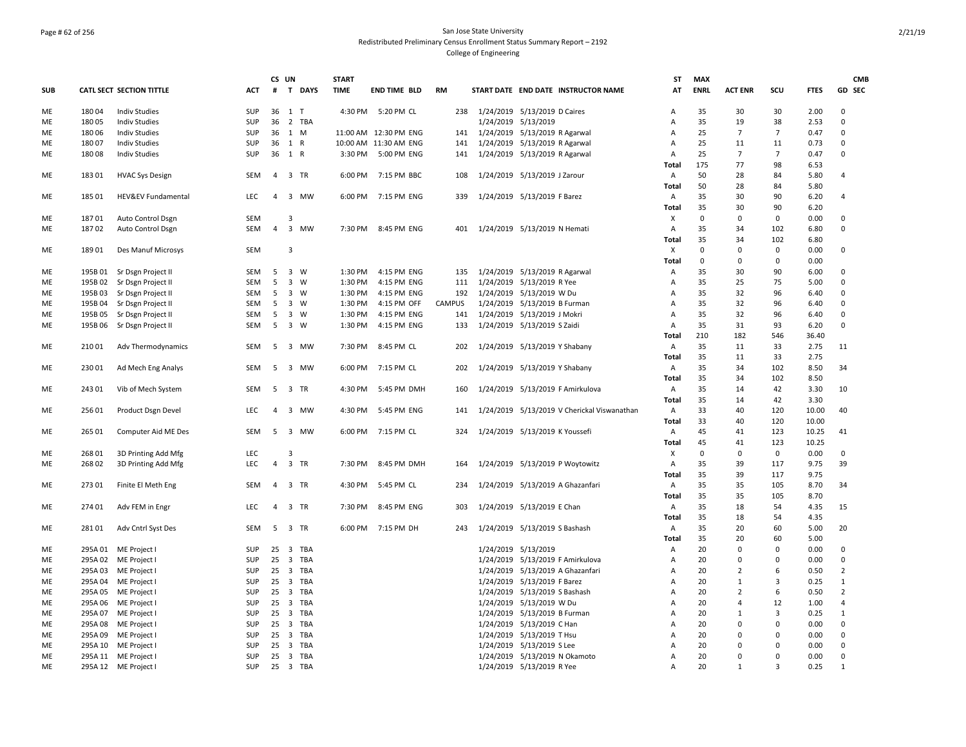## Page # 62 of 256 San Jose State University Redistributed Preliminary Census Enrollment Status Summary Report – 2192 College of Engineering

|            |         |                               |            | CS UN          |             |                | <b>START</b> |                       |               |                                   |                              |                                             | ST           | <b>MAX</b>  |                |                |             | <b>CMB</b>     |
|------------|---------|-------------------------------|------------|----------------|-------------|----------------|--------------|-----------------------|---------------|-----------------------------------|------------------------------|---------------------------------------------|--------------|-------------|----------------|----------------|-------------|----------------|
| <b>SUB</b> |         | CATL SECT SECTION TITTLE      | <b>ACT</b> | #              |             | T DAYS         | <b>TIME</b>  | <b>END TIME BLD</b>   | <b>RM</b>     |                                   |                              | START DATE END DATE INSTRUCTOR NAME         | AT           | <b>ENRL</b> | <b>ACT ENR</b> | scu            | <b>FTES</b> | GD SEC         |
| ME         | 18004   | <b>Indiv Studies</b>          | SUP        | 36 1 T         |             |                | 4:30 PM      | 5:20 PM CL            | 238           |                                   | 1/24/2019 5/13/2019 D Caires |                                             | Α            | 35          | 30             | 30             | 2.00        | $\mathbf 0$    |
| ME         | 18005   | <b>Indiv Studies</b>          | <b>SUP</b> | 36             |             | 2 TBA          |              |                       |               |                                   | 1/24/2019 5/13/2019          |                                             | А            | 35          | 19             | 38             | 2.53        | $\Omega$       |
| ME         | 18006   | <b>Indiv Studies</b>          | <b>SUP</b> | 36 1 M         |             |                |              | 11:00 AM 12:30 PM ENG |               | 141 1/24/2019 5/13/2019 R Agarwal |                              |                                             | A            | 25          | 7              | $\overline{7}$ | 0.47        | $\mathbf 0$    |
| ME         | 18007   | <b>Indiv Studies</b>          | <b>SUP</b> | 36             | 1 R         |                |              | 10:00 AM 11:30 AM ENG | 141           |                                   |                              | 1/24/2019 5/13/2019 R Agarwal               | А            | 25          | 11             | 11             | 0.73        | 0              |
| ME         | 18008   | <b>Indiv Studies</b>          | <b>SUP</b> | 36 1 R         |             |                | 3:30 PM      | 5:00 PM ENG           | 141           |                                   |                              | 1/24/2019 5/13/2019 R Agarwal               | А            | 25          | 7              | $\overline{7}$ | 0.47        | $\Omega$       |
|            |         |                               |            |                |             |                |              |                       |               |                                   |                              |                                             | Total        | 175         | 77             | 98             | 6.53        |                |
| ME         | 18301   | <b>HVAC Sys Design</b>        | SEM        | 4              | 3 TR        |                | 6:00 PM      | 7:15 PM BBC           | 108           |                                   | 1/24/2019 5/13/2019 J Zarour |                                             | А            | 50          | 28             | 84             | 5.80        | $\overline{4}$ |
|            |         |                               |            |                |             |                |              |                       |               |                                   |                              |                                             | Total        | 50          | 28             | 84             | 5.80        |                |
| ME         | 18501   | <b>HEV&amp;EV Fundamental</b> | <b>LEC</b> | $\overline{4}$ |             | 3 MW           | 6:00 PM      | 7:15 PM ENG           | 339           |                                   | 1/24/2019 5/13/2019 F Barez  |                                             | А            | 35          | 30             | 90             | 6.20        | $\overline{4}$ |
|            |         |                               |            |                |             |                |              |                       |               |                                   |                              |                                             | Total        | 35          | 30             | 90             | 6.20        |                |
| ME         | 18701   | Auto Control Dsgn             | <b>SEM</b> |                | 3           |                |              |                       |               |                                   |                              |                                             | Χ            | $\mathbf 0$ | 0              | $\mathbf 0$    | 0.00        | $\mathbf 0$    |
| ME         | 18702   | Auto Control Dsgn             | <b>SEM</b> | $\overline{4}$ |             | 3 MW           | 7:30 PM      | 8:45 PM ENG           | 401           |                                   | 1/24/2019 5/13/2019 N Hemati |                                             | A            | 35          | 34             | 102            | 6.80        | $\mathbf 0$    |
|            |         |                               |            |                |             |                |              |                       |               |                                   |                              |                                             | Total        | 35          | 34             | 102            | 6.80        |                |
| ME         | 18901   | Des Manuf Microsys            | <b>SEM</b> |                | 3           |                |              |                       |               |                                   |                              |                                             | X            | $\mathbf 0$ | $\mathbf 0$    | $\mathbf 0$    | 0.00        | $\mathbf 0$    |
|            |         |                               |            |                |             |                |              |                       |               |                                   |                              |                                             | <b>Total</b> | $\mathbf 0$ | $\mathbf 0$    | $\mathbf 0$    | 0.00        |                |
| ME         | 195B01  | Sr Dsgn Project II            | SEM        | 5              | $3 \quad W$ |                | 1:30 PM      | 4:15 PM ENG           | 135           |                                   |                              | 1/24/2019 5/13/2019 R Agarwal               | Α            | 35          | 30             | 90             | 6.00        | 0              |
| ME         | 195B02  | Sr Dsgn Project II            | SEM        | 5              |             | $3 \quad W$    | 1:30 PM      | 4:15 PM ENG           | 111           |                                   | 1/24/2019 5/13/2019 R Yee    |                                             | Α            | 35          | 25             | 75             | 5.00        | 0              |
| ME         | 195B03  | Sr Dsgn Project II            | SEM        | 5              | $3 \quad W$ |                | 1:30 PM      | 4:15 PM ENG           | 192           |                                   | 1/24/2019 5/13/2019 W Du     |                                             | А            | 35          | 32             | 96             | 6.40        | 0              |
| ME         | 195B04  | Sr Dsgn Project II            | SEM        | 5              | $3 \quad W$ |                | 1:30 PM      | 4:15 PM OFF           | <b>CAMPUS</b> |                                   | 1/24/2019 5/13/2019 B Furman |                                             | Α            | 35          | 32             | 96             | 6.40        | 0              |
|            |         |                               | SEM        | 5              | $3 \quad W$ |                | 1:30 PM      | 4:15 PM ENG           |               |                                   |                              |                                             | А            | 35          | 32             | 96             | 6.40        | 0              |
| ME         | 195B05  | Sr Dsgn Project II            |            |                |             |                |              |                       | 141           |                                   | 1/24/2019 5/13/2019 J Mokri  |                                             |              |             |                |                |             |                |
| ME         |         | 195B 06 Sr Dsgn Project II    | <b>SEM</b> | 5              | 3 W         |                | 1:30 PM      | 4:15 PM ENG           | 133           |                                   | 1/24/2019 5/13/2019 S Zaidi  |                                             | А            | 35          | 31             | 93             | 6.20        | $\Omega$       |
|            |         |                               |            |                |             |                |              |                       |               |                                   |                              |                                             | Total        | 210         | 182            | 546            | 36.40       |                |
| ME         | 21001   | Adv Thermodynamics            | SEM        | 5              |             | 3 MW           | 7:30 PM      | 8:45 PM CL            | 202           |                                   |                              | 1/24/2019 5/13/2019 Y Shabany               | А            | 35          | 11             | 33             | 2.75        | 11             |
|            |         |                               |            |                |             |                |              |                       |               |                                   |                              |                                             | Total        | 35          | 11             | 33             | 2.75        |                |
| ME         | 23001   | Ad Mech Eng Analys            | SEM        | 5              |             | 3 MW           | 6:00 PM      | 7:15 PM CL            | 202           |                                   |                              | 1/24/2019 5/13/2019 Y Shabany               | Α            | 35          | 34             | 102            | 8.50        | 34             |
|            |         |                               |            |                |             |                |              |                       |               |                                   |                              |                                             | Total        | 35          | 34             | 102            | 8.50        |                |
| <b>ME</b>  | 24301   | Vib of Mech System            | <b>SEM</b> | 5              | 3 TR        |                | 4:30 PM      | 5:45 PM DMH           | 160           |                                   |                              | 1/24/2019 5/13/2019 F Amirkulova            | А            | 35          | 14             | 42             | 3.30        | 10             |
|            |         |                               |            |                |             |                |              |                       |               |                                   |                              |                                             | <b>Total</b> | 35          | 14             | 42             | 3.30        |                |
| ME         | 25601   | Product Dsgn Devel            | <b>LEC</b> | $\overline{4}$ |             | 3 MW           | 4:30 PM      | 5:45 PM ENG           | 141           |                                   |                              | 1/24/2019 5/13/2019 V Cherickal Viswanathan | Α            | 33          | 40             | 120            | 10.00       | 40             |
|            |         |                               |            |                |             |                |              |                       |               |                                   |                              |                                             | <b>Total</b> | 33          | 40             | 120            | 10.00       |                |
| ME         | 265 01  | Computer Aid ME Des           | <b>SEM</b> | 5              |             | 3 MW           | 6:00 PM      | 7:15 PM CL            | 324           |                                   |                              | 1/24/2019 5/13/2019 K Youssefi              | Α            | 45          | 41             | 123            | 10.25       | 41             |
|            |         |                               |            |                |             |                |              |                       |               |                                   |                              |                                             | Total        | 45          | 41             | 123            | 10.25       |                |
| ME         | 26801   | 3D Printing Add Mfg           | LEC        |                | 3           |                |              |                       |               |                                   |                              |                                             | X            | $\mathbf 0$ | 0              | $\mathbf 0$    | 0.00        | 0              |
| ME         | 26802   | 3D Printing Add Mfg           | LEC        | $\overline{4}$ |             | 3 TR           | 7:30 PM      | 8:45 PM DMH           | 164           |                                   |                              | 1/24/2019 5/13/2019 P Woytowitz             | Α            | 35          | 39             | 117            | 9.75        | 39             |
|            |         |                               |            |                |             |                |              |                       |               |                                   |                              |                                             | Total        | 35          | 39             | 117            | 9.75        |                |
| ME         | 27301   | Finite El Meth Eng            | SEM        | 4              | 3 TR        |                | 4:30 PM      | 5:45 PM CL            | 234           |                                   |                              | 1/24/2019 5/13/2019 A Ghazanfari            | А            | 35          | 35             | 105            | 8.70        | 34             |
|            |         |                               |            |                |             |                |              |                       |               |                                   |                              |                                             | Total        | 35          | 35             | 105            | 8.70        |                |
| ME         | 274 01  | Adv FEM in Engr               | LEC        | 4              | 3 TR        |                | 7:30 PM      | 8:45 PM ENG           | 303           |                                   | 1/24/2019 5/13/2019 E Chan   |                                             | А            | 35          | 18             | 54             | 4.35        | 15             |
|            |         |                               |            |                |             |                |              |                       |               |                                   |                              |                                             | Total        | 35          | 18             | 54             | 4.35        |                |
| ME         | 28101   | Adv Cntrl Syst Des            | SEM        | 5              | 3 TR        |                | 6:00 PM      | 7:15 PM DH            | 243           |                                   |                              | 1/24/2019 5/13/2019 S Bashash               | Α            | 35          | 20             | 60             | 5.00        | 20             |
|            |         |                               |            |                |             |                |              |                       |               |                                   |                              |                                             | Total        | 35          | 20             | 60             | 5.00        |                |
| ME         | 295A 01 | ME Project I                  | <b>SUP</b> |                |             | 25 3 TBA       |              |                       |               |                                   | 1/24/2019 5/13/2019          |                                             | А            | 20          | $\Omega$       | 0              | 0.00        | 0              |
| ME         | 295A02  | ME Project                    | SUP        | 25             |             | 3 TBA          |              |                       |               |                                   |                              | 1/24/2019 5/13/2019 F Amirkulova            | А            | 20          | $\Omega$       | $\Omega$       | 0.00        | $\mathbf 0$    |
| ME         | 295A03  | ME Project                    | <b>SUP</b> |                |             | 25 3 TBA       |              |                       |               |                                   |                              | 1/24/2019 5/13/2019 A Ghazanfari            | А            | 20          | $\overline{2}$ | 6              | 0.50        | $\overline{2}$ |
| ME         | 295A 04 | ME Project                    | <b>SUP</b> |                |             | 25 3 TBA       |              |                       |               |                                   | 1/24/2019 5/13/2019 F Barez  |                                             | А            | 20          | $\mathbf{1}$   | 3              | 0.25        | $\mathbf{1}$   |
| ME         | 295A05  | ME Project I                  | <b>SUP</b> |                |             | 25 3 TBA       |              |                       |               |                                   |                              | 1/24/2019 5/13/2019 S Bashash               | А            | 20          | $\overline{2}$ | 6              | 0.50        | $\overline{2}$ |
| ME         | 295A06  | ME Project                    | SUP        | 25             |             | 3 TBA          |              |                       |               |                                   | 1/24/2019 5/13/2019 W Du     |                                             | А            | 20          | 4              | 12             | 1.00        | $\overline{4}$ |
| ME         | 295A 07 | ME Project I                  | <b>SUP</b> | 25             |             | 3 TBA          |              |                       |               |                                   | 1/24/2019 5/13/2019 B Furman |                                             | A            | 20          | $\mathbf{1}$   | 3              | 0.25        | $\mathbf{1}$   |
| ME         | 295A08  | ME Project I                  | SUP        | 25             |             | 3 TBA          |              |                       |               |                                   | 1/24/2019 5/13/2019 C Han    |                                             | А            | 20          | $\mathbf 0$    | $\Omega$       | 0.00        | 0              |
| ME         | 295A09  | ME Project                    | SUP        | 25             |             | 3 TBA          |              |                       |               |                                   | 1/24/2019 5/13/2019 T Hsu    |                                             | Α            | 20          | $\Omega$       | $\Omega$       | 0.00        | 0              |
| ME         | 295A 10 | ME Project                    | SUP        | 25             |             | 3 TBA          |              |                       |               |                                   | 1/24/2019 5/13/2019 S Lee    |                                             | Α            | 20          | $\mathbf 0$    | $\Omega$       | 0.00        | 0              |
| ME         |         |                               | <b>SUP</b> | 25             |             |                |              |                       |               |                                   |                              |                                             | А            | 20          | $\Omega$       | $\Omega$       | 0.00        | $\mathbf 0$    |
| ME         |         | 295A 11 ME Project I          | <b>SUP</b> | 25             |             | 3 TBA<br>3 TBA |              |                       |               |                                   |                              | 1/24/2019 5/13/2019 N Okamoto               |              | 20          | $\mathbf{1}$   | $\overline{3}$ | 0.25        |                |
|            |         | 295A 12 ME Project            |            |                |             |                |              |                       |               |                                   | 1/24/2019 5/13/2019 R Yee    |                                             | А            |             |                |                |             | 1              |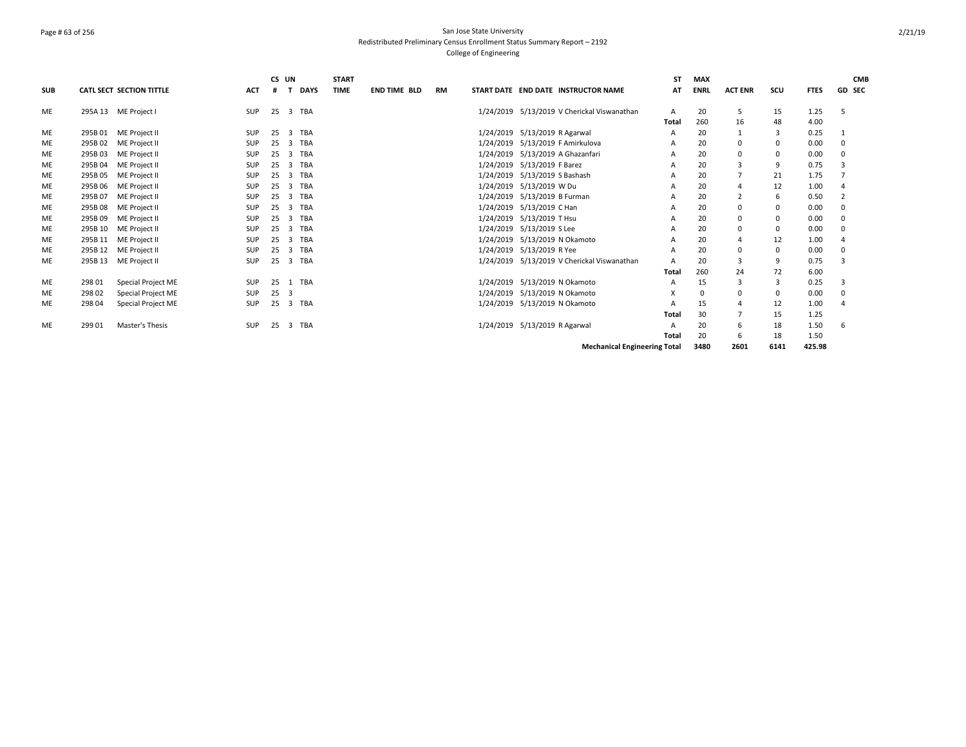# Page # 63 of 256 San Jose State University Redistributed Preliminary Census Enrollment Status Summary Report – 2192 College of Engineering

|            |         |                                 |            | CS UN        |                |             | <b>START</b> |                     |    |                               |                                             | <b>ST</b> | <b>MAX</b>  |                |             |             | <b>CMB</b>     |
|------------|---------|---------------------------------|------------|--------------|----------------|-------------|--------------|---------------------|----|-------------------------------|---------------------------------------------|-----------|-------------|----------------|-------------|-------------|----------------|
| <b>SUB</b> |         | <b>CATL SECT SECTION TITTLE</b> | <b>ACT</b> | #            |                | <b>DAYS</b> | <b>TIME</b>  | <b>END TIME BLD</b> | RM |                               | START DATE END DATE INSTRUCTOR NAME         | AT        | <b>ENRL</b> | <b>ACT ENR</b> | SCU         | <b>FTES</b> | <b>GD SEC</b>  |
| <b>ME</b>  |         | 295A 13 ME Project I            | <b>SUP</b> | 25           |                | 3 TBA       |              |                     |    |                               | 1/24/2019 5/13/2019 V Cherickal Viswanathan | A         | 20          | 5              | 15          | 1.25        | .5             |
|            |         |                                 |            |              |                |             |              |                     |    |                               |                                             | Total     | 260         | 16             | 48          | 4.00        |                |
| ME         |         | 295B 01 ME Project II           | <b>SUP</b> | 25           |                | 3 TBA       |              |                     |    | 1/24/2019 5/13/2019 R Agarwal |                                             | A         | 20          |                | 3           | 0.25        |                |
| <b>ME</b>  |         | 295B 02 ME Project II           | <b>SUP</b> | 25           |                | 3 TBA       |              |                     |    |                               | 1/24/2019 5/13/2019 F Amirkulova            | A         | 20          | 0              | 0           | 0.00        | $\Omega$       |
| ME         | 295B03  | ME Project II                   | <b>SUP</b> | 25           | 3              | TBA         |              |                     |    |                               | 1/24/2019 5/13/2019 A Ghazanfari            | A         | 20          | $\Omega$       | $\mathbf 0$ | 0.00        | $\mathbf 0$    |
| <b>ME</b>  | 295B04  | ME Project II                   | <b>SUP</b> | 25           | 3              | TBA         |              |                     |    | 1/24/2019 5/13/2019 F Barez   |                                             | A         | 20          | 3              | 9           | 0.75        | 3              |
| ME         | 295B 05 | ME Project II                   | <b>SUP</b> | 25           | 3              | TBA         |              |                     |    | 1/24/2019 5/13/2019 S Bashash |                                             | A         | 20          |                | 21          | 1.75        |                |
| ME         | 295B06  | ME Project II                   | <b>SUP</b> | 25           | 3              | <b>TBA</b>  |              |                     |    | 1/24/2019 5/13/2019 W Du      |                                             | A         | 20          |                | 12          | 1.00        | $\overline{4}$ |
| ME         | 295B 07 | ME Project II                   | <b>SUP</b> | 25           | 3              | TBA         |              |                     |    | 1/24/2019 5/13/2019 B Furman  |                                             |           | 20          |                | 6           | 0.50        |                |
| <b>ME</b>  | 295B08  | ME Project II                   | SUP        | 25           | 3              | TBA         |              |                     |    | 1/24/2019 5/13/2019 C Han     |                                             | A         | 20          | 0              | 0           | 0.00        | $\mathbf 0$    |
| <b>ME</b>  | 295B 09 | ME Project II                   | <b>SUP</b> | 25           | $\overline{3}$ | TBA         |              |                     |    | 1/24/2019 5/13/2019 T Hsu     |                                             | A         | 20          | 0              | 0           | 0.00        | $\Omega$       |
| ME         | 295B 10 | ME Project II                   | <b>SUP</b> | 25           | 3              | TBA         |              |                     |    | 1/24/2019 5/13/2019 S Lee     |                                             | A         | 20          | $\Omega$       | 0           | 0.00        | $\mathbf 0$    |
| <b>ME</b>  |         | 295B 11 ME Project II           | <b>SUP</b> | 25           | 3              | TBA         |              |                     |    | 1/24/2019 5/13/2019 N Okamoto |                                             | A         | 20          |                | 12          | 1.00        | $\overline{4}$ |
| ME         | 295B 12 | ME Project II                   | <b>SUP</b> | 25           | $\overline{3}$ | TBA         |              |                     |    | 1/24/2019 5/13/2019 R Yee     |                                             | A         | 20          | 0              | $\mathbf 0$ | 0.00        | 0              |
| <b>ME</b>  |         | 295B 13 ME Project II           | <b>SUP</b> | 25           | $\overline{3}$ | TBA         |              |                     |    |                               | 1/24/2019 5/13/2019 V Cherickal Viswanathan | A         | 20          | 3              | 9           | 0.75        | 3              |
|            |         |                                 |            |              |                |             |              |                     |    |                               |                                             | Total     | 260         | 24             | 72          | 6.00        |                |
| ME         | 298 01  | Special Project ME              | SUP        | 25           |                | 1 TBA       |              |                     |    |                               | 1/24/2019 5/13/2019 N Okamoto               | A         | 15          | 3              | 3           | 0.25        | 3              |
| <b>ME</b>  | 29802   | Special Project ME              | <b>SUP</b> | $25 \quad 3$ |                |             |              |                     |    |                               | 1/24/2019 5/13/2019 N Okamoto               | x         | $\Omega$    | 0              | 0           | 0.00        | $\Omega$       |
| ME         | 298 04  | Special Project ME              | <b>SUP</b> | 25           |                | 3 TBA       |              |                     |    |                               | 1/24/2019 5/13/2019 N Okamoto               | A         | 15          |                | 12          | 1.00        |                |
|            |         |                                 |            |              |                |             |              |                     |    |                               |                                             | Total     | 30          |                | 15          | 1.25        |                |
| <b>ME</b>  | 299 01  | Master's Thesis                 | <b>SUP</b> | 25           |                | 3 TBA       |              |                     |    | 1/24/2019 5/13/2019 R Agarwal |                                             | A         | 20          | 6              | 18          | 1.50        | 6              |
|            |         |                                 |            |              |                |             |              |                     |    |                               |                                             | Total     | 20          | 6              | 18          | 1.50        |                |
|            |         |                                 |            |              |                |             |              |                     |    |                               | <b>Mechanical Engineering Total</b>         |           | 3480        | 2601           | 6141        | 425.98      |                |

2/21/19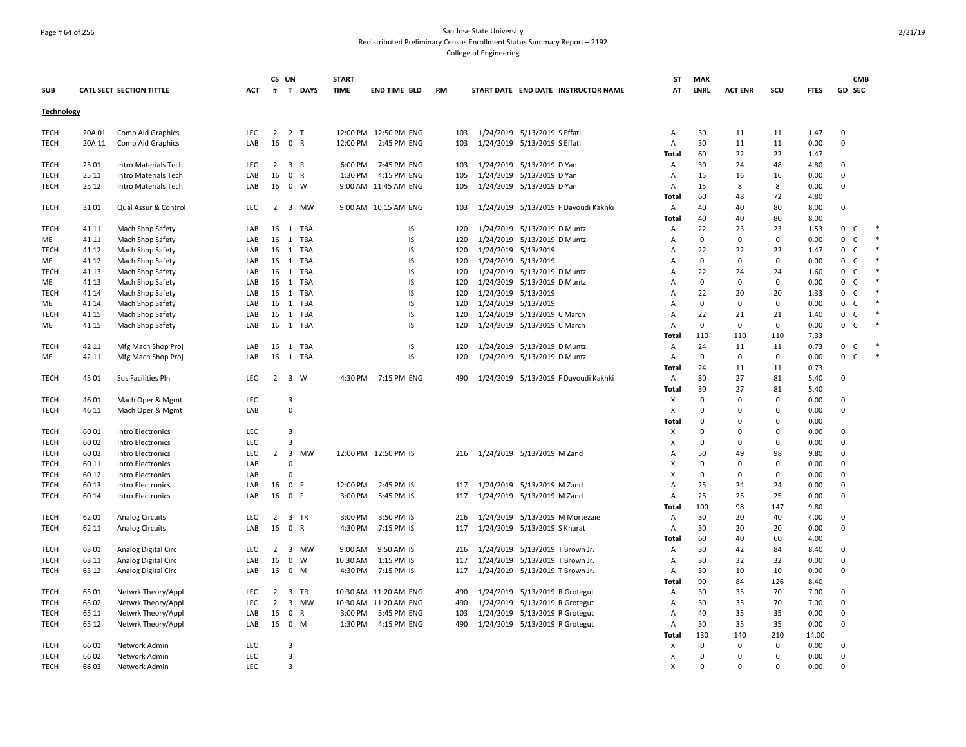### Page # 64 of 256 San Jose State University Redistributed Preliminary Census Enrollment Status Summary Report – 2192 College of Engineering

|                   |        |                                          |            | CS UN          |                             | <b>START</b> |                       |           |     |                            |                                 |                                      | ST           | <b>MAX</b>           |                      |                         |             |              | <b>CMB</b>   |        |
|-------------------|--------|------------------------------------------|------------|----------------|-----------------------------|--------------|-----------------------|-----------|-----|----------------------------|---------------------------------|--------------------------------------|--------------|----------------------|----------------------|-------------------------|-------------|--------------|--------------|--------|
| <b>SUB</b>        |        | CATL SECT SECTION TITTLE                 | <b>ACT</b> | #              | T DAYS                      | <b>TIME</b>  | <b>END TIME BLD</b>   | <b>RM</b> |     |                            |                                 | START DATE END DATE INSTRUCTOR NAME  | AT           | <b>ENRL</b>          | <b>ACT ENR</b>       | scu                     | <b>FTES</b> | GD SEC       |              |        |
|                   |        |                                          |            |                |                             |              |                       |           |     |                            |                                 |                                      |              |                      |                      |                         |             |              |              |        |
| <b>Technology</b> |        |                                          |            |                |                             |              |                       |           |     |                            |                                 |                                      |              |                      |                      |                         |             |              |              |        |
| TECH              | 20A 01 | Comp Aid Graphics                        | <b>LEC</b> | $\overline{2}$ | 2 T                         |              | 12:00 PM 12:50 PM ENG |           | 103 |                            | 1/24/2019 5/13/2019 S Effati    |                                      | Α            | 30                   | 11                   | 11                      | 1.47        | $\Omega$     |              |        |
| <b>TECH</b>       | 20A 11 | Comp Aid Graphics                        | LAB        |                | 16 0 R                      | 12:00 PM     | 2:45 PM ENG           |           | 103 |                            | 1/24/2019 5/13/2019 S Effati    |                                      | Α            | 30                   | 11                   | 11                      | 0.00        | $\Omega$     |              |        |
|                   |        |                                          |            |                |                             |              |                       |           |     |                            |                                 |                                      | Total        | 60                   | 22                   | 22                      | 1.47        |              |              |        |
| <b>TECH</b>       | 25 01  | Intro Materials Tech                     | LEC        | $\overline{2}$ | 3 R                         | 6:00 PM      | 7:45 PM ENG           |           | 103 |                            | 1/24/2019 5/13/2019 D Yan       |                                      | Α            | 30                   | 24                   | 48                      | 4.80        | $\Omega$     |              |        |
| <b>TECH</b>       | 25 11  | Intro Materials Tech                     | LAB        | 16             | $\mathbf 0$<br>R            | 1:30 PM      | 4:15 PM ENG           |           | 105 |                            | 1/24/2019 5/13/2019 D Yan       |                                      | A            | 15                   | 16                   | 16                      | 0.00        | $\mathbf 0$  |              |        |
| TECH              | 25 12  | Intro Materials Tech                     | LAB        |                | 16 0 W                      |              | 9:00 AM 11:45 AM ENG  |           | 105 |                            | 1/24/2019 5/13/2019 D Yan       |                                      | A            | 15                   | 8                    | 8                       | 0.00        | $\Omega$     |              |        |
|                   |        |                                          |            |                |                             |              |                       |           |     |                            |                                 |                                      | <b>Total</b> | 60                   | 48                   | 72                      | 4.80        |              |              |        |
| <b>TECH</b>       | 3101   | Qual Assur & Control                     | LEC        | $\overline{2}$ | 3 MW                        |              | 9:00 AM 10:15 AM ENG  |           | 103 |                            |                                 | 1/24/2019 5/13/2019 F Davoudi Kakhki | Α            | 40                   | 40                   | 80                      | 8.00        | $\mathbf 0$  |              |        |
|                   |        |                                          |            |                |                             |              |                       |           |     |                            |                                 |                                      | Total        | 40                   | 40                   | 80                      | 8.00        |              |              |        |
| <b>TECH</b>       | 41 11  | Mach Shop Safety                         | LAB        | 16             | 1 TBA                       |              | IS                    |           | 120 |                            | 1/24/2019 5/13/2019 D Muntz     |                                      | Α            | 22                   | 23                   | 23                      | 1.53        | 0            | C            |        |
| ME                | 41 11  | Mach Shop Safety                         | LAB        |                | 16 1 TBA                    |              | IS                    |           | 120 |                            | 1/24/2019 5/13/2019 D Muntz     |                                      | Α            | 0                    | $\mathbf 0$          | 0                       | 0.00        | 0            | C            |        |
| <b>TECH</b>       | 41 12  | Mach Shop Safety                         | LAB        |                | 16 1 TBA                    |              | IS                    |           | 120 | 1/24/2019 5/13/2019        |                                 |                                      | Α            | 22                   | 22                   | 22                      | 1.47        | 0            | C            |        |
|                   |        |                                          |            | 16             | 1 TBA                       |              | IS                    |           |     |                            |                                 |                                      |              | $\mathbf 0$          | $\mathbf{0}$         | $\mathbf 0$             | 0.00        | $\mathbf{0}$ | $\mathsf{C}$ |        |
| ME                | 41 12  | Mach Shop Safety                         | LAB        |                |                             |              | IS                    |           | 120 | 1/24/2019 5/13/2019        |                                 |                                      | Α            | 22                   |                      |                         |             | $\mathbf{0}$ | $\mathsf{C}$ |        |
| <b>TECH</b>       | 41 13  | Mach Shop Safety                         | LAB        |                | 16 1 TBA                    |              | IS                    |           | 120 |                            | 1/24/2019 5/13/2019 D Muntz     |                                      | Α            |                      | 24                   | 24                      | 1.60        |              |              |        |
| ME                | 41 13  | Mach Shop Safety                         | LAB        |                | 16 1 TBA                    |              |                       |           | 120 |                            | 1/24/2019 5/13/2019 D Muntz     |                                      | A            | $\mathbf 0$          | $\mathbf{0}$         | $\mathbf 0$             | 0.00        | $\mathbf{0}$ | C            |        |
| <b>TECH</b>       | 41 14  | Mach Shop Safety                         | LAB        |                | 16 1 TBA                    |              | IS                    |           | 120 | 1/24/2019 5/13/2019        |                                 |                                      | Α            | 22                   | 20                   | 20                      | 1.33        | $\mathbf{0}$ | $\mathsf{C}$ |        |
| ME                | 41 14  | Mach Shop Safety                         | LAB        |                | 16 1 TBA                    |              | IS                    |           | 120 | 1/24/2019 5/13/2019        |                                 |                                      | Α            | 0                    | $\mathbf{0}$         | $\mathbf 0$             | 0.00        | $\mathbf 0$  | $\mathsf{C}$ |        |
| <b>TECH</b>       | 41 15  | Mach Shop Safety                         | LAB        | 16             | 1 TBA                       |              | IS                    |           | 120 |                            | 1/24/2019 5/13/2019 C March     |                                      | A            | 22                   | 21                   | 21                      | 1.40        | 0            | $\mathsf{C}$ |        |
| ME                | 41 15  | Mach Shop Safety                         | LAB        |                | 16 1 TBA                    |              | IS                    |           | 120 |                            | 1/24/2019 5/13/2019 C March     |                                      | A            | $\Omega$             | $\mathbf{0}$         | $\mathbf 0$             | 0.00        | $\mathbf{0}$ | $\mathsf{C}$ |        |
|                   |        |                                          |            |                |                             |              |                       |           |     |                            |                                 |                                      | Total        | 110                  | 110                  | 110                     | 7.33        |              |              |        |
| <b>TECH</b>       | 42 11  | Mfg Mach Shop Proj                       | LAB        |                | 16 1 TBA                    |              | IS                    |           | 120 |                            | 1/24/2019 5/13/2019 D Muntz     |                                      | Α            | 24                   | 11                   | 11                      | 0.73        | 0            | $\mathsf{C}$ |        |
| ME                | 42 11  | Mfg Mach Shop Proj                       | LAB        | 16             | 1 TBA                       |              | IS                    |           | 120 |                            | 1/24/2019 5/13/2019 D Muntz     |                                      | Α            | $\Omega$             | 0                    | 0                       | 0.00        | 0            | $\mathsf C$  | $\ast$ |
|                   |        |                                          |            |                |                             |              |                       |           |     |                            |                                 |                                      | Total        | 24                   | 11                   | 11                      | 0.73        |              |              |        |
| <b>TECH</b>       | 45 01  | Sus Facilities Pln                       | LEC        | $\overline{2}$ | 3 W                         |              | 4:30 PM 7:15 PM ENG   |           | 490 |                            |                                 | 1/24/2019 5/13/2019 F Davoudi Kakhki | Α            | 30                   | 27                   | 81                      | 5.40        | 0            |              |        |
|                   |        |                                          |            |                |                             |              |                       |           |     |                            |                                 |                                      | Total        | 30                   | 27                   | 81                      | 5.40        |              |              |        |
| TECH              | 46 01  | Mach Oper & Mgmt                         | LEC        |                | 3                           |              |                       |           |     |                            |                                 |                                      | X            | $\Omega$             | $\Omega$             | $\Omega$                | 0.00        | $\Omega$     |              |        |
| <b>TECH</b>       | 46 11  | Mach Oper & Mgmt                         | LAB        |                | $\mathbf 0$                 |              |                       |           |     |                            |                                 |                                      | X            | $\mathbf 0$          | $\mathbf 0$          | $\mathbf 0$             | 0.00        | $\mathsf 0$  |              |        |
|                   |        |                                          |            |                |                             |              |                       |           |     |                            |                                 |                                      | Total        | 0                    | 0                    | $\mathbf 0$             | 0.00        |              |              |        |
| TECH              | 6001   | Intro Electronics                        | LEC        |                | 3                           |              |                       |           |     |                            |                                 |                                      | x            | $\Omega$             | 0                    | $\Omega$                | 0.00        | $\mathbf 0$  |              |        |
| <b>TECH</b>       | 6002   | Intro Electronics                        | <b>LEC</b> |                | $\overline{3}$              |              |                       |           |     |                            |                                 |                                      | X            | $\Omega$             | $\mathbf 0$          | $\Omega$                | 0.00        | $\mathbf 0$  |              |        |
| <b>TECH</b>       | 6003   | Intro Electronics                        | LEC        |                | 2 3 MW                      |              | 12:00 PM 12:50 PM IS  |           | 216 | 1/24/2019 5/13/2019 M Zand |                                 |                                      | A            | 50                   | 49                   | 98                      | 9.80        | $\mathbf 0$  |              |        |
| TECH              | 60 11  | Intro Electronics                        | LAB        |                | $\Omega$                    |              |                       |           |     |                            |                                 |                                      | Х            | $\Omega$             | 0                    | $\mathbf 0$             | 0.00        | $\mathbf 0$  |              |        |
| <b>TECH</b>       | 60 12  | Intro Electronics                        | LAB        |                | $\mathsf{C}$                |              |                       |           |     |                            |                                 |                                      | X            | $\Omega$             | $\mathbf 0$          | $\mathbf 0$             | 0.00        | $\Omega$     |              |        |
| TECH              | 60 13  | Intro Electronics                        | LAB        | 16 0           | -F                          | 12:00 PM     | 2:45 PM IS            |           | 117 |                            | 1/24/2019 5/13/2019 M Zand      |                                      | Α            | 25                   | 24                   | 24                      | 0.00        | $\mathbf 0$  |              |        |
| TECH              | 60 14  | Intro Electronics                        | LAB        | 16             | 0 F                         | 3:00 PM      | 5:45 PM IS            |           | 117 |                            | 1/24/2019 5/13/2019 M Zand      |                                      | Α            | 25                   | 25                   | 25                      | 0.00        | 0            |              |        |
|                   |        |                                          |            |                |                             |              |                       |           |     |                            |                                 |                                      | Total        | 100                  | 98                   | 147                     | 9.80        |              |              |        |
| <b>TECH</b>       | 6201   | <b>Analog Circuits</b>                   | <b>LEC</b> | $2^{\circ}$    | 3 TR                        | 3:00 PM      | 3:50 PM IS            |           | 216 |                            |                                 | 1/24/2019 5/13/2019 M Mortezaie      | Α            | 30                   | 20                   | 40                      | 4.00        | $\mathbf 0$  |              |        |
| <b>TECH</b>       | 62 11  | <b>Analog Circuits</b>                   | LAB        | 16             | $\mathbf 0$<br>$\mathsf{R}$ | 4:30 PM      | 7:15 PM IS            |           | 117 |                            | 1/24/2019 5/13/2019 S Kharat    |                                      | Α            | 30                   | 20                   | 20                      | 0.00        | $\mathbf 0$  |              |        |
|                   |        |                                          |            |                |                             |              |                       |           |     |                            |                                 |                                      | <b>Total</b> | 60                   | 40                   | 60                      | 4.00        |              |              |        |
| TECH              | 6301   | Analog Digital Circ                      | <b>LEC</b> |                | 2 3 MW                      | 9:00 AM      | 9:50 AM IS            |           | 216 |                            | 1/24/2019 5/13/2019 T Brown Jr. |                                      | Α            | 30                   | 42                   | 84                      | 8.40        | 0            |              |        |
| TECH              | 63 11  | Analog Digital Circ                      | LAB        | 16             | $\mathbf 0$<br>W            | 10:30 AM     | 1:15 PM IS            |           | 117 |                            | 1/24/2019 5/13/2019 T Brown Jr. |                                      | Α            | 30                   | 32                   | 32                      | 0.00        | 0            |              |        |
| <b>TECH</b>       | 63 12  | Analog Digital Circ                      | LAB        | 16             | 0 M                         | 4:30 PM      | 7:15 PM IS            |           | 117 |                            | 1/24/2019 5/13/2019 T Brown Jr. |                                      | Α            | 30                   | 10                   | 10                      | 0.00        | $\Omega$     |              |        |
|                   |        |                                          |            |                |                             |              |                       |           |     |                            |                                 |                                      | Total        | 90                   | 84                   | 126                     | 8.40        |              |              |        |
| <b>TECH</b>       | 65 01  | Netwrk Theory/Appl                       | LEC        | $\overline{2}$ | 3 TR                        |              | 10:30 AM 11:20 AM ENG |           | 490 |                            | 1/24/2019 5/13/2019 R Grotegut  |                                      | Α            | 30                   | 35                   | 70                      | 7.00        | $\Omega$     |              |        |
| TECH              | 65 02  |                                          | LEC        | $\overline{2}$ | 3<br>MW                     |              | 10:30 AM 11:20 AM ENG |           | 490 |                            | 1/24/2019 5/13/2019 R Grotegut  |                                      |              | 30                   | 35                   | 70                      | 7.00        | $\mathbf 0$  |              |        |
| TECH              | 65 11  | Netwrk Theory/Appl<br>Netwrk Theory/Appl | LAB        | 16             | $\mathbf 0$<br>R            | 3:00 PM      | 5:45 PM ENG           |           | 103 |                            |                                 |                                      | Α<br>Α       | 40                   | 35                   | 35                      | 0.00        | $\mathbf 0$  |              |        |
|                   | 65 12  |                                          |            |                | 16 0 M                      | 1:30 PM      |                       |           |     |                            | 1/24/2019 5/13/2019 R Grotegut  |                                      |              | 30                   | 35                   | 35                      | 0.00        | 0            |              |        |
| TECH              |        | Netwrk Theory/Appl                       | LAB        |                |                             |              | 4:15 PM ENG           |           | 490 |                            | 1/24/2019 5/13/2019 R Grotegut  |                                      | Α            |                      |                      |                         |             |              |              |        |
|                   |        |                                          |            |                |                             |              |                       |           |     |                            |                                 |                                      | Total        | 130<br>$\Omega$      | 140                  | 210<br>$\mathbf 0$      | 14.00       |              |              |        |
| <b>TECH</b>       | 6601   | Network Admin                            | <b>LEC</b> |                | 3                           |              |                       |           |     |                            |                                 |                                      | Х            |                      | $\mathbf 0$          |                         | 0.00        | $\mathbf 0$  |              |        |
| <b>TECH</b>       | 6602   | Network Admin                            | LEC.       |                | 3                           |              |                       |           |     |                            |                                 |                                      | X            | $\Omega$<br>$\Omega$ | $\Omega$<br>$\Omega$ | $\mathbf 0$<br>$\Omega$ | 0.00        | 0            |              |        |
| <b>TECH</b>       | 6603   | Network Admin                            | LEC        |                | 3                           |              |                       |           |     |                            |                                 |                                      | X            |                      |                      |                         | 0.00        | $\mathbf 0$  |              |        |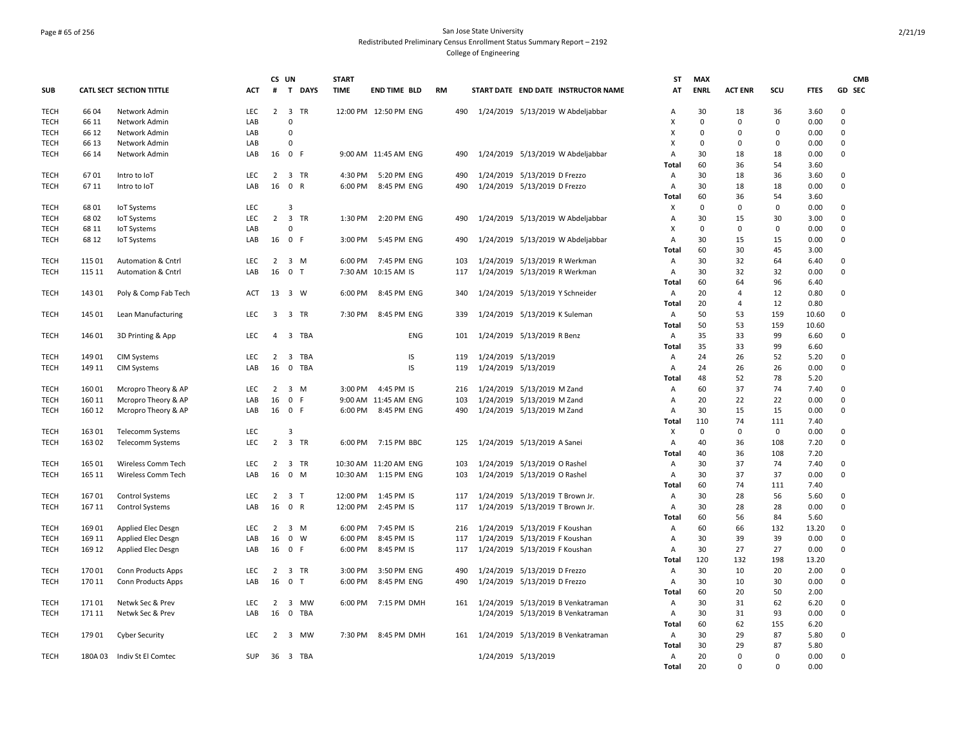## Page # 65 of 256 San Jose State University Redistributed Preliminary Census Enrollment Status Summary Report – 2192 College of Engineering

|             |        |                               |            |                | CS UN                         | <b>START</b> |                       |           |     |                                     | SΤ           | <b>MAX</b>  |                |             |              | <b>CMB</b>  |
|-------------|--------|-------------------------------|------------|----------------|-------------------------------|--------------|-----------------------|-----------|-----|-------------------------------------|--------------|-------------|----------------|-------------|--------------|-------------|
| SUB         |        | CATL SECT SECTION TITTLE      | ACT        | #              | $\mathbf{T}$<br><b>DAYS</b>   | <b>TIME</b>  | <b>END TIME BLD</b>   | <b>RM</b> |     | START DATE END DATE INSTRUCTOR NAME | AT           | <b>ENRL</b> | <b>ACT ENR</b> | SCU         | <b>FTES</b>  | GD SEC      |
| TECH        | 6604   | Network Admin                 | <b>LEC</b> | $\overline{2}$ | $\overline{\mathbf{3}}$<br>TR |              | 12:00 PM 12:50 PM ENG |           | 490 | 1/24/2019 5/13/2019 W Abdeljabbar   | A            | 30          | 18             | 36          | 3.60         | $\Omega$    |
| <b>TECH</b> | 66 11  | Network Admin                 | LAB        |                | $\mathsf 0$                   |              |                       |           |     |                                     | X            | $\Omega$    | $\mathbf 0$    | $\mathbf 0$ | 0.00         | 0           |
| <b>TECH</b> | 66 12  | Network Admin                 | LAB        |                | 0                             |              |                       |           |     |                                     | x            | $\Omega$    | 0              | 0           | 0.00         | 0           |
| <b>TECH</b> | 66 13  | Network Admin                 | LAB        |                | 0                             |              |                       |           |     |                                     | x            | $\Omega$    | $\mathbf 0$    | $\mathbf 0$ | 0.00         | 0           |
| <b>TECH</b> | 66 14  | Network Admin                 | LAB        | 16             | 0 F                           |              | 9:00 AM 11:45 AM ENG  |           | 490 | 1/24/2019 5/13/2019 W Abdeljabbar   | Α            | 30          | 18             | 18          | 0.00         | 0           |
|             |        |                               |            |                |                               |              |                       |           |     |                                     | Total        | 60          | 36             | 54          | 3.60         |             |
| <b>TECH</b> | 6701   | Intro to IoT                  | <b>LEC</b> | $\overline{2}$ | 3 TR                          | 4:30 PM      | 5:20 PM ENG           |           | 490 | 1/24/2019 5/13/2019 D Frezzo        | Α            | 30          | 18             | 36          | 3.60         | 0           |
| <b>TECH</b> | 6711   | Intro to IoT                  | LAB        | 16             | 0 R                           | 6:00 PM      | 8:45 PM ENG           |           | 490 | 1/24/2019 5/13/2019 D Frezzo        | Α<br>Total   | 30<br>60    | 18<br>36       | 18<br>54    | 0.00<br>3.60 | 0           |
| <b>TECH</b> | 6801   | <b>IoT Systems</b>            | <b>LEC</b> |                | 3                             |              |                       |           |     |                                     | X            | $\mathbf 0$ | $\mathbf 0$    | $\mathbf 0$ | 0.00         | 0           |
| <b>TECH</b> | 6802   | <b>IoT Systems</b>            | LEC        | $\overline{2}$ | 3 TR                          | 1:30 PM      | 2:20 PM ENG           |           | 490 | 1/24/2019 5/13/2019 W Abdeljabbar   | Α            | 30          | 15             | 30          | 3.00         | 0           |
| TECH        | 68 11  | <b>IoT Systems</b>            | LAB        |                | $\Omega$                      |              |                       |           |     |                                     | X            | $\Omega$    | $\mathbf 0$    | $\mathbf 0$ | 0.00         | 0           |
| <b>TECH</b> | 68 12  | <b>IoT Systems</b>            | LAB        | 16             | 0 F                           | 3:00 PM      | 5:45 PM ENG           |           | 490 | 1/24/2019 5/13/2019 W Abdeljabbar   | Α            | 30          | 15             | 15          | 0.00         | 0           |
|             |        |                               |            |                |                               |              |                       |           |     |                                     | Total        | 60          | 30             | 45          | 3.00         |             |
| <b>TECH</b> | 115 01 | <b>Automation &amp; Cntrl</b> | <b>LEC</b> | $\overline{2}$ | 3 M                           | 6:00 PM      | 7:45 PM ENG           |           | 103 | 1/24/2019 5/13/2019 R Werkman       | Α            | 30          | 32             | 64          | 6.40         | $\mathbf 0$ |
| <b>TECH</b> | 115 11 | <b>Automation &amp; Cntrl</b> | LAB        | 16             | 0 <sub>T</sub>                |              | 7:30 AM 10:15 AM IS   |           | 117 | 1/24/2019 5/13/2019 R Werkman       | А            | 30          | 32             | 32          | 0.00         | $\mathbf 0$ |
|             |        |                               |            |                |                               |              |                       |           |     |                                     | Total        | 60          | 64             | 96          | 6.40         |             |
| <b>TECH</b> | 14301  | Poly & Comp Fab Tech          | <b>ACT</b> | 13             | 3 W                           | 6:00 PM      | 8:45 PM ENG           |           | 340 | 1/24/2019 5/13/2019 Y Schneider     | Α            | 20          | 4              | 12          | 0.80         | $\mathbf 0$ |
|             |        |                               |            |                |                               |              |                       |           |     |                                     | <b>Total</b> | 20          | $\overline{4}$ | 12          | 0.80         |             |
| <b>TECH</b> | 145 01 | Lean Manufacturing            | <b>LEC</b> | 3              | 3 TR                          | 7:30 PM      | 8:45 PM ENG           |           | 339 | 1/24/2019 5/13/2019 K Suleman       | Α            | 50          | 53             | 159         | 10.60        | $\Omega$    |
|             |        |                               |            |                |                               |              |                       |           |     |                                     | <b>Total</b> | 50          | 53             | 159         | 10.60        |             |
| <b>TECH</b> | 146 01 | 3D Printing & App             | <b>LEC</b> | $\overline{4}$ | 3 TBA                         |              | ENG                   |           | 101 | 1/24/2019 5/13/2019 R Benz          | А            | 35          | 33             | 99          | 6.60         | $\mathbf 0$ |
|             |        |                               |            |                |                               |              |                       |           |     |                                     | Total        | 35          | 33             | 99          | 6.60         |             |
| <b>TECH</b> | 14901  | <b>CIM Systems</b>            | <b>LEC</b> | $\overline{2}$ | 3 TBA                         |              | IS                    |           | 119 | 1/24/2019 5/13/2019                 | Α            | 24          | 26             | 52          | 5.20         | $\Omega$    |
| <b>TECH</b> | 149 11 | <b>CIM Systems</b>            | LAB        | 16             | $\mathbf 0$<br>TBA            |              | IS.                   |           | 119 | 1/24/2019 5/13/2019                 | Α            | 24          | 26             | 26          | 0.00         | $\mathbf 0$ |
|             |        |                               |            |                |                               |              |                       |           |     |                                     | Total        | 48          | 52             | 78          | 5.20         |             |
| <b>TECH</b> | 16001  | Mcropro Theory & AP           | <b>LEC</b> | $\overline{2}$ | 3 M                           | 3:00 PM      | 4:45 PM IS            |           | 216 | 1/24/2019 5/13/2019 M Zand          | A            | 60          | 37             | 74          | 7.40         | $\mathbf 0$ |
| <b>TECH</b> | 160 11 | Mcropro Theory & AP           | LAB        | 16             | 0 F                           |              | 9:00 AM 11:45 AM ENG  |           | 103 | 1/24/2019 5/13/2019 M Zand          | Α            | 20          | 22             | 22          | 0.00         | $\mathbf 0$ |
| TECH        | 160 12 | Mcropro Theory & AP           | LAB        | 16             | 0 F                           | 6:00 PM      | 8:45 PM ENG           |           | 490 | 1/24/2019 5/13/2019 M Zand          | А            | 30          | 15             | 15          | 0.00         | 0           |
|             |        |                               |            |                |                               |              |                       |           |     |                                     | <b>Total</b> | 110         | 74             | 111         | 7.40         |             |
| <b>TECH</b> | 163 01 | Telecomm Systems              | LEC        |                | 3                             |              |                       |           |     |                                     | X            | $\mathbf 0$ | $\mathbf 0$    | $\mathbf 0$ | 0.00         | 0           |
| <b>TECH</b> | 16302  | Telecomm Systems              | <b>LEC</b> | $\overline{2}$ | 3 TR                          | 6:00 PM      | 7:15 PM BBC           |           | 125 | 1/24/2019 5/13/2019 A Sanei         | Α            | 40          | 36             | 108         | 7.20         | 0           |
|             |        |                               |            |                |                               |              |                       |           |     |                                     | Total        | 40          | 36             | 108         | 7.20         |             |
| <b>TECH</b> | 165 01 | Wireless Comm Tech            | <b>LEC</b> | 2              | 3 TR                          |              | 10:30 AM 11:20 AM ENG |           | 103 | 1/24/2019 5/13/2019 O Rashel        | A            | 30          | 37             | 74          | 7.40         | 0           |
| <b>TECH</b> | 165 11 | Wireless Comm Tech            | LAB        | 16             | 0 M                           | 10:30 AM     | 1:15 PM ENG           |           | 103 | 1/24/2019 5/13/2019 O Rashel        | Α            | 30          | 37             | 37          | 0.00         | 0           |
|             |        |                               |            |                |                               |              |                       |           |     |                                     | Total        | 60          | 74             | 111         | 7.40         |             |
| <b>TECH</b> | 16701  | <b>Control Systems</b>        | <b>LEC</b> | $\overline{2}$ | 3 <sub>1</sub>                | 12:00 PM     | 1:45 PM IS            |           | 117 | 1/24/2019 5/13/2019 T Brown Jr.     | Α            | 30          | 28             | 56          | 5.60         | 0           |
| <b>TECH</b> | 167 11 | Control Systems               | LAB        | 16             | 0 R                           | 12:00 PM     | 2:45 PM IS            |           | 117 | 1/24/2019 5/13/2019 T Brown Jr.     | Α            | 30          | 28             | 28          | 0.00         | 0           |
|             |        |                               |            |                |                               |              |                       |           |     |                                     | Total        | 60          | 56             | 84          | 5.60         |             |
| <b>TECH</b> | 16901  | Applied Elec Desgn            | <b>LEC</b> | $\overline{2}$ | 3 M                           | 6:00 PM      | 7:45 PM IS            |           | 216 | 1/24/2019 5/13/2019 F Koushan       | Α            | 60          | 66             | 132         | 13.20        | 0           |
| <b>TECH</b> | 169 11 | Applied Elec Desgn            | LAB        | 16             | $0 \quad W$                   | 6:00 PM      | 8:45 PM IS            |           | 117 | 1/24/2019 5/13/2019 F Koushan       | Α            | 30          | 39             | 39          | 0.00         | 0           |
| <b>TECH</b> | 169 12 | Applied Elec Desgn            | LAB        | 16             | 0 F                           | 6:00 PM      | 8:45 PM IS            |           | 117 | 1/24/2019 5/13/2019 F Koushan       | Α            | 30          | 27             | 27          | 0.00         | $\mathbf 0$ |
|             |        |                               |            |                |                               |              |                       |           |     |                                     | Total        | 120         | 132            | 198         | 13.20        |             |
| <b>TECH</b> | 17001  | Conn Products Apps            | <b>LEC</b> | $\overline{2}$ | 3 TR                          | 3:00 PM      | 3:50 PM ENG           |           | 490 | 1/24/2019 5/13/2019 D Frezzo        | Α            | 30          | 10             | 20          | 2.00         | 0           |
| <b>TECH</b> | 170 11 | <b>Conn Products Apps</b>     | LAB        | 16             | 0 <sub>T</sub>                | 6:00 PM      | 8:45 PM ENG           |           | 490 | 1/24/2019 5/13/2019 D Frezzo        | Α            | 30          | 10             | 30          | 0.00         | 0           |
|             |        |                               |            |                |                               |              |                       |           |     |                                     | Total        | 60          | 20             | 50          | 2.00         |             |
| <b>TECH</b> | 17101  | Netwk Sec & Prev              | <b>LEC</b> | 2              | 3 MW                          | 6:00 PM      | 7:15 PM DMH           |           | 161 | 1/24/2019 5/13/2019 B Venkatraman   | Α            | 30          | 31             | 62          | 6.20         | 0           |
| <b>TECH</b> | 171 11 | Netwk Sec & Prev              | LAB        | 16             | 0 TBA                         |              |                       |           |     | 1/24/2019 5/13/2019 B Venkatraman   | Α            | 30          | 31             | 93          | 0.00         | 0           |
|             |        |                               |            |                |                               |              |                       |           |     |                                     | Total        | 60          | 62             | 155         | 6.20         |             |
| <b>TECH</b> | 17901  | <b>Cyber Security</b>         | <b>LEC</b> | $\overline{2}$ | 3 MW                          | 7:30 PM      | 8:45 PM DMH           |           | 161 | 1/24/2019 5/13/2019 B Venkatraman   | Α            | 30          | 29             | 87          | 5.80         | 0           |
|             |        |                               |            |                |                               |              |                       |           |     |                                     | Total        | 30          | 29             | 87          | 5.80         |             |
| <b>TECH</b> |        | 180A 03 Indiv St El Comtec    | SUP        |                | 36 3 TBA                      |              |                       |           |     | 1/24/2019 5/13/2019                 | Α            | 20          | $\mathbf 0$    | $\Omega$    | 0.00         | $\Omega$    |
|             |        |                               |            |                |                               |              |                       |           |     |                                     | Total        | 20          | $\Omega$       | $\Omega$    | 0.00         |             |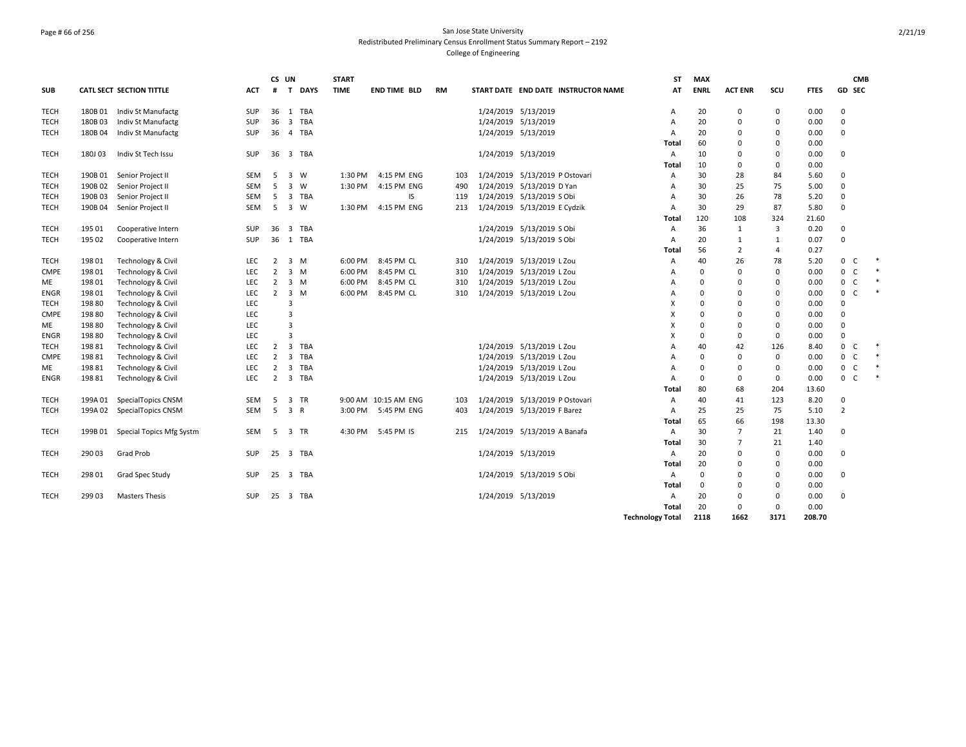## Page # 66 of 256 San Jose State University Redistributed Preliminary Census Enrollment Status Summary Report – 2192 College of Engineering

|             |         |                               |            | CS UN          |                                | <b>START</b> |                      |           |     |                     |                                     | <b>ST</b>               | <b>MAX</b>  |                |             |             | <b>CMB</b>          |        |
|-------------|---------|-------------------------------|------------|----------------|--------------------------------|--------------|----------------------|-----------|-----|---------------------|-------------------------------------|-------------------------|-------------|----------------|-------------|-------------|---------------------|--------|
| <b>SUB</b>  |         | CATL SECT SECTION TITTLE      | ACT        | #              | <b>T DAYS</b>                  | <b>TIME</b>  | <b>END TIME BLD</b>  | <b>RM</b> |     |                     | START DATE END DATE INSTRUCTOR NAME | AT                      | <b>ENRL</b> | <b>ACT ENR</b> | scu         | <b>FTES</b> | <b>GD SEC</b>       |        |
| <b>TECH</b> | 180B01  | Indiv St Manufactg            | <b>SUP</b> | 36             | 1 TBA                          |              |                      |           |     | 1/24/2019 5/13/2019 |                                     | A                       | 20          | $\mathbf 0$    | $\mathbf 0$ | 0.00        | $\mathbf 0$         |        |
| <b>TECH</b> | 180B03  | Indiv St Manufactg            | <b>SUP</b> | 36             | $\overline{3}$<br>TBA          |              |                      |           |     | 1/24/2019 5/13/2019 |                                     | A                       | 20          | $\mathbf 0$    | 0           | 0.00        | 0                   |        |
| <b>TECH</b> | 180B04  | Indiv St Manufactg            | <b>SUP</b> | 36             | 4 TBA                          |              |                      |           |     | 1/24/2019 5/13/2019 |                                     | Α                       | 20          | $\mathbf 0$    | 0           | 0.00        | 0                   |        |
|             |         |                               |            |                |                                |              |                      |           |     |                     |                                     | Total                   | 60          | $\mathbf 0$    | 0           | 0.00        |                     |        |
| <b>TECH</b> | 180J03  | Indiv St Tech Issu            | SUP        | 36             | $\overline{\mathbf{3}}$<br>TBA |              |                      |           |     | 1/24/2019 5/13/2019 |                                     | Α                       | 10          | $\Omega$       | 0           | 0.00        | 0                   |        |
|             |         |                               |            |                |                                |              |                      |           |     |                     |                                     | Total                   | 10          | 0              | $\Omega$    | 0.00        |                     |        |
| <b>TECH</b> | 190B 01 | Senior Project II             | <b>SEM</b> | 5              | $\overline{3}$<br>W            | 1:30 PM      | 4:15 PM ENG          |           | 103 |                     | 1/24/2019 5/13/2019 P Ostovari      | A                       | 30          | 28             | 84          | 5.60        | $\Omega$            |        |
| <b>TECH</b> | 190B02  | Senior Project II             | <b>SEM</b> | 5              | $\overline{\mathbf{3}}$<br>W   | 1:30 PM      | 4:15 PM ENG          |           | 490 |                     | 1/24/2019 5/13/2019 D Yan           | A                       | 30          | 25             | 75          | 5.00        | 0                   |        |
| <b>TECH</b> | 190B03  | Senior Project II             | SEM        | -5             | $\overline{3}$<br>TBA          |              | IS.                  |           | 119 |                     | 1/24/2019 5/13/2019 S Obi           | A                       | 30          | 26             | 78          | 5.20        | $\Omega$            |        |
| <b>TECH</b> | 190B04  | Senior Project II             | SEM        | 5              | $\overline{3}$<br>W            | 1:30 PM      | 4:15 PM ENG          |           | 213 |                     | 1/24/2019 5/13/2019 E Cydzik        | $\overline{A}$          | 30          | 29             | 87          | 5.80        | 0                   |        |
|             |         |                               |            |                |                                |              |                      |           |     |                     |                                     | Total                   | 120         | 108            | 324         | 21.60       |                     |        |
| <b>TECH</b> | 195 01  | Cooperative Intern            | SUP        | 36             | $\overline{3}$<br>TBA          |              |                      |           |     |                     | 1/24/2019 5/13/2019 S Obi           | A                       | 36          | $\mathbf{1}$   | 3           | 0.20        | 0                   |        |
| <b>TECH</b> | 195 02  | Cooperative Intern            | <b>SUP</b> | 36             | TBA<br>1                       |              |                      |           |     |                     | 1/24/2019 5/13/2019 S Obi           | A                       | 20          | 1              | 1           | 0.07        | 0                   |        |
|             |         |                               |            |                |                                |              |                      |           |     |                     |                                     | Total                   | 56          | $\overline{2}$ | 4           | 0.27        |                     |        |
| <b>TECH</b> | 198 01  | <b>Technology &amp; Civil</b> | LEC        | $\overline{2}$ | 3 M                            | 6:00 PM      | 8:45 PM CL           |           | 310 |                     | 1/24/2019 5/13/2019 L Zou           | Α                       | 40          | 26             | 78          | 5.20        | $0-$                |        |
| <b>CMPE</b> | 19801   | Technology & Civil            | LEC        | $\overline{2}$ | 3<br>M                         | 6:00 PM      | 8:45 PM CL           |           | 310 |                     | 1/24/2019 5/13/2019 L Zou           | A                       | $\mathbf 0$ | $\Omega$       | 0           | 0.00        | 0<br>C              |        |
| ME          | 19801   | Technology & Civil            | <b>LEC</b> | 2              | 3<br>M                         | 6:00 PM      | 8:45 PM CL           |           | 310 |                     | 1/24/2019 5/13/2019 L Zou           | A                       | $\Omega$    | $\Omega$       | $\Omega$    | 0.00        | $\mathbf 0$<br>C    | $\ast$ |
| <b>ENGR</b> | 19801   | Technology & Civil            | <b>LEC</b> | $\overline{2}$ | $\overline{3}$<br>M            | 6:00 PM      | 8:45 PM CL           |           | 310 |                     | 1/24/2019 5/13/2019 L Zou           | A                       | $\Omega$    | $\Omega$       | $\Omega$    | 0.00        | $\mathbf{0}$<br>- C | $\ast$ |
| <b>TECH</b> | 19880   | Technology & Civil            | LEC        |                | $\overline{3}$                 |              |                      |           |     |                     |                                     | X                       | $\Omega$    | $\Omega$       | $\Omega$    | 0.00        | 0                   |        |
| <b>CMPE</b> | 198 80  | Technology & Civil            | LEC        |                | $\overline{3}$                 |              |                      |           |     |                     |                                     | X                       | $\Omega$    | $\Omega$       | $\Omega$    | 0.00        | $\Omega$            |        |
| ME          | 19880   | Technology & Civil            | LEC        |                | $\overline{\mathbf{3}}$        |              |                      |           |     |                     |                                     | X                       | $\Omega$    | $\Omega$       | $\Omega$    | 0.00        | 0                   |        |
| <b>ENGR</b> | 198 80  | Technology & Civil            | LEC        |                | $\overline{3}$                 |              |                      |           |     |                     |                                     | X                       | $\Omega$    | $\mathbf 0$    | $\mathbf 0$ | 0.00        | 0                   |        |
| <b>TECH</b> | 198 81  | <b>Technology &amp; Civil</b> | LEC        | $\overline{2}$ | $\overline{\mathbf{3}}$<br>TBA |              |                      |           |     |                     | 1/24/2019 5/13/2019 L Zou           | A                       | 40          | 42             | 126         | 8.40        | $0-$                | 米      |
| <b>CMPE</b> | 198 81  | Technology & Civil            | LEC        | $\overline{2}$ | $\overline{\mathbf{3}}$<br>TBA |              |                      |           |     |                     | 1/24/2019 5/13/2019 L Zou           | A                       | $\mathbf 0$ | $\Omega$       | $\mathbf 0$ | 0.00        | $0-$                |        |
| ME          | 19881   | Technology & Civil            | LEC        | $\overline{2}$ | $\overline{\mathbf{3}}$<br>TBA |              |                      |           |     |                     | 1/24/2019 5/13/2019 L Zou           | A                       | $\Omega$    | $\Omega$       | $\mathbf 0$ | 0.00        | $0-$                | $\ast$ |
| <b>ENGR</b> | 19881   | Technology & Civil            | LEC        | $\overline{2}$ | $\overline{3}$<br>TBA          |              |                      |           |     |                     | 1/24/2019 5/13/2019 L Zou           | A                       | $\Omega$    | $\mathbf 0$    | $\mathbf 0$ | 0.00        | 0 <sup>o</sup>      | 米      |
|             |         |                               |            |                |                                |              |                      |           |     |                     |                                     | Total                   | 80          | 68             | 204         | 13.60       |                     |        |
| <b>TECH</b> | 199A 01 | SpecialTopics CNSM            | <b>SEM</b> | -5             | 3 TR                           |              | 9:00 AM 10:15 AM ENG |           | 103 |                     | 1/24/2019 5/13/2019 P Ostovari      | Α                       | 40          | 41             | 123         | 8.20        | 0                   |        |
| <b>TECH</b> | 199A 02 | SpecialTopics CNSM            | <b>SEM</b> | -5             | 3 R                            |              | 3:00 PM 5:45 PM ENG  |           | 403 |                     | 1/24/2019 5/13/2019 F Barez         | A                       | 25          | 25             | 75          | 5.10        | $\overline{2}$      |        |
|             |         |                               |            |                |                                |              |                      |           |     |                     |                                     | Total                   | 65          | 66             | 198         | 13.30       |                     |        |
| <b>TECH</b> | 199B01  | Special Topics Mfg Systm      | <b>SEM</b> | -5             | $\overline{3}$<br>TR           | 4:30 PM      | 5:45 PM IS           |           | 215 |                     | 1/24/2019 5/13/2019 A Banafa        | Α                       | 30          | $\overline{7}$ | 21          | 1.40        | 0                   |        |
|             |         |                               |            |                |                                |              |                      |           |     |                     |                                     | Total                   | 30          | $\overline{7}$ | 21          | 1.40        |                     |        |
| <b>TECH</b> | 29003   | Grad Prob                     | <b>SUP</b> | 25             | 3 TBA                          |              |                      |           |     | 1/24/2019 5/13/2019 |                                     | A                       | 20          | $\mathbf 0$    | 0           | 0.00        | 0                   |        |
|             |         |                               |            |                |                                |              |                      |           |     |                     |                                     | Total                   | 20          | $\Omega$       | 0           | 0.00        |                     |        |
| <b>TECH</b> | 298 01  | Grad Spec Study               | SUP        | 25             | 3 TBA                          |              |                      |           |     |                     | 1/24/2019 5/13/2019 S Obi           | Α                       | $\mathbf 0$ | $\Omega$       | $\Omega$    | 0.00        | 0                   |        |
|             |         |                               |            |                |                                |              |                      |           |     |                     |                                     | Total                   | $\Omega$    | $\Omega$       | $\Omega$    | 0.00        |                     |        |
| <b>TECH</b> | 299 03  | <b>Masters Thesis</b>         | <b>SUP</b> | 25             | 3 TBA                          |              |                      |           |     | 1/24/2019 5/13/2019 |                                     | A                       | 20          | 0              | 0           | 0.00        | $\Omega$            |        |
|             |         |                               |            |                |                                |              |                      |           |     |                     |                                     | Total                   | 20          | $\mathbf 0$    | $\mathbf 0$ | 0.00        |                     |        |
|             |         |                               |            |                |                                |              |                      |           |     |                     |                                     | <b>Technology Total</b> | 2118        | 1662           | 3171        | 208.70      |                     |        |